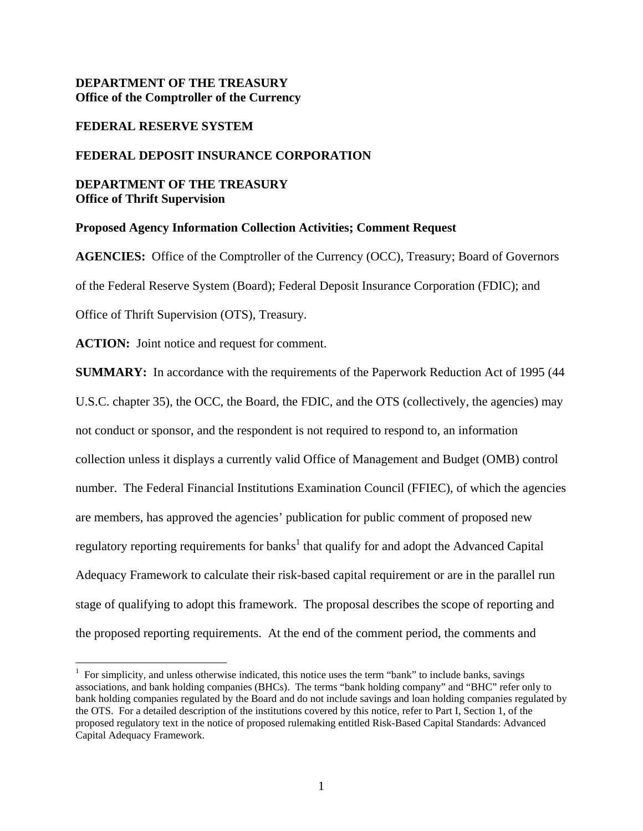# **DEPARTMENT OF THE TREASURY Office of the Comptroller of the Currency**

### **FEDERAL RESERVE SYSTEM**

### **FEDERAL DEPOSIT INSURANCE CORPORATION**

### **DEPARTMENT OF THE TREASURY Office of Thrift Supervision**

### **Proposed Agency Information Collection Activities; Comment Request**

**AGENCIES:** Office of the Comptroller of the Currency (OCC), Treasury; Board of Governors of the Federal Reserve System (Board); Federal Deposit Insurance Corporation (FDIC); and Office of Thrift Supervision (OTS), Treasury.

**ACTION:** Joint notice and request for comment.

<u>.</u>

**SUMMARY:** In accordance with the requirements of the Paperwork Reduction Act of 1995 (44 U.S.C. chapter 35), the OCC, the Board, the FDIC, and the OTS (collectively, the agencies) may not conduct or sponsor, and the respondent is not required to respond to, an information collection unless it displays a currently valid Office of Management and Budget (OMB) control number. The Federal Financial Institutions Examination Council (FFIEC), of which the agencies are members, has approved the agencies' publication for public comment of proposed new regulatory reporting requirements for banks<sup>1</sup> that qualify for and adopt the Advanced Capital Adequacy Framework to calculate their risk-based capital requirement or are in the parallel run stage of qualifying to adopt this framework. The proposal describes the scope of reporting and the proposed reporting requirements. At the end of the comment period, the comments and

<sup>&</sup>lt;sup>1</sup> For simplicity, and unless otherwise indicated, this notice uses the term "bank" to include banks, savings associations, and bank holding companies (BHCs). The terms "bank holding company" and "BHC" refer only to bank holding companies regulated by the Board and do not include savings and loan holding companies regulated by the OTS. For a detailed description of the institutions covered by this notice, refer to Part I, Section 1, of the proposed regulatory text in the notice of proposed rulemaking entitled Risk-Based Capital Standards: Advanced Capital Adequacy Framework.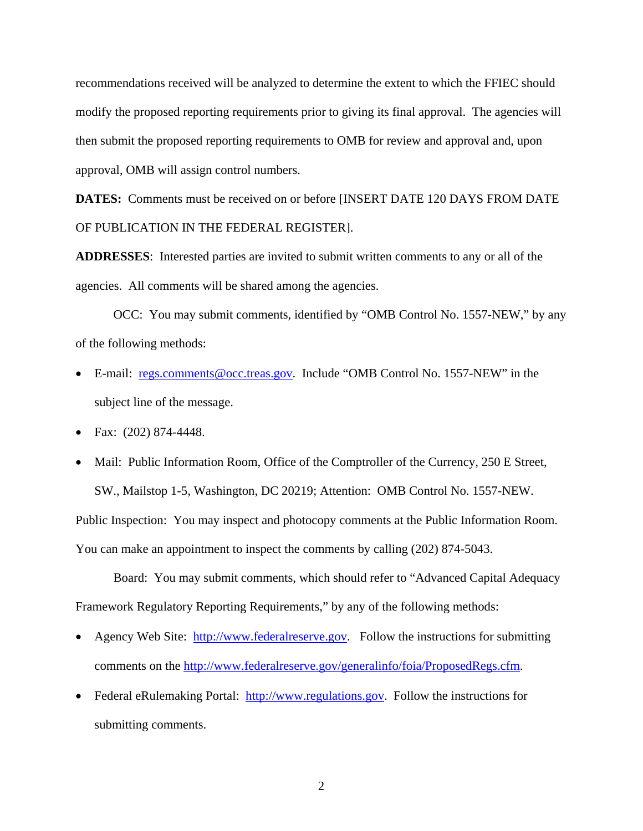recommendations received will be analyzed to determine the extent to which the FFIEC should modify the proposed reporting requirements prior to giving its final approval. The agencies will then submit the proposed reporting requirements to OMB for review and approval and, upon approval, OMB will assign control numbers.

**DATES:** Comments must be received on or before [INSERT DATE 120 DAYS FROM DATE OF PUBLICATION IN THE FEDERAL REGISTER].

**ADDRESSES**: Interested parties are invited to submit written comments to any or all of the agencies. All comments will be shared among the agencies.

 OCC: You may submit comments, identified by "OMB Control No. 1557-NEW," by any of the following methods:

- E-mail: regs.comments@occ.treas.gov. Include "OMB Control No. 1557-NEW" in the subject line of the message.
- Fax: (202) 874-4448.
- Mail: Public Information Room, Office of the Comptroller of the Currency, 250 E Street, SW., Mailstop 1-5, Washington, DC 20219; Attention: OMB Control No. 1557-NEW. Public Inspection: You may inspect and photocopy comments at the Public Information Room. You can make an appointment to inspect the comments by calling (202) 874-5043.

Board: You may submit comments, which should refer to "Advanced Capital Adequacy Framework Regulatory Reporting Requirements," by any of the following methods:

- Agency Web Site: http://www.federalreserve.gov. Follow the instructions for submitting comments on the http://www.federalreserve.gov/generalinfo/foia/ProposedRegs.cfm.
- Federal eRulemaking Portal: http://www.regulations.gov. Follow the instructions for submitting comments.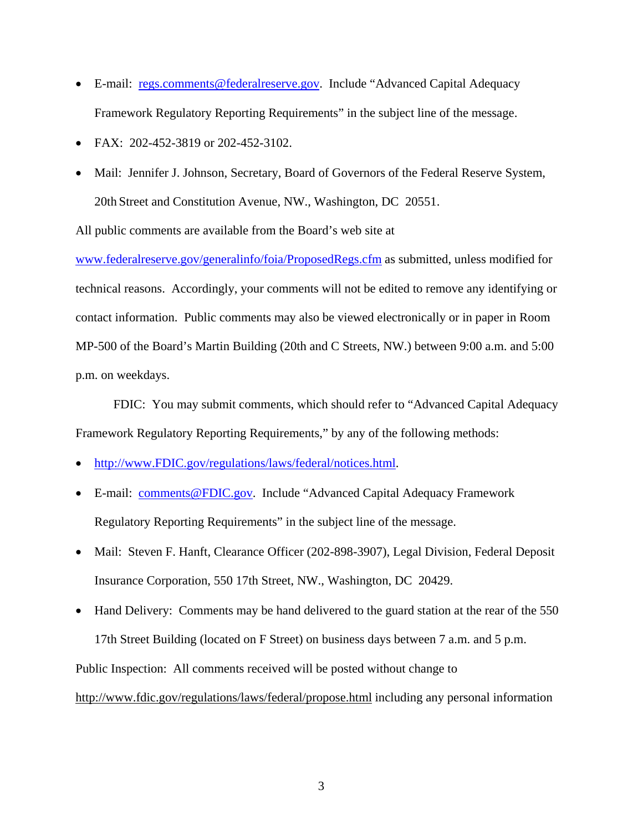- E-mail: regs.comments@federalreserve.gov. Include "Advanced Capital Adequacy Framework Regulatory Reporting Requirements" in the subject line of the message.
- FAX: 202-452-3819 or 202-452-3102.
- Mail: Jennifer J. Johnson, Secretary, Board of Governors of the Federal Reserve System, 20th Street and Constitution Avenue, NW., Washington, DC 20551.

All public comments are available from the Board's web site at

www.federalreserve.gov/generalinfo/foia/ProposedRegs.cfm as submitted, unless modified for technical reasons. Accordingly, your comments will not be edited to remove any identifying or contact information. Public comments may also be viewed electronically or in paper in Room MP-500 of the Board's Martin Building (20th and C Streets, NW.) between 9:00 a.m. and 5:00 p.m. on weekdays.

 FDIC: You may submit comments, which should refer to "Advanced Capital Adequacy Framework Regulatory Reporting Requirements," by any of the following methods:

- http://www.FDIC.gov/regulations/laws/federal/notices.html.
- E-mail: comments@FDIC.gov. Include "Advanced Capital Adequacy Framework Regulatory Reporting Requirements" in the subject line of the message.
- Mail: Steven F. Hanft, Clearance Officer (202-898-3907), Legal Division, Federal Deposit Insurance Corporation, 550 17th Street, NW., Washington, DC 20429.
- Hand Delivery: Comments may be hand delivered to the guard station at the rear of the 550 17th Street Building (located on F Street) on business days between 7 a.m. and 5 p.m.

Public Inspection: All comments received will be posted without change to

http://www.fdic.gov/regulations/laws/federal/propose.html including any personal information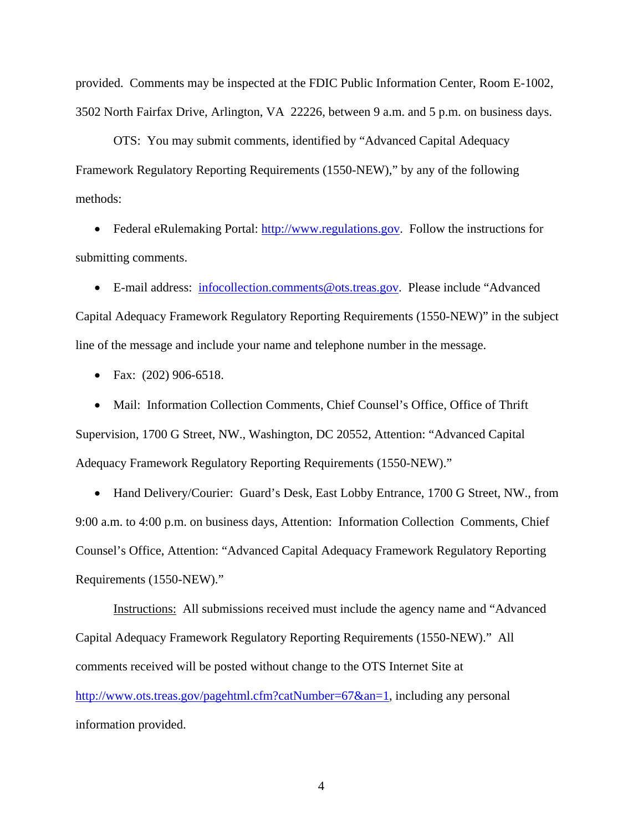provided. Comments may be inspected at the FDIC Public Information Center, Room E-1002, 3502 North Fairfax Drive, Arlington, VA 22226, between 9 a.m. and 5 p.m. on business days.

OTS: You may submit comments, identified by "Advanced Capital Adequacy Framework Regulatory Reporting Requirements (1550-NEW)," by any of the following methods:

• Federal eRulemaking Portal: http://www.regulations.gov. Follow the instructions for submitting comments.

• E-mail address: infocollection.comments@ots.treas.gov. Please include "Advanced Capital Adequacy Framework Regulatory Reporting Requirements (1550-NEW)" in the subject line of the message and include your name and telephone number in the message.

• Fax: (202) 906-6518.

• Mail: Information Collection Comments, Chief Counsel's Office, Office of Thrift Supervision, 1700 G Street, NW., Washington, DC 20552, Attention: "Advanced Capital Adequacy Framework Regulatory Reporting Requirements (1550-NEW)."

• Hand Delivery/Courier: Guard's Desk, East Lobby Entrance, 1700 G Street, NW., from 9:00 a.m. to 4:00 p.m. on business days, Attention: Information Collection Comments, Chief Counsel's Office, Attention: "Advanced Capital Adequacy Framework Regulatory Reporting Requirements (1550-NEW)."

Instructions: All submissions received must include the agency name and "Advanced Capital Adequacy Framework Regulatory Reporting Requirements (1550-NEW)." All comments received will be posted without change to the OTS Internet Site at http://www.ots.treas.gov/pagehtml.cfm?catNumber=67&an=1, including any personal information provided.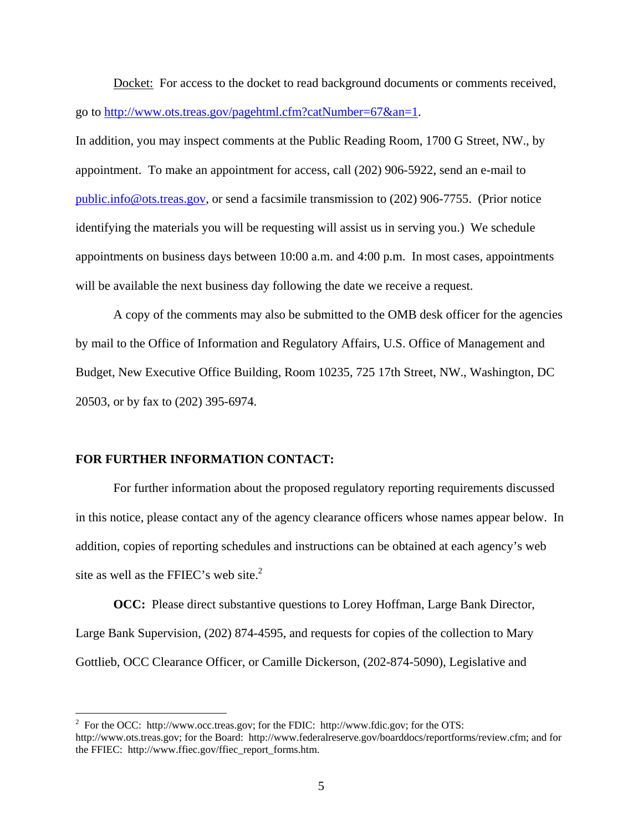Docket: For access to the docket to read background documents or comments received, go to http://www.ots.treas.gov/pagehtml.cfm?catNumber=67&an=1.

In addition, you may inspect comments at the Public Reading Room, 1700 G Street, NW., by appointment. To make an appointment for access, call (202) 906-5922, send an e-mail to public.info@ots.treas.gov, or send a facsimile transmission to (202) 906-7755. (Prior notice identifying the materials you will be requesting will assist us in serving you.) We schedule appointments on business days between 10:00 a.m. and 4:00 p.m. In most cases, appointments will be available the next business day following the date we receive a request.

A copy of the comments may also be submitted to the OMB desk officer for the agencies by mail to the Office of Information and Regulatory Affairs, U.S. Office of Management and Budget, New Executive Office Building, Room 10235, 725 17th Street, NW., Washington, DC 20503, or by fax to (202) 395-6974.

### **FOR FURTHER INFORMATION CONTACT:**

 $\overline{a}$ 

For further information about the proposed regulatory reporting requirements discussed in this notice, please contact any of the agency clearance officers whose names appear below. In addition, copies of reporting schedules and instructions can be obtained at each agency's web site as well as the FFIEC's web site.<sup>2</sup>

**OCC:** Please direct substantive questions to Lorey Hoffman, Large Bank Director, Large Bank Supervision, (202) 874-4595, and requests for copies of the collection to Mary Gottlieb, OCC Clearance Officer, or Camille Dickerson, (202-874-5090), Legislative and

<sup>&</sup>lt;sup>2</sup> For the OCC: http://www.occ.treas.gov; for the FDIC: http://www.fdic.gov; for the OTS: http://www.ots.treas.gov; for the Board: http://www.federalreserve.gov/boarddocs/reportforms/review.cfm; and for the FFIEC: http://www.ffiec.gov/ffiec\_report\_forms.htm.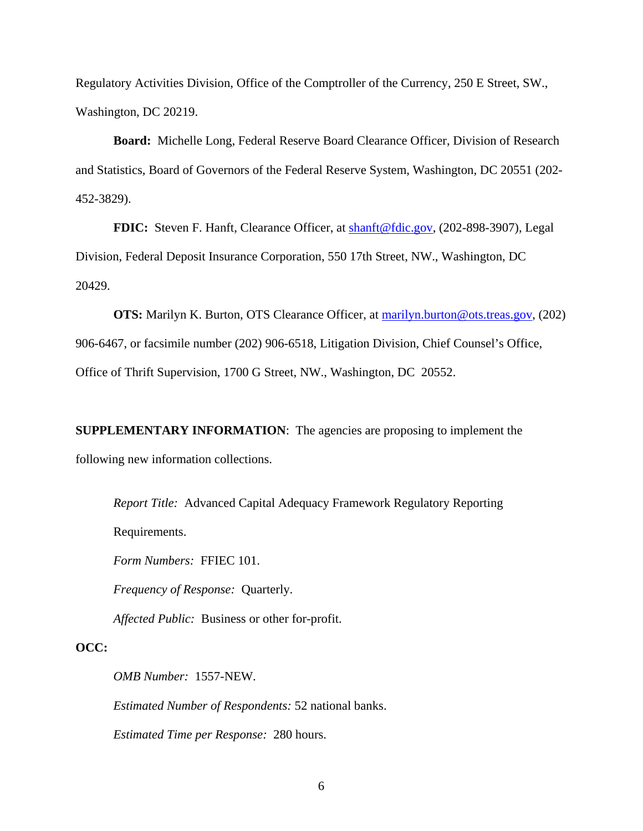Regulatory Activities Division, Office of the Comptroller of the Currency, 250 E Street, SW., Washington, DC 20219.

**Board:** Michelle Long, Federal Reserve Board Clearance Officer, Division of Research and Statistics, Board of Governors of the Federal Reserve System, Washington, DC 20551 (202- 452-3829).

**FDIC:** Steven F. Hanft, Clearance Officer, at **shanft@fdic.gov**, (202-898-3907), Legal Division, Federal Deposit Insurance Corporation, 550 17th Street, NW., Washington, DC 20429.

**OTS:** Marilyn K. Burton, OTS Clearance Officer, at marilyn.burton@ots.treas.gov, (202) 906-6467, or facsimile number (202) 906-6518, Litigation Division, Chief Counsel's Office, Office of Thrift Supervision, 1700 G Street, NW., Washington, DC 20552.

**SUPPLEMENTARY INFORMATION**: The agencies are proposing to implement the following new information collections.

*Report Title:* Advanced Capital Adequacy Framework Regulatory Reporting

Requirements.

*Form Numbers:* FFIEC 101.

*Frequency of Response:* Quarterly.

*Affected Public:* Business or other for-profit.

# **OCC:**

*OMB Number:* 1557-NEW.

*Estimated Number of Respondents:* 52 national banks.

*Estimated Time per Response:* 280 hours.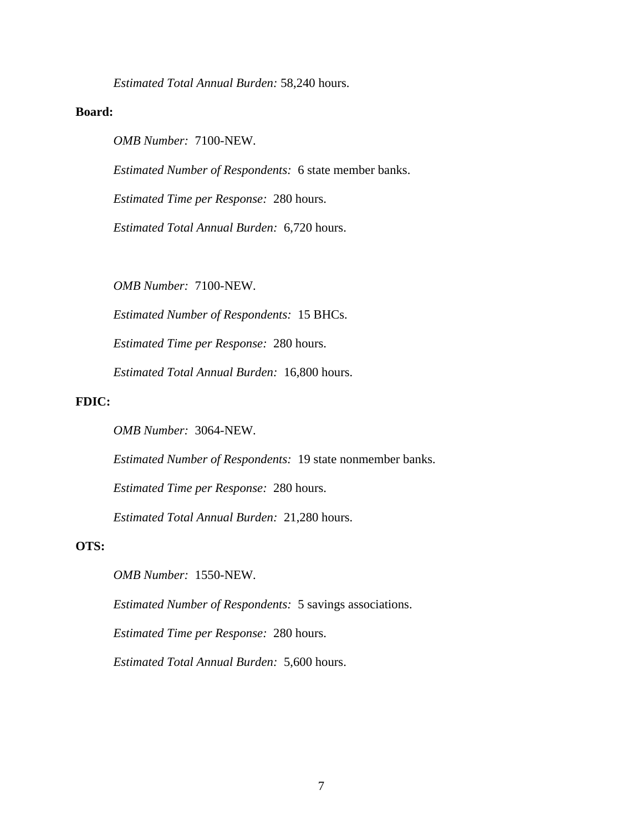*Estimated Total Annual Burden:* 58,240 hours.

### **Board:**

*OMB Number:* 7100-NEW.

*Estimated Number of Respondents:* 6 state member banks.

*Estimated Time per Response:* 280 hours.

*Estimated Total Annual Burden:* 6,720 hours.

 *OMB Number:* 7100-NEW.

*Estimated Number of Respondents:* 15 BHCs.

*Estimated Time per Response:* 280 hours.

*Estimated Total Annual Burden:* 16,800 hours.

### **FDIC:**

*OMB Number:* 3064-NEW.

*Estimated Number of Respondents:* 19 state nonmember banks.

*Estimated Time per Response:* 280 hours.

*Estimated Total Annual Burden:* 21,280 hours.

### **OTS:**

 *OMB Number:* 1550-NEW.

*Estimated Number of Respondents:* 5 savings associations.

*Estimated Time per Response:* 280 hours.

*Estimated Total Annual Burden:* 5,600 hours.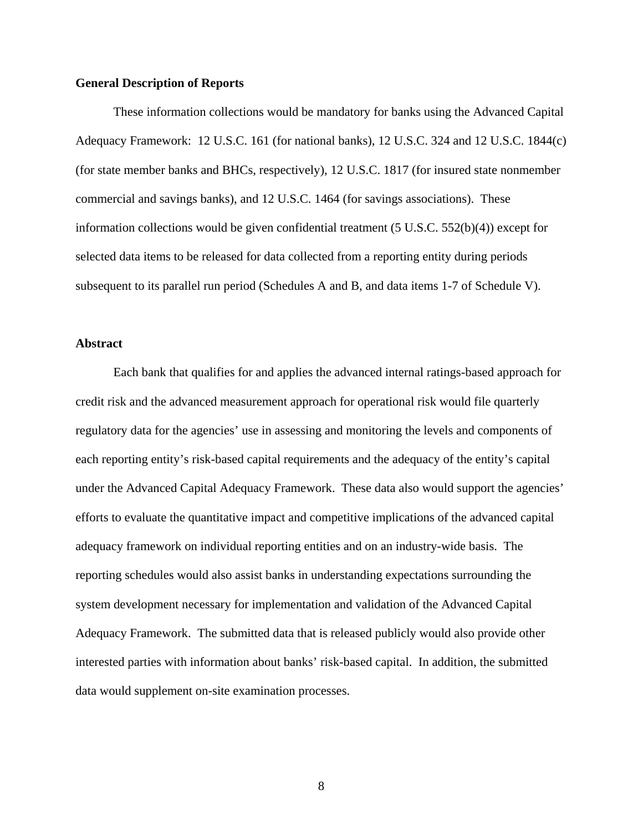### **General Description of Reports**

 These information collections would be mandatory for banks using the Advanced Capital Adequacy Framework: 12 U.S.C. 161 (for national banks), 12 U.S.C. 324 and 12 U.S.C. 1844(c) (for state member banks and BHCs, respectively), 12 U.S.C. 1817 (for insured state nonmember commercial and savings banks), and 12 U.S.C. 1464 (for savings associations). These information collections would be given confidential treatment  $(5 \text{ U.S.C. } 552(b)(4))$  except for selected data items to be released for data collected from a reporting entity during periods subsequent to its parallel run period (Schedules A and B, and data items 1-7 of Schedule V).

### **Abstract**

 Each bank that qualifies for and applies the advanced internal ratings-based approach for credit risk and the advanced measurement approach for operational risk would file quarterly regulatory data for the agencies' use in assessing and monitoring the levels and components of each reporting entity's risk-based capital requirements and the adequacy of the entity's capital under the Advanced Capital Adequacy Framework. These data also would support the agencies' efforts to evaluate the quantitative impact and competitive implications of the advanced capital adequacy framework on individual reporting entities and on an industry-wide basis. The reporting schedules would also assist banks in understanding expectations surrounding the system development necessary for implementation and validation of the Advanced Capital Adequacy Framework. The submitted data that is released publicly would also provide other interested parties with information about banks' risk-based capital. In addition, the submitted data would supplement on-site examination processes.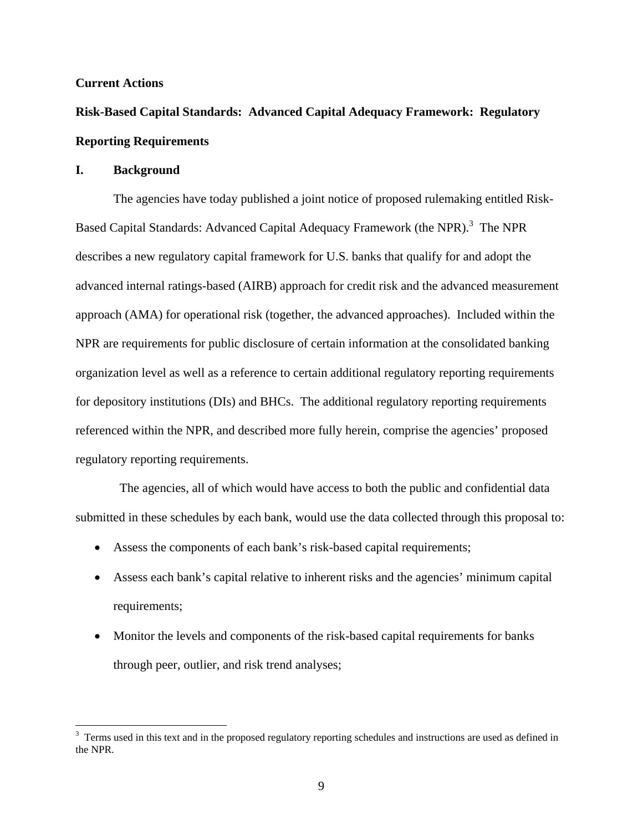### **Current Actions**

# **Risk-Based Capital Standards: Advanced Capital Adequacy Framework: Regulatory Reporting Requirements**

### **I. Background**

The agencies have today published a joint notice of proposed rulemaking entitled Risk-Based Capital Standards: Advanced Capital Adequacy Framework (the NPR).<sup>3</sup> The NPR describes a new regulatory capital framework for U.S. banks that qualify for and adopt the advanced internal ratings-based (AIRB) approach for credit risk and the advanced measurement approach (AMA) for operational risk (together, the advanced approaches). Included within the NPR are requirements for public disclosure of certain information at the consolidated banking organization level as well as a reference to certain additional regulatory reporting requirements for depository institutions (DIs) and BHCs. The additional regulatory reporting requirements referenced within the NPR, and described more fully herein, comprise the agencies' proposed regulatory reporting requirements.

 The agencies, all of which would have access to both the public and confidential data submitted in these schedules by each bank, would use the data collected through this proposal to:

- Assess the components of each bank's risk-based capital requirements;
- Assess each bank's capital relative to inherent risks and the agencies' minimum capital requirements;
- Monitor the levels and components of the risk-based capital requirements for banks through peer, outlier, and risk trend analyses;

<sup>&</sup>lt;sup>3</sup> Terms used in this text and in the proposed regulatory reporting schedules and instructions are used as defined in the NPR.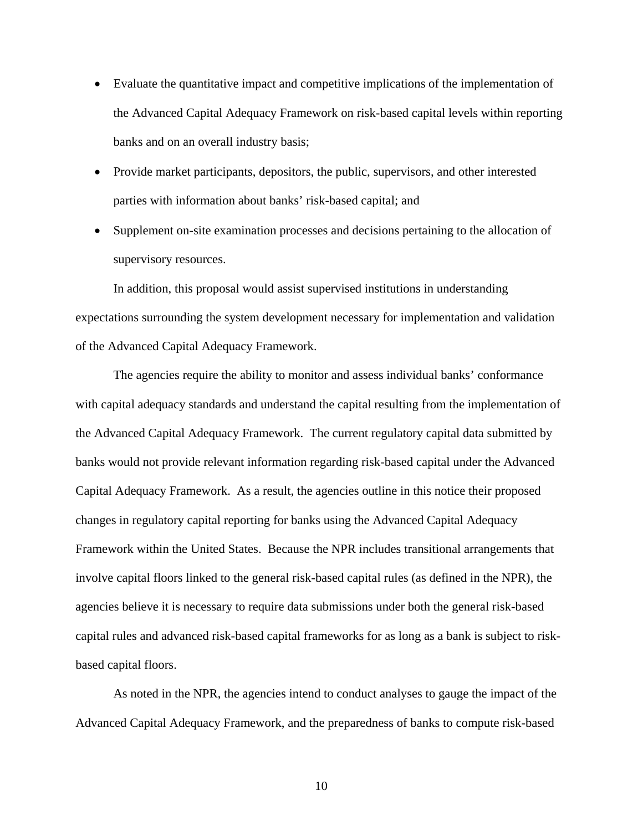- Evaluate the quantitative impact and competitive implications of the implementation of the Advanced Capital Adequacy Framework on risk-based capital levels within reporting banks and on an overall industry basis;
- Provide market participants, depositors, the public, supervisors, and other interested parties with information about banks' risk-based capital; and
- Supplement on-site examination processes and decisions pertaining to the allocation of supervisory resources.

 In addition, this proposal would assist supervised institutions in understanding expectations surrounding the system development necessary for implementation and validation of the Advanced Capital Adequacy Framework.

 The agencies require the ability to monitor and assess individual banks' conformance with capital adequacy standards and understand the capital resulting from the implementation of the Advanced Capital Adequacy Framework. The current regulatory capital data submitted by banks would not provide relevant information regarding risk-based capital under the Advanced Capital Adequacy Framework. As a result, the agencies outline in this notice their proposed changes in regulatory capital reporting for banks using the Advanced Capital Adequacy Framework within the United States. Because the NPR includes transitional arrangements that involve capital floors linked to the general risk-based capital rules (as defined in the NPR), the agencies believe it is necessary to require data submissions under both the general risk-based capital rules and advanced risk-based capital frameworks for as long as a bank is subject to riskbased capital floors.

 As noted in the NPR, the agencies intend to conduct analyses to gauge the impact of the Advanced Capital Adequacy Framework, and the preparedness of banks to compute risk-based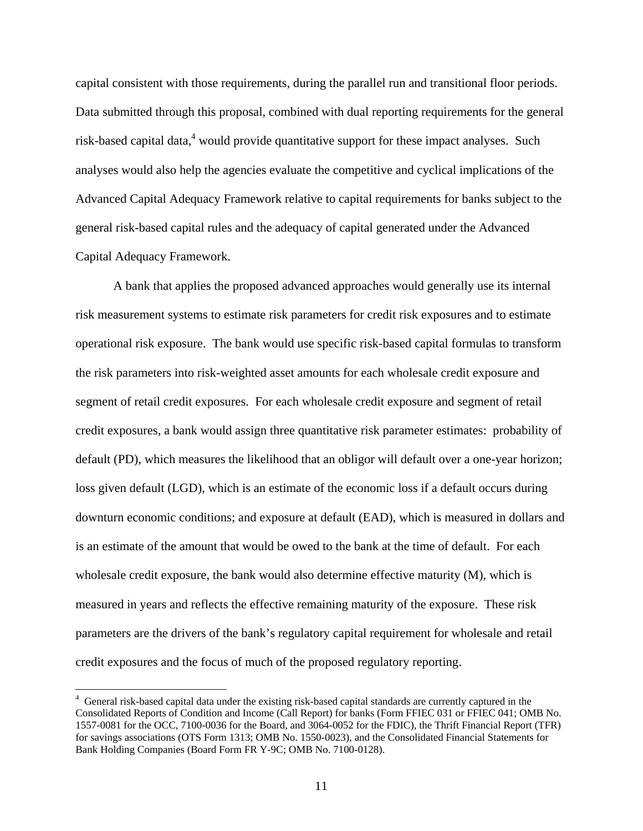capital consistent with those requirements, during the parallel run and transitional floor periods. Data submitted through this proposal, combined with dual reporting requirements for the general risk-based capital data,<sup>4</sup> would provide quantitative support for these impact analyses. Such analyses would also help the agencies evaluate the competitive and cyclical implications of the Advanced Capital Adequacy Framework relative to capital requirements for banks subject to the general risk-based capital rules and the adequacy of capital generated under the Advanced Capital Adequacy Framework.

 A bank that applies the proposed advanced approaches would generally use its internal risk measurement systems to estimate risk parameters for credit risk exposures and to estimate operational risk exposure. The bank would use specific risk-based capital formulas to transform the risk parameters into risk-weighted asset amounts for each wholesale credit exposure and segment of retail credit exposures. For each wholesale credit exposure and segment of retail credit exposures, a bank would assign three quantitative risk parameter estimates: probability of default (PD), which measures the likelihood that an obligor will default over a one-year horizon; loss given default (LGD), which is an estimate of the economic loss if a default occurs during downturn economic conditions; and exposure at default (EAD), which is measured in dollars and is an estimate of the amount that would be owed to the bank at the time of default. For each wholesale credit exposure, the bank would also determine effective maturity (M), which is measured in years and reflects the effective remaining maturity of the exposure. These risk parameters are the drivers of the bank's regulatory capital requirement for wholesale and retail credit exposures and the focus of much of the proposed regulatory reporting.

 $\overline{a}$ 

<sup>&</sup>lt;sup>4</sup> General risk-based capital data under the existing risk-based capital standards are currently captured in the Consolidated Reports of Condition and Income (Call Report) for banks (Form FFIEC 031 or FFIEC 041; OMB No. 1557-0081 for the OCC, 7100-0036 for the Board, and 3064-0052 for the FDIC), the Thrift Financial Report (TFR) for savings associations (OTS Form 1313; OMB No. 1550-0023), and the Consolidated Financial Statements for Bank Holding Companies (Board Form FR Y-9C; OMB No. 7100-0128).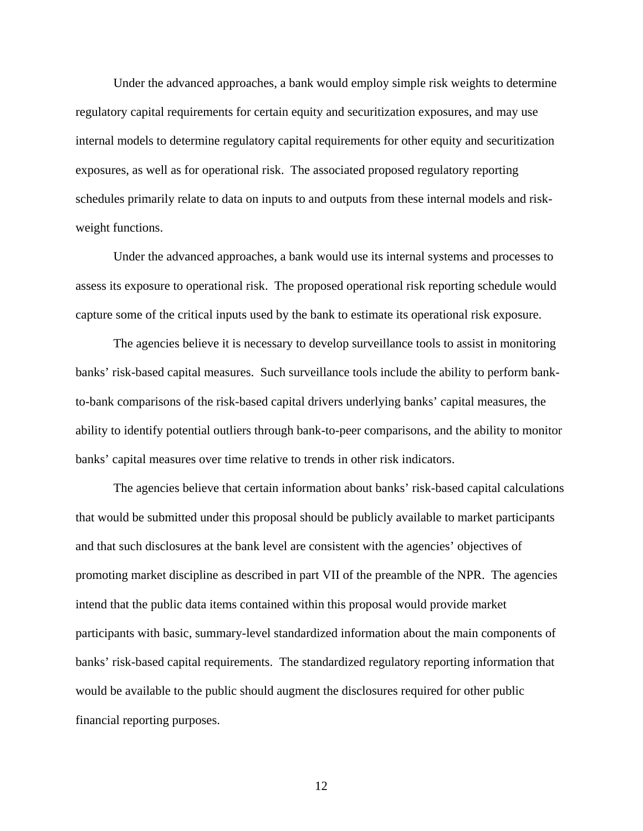Under the advanced approaches, a bank would employ simple risk weights to determine regulatory capital requirements for certain equity and securitization exposures, and may use internal models to determine regulatory capital requirements for other equity and securitization exposures, as well as for operational risk. The associated proposed regulatory reporting schedules primarily relate to data on inputs to and outputs from these internal models and riskweight functions.

 Under the advanced approaches, a bank would use its internal systems and processes to assess its exposure to operational risk. The proposed operational risk reporting schedule would capture some of the critical inputs used by the bank to estimate its operational risk exposure.

 The agencies believe it is necessary to develop surveillance tools to assist in monitoring banks' risk-based capital measures. Such surveillance tools include the ability to perform bankto-bank comparisons of the risk-based capital drivers underlying banks' capital measures, the ability to identify potential outliers through bank-to-peer comparisons, and the ability to monitor banks' capital measures over time relative to trends in other risk indicators.

 The agencies believe that certain information about banks' risk-based capital calculations that would be submitted under this proposal should be publicly available to market participants and that such disclosures at the bank level are consistent with the agencies' objectives of promoting market discipline as described in part VII of the preamble of the NPR. The agencies intend that the public data items contained within this proposal would provide market participants with basic, summary-level standardized information about the main components of banks' risk-based capital requirements. The standardized regulatory reporting information that would be available to the public should augment the disclosures required for other public financial reporting purposes.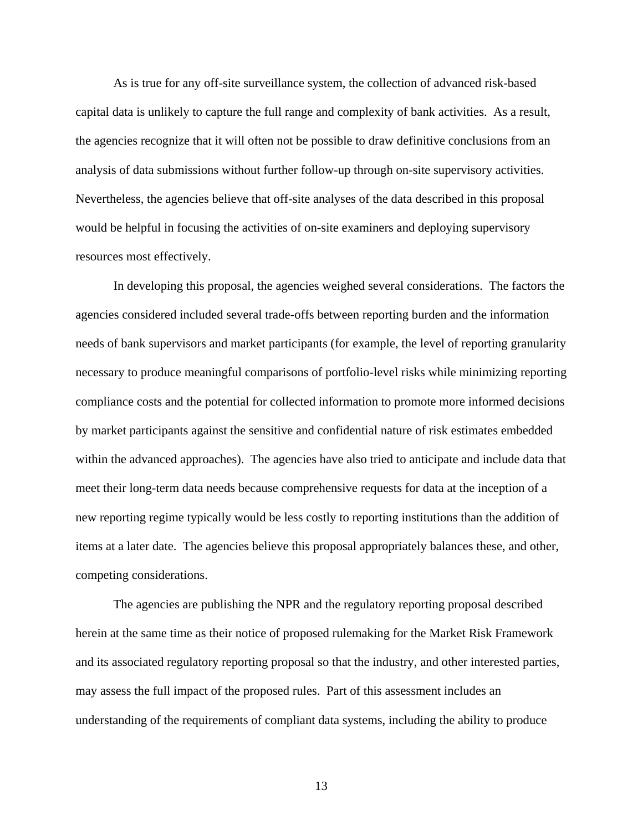As is true for any off-site surveillance system, the collection of advanced risk-based capital data is unlikely to capture the full range and complexity of bank activities. As a result, the agencies recognize that it will often not be possible to draw definitive conclusions from an analysis of data submissions without further follow-up through on-site supervisory activities. Nevertheless, the agencies believe that off-site analyses of the data described in this proposal would be helpful in focusing the activities of on-site examiners and deploying supervisory resources most effectively.

In developing this proposal, the agencies weighed several considerations. The factors the agencies considered included several trade-offs between reporting burden and the information needs of bank supervisors and market participants (for example, the level of reporting granularity necessary to produce meaningful comparisons of portfolio-level risks while minimizing reporting compliance costs and the potential for collected information to promote more informed decisions by market participants against the sensitive and confidential nature of risk estimates embedded within the advanced approaches). The agencies have also tried to anticipate and include data that meet their long-term data needs because comprehensive requests for data at the inception of a new reporting regime typically would be less costly to reporting institutions than the addition of items at a later date. The agencies believe this proposal appropriately balances these, and other, competing considerations.

The agencies are publishing the NPR and the regulatory reporting proposal described herein at the same time as their notice of proposed rulemaking for the Market Risk Framework and its associated regulatory reporting proposal so that the industry, and other interested parties, may assess the full impact of the proposed rules. Part of this assessment includes an understanding of the requirements of compliant data systems, including the ability to produce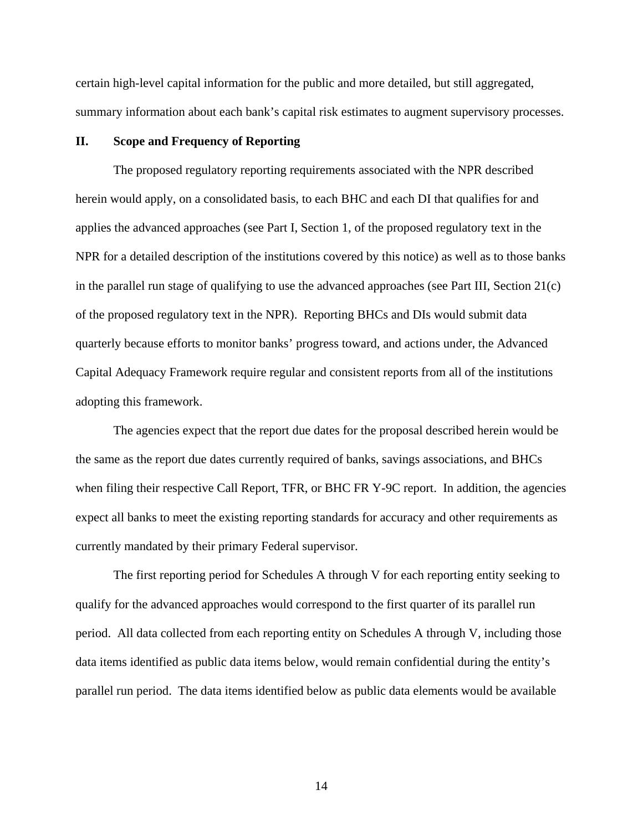certain high-level capital information for the public and more detailed, but still aggregated, summary information about each bank's capital risk estimates to augment supervisory processes.

### **II. Scope and Frequency of Reporting**

 The proposed regulatory reporting requirements associated with the NPR described herein would apply, on a consolidated basis, to each BHC and each DI that qualifies for and applies the advanced approaches (see Part I, Section 1, of the proposed regulatory text in the NPR for a detailed description of the institutions covered by this notice) as well as to those banks in the parallel run stage of qualifying to use the advanced approaches (see Part III, Section 21(c) of the proposed regulatory text in the NPR). Reporting BHCs and DIs would submit data quarterly because efforts to monitor banks' progress toward, and actions under, the Advanced Capital Adequacy Framework require regular and consistent reports from all of the institutions adopting this framework.

 The agencies expect that the report due dates for the proposal described herein would be the same as the report due dates currently required of banks, savings associations, and BHCs when filing their respective Call Report, TFR, or BHC FR Y-9C report. In addition, the agencies expect all banks to meet the existing reporting standards for accuracy and other requirements as currently mandated by their primary Federal supervisor.

 The first reporting period for Schedules A through V for each reporting entity seeking to qualify for the advanced approaches would correspond to the first quarter of its parallel run period. All data collected from each reporting entity on Schedules A through V, including those data items identified as public data items below, would remain confidential during the entity's parallel run period. The data items identified below as public data elements would be available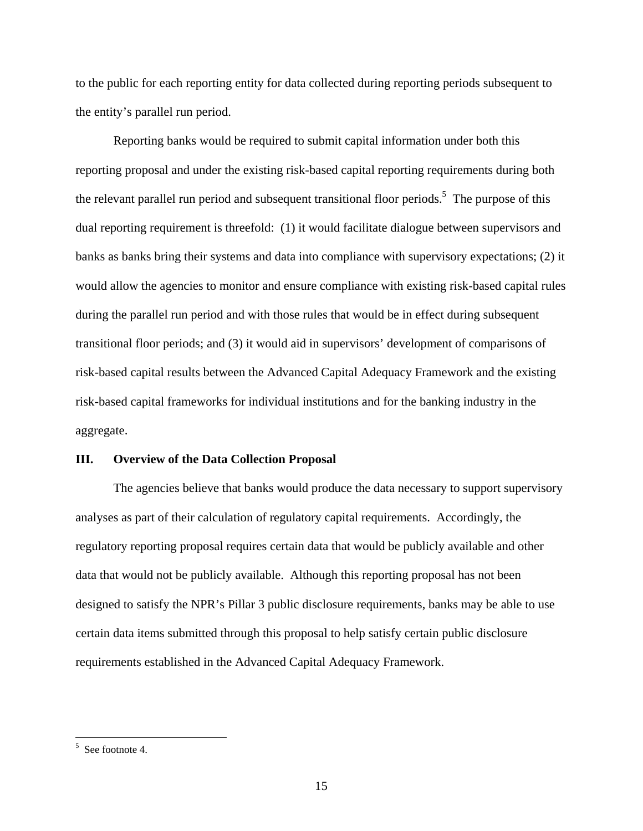to the public for each reporting entity for data collected during reporting periods subsequent to the entity's parallel run period.

 Reporting banks would be required to submit capital information under both this reporting proposal and under the existing risk-based capital reporting requirements during both the relevant parallel run period and subsequent transitional floor periods.<sup>5</sup> The purpose of this dual reporting requirement is threefold: (1) it would facilitate dialogue between supervisors and banks as banks bring their systems and data into compliance with supervisory expectations; (2) it would allow the agencies to monitor and ensure compliance with existing risk-based capital rules during the parallel run period and with those rules that would be in effect during subsequent transitional floor periods; and (3) it would aid in supervisors' development of comparisons of risk-based capital results between the Advanced Capital Adequacy Framework and the existing risk-based capital frameworks for individual institutions and for the banking industry in the aggregate.

### **III. Overview of the Data Collection Proposal**

 The agencies believe that banks would produce the data necessary to support supervisory analyses as part of their calculation of regulatory capital requirements. Accordingly, the regulatory reporting proposal requires certain data that would be publicly available and other data that would not be publicly available. Although this reporting proposal has not been designed to satisfy the NPR's Pillar 3 public disclosure requirements, banks may be able to use certain data items submitted through this proposal to help satisfy certain public disclosure requirements established in the Advanced Capital Adequacy Framework.

 $\frac{1}{5}$  See footnote 4.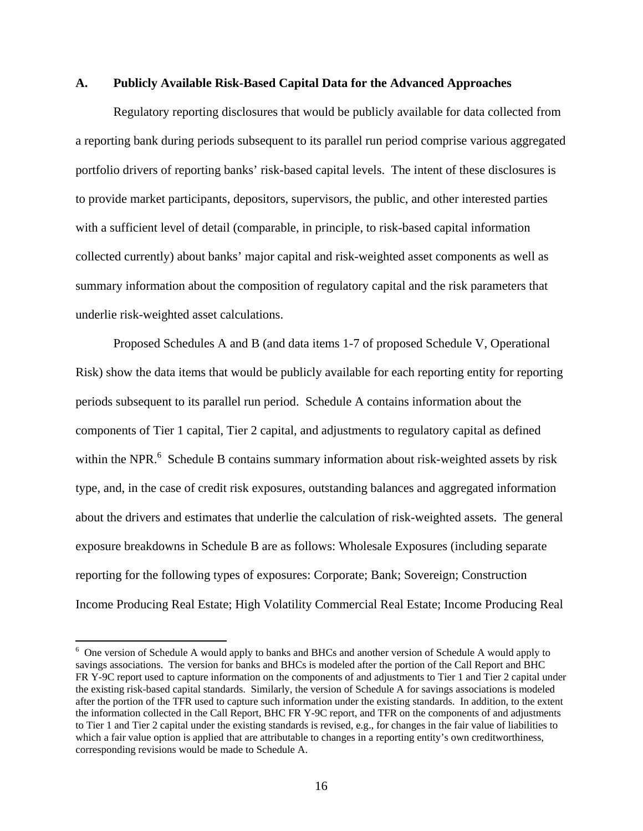### **A. Publicly Available Risk-Based Capital Data for the Advanced Approaches**

 Regulatory reporting disclosures that would be publicly available for data collected from a reporting bank during periods subsequent to its parallel run period comprise various aggregated portfolio drivers of reporting banks' risk-based capital levels. The intent of these disclosures is to provide market participants, depositors, supervisors, the public, and other interested parties with a sufficient level of detail (comparable, in principle, to risk-based capital information collected currently) about banks' major capital and risk-weighted asset components as well as summary information about the composition of regulatory capital and the risk parameters that underlie risk-weighted asset calculations.

 Proposed Schedules A and B (and data items 1-7 of proposed Schedule V, Operational Risk) show the data items that would be publicly available for each reporting entity for reporting periods subsequent to its parallel run period. Schedule A contains information about the components of Tier 1 capital, Tier 2 capital, and adjustments to regulatory capital as defined within the NPR.<sup>6</sup> Schedule B contains summary information about risk-weighted assets by risk type, and, in the case of credit risk exposures, outstanding balances and aggregated information about the drivers and estimates that underlie the calculation of risk-weighted assets. The general exposure breakdowns in Schedule B are as follows: Wholesale Exposures (including separate reporting for the following types of exposures: Corporate; Bank; Sovereign; Construction Income Producing Real Estate; High Volatility Commercial Real Estate; Income Producing Real

 $\overline{a}$ 

<sup>&</sup>lt;sup>6</sup> One version of Schedule A would apply to banks and BHCs and another version of Schedule A would apply to savings associations. The version for banks and BHCs is modeled after the portion of the Call Report and BHC FR Y-9C report used to capture information on the components of and adjustments to Tier 1 and Tier 2 capital under the existing risk-based capital standards. Similarly, the version of Schedule A for savings associations is modeled after the portion of the TFR used to capture such information under the existing standards. In addition, to the extent the information collected in the Call Report, BHC FR Y-9C report, and TFR on the components of and adjustments to Tier 1 and Tier 2 capital under the existing standards is revised, e.g., for changes in the fair value of liabilities to which a fair value option is applied that are attributable to changes in a reporting entity's own creditworthiness, corresponding revisions would be made to Schedule A.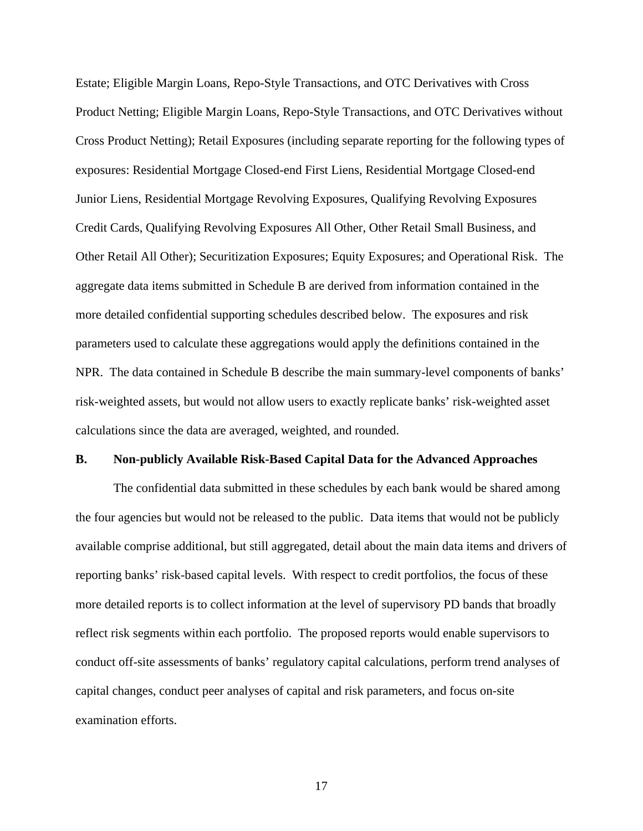Estate; Eligible Margin Loans, Repo-Style Transactions, and OTC Derivatives with Cross Product Netting; Eligible Margin Loans, Repo-Style Transactions, and OTC Derivatives without Cross Product Netting); Retail Exposures (including separate reporting for the following types of exposures: Residential Mortgage Closed-end First Liens, Residential Mortgage Closed-end Junior Liens, Residential Mortgage Revolving Exposures, Qualifying Revolving Exposures Credit Cards, Qualifying Revolving Exposures All Other, Other Retail Small Business, and Other Retail All Other); Securitization Exposures; Equity Exposures; and Operational Risk. The aggregate data items submitted in Schedule B are derived from information contained in the more detailed confidential supporting schedules described below. The exposures and risk parameters used to calculate these aggregations would apply the definitions contained in the NPR. The data contained in Schedule B describe the main summary-level components of banks' risk-weighted assets, but would not allow users to exactly replicate banks' risk-weighted asset calculations since the data are averaged, weighted, and rounded.

### **B. Non-publicly Available Risk-Based Capital Data for the Advanced Approaches**

 The confidential data submitted in these schedules by each bank would be shared among the four agencies but would not be released to the public. Data items that would not be publicly available comprise additional, but still aggregated, detail about the main data items and drivers of reporting banks' risk-based capital levels. With respect to credit portfolios, the focus of these more detailed reports is to collect information at the level of supervisory PD bands that broadly reflect risk segments within each portfolio. The proposed reports would enable supervisors to conduct off-site assessments of banks' regulatory capital calculations, perform trend analyses of capital changes, conduct peer analyses of capital and risk parameters, and focus on-site examination efforts.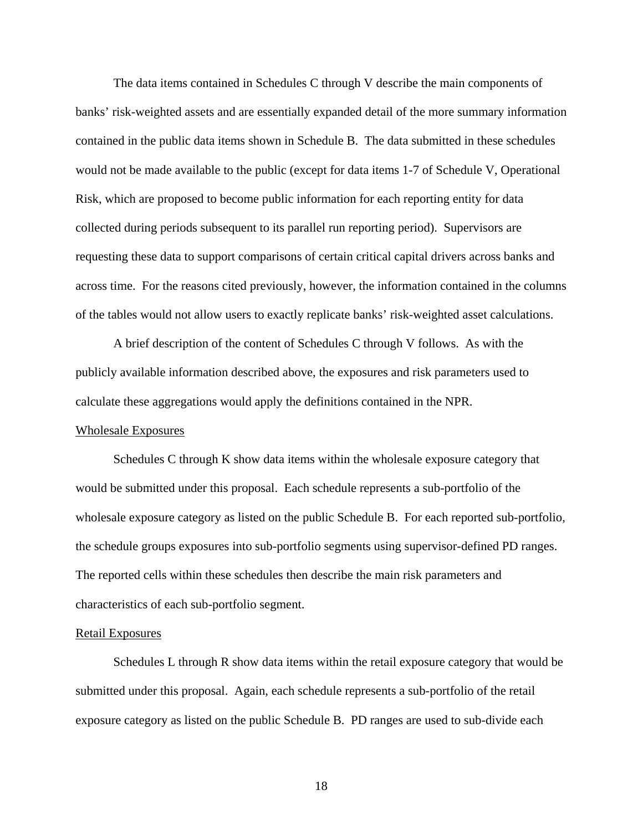The data items contained in Schedules C through V describe the main components of banks' risk-weighted assets and are essentially expanded detail of the more summary information contained in the public data items shown in Schedule B. The data submitted in these schedules would not be made available to the public (except for data items 1-7 of Schedule V, Operational Risk, which are proposed to become public information for each reporting entity for data collected during periods subsequent to its parallel run reporting period). Supervisors are requesting these data to support comparisons of certain critical capital drivers across banks and across time. For the reasons cited previously, however, the information contained in the columns of the tables would not allow users to exactly replicate banks' risk-weighted asset calculations.

 A brief description of the content of Schedules C through V follows. As with the publicly available information described above, the exposures and risk parameters used to calculate these aggregations would apply the definitions contained in the NPR.

### Wholesale Exposures

Schedules C through K show data items within the wholesale exposure category that would be submitted under this proposal. Each schedule represents a sub-portfolio of the wholesale exposure category as listed on the public Schedule B. For each reported sub-portfolio, the schedule groups exposures into sub-portfolio segments using supervisor-defined PD ranges. The reported cells within these schedules then describe the main risk parameters and characteristics of each sub-portfolio segment.

### Retail Exposures

Schedules L through R show data items within the retail exposure category that would be submitted under this proposal. Again, each schedule represents a sub-portfolio of the retail exposure category as listed on the public Schedule B. PD ranges are used to sub-divide each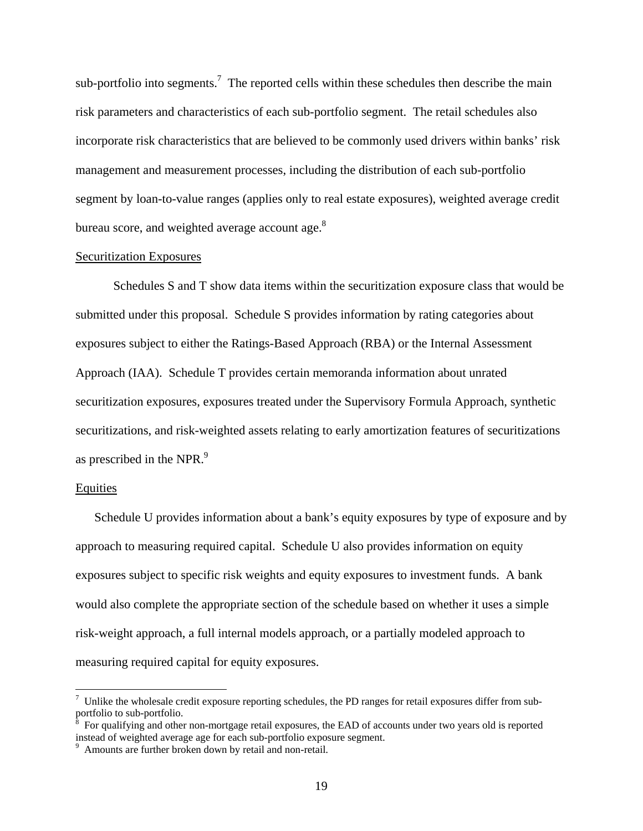sub-portfolio into segments.<sup>7</sup> The reported cells within these schedules then describe the main risk parameters and characteristics of each sub-portfolio segment. The retail schedules also incorporate risk characteristics that are believed to be commonly used drivers within banks' risk management and measurement processes, including the distribution of each sub-portfolio segment by loan-to-value ranges (applies only to real estate exposures), weighted average credit bureau score, and weighted average account age.<sup>8</sup>

#### Securitization Exposures

Schedules S and T show data items within the securitization exposure class that would be submitted under this proposal. Schedule S provides information by rating categories about exposures subject to either the Ratings-Based Approach (RBA) or the Internal Assessment Approach (IAA). Schedule T provides certain memoranda information about unrated securitization exposures, exposures treated under the Supervisory Formula Approach, synthetic securitizations, and risk-weighted assets relating to early amortization features of securitizations as prescribed in the NPR.<sup>9</sup>

### **Equities**

1

Schedule U provides information about a bank's equity exposures by type of exposure and by approach to measuring required capital. Schedule U also provides information on equity exposures subject to specific risk weights and equity exposures to investment funds. A bank would also complete the appropriate section of the schedule based on whether it uses a simple risk-weight approach, a full internal models approach, or a partially modeled approach to measuring required capital for equity exposures.

 $<sup>7</sup>$  Unlike the wholesale credit exposure reporting schedules, the PD ranges for retail exposures differ from sub-</sup> portfolio to sub-portfolio.<br><sup>8</sup> For qualifying and other

For qualifying and other non-mortgage retail exposures, the EAD of accounts under two years old is reported instead of weighted average age for each sub-portfolio exposure segment.

<sup>&</sup>lt;sup>9</sup> Amounts are further broken down by retail and non-retail.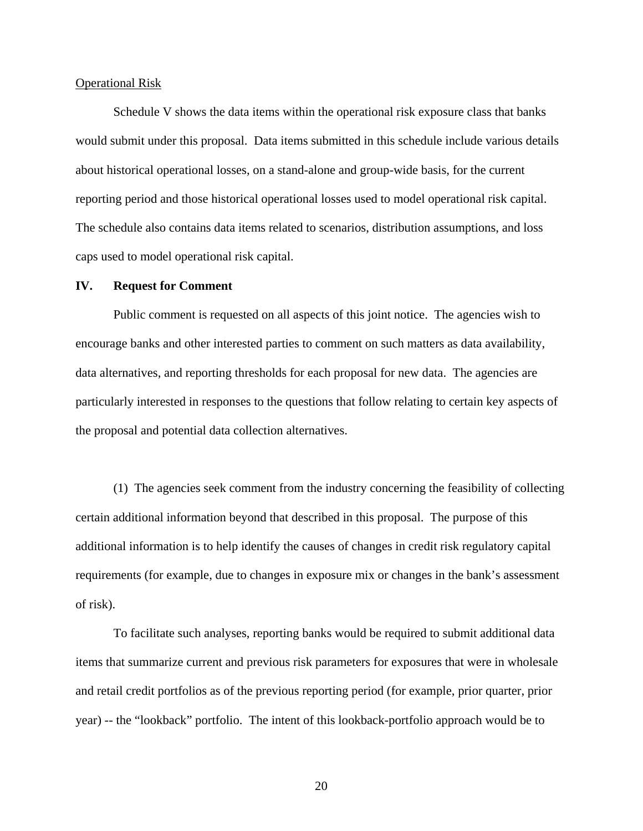#### Operational Risk

Schedule V shows the data items within the operational risk exposure class that banks would submit under this proposal. Data items submitted in this schedule include various details about historical operational losses, on a stand-alone and group-wide basis, for the current reporting period and those historical operational losses used to model operational risk capital. The schedule also contains data items related to scenarios, distribution assumptions, and loss caps used to model operational risk capital.

### **IV. Request for Comment**

Public comment is requested on all aspects of this joint notice. The agencies wish to encourage banks and other interested parties to comment on such matters as data availability, data alternatives, and reporting thresholds for each proposal for new data. The agencies are particularly interested in responses to the questions that follow relating to certain key aspects of the proposal and potential data collection alternatives.

 (1) The agencies seek comment from the industry concerning the feasibility of collecting certain additional information beyond that described in this proposal. The purpose of this additional information is to help identify the causes of changes in credit risk regulatory capital requirements (for example, due to changes in exposure mix or changes in the bank's assessment of risk).

 To facilitate such analyses, reporting banks would be required to submit additional data items that summarize current and previous risk parameters for exposures that were in wholesale and retail credit portfolios as of the previous reporting period (for example, prior quarter, prior year) -- the "lookback" portfolio. The intent of this lookback-portfolio approach would be to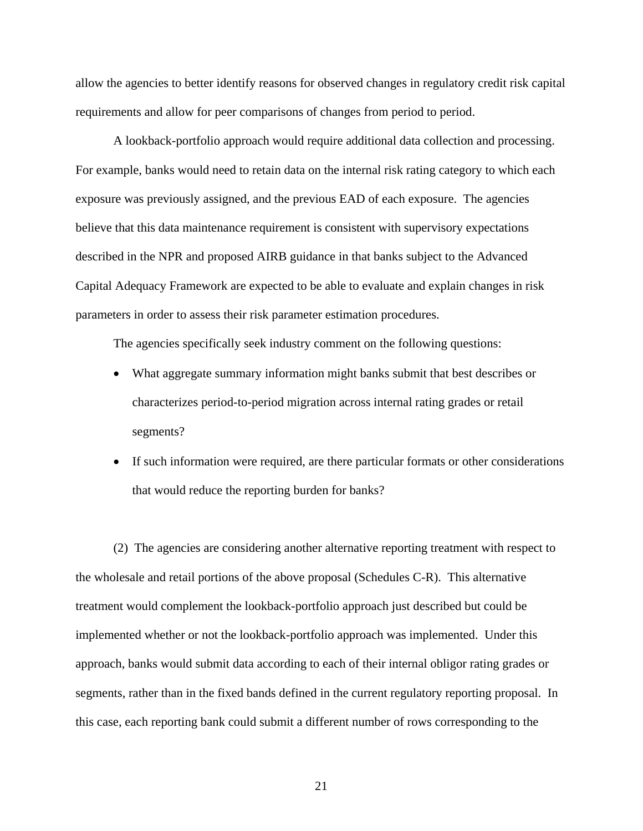allow the agencies to better identify reasons for observed changes in regulatory credit risk capital requirements and allow for peer comparisons of changes from period to period.

 A lookback-portfolio approach would require additional data collection and processing. For example, banks would need to retain data on the internal risk rating category to which each exposure was previously assigned, and the previous EAD of each exposure. The agencies believe that this data maintenance requirement is consistent with supervisory expectations described in the NPR and proposed AIRB guidance in that banks subject to the Advanced Capital Adequacy Framework are expected to be able to evaluate and explain changes in risk parameters in order to assess their risk parameter estimation procedures.

The agencies specifically seek industry comment on the following questions:

- What aggregate summary information might banks submit that best describes or characterizes period-to-period migration across internal rating grades or retail segments?
- If such information were required, are there particular formats or other considerations that would reduce the reporting burden for banks?

 (2) The agencies are considering another alternative reporting treatment with respect to the wholesale and retail portions of the above proposal (Schedules C-R). This alternative treatment would complement the lookback-portfolio approach just described but could be implemented whether or not the lookback-portfolio approach was implemented. Under this approach, banks would submit data according to each of their internal obligor rating grades or segments, rather than in the fixed bands defined in the current regulatory reporting proposal. In this case, each reporting bank could submit a different number of rows corresponding to the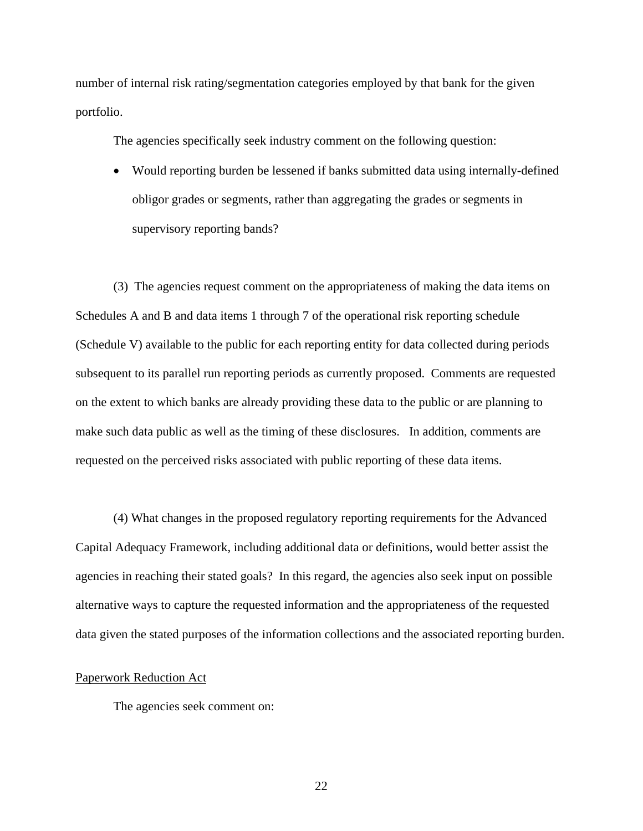number of internal risk rating/segmentation categories employed by that bank for the given portfolio.

The agencies specifically seek industry comment on the following question:

• Would reporting burden be lessened if banks submitted data using internally-defined obligor grades or segments, rather than aggregating the grades or segments in supervisory reporting bands?

 (3) The agencies request comment on the appropriateness of making the data items on Schedules A and B and data items 1 through 7 of the operational risk reporting schedule (Schedule V) available to the public for each reporting entity for data collected during periods subsequent to its parallel run reporting periods as currently proposed. Comments are requested on the extent to which banks are already providing these data to the public or are planning to make such data public as well as the timing of these disclosures. In addition, comments are requested on the perceived risks associated with public reporting of these data items.

 (4) What changes in the proposed regulatory reporting requirements for the Advanced Capital Adequacy Framework, including additional data or definitions, would better assist the agencies in reaching their stated goals? In this regard, the agencies also seek input on possible alternative ways to capture the requested information and the appropriateness of the requested data given the stated purposes of the information collections and the associated reporting burden.

### Paperwork Reduction Act

The agencies seek comment on: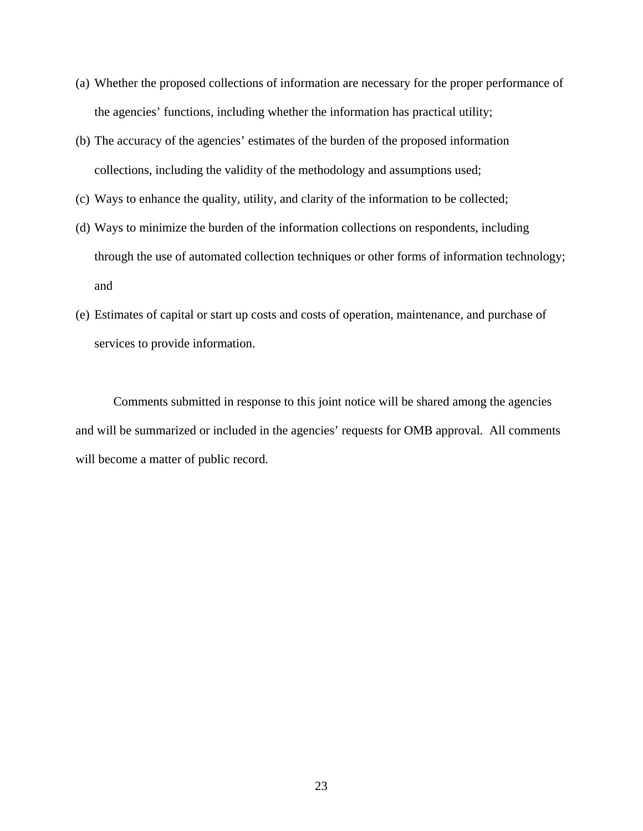- (a) Whether the proposed collections of information are necessary for the proper performance of the agencies' functions, including whether the information has practical utility;
- (b) The accuracy of the agencies' estimates of the burden of the proposed information collections, including the validity of the methodology and assumptions used;
- (c) Ways to enhance the quality, utility, and clarity of the information to be collected;
- (d) Ways to minimize the burden of the information collections on respondents, including through the use of automated collection techniques or other forms of information technology; and
- (e) Estimates of capital or start up costs and costs of operation, maintenance, and purchase of services to provide information.

Comments submitted in response to this joint notice will be shared among the agencies and will be summarized or included in the agencies' requests for OMB approval. All comments will become a matter of public record.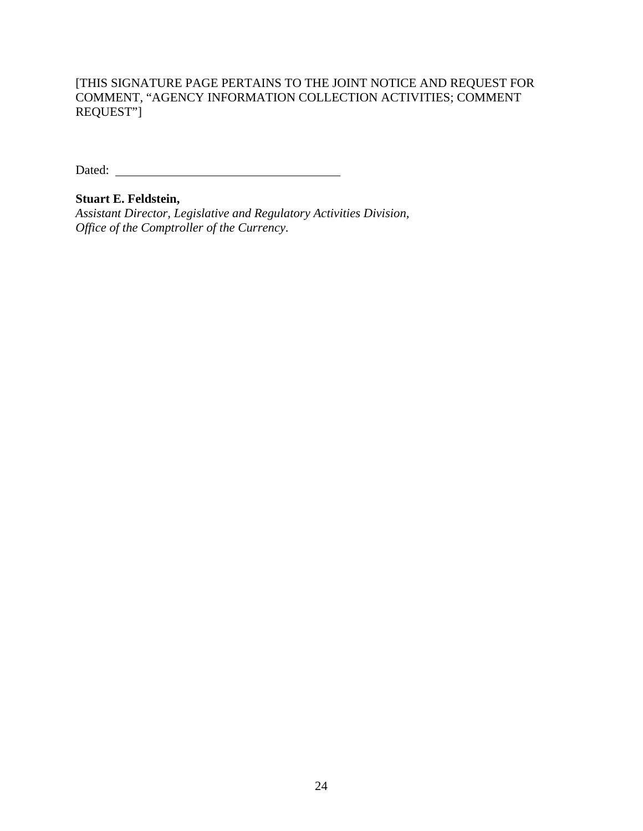Dated:

# **Stuart E. Feldstein,**

*Assistant Director, Legislative and Regulatory Activities Division, Office of the Comptroller of the Currency.*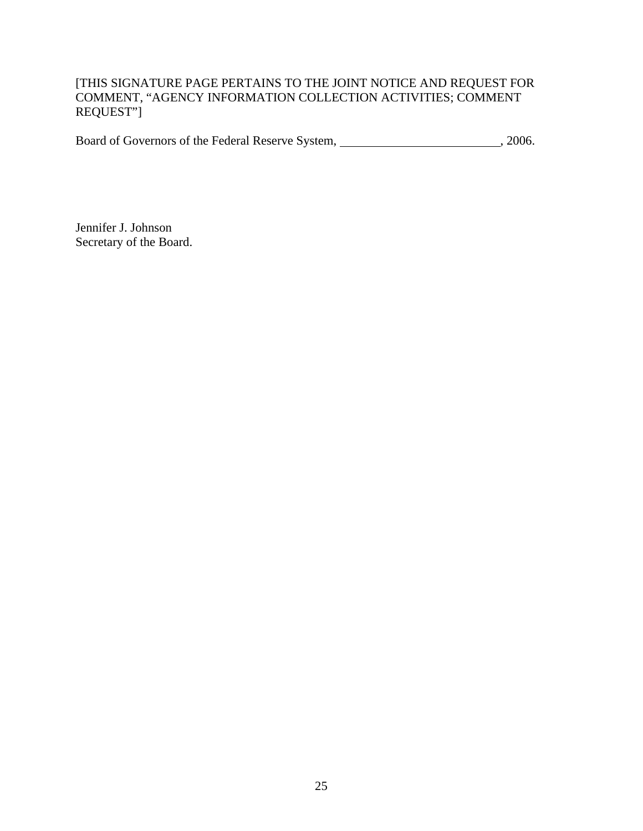Board of Governors of the Federal Reserve System, 1986.

Jennifer J. Johnson Secretary of the Board.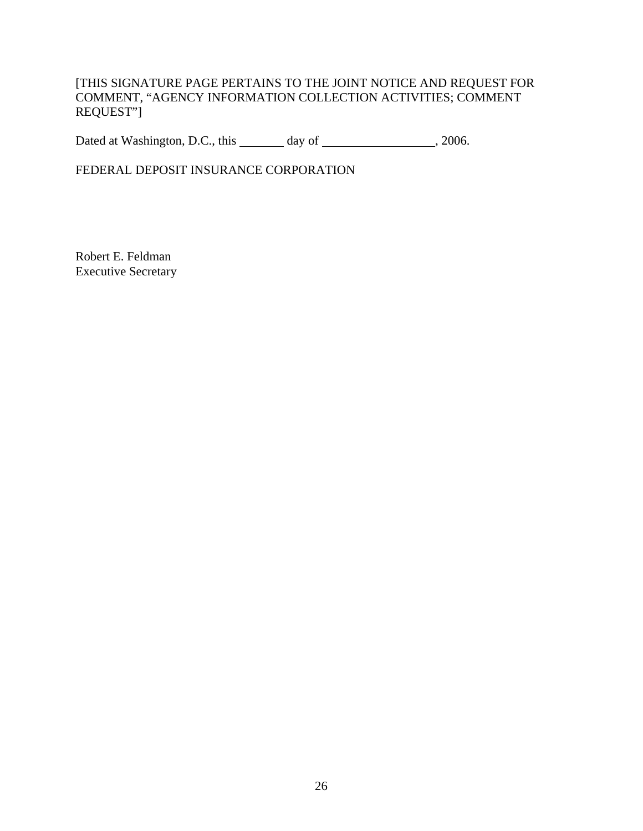Dated at Washington, D.C., this \_\_\_\_\_\_\_ day of \_\_\_\_\_\_\_\_\_\_\_\_\_\_\_\_\_\_\_\_, 2006.

FEDERAL DEPOSIT INSURANCE CORPORATION

Robert E. Feldman Executive Secretary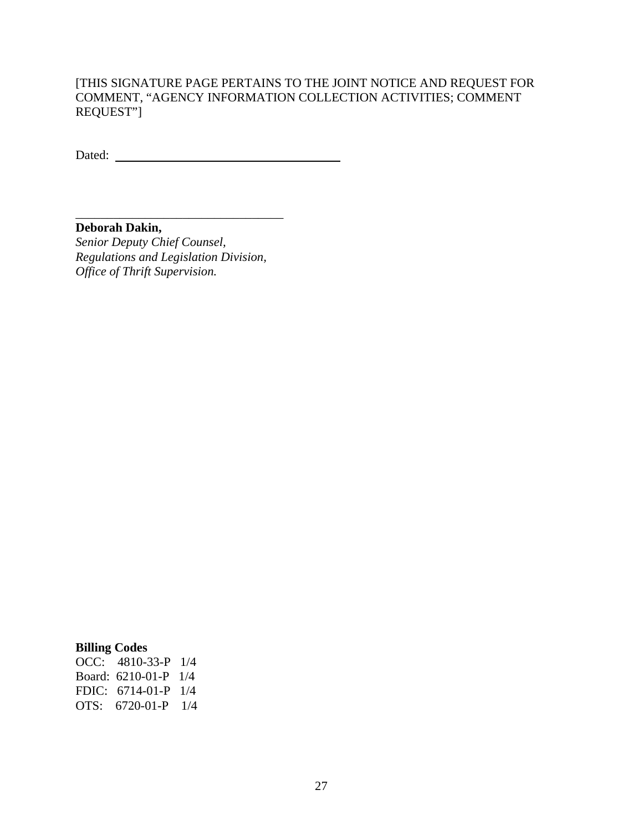Dated:

\_\_\_\_\_\_\_\_\_\_\_\_\_\_\_\_\_\_\_\_\_\_\_\_\_\_\_\_\_\_\_\_\_ **Deborah Dakin,** *Senior Deputy Chief Counsel, Regulations and Legislation Division, Office of Thrift Supervision.*

# **Billing Codes**

| OCC: $4810-33-P$ 1/4   |  |
|------------------------|--|
| Board: $6210-01-P$ 1/4 |  |
| FDIC: $6714-01-P$ 1/4  |  |
| OTS: $6720-01-P$ 1/4   |  |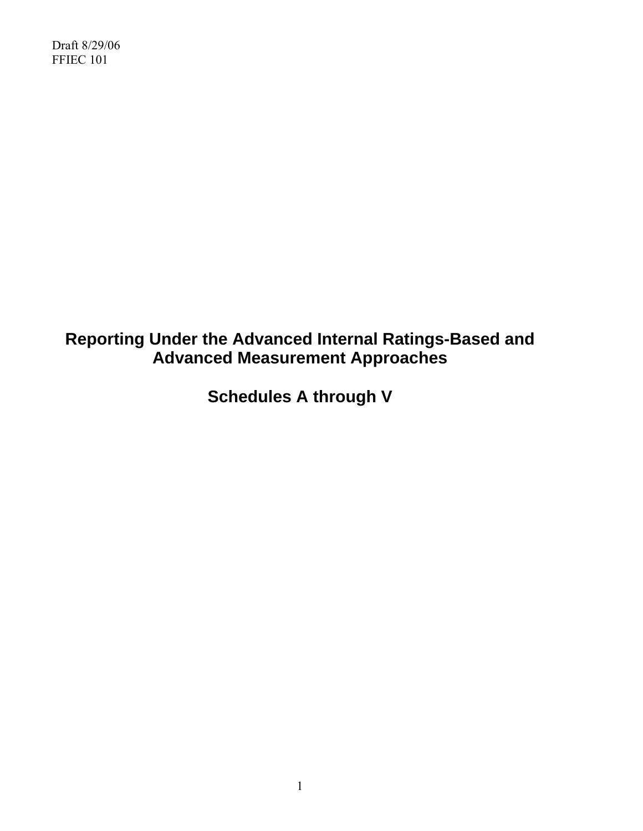# **Reporting Under the Advanced Internal Ratings-Based and Advanced Measurement Approaches**

**Schedules A through V**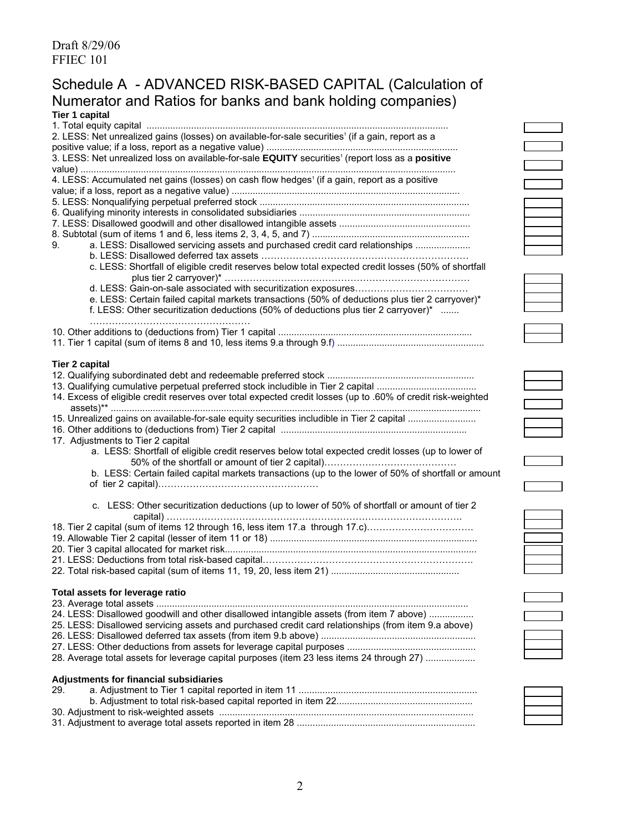# Schedule A - ADVANCED RISK-BASED CAPITAL (Calculation of Numerator and Ratios for banks and bank holding companies) **Tier 1 capital**

| <b>TIGI I Capital</b>                                                                                        |
|--------------------------------------------------------------------------------------------------------------|
| 2. LESS: Net unrealized gains (losses) on available-for-sale securities <sup>1</sup> (if a gain, report as a |
|                                                                                                              |
| 3. LESS: Net unrealized loss on available-for-sale EQUITY securities <sup>1</sup> (report loss as a positive |
|                                                                                                              |
|                                                                                                              |
| 4. LESS: Accumulated net gains (losses) on cash flow hedges <sup>1</sup> (if a gain, report as a positive    |
|                                                                                                              |
|                                                                                                              |
|                                                                                                              |
|                                                                                                              |
|                                                                                                              |
| a. LESS: Disallowed servicing assets and purchased credit card relationships<br>9.                           |
|                                                                                                              |
| c. LESS: Shortfall of eligible credit reserves below total expected credit losses (50% of shortfall          |
|                                                                                                              |
|                                                                                                              |
| e. LESS: Certain failed capital markets transactions (50% of deductions plus tier 2 carryover)*              |
| f. LESS: Other securitization deductions (50% of deductions plus tier 2 carryover)*                          |
|                                                                                                              |
|                                                                                                              |
|                                                                                                              |
|                                                                                                              |
| <b>Tier 2 capital</b>                                                                                        |
|                                                                                                              |
|                                                                                                              |
| 14. Excess of eligible credit reserves over total expected credit losses (up to .60% of credit risk-weighted |
|                                                                                                              |
| 15. Unrealized gains on available-for-sale equity securities includible in Tier 2 capital                    |
|                                                                                                              |
| 17. Adjustments to Tier 2 capital                                                                            |
| a. LESS: Shortfall of eligible credit reserves below total expected credit losses (up to lower of            |
|                                                                                                              |
| b. LESS: Certain failed capital markets transactions (up to the lower of 50% of shortfall or amount          |
|                                                                                                              |
|                                                                                                              |
| c. LESS: Other securitization deductions (up to lower of 50% of shortfall or amount of tier 2                |
|                                                                                                              |
| 18. Tier 2 capital (sum of items 12 through 16, less item 17.a through 17.c)                                 |
|                                                                                                              |
|                                                                                                              |
|                                                                                                              |
|                                                                                                              |
| Total assets for leverage ratio                                                                              |
|                                                                                                              |
|                                                                                                              |
| 24. LESS: Disallowed goodwill and other disallowed intangible assets (from item 7 above)                     |
| 25. LESS: Disallowed servicing assets and purchased credit card relationships (from item 9.a above)          |
|                                                                                                              |
|                                                                                                              |
| 28. Average total assets for leverage capital purposes (item 23 less items 24 through 27)                    |
| Adjustments for financial subsidiaries                                                                       |
| 29.                                                                                                          |
|                                                                                                              |





| I |
|---|
| I |
| I |
|   |
|   |

b. Adjustment to total risk-based capital reported in item 22....................................................

30. Adjustment to risk-weighted assets ................................................................................................. 31. Adjustment to average total assets reported in item 28 ....................................................................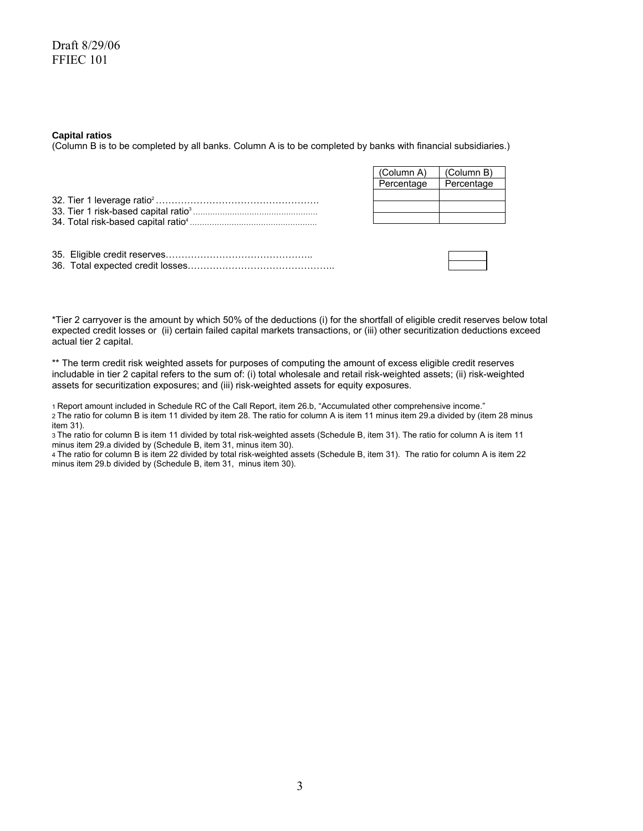#### **Capital ratios**

(Column B is to be completed by all banks. Column A is to be completed by banks with financial subsidiaries.)

| (Column A) | (Column B) |
|------------|------------|
| Percentage | Percentage |
|            |            |
|            |            |
|            |            |

\*Tier 2 carryover is the amount by which 50% of the deductions (i) for the shortfall of eligible credit reserves below total expected credit losses or (ii) certain failed capital markets transactions, or (iii) other securitization deductions exceed actual tier 2 capital.

\*\* The term credit risk weighted assets for purposes of computing the amount of excess eligible credit reserves includable in tier 2 capital refers to the sum of: (i) total wholesale and retail risk-weighted assets; (ii) risk-weighted assets for securitization exposures; and (iii) risk-weighted assets for equity exposures.

1 Report amount included in Schedule RC of the Call Report, item 26.b, "Accumulated other comprehensive income." 2 The ratio for column B is item 11 divided by item 28. The ratio for column A is item 11 minus item 29.a divided by (item 28 minus item 31).

3 The ratio for column B is item 11 divided by total risk-weighted assets (Schedule B, item 31). The ratio for column A is item 11 minus item 29.a divided by (Schedule B, item 31, minus item 30).

4 The ratio for column B is item 22 divided by total risk-weighted assets (Schedule B, item 31). The ratio for column A is item 22 minus item 29.b divided by (Schedule B, item 31, minus item 30).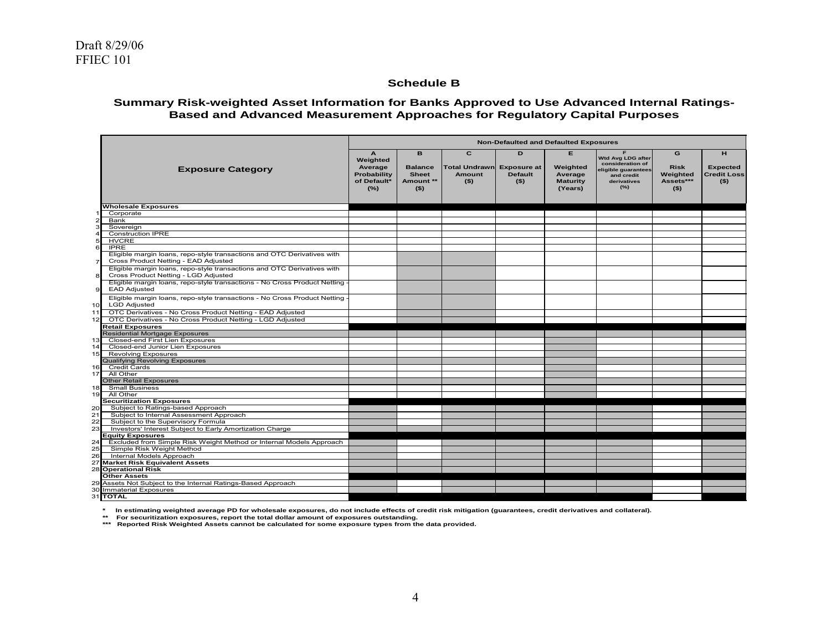#### **Schedule B**

#### **Summary Risk-weighted Asset Information for Banks Approved to Use Advanced Internal Ratings-Based and Advanced Measurement Approaches for Regulatory Capital Purposes**

|                 |                                                                                                                 | <b>Non-Defaulted and Defaulted Exposures</b>                                |                                                             |                                                                  |                                |                                                         |                                                                                                  |                                                      |                                                       |
|-----------------|-----------------------------------------------------------------------------------------------------------------|-----------------------------------------------------------------------------|-------------------------------------------------------------|------------------------------------------------------------------|--------------------------------|---------------------------------------------------------|--------------------------------------------------------------------------------------------------|------------------------------------------------------|-------------------------------------------------------|
|                 | <b>Exposure Category</b>                                                                                        | $\mathbf{A}$<br>Weighted<br>Average<br>Probability<br>of Default*<br>$(\%)$ | B<br><b>Balance</b><br><b>Sheet</b><br>Amount **<br>$($ \$) | $\overline{c}$<br>Total Undrawn Exposure at<br>Amount<br>$($ \$) | D<br><b>Default</b><br>$($ \$) | E.<br>Weighted<br>Average<br><b>Maturity</b><br>(Years) | Wtd Avg LDG after<br>consideration of<br>eligible guarantees<br>and credit<br>derivatives<br>(%) | G<br><b>Risk</b><br>Weighted<br>Assets***<br>$($ \$) | н<br><b>Expected</b><br><b>Credit Loss</b><br>$($ \$) |
|                 | Wholesale Exposures                                                                                             |                                                                             |                                                             |                                                                  |                                |                                                         |                                                                                                  |                                                      |                                                       |
|                 | Corporate                                                                                                       |                                                                             |                                                             |                                                                  |                                |                                                         |                                                                                                  |                                                      |                                                       |
|                 | Bank                                                                                                            |                                                                             |                                                             |                                                                  |                                |                                                         |                                                                                                  |                                                      |                                                       |
|                 | Sovereign                                                                                                       |                                                                             |                                                             |                                                                  |                                |                                                         |                                                                                                  |                                                      |                                                       |
|                 | <b>Construction IPRE</b>                                                                                        |                                                                             |                                                             |                                                                  |                                |                                                         |                                                                                                  |                                                      |                                                       |
|                 | <b>HVCRE</b>                                                                                                    |                                                                             |                                                             |                                                                  |                                |                                                         |                                                                                                  |                                                      |                                                       |
|                 | <b>IPRE</b>                                                                                                     |                                                                             |                                                             |                                                                  |                                |                                                         |                                                                                                  |                                                      |                                                       |
|                 | Eligible margin loans, repo-style transactions and OTC Derivatives with                                         |                                                                             |                                                             |                                                                  |                                |                                                         |                                                                                                  |                                                      |                                                       |
|                 | Cross Product Netting - EAD Adjusted                                                                            |                                                                             |                                                             |                                                                  |                                |                                                         |                                                                                                  |                                                      |                                                       |
| 8               | Eligible margin loans, repo-style transactions and OTC Derivatives with<br>Cross Product Netting - LGD Adjusted |                                                                             |                                                             |                                                                  |                                |                                                         |                                                                                                  |                                                      |                                                       |
| 9               | Eligible margin loans, repo-style transactions - No Cross Product Netting<br><b>EAD Adjusted</b>                |                                                                             |                                                             |                                                                  |                                |                                                         |                                                                                                  |                                                      |                                                       |
| 10 <sup>1</sup> | Eligible margin loans, repo-style transactions - No Cross Product Netting<br><b>LGD Adjusted</b>                |                                                                             |                                                             |                                                                  |                                |                                                         |                                                                                                  |                                                      |                                                       |
| 11              | OTC Derivatives - No Cross Product Netting - EAD Adjusted                                                       |                                                                             |                                                             |                                                                  |                                |                                                         |                                                                                                  |                                                      |                                                       |
|                 |                                                                                                                 |                                                                             |                                                             |                                                                  |                                |                                                         |                                                                                                  |                                                      |                                                       |
| 12              | OTC Derivatives - No Cross Product Netting - LGD Adjusted                                                       |                                                                             |                                                             |                                                                  |                                |                                                         |                                                                                                  |                                                      |                                                       |
|                 | <b>Retail Exposures</b>                                                                                         |                                                                             |                                                             |                                                                  |                                |                                                         |                                                                                                  |                                                      |                                                       |
|                 | <b>Residential Mortgage Exposures</b>                                                                           |                                                                             |                                                             |                                                                  |                                |                                                         |                                                                                                  |                                                      |                                                       |
| 13              | Closed-end First Lien Exposures<br>Closed-end Junior Lien Exposures                                             |                                                                             |                                                             |                                                                  |                                |                                                         |                                                                                                  |                                                      |                                                       |
| 14<br>15        | <b>Revolving Exposures</b>                                                                                      |                                                                             |                                                             |                                                                  |                                |                                                         |                                                                                                  |                                                      |                                                       |
|                 | <b>Qualifying Revolving Exposures</b>                                                                           |                                                                             |                                                             |                                                                  |                                |                                                         |                                                                                                  |                                                      |                                                       |
| 16              | <b>Credit Cards</b>                                                                                             |                                                                             |                                                             |                                                                  |                                |                                                         |                                                                                                  |                                                      |                                                       |
| 17              | All Other                                                                                                       |                                                                             |                                                             |                                                                  |                                |                                                         |                                                                                                  |                                                      |                                                       |
|                 | <b>Other Retail Exposures</b>                                                                                   |                                                                             |                                                             |                                                                  |                                |                                                         |                                                                                                  |                                                      |                                                       |
| 18              | <b>Small Business</b>                                                                                           |                                                                             |                                                             |                                                                  |                                |                                                         |                                                                                                  |                                                      |                                                       |
| 19              | All Other                                                                                                       |                                                                             |                                                             |                                                                  |                                |                                                         |                                                                                                  |                                                      |                                                       |
|                 | <b>Securitization Exposures</b>                                                                                 |                                                                             |                                                             |                                                                  |                                |                                                         |                                                                                                  |                                                      |                                                       |
| 20              | Subject to Ratings-based Approach                                                                               |                                                                             |                                                             |                                                                  |                                |                                                         |                                                                                                  |                                                      |                                                       |
| 21              | Subject to Internal Assessment Approach                                                                         |                                                                             |                                                             |                                                                  |                                |                                                         |                                                                                                  |                                                      |                                                       |
| 22              | Subject to the Supervisory Formula                                                                              |                                                                             |                                                             |                                                                  |                                |                                                         |                                                                                                  |                                                      |                                                       |
| 23              | Investors' Interest Subject to Early Amortization Charge                                                        |                                                                             |                                                             |                                                                  |                                |                                                         |                                                                                                  |                                                      |                                                       |
|                 | <b>Equity Exposures</b>                                                                                         |                                                                             |                                                             |                                                                  |                                |                                                         |                                                                                                  |                                                      |                                                       |
| 24              | Excluded from Simple Risk Weight Method or Internal Models Approach                                             |                                                                             |                                                             |                                                                  |                                |                                                         |                                                                                                  |                                                      |                                                       |
| 25              | Simple Risk Weight Method                                                                                       |                                                                             |                                                             |                                                                  |                                |                                                         |                                                                                                  |                                                      |                                                       |
| 26              | Internal Models Approach                                                                                        |                                                                             |                                                             |                                                                  |                                |                                                         |                                                                                                  |                                                      |                                                       |
| 27              | <b>Market Risk Equivalent Assets</b>                                                                            |                                                                             |                                                             |                                                                  |                                |                                                         |                                                                                                  |                                                      |                                                       |
|                 | <b>28 Operational Risk</b>                                                                                      |                                                                             |                                                             |                                                                  |                                |                                                         |                                                                                                  |                                                      |                                                       |
|                 | <b>Other Assets</b>                                                                                             |                                                                             |                                                             |                                                                  |                                |                                                         |                                                                                                  |                                                      |                                                       |
|                 | 29 Assets Not Subject to the Internal Ratings-Based Approach                                                    |                                                                             |                                                             |                                                                  |                                |                                                         |                                                                                                  |                                                      |                                                       |
|                 | 30 Immaterial Exposures                                                                                         |                                                                             |                                                             |                                                                  |                                |                                                         |                                                                                                  |                                                      |                                                       |
|                 | 31 TOTAL                                                                                                        |                                                                             |                                                             |                                                                  |                                |                                                         |                                                                                                  |                                                      |                                                       |

**\* In estimating weighted average PD for wholesale exposures, do not include effects of credit risk mitigation (guarantees, credit derivatives and collateral).**

**\*\* For securitization exposures, report the total dollar amount of exposures outstanding. \*\*\* Reported Risk Weighted Assets cannot be calculated for some exposure types from the data provided.**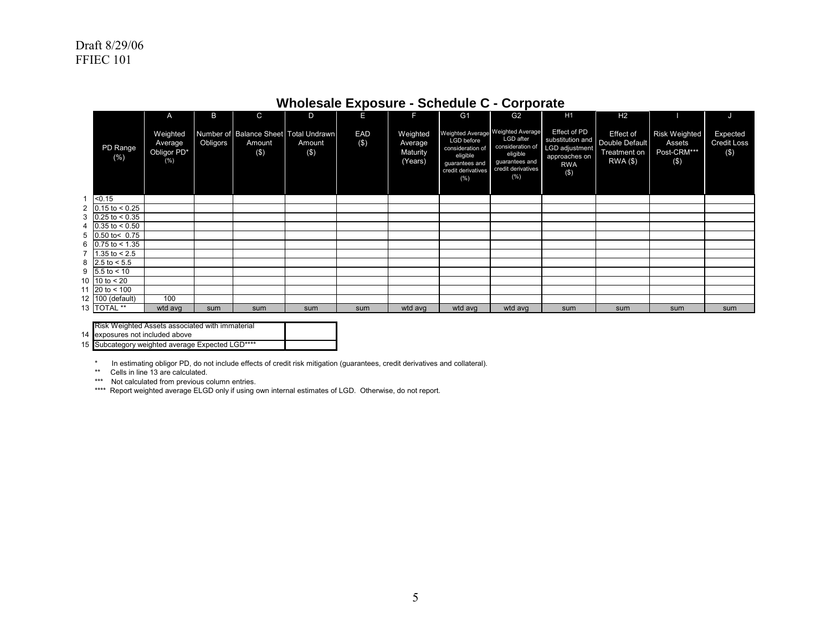|   |                                             | $\overline{A}$                               | B        | $\mathsf{C}$                                           | D                | Е              | П                                          | G <sub>1</sub>                                                                                                                 | G <sub>2</sub>                                                                            | H <sub>1</sub>                                                                               | H <sub>2</sub>                                                      |                                                      |                                          |
|---|---------------------------------------------|----------------------------------------------|----------|--------------------------------------------------------|------------------|----------------|--------------------------------------------|--------------------------------------------------------------------------------------------------------------------------------|-------------------------------------------------------------------------------------------|----------------------------------------------------------------------------------------------|---------------------------------------------------------------------|------------------------------------------------------|------------------------------------------|
|   | PD Range<br>(%)                             | Weighted<br>Average<br>Obligor PD*<br>$(\%)$ | Obligors | Number of Balance Sheet Total Undrawn<br>Amount<br>(3) | Amount<br>$(\$)$ | EAD<br>$($ \$) | Weighted<br>Average<br>Maturity<br>(Years) | Weighted Average Weighted Average<br>LGD before<br>consideration of<br>eligible<br>quarantees and<br>credit derivatives<br>(%) | LGD after<br>consideration of<br>eligible<br>guarantees and<br>credit derivatives<br>(% ) | Effect of PD<br>substitution and<br>LGD adjustment<br>approaches on<br><b>RWA</b><br>$($ \$) | <b>Effect of</b><br>Double Default<br>Treatment on<br>$RWA$ $($ \$) | <b>Risk Weighted</b><br>Assets<br>Post-CRM***<br>(3) | Expected<br><b>Credit Loss</b><br>$($ \$ |
| 1 | < 0.15                                      |                                              |          |                                                        |                  |                |                                            |                                                                                                                                |                                                                                           |                                                                                              |                                                                     |                                                      |                                          |
|   | 2 $0.15$ to < 0.25                          |                                              |          |                                                        |                  |                |                                            |                                                                                                                                |                                                                                           |                                                                                              |                                                                     |                                                      |                                          |
|   | $3 \mid 0.25 \text{ to } 0.35$              |                                              |          |                                                        |                  |                |                                            |                                                                                                                                |                                                                                           |                                                                                              |                                                                     |                                                      |                                          |
|   | 4 $\vert 0.35 \, \text{to} \, \leq 0.50 \,$ |                                              |          |                                                        |                  |                |                                            |                                                                                                                                |                                                                                           |                                                                                              |                                                                     |                                                      |                                          |
|   | $5$ 0.50 to < 0.75                          |                                              |          |                                                        |                  |                |                                            |                                                                                                                                |                                                                                           |                                                                                              |                                                                     |                                                      |                                          |
|   | 6 $\big  0.75 \text{ to } < 1.35 \big $     |                                              |          |                                                        |                  |                |                                            |                                                                                                                                |                                                                                           |                                                                                              |                                                                     |                                                      |                                          |
|   | 7 $1.35$ to < 2.5                           |                                              |          |                                                        |                  |                |                                            |                                                                                                                                |                                                                                           |                                                                                              |                                                                     |                                                      |                                          |
|   | 8 2.5 to $< 5.5$                            |                                              |          |                                                        |                  |                |                                            |                                                                                                                                |                                                                                           |                                                                                              |                                                                     |                                                      |                                          |
|   | 9 $5.5$ to < 10                             |                                              |          |                                                        |                  |                |                                            |                                                                                                                                |                                                                                           |                                                                                              |                                                                     |                                                      |                                          |
|   | 10 $10$ to < 20                             |                                              |          |                                                        |                  |                |                                            |                                                                                                                                |                                                                                           |                                                                                              |                                                                     |                                                      |                                          |
|   | 11 20 to $< 100$                            |                                              |          |                                                        |                  |                |                                            |                                                                                                                                |                                                                                           |                                                                                              |                                                                     |                                                      |                                          |
|   | 12 100 (default)                            | 100                                          |          |                                                        |                  |                |                                            |                                                                                                                                |                                                                                           |                                                                                              |                                                                     |                                                      |                                          |
|   | 13   TOTAL **                               | wtd avg                                      | sum      | sum                                                    | sum              | sum            | wtd avg                                    | wtd avg                                                                                                                        | wtd avg                                                                                   | sum                                                                                          | sum                                                                 | sum                                                  | sum                                      |

# **Wholesale Exposure - Schedule C - Corporate**

Risk Weighted Assets associated with immaterial

14 exposures not included above

15 Subcategory weighted average Expected LGD\*\*\*\*

\* In estimating obligor PD, do not include effects of credit risk mitigation (guarantees, credit derivatives and collateral). \*\* Cells in line 13 are calculated.

\*\*\* Not calculated from previous column entries.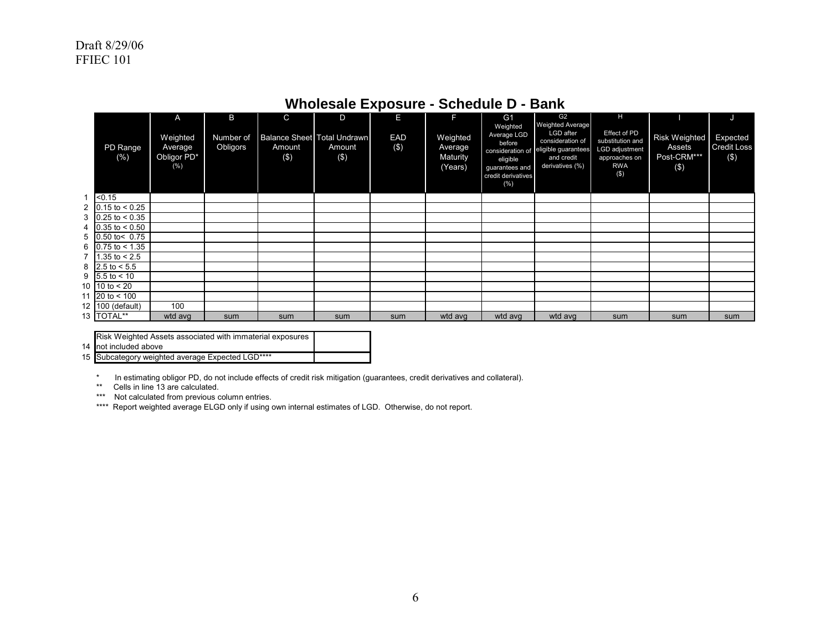|                                         | A                                         | B                     | C             | D                                              | E          | F                                          | G <sub>1</sub>                                                                                                    | G <sub>2</sub>                                                                                                   | Н                                                                                            |                                               | J                                     |
|-----------------------------------------|-------------------------------------------|-----------------------|---------------|------------------------------------------------|------------|--------------------------------------------|-------------------------------------------------------------------------------------------------------------------|------------------------------------------------------------------------------------------------------------------|----------------------------------------------------------------------------------------------|-----------------------------------------------|---------------------------------------|
| PD Range<br>(%)                         | Weighted<br>Average<br>Obligor PD*<br>(%) | Number of<br>Obligors | Amount<br>(3) | Balance Sheet   Total Undrawn<br>Amount<br>(S) | EAD<br>(3) | Weighted<br>Average<br>Maturity<br>(Years) | Weighted<br>Average LGD<br>before<br>consideration of<br>eligible<br>guarantees and<br>credit derivatives<br>(% ) | <b>Weighted Average</b><br>LGD after<br>consideration of<br>eligible guarantees<br>and credit<br>derivatives (%) | Effect of PD<br>substitution and<br>LGD adjustment<br>approaches on<br><b>RWA</b><br>$($ \$) | Risk Weighted<br>Assets<br>Post-CRM***<br>(3) | Expected<br><b>Credit Loss</b><br>(3) |
| < 0.15                                  |                                           |                       |               |                                                |            |                                            |                                                                                                                   |                                                                                                                  |                                                                                              |                                               |                                       |
| 2 $ 0.15 \text{ to } < 0.25$            |                                           |                       |               |                                                |            |                                            |                                                                                                                   |                                                                                                                  |                                                                                              |                                               |                                       |
| 3 $\vert 0.25 \text{ to } < 0.35 \vert$ |                                           |                       |               |                                                |            |                                            |                                                                                                                   |                                                                                                                  |                                                                                              |                                               |                                       |
| 4 $ 0.35 \text{ to } < 0.50$            |                                           |                       |               |                                                |            |                                            |                                                                                                                   |                                                                                                                  |                                                                                              |                                               |                                       |
| 5 $ 0.50 \text{ to} < 0.75$             |                                           |                       |               |                                                |            |                                            |                                                                                                                   |                                                                                                                  |                                                                                              |                                               |                                       |
| 6 $\big 0.75 \text{ to } < 1.35 \big $  |                                           |                       |               |                                                |            |                                            |                                                                                                                   |                                                                                                                  |                                                                                              |                                               |                                       |
| 7   1.35 to $< 2.5$                     |                                           |                       |               |                                                |            |                                            |                                                                                                                   |                                                                                                                  |                                                                                              |                                               |                                       |
| 8 2.5 to $< 5.5$                        |                                           |                       |               |                                                |            |                                            |                                                                                                                   |                                                                                                                  |                                                                                              |                                               |                                       |
| $9 \, 5.5 \, \text{to} \, 5.10$         |                                           |                       |               |                                                |            |                                            |                                                                                                                   |                                                                                                                  |                                                                                              |                                               |                                       |
| 10   10 to $< 20$                       |                                           |                       |               |                                                |            |                                            |                                                                                                                   |                                                                                                                  |                                                                                              |                                               |                                       |
| 11 20 to $< 100$                        |                                           |                       |               |                                                |            |                                            |                                                                                                                   |                                                                                                                  |                                                                                              |                                               |                                       |
| 12 100 (default)                        | 100                                       |                       |               |                                                |            |                                            |                                                                                                                   |                                                                                                                  |                                                                                              |                                               |                                       |
| 13   TOTAL**                            | wtd avg                                   | sum                   | sum           | sum                                            | sum        | wtd avg                                    | wtd avg                                                                                                           | wtd avg                                                                                                          | sum                                                                                          | sum                                           | sum                                   |

# **Wholesale Exposure - Schedule D - Bank**

| Risk Weighted Assets associated with immaterial exposures |  |
|-----------------------------------------------------------|--|
| not included above                                        |  |
| $1 \cdot 1 \cdot 2 \cdot 3 \cdot 4 \cdot 4 \cdot 4$       |  |

15 Subcategory weighted average Expected LGD\*\*\*\*

\* In estimating obligor PD, do not include effects of credit risk mitigation (guarantees, credit derivatives and collateral).

\*\* Cells in line 13 are calculated.

14

\*\*\* Not calculated from previous column entries.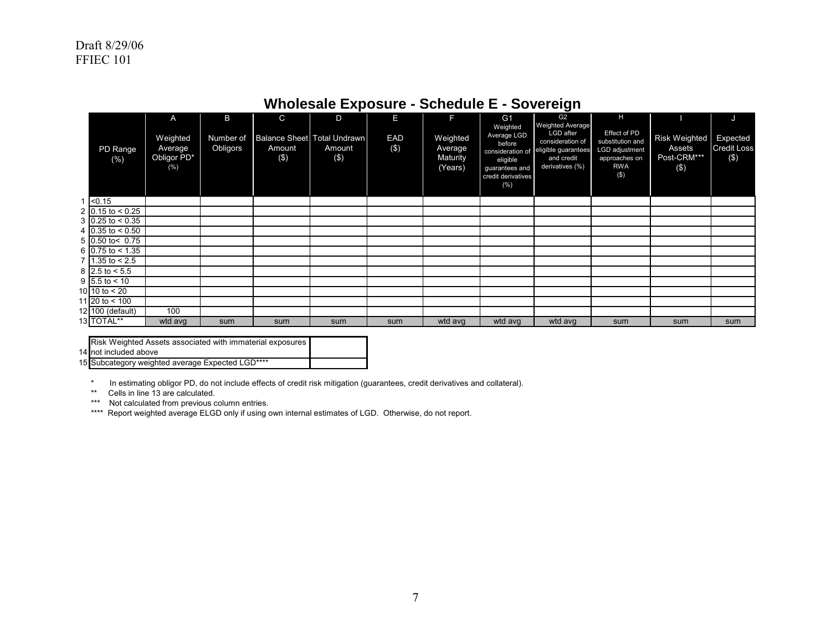|                                     | A                                          | B                     | $\mathsf{C}$                                 | D             | Е             | F                                          | G <sub>1</sub>                                                                                                   | G <sub>2</sub>                                                                                                   | H                                                                                           |                                                   | ď                                     |
|-------------------------------------|--------------------------------------------|-----------------------|----------------------------------------------|---------------|---------------|--------------------------------------------|------------------------------------------------------------------------------------------------------------------|------------------------------------------------------------------------------------------------------------------|---------------------------------------------------------------------------------------------|---------------------------------------------------|---------------------------------------|
| PD Range<br>(% )                    | Weighted<br>Average<br>Obligor PD*<br>(% ) | Number of<br>Obligors | Balance Sheet Total Undrawn<br>Amount<br>(3) | Amount<br>(3) | EAD<br>$($ \$ | Weighted<br>Average<br>Maturity<br>(Years) | Weighted<br>Average LGD<br>before<br>consideration of<br>eligible<br>guarantees and<br>credit derivatives<br>(%) | <b>Weighted Average</b><br>LGD after<br>consideration of<br>eligible guarantees<br>and credit<br>derivatives (%) | Effect of PD<br>substitution and<br>LGD adjustment<br>approaches on<br><b>RWA</b><br>$($ \$ | Risk Weighted<br>Assets<br>Post-CRM***<br>$($ \$) | Expected<br><b>Credit Loss</b><br>(3) |
| $1$ < 0.15                          |                                            |                       |                                              |               |               |                                            |                                                                                                                  |                                                                                                                  |                                                                                             |                                                   |                                       |
| 2 0.15 to < $0.25$                  |                                            |                       |                                              |               |               |                                            |                                                                                                                  |                                                                                                                  |                                                                                             |                                                   |                                       |
| $3 \mid 0.25 \text{ to } 0.35$      |                                            |                       |                                              |               |               |                                            |                                                                                                                  |                                                                                                                  |                                                                                             |                                                   |                                       |
| 4 $0.35 \text{ to } 0.50$           |                                            |                       |                                              |               |               |                                            |                                                                                                                  |                                                                                                                  |                                                                                             |                                                   |                                       |
| $5 \mid 0.50 \text{ to} < 0.75$     |                                            |                       |                                              |               |               |                                            |                                                                                                                  |                                                                                                                  |                                                                                             |                                                   |                                       |
| 6 0.75 to $< 1.35$                  |                                            |                       |                                              |               |               |                                            |                                                                                                                  |                                                                                                                  |                                                                                             |                                                   |                                       |
| $7 \vert 1.35 \vert 1.35 \vert 2.5$ |                                            |                       |                                              |               |               |                                            |                                                                                                                  |                                                                                                                  |                                                                                             |                                                   |                                       |
| 8 2.5 to $< 5.5$                    |                                            |                       |                                              |               |               |                                            |                                                                                                                  |                                                                                                                  |                                                                                             |                                                   |                                       |
| $9 5.5 $ to < 10                    |                                            |                       |                                              |               |               |                                            |                                                                                                                  |                                                                                                                  |                                                                                             |                                                   |                                       |
| 10 10 to $< 20$                     |                                            |                       |                                              |               |               |                                            |                                                                                                                  |                                                                                                                  |                                                                                             |                                                   |                                       |
| 11 20 to $<$ 100                    |                                            |                       |                                              |               |               |                                            |                                                                                                                  |                                                                                                                  |                                                                                             |                                                   |                                       |
| 12 100 (default)                    | 100                                        |                       |                                              |               |               |                                            |                                                                                                                  |                                                                                                                  |                                                                                             |                                                   |                                       |
| 13 TOTAL**                          | wtd avg                                    | sum                   | sum                                          | sum           | sum           | wtd avg                                    | wtd avg                                                                                                          | wtd avg                                                                                                          | sum                                                                                         | sum                                               | sum                                   |

# **Wholesale Exposure - Schedule E - Sovereign**

| Risk Weighted Assets associated with immaterial exposures |  |
|-----------------------------------------------------------|--|
| not included above                                        |  |

14 15 Subcategory weighted average Expected LGD\*\*\*\*

\* In estimating obligor PD, do not include effects of credit risk mitigation (guarantees, credit derivatives and collateral).

\*\* Cells in line 13 are calculated.

\*\*\* Not calculated from previous column entries.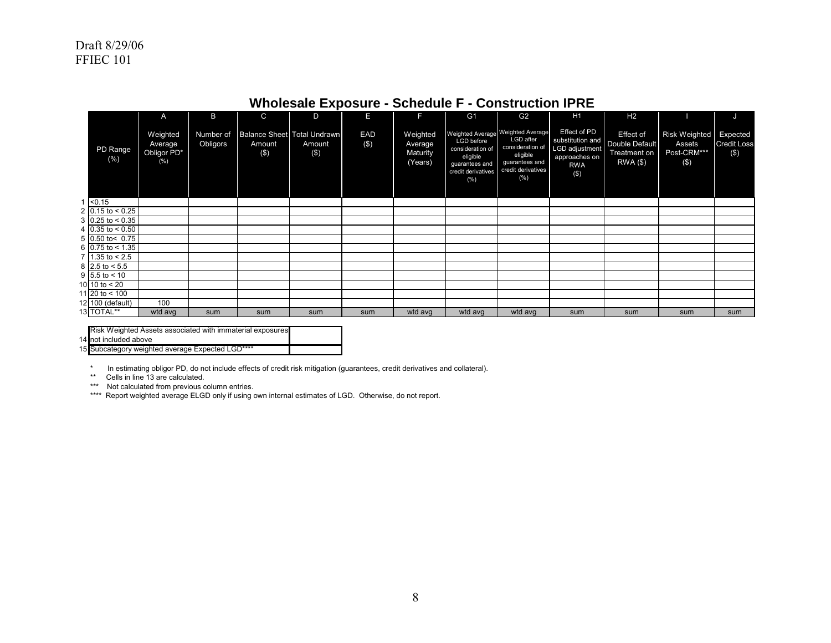|                     | A                                             | B                     | C                                               | D                | Е             | F                                          | G <sub>1</sub>                                                                                      | G <sub>2</sub>                                                                                                                   | H1                                                                                           | H <sub>2</sub>                                                              |                                                         | J                                     |
|---------------------|-----------------------------------------------|-----------------------|-------------------------------------------------|------------------|---------------|--------------------------------------------|-----------------------------------------------------------------------------------------------------|----------------------------------------------------------------------------------------------------------------------------------|----------------------------------------------------------------------------------------------|-----------------------------------------------------------------------------|---------------------------------------------------------|---------------------------------------|
| PD Range<br>$(\% )$ | Weighted<br>Average<br>Obligor PD*<br>$(\% )$ | Number of<br>Obligors | Balance Sheet Total Undrawn<br>Amount<br>$($ \$ | Amount<br>$(\$)$ | EAD<br>$($ \$ | Weighted<br>Average<br>Maturity<br>(Years) | <b>LGD</b> before<br>consideration of<br>eligible<br>guarantees and<br>credit derivatives<br>$(\%)$ | Weighted Average Weighted Average<br>LGD after<br>consideration of<br>eligible<br>guarantees and<br>credit derivatives<br>$(\%)$ | Effect of PD<br>substitution and<br>LGD adjustment<br>approaches on<br><b>RWA</b><br>$($ \$) | <b>Effect of</b><br><b>Double Default</b><br><b>Treatment on</b><br>RWA(\$) | <b>Risk Weighted</b><br>Assets<br>Post-CRM***<br>$($ \$ | Expected<br><b>Credit Loss</b><br>(3) |
| $1 \le 0.15$        |                                               |                       |                                                 |                  |               |                                            |                                                                                                     |                                                                                                                                  |                                                                                              |                                                                             |                                                         |                                       |
| 2 0.15 to < 0.25    |                                               |                       |                                                 |                  |               |                                            |                                                                                                     |                                                                                                                                  |                                                                                              |                                                                             |                                                         |                                       |
| 3 0.25 to < $0.35$  |                                               |                       |                                                 |                  |               |                                            |                                                                                                     |                                                                                                                                  |                                                                                              |                                                                             |                                                         |                                       |
| 4 0.35 to < $0.50$  |                                               |                       |                                                 |                  |               |                                            |                                                                                                     |                                                                                                                                  |                                                                                              |                                                                             |                                                         |                                       |
| 5 0.50 to< 0.75     |                                               |                       |                                                 |                  |               |                                            |                                                                                                     |                                                                                                                                  |                                                                                              |                                                                             |                                                         |                                       |
| 6 0.75 to < 1.35    |                                               |                       |                                                 |                  |               |                                            |                                                                                                     |                                                                                                                                  |                                                                                              |                                                                             |                                                         |                                       |
| 7 1.35 to $< 2.5$   |                                               |                       |                                                 |                  |               |                                            |                                                                                                     |                                                                                                                                  |                                                                                              |                                                                             |                                                         |                                       |
| 8 2.5 to $< 5.5$    |                                               |                       |                                                 |                  |               |                                            |                                                                                                     |                                                                                                                                  |                                                                                              |                                                                             |                                                         |                                       |
| 9 $5.5$ to < 10     |                                               |                       |                                                 |                  |               |                                            |                                                                                                     |                                                                                                                                  |                                                                                              |                                                                             |                                                         |                                       |
| 10 10 to $< 20$     |                                               |                       |                                                 |                  |               |                                            |                                                                                                     |                                                                                                                                  |                                                                                              |                                                                             |                                                         |                                       |
| 11 20 to $< 100$    |                                               |                       |                                                 |                  |               |                                            |                                                                                                     |                                                                                                                                  |                                                                                              |                                                                             |                                                         |                                       |
| 12 100 (default)    | 100                                           |                       |                                                 |                  |               |                                            |                                                                                                     |                                                                                                                                  |                                                                                              |                                                                             |                                                         |                                       |
| 13 TOTAL**          | wtd avg                                       | sum                   | sum                                             | sum              | sum           | wtd avg                                    | wtd avg                                                                                             | wtd avg                                                                                                                          | sum                                                                                          | sum                                                                         | sum                                                     | sum                                   |

# **Wholesale Exposure - Schedule F - Construction IPRE**

| Risk Weighted Assets associated with immaterial exposures |  |
|-----------------------------------------------------------|--|
|                                                           |  |
| 14 not included above                                     |  |

15 Subcategory weighted average Expected LGD\*\*\*\*

\* In estimating obligor PD, do not include effects of credit risk mitigation (guarantees, credit derivatives and collateral).

\*\* Cells in line 13 are calculated.

\*\*\* Not calculated from previous column entries.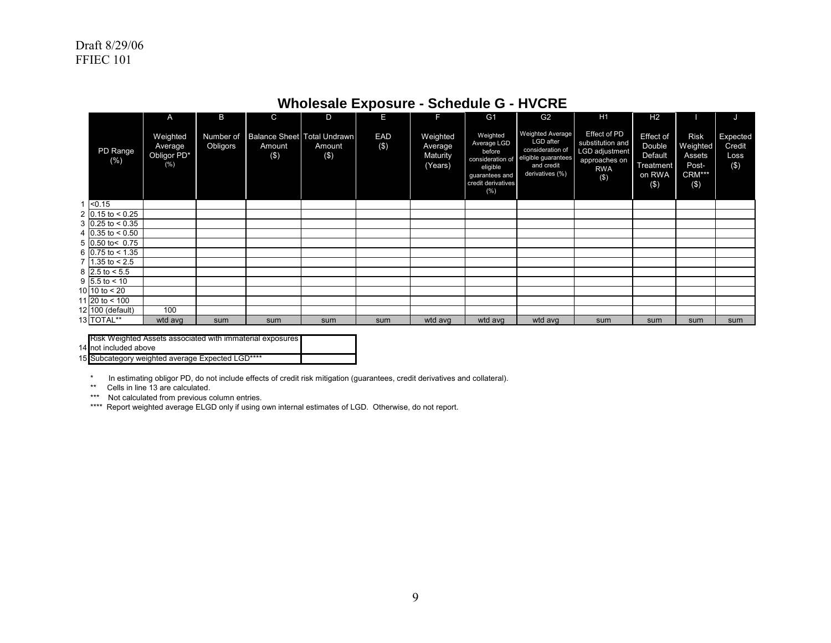|                                |                                              |          |                                                              |               | - г           |                                            |                                                                                                                  |                                                                                                           |                                                                                              |                                                              |                                                             |                                      |
|--------------------------------|----------------------------------------------|----------|--------------------------------------------------------------|---------------|---------------|--------------------------------------------|------------------------------------------------------------------------------------------------------------------|-----------------------------------------------------------------------------------------------------------|----------------------------------------------------------------------------------------------|--------------------------------------------------------------|-------------------------------------------------------------|--------------------------------------|
|                                | A                                            | B        | C                                                            | D             | Е             | F                                          | G <sub>1</sub>                                                                                                   | G <sub>2</sub>                                                                                            | H1                                                                                           | H <sub>2</sub>                                               |                                                             | J                                    |
| PD Range<br>(% )               | Weighted<br>Average<br>Obligor PD*<br>$(\%)$ | Obligors | Number of Balance Sheet   Total Undrawn<br>Amount<br>$($ \$) | Amount<br>(3) | EAD<br>$($ \$ | Weighted<br>Average<br>Maturity<br>(Years) | Weighted<br>Average LGD<br>before<br>consideration of<br>eligible<br>guarantees and<br>credit derivatives<br>(%) | Weighted Average<br>LGD after<br>consideration of<br>eligible guarantees<br>and credit<br>derivatives (%) | Effect of PD<br>substitution and<br>LGD adjustment<br>approaches on<br><b>RWA</b><br>$($ \$) | Effect of<br>Double<br>Default<br>Treatment<br>on RWA<br>(3) | <b>Risk</b><br>Weighted<br>Assets<br>Post-<br>CRM***<br>(3) | Expected<br>Credit<br>Loss<br>$($ \$ |
| $1 \le 0.15$                   |                                              |          |                                                              |               |               |                                            |                                                                                                                  |                                                                                                           |                                                                                              |                                                              |                                                             |                                      |
| 2 0.15 to $< 0.25$             |                                              |          |                                                              |               |               |                                            |                                                                                                                  |                                                                                                           |                                                                                              |                                                              |                                                             |                                      |
| $3 \mid 0.25 \text{ to } 0.35$ |                                              |          |                                                              |               |               |                                            |                                                                                                                  |                                                                                                           |                                                                                              |                                                              |                                                             |                                      |
| 4 $0.35$ to < 0.50             |                                              |          |                                                              |               |               |                                            |                                                                                                                  |                                                                                                           |                                                                                              |                                                              |                                                             |                                      |
| $5$ 0.50 to < 0.75             |                                              |          |                                                              |               |               |                                            |                                                                                                                  |                                                                                                           |                                                                                              |                                                              |                                                             |                                      |
| 6 $0.75$ to < 1.35             |                                              |          |                                                              |               |               |                                            |                                                                                                                  |                                                                                                           |                                                                                              |                                                              |                                                             |                                      |
| 7   1.35 to $< 2.5$            |                                              |          |                                                              |               |               |                                            |                                                                                                                  |                                                                                                           |                                                                                              |                                                              |                                                             |                                      |
| 8 $2.5$ to < 5.5               |                                              |          |                                                              |               |               |                                            |                                                                                                                  |                                                                                                           |                                                                                              |                                                              |                                                             |                                      |
| $9   5.5 \text{ to } < 10$     |                                              |          |                                                              |               |               |                                            |                                                                                                                  |                                                                                                           |                                                                                              |                                                              |                                                             |                                      |
| 10 10 to $< 20$                |                                              |          |                                                              |               |               |                                            |                                                                                                                  |                                                                                                           |                                                                                              |                                                              |                                                             |                                      |
| 11 20 to $<$ 100               |                                              |          |                                                              |               |               |                                            |                                                                                                                  |                                                                                                           |                                                                                              |                                                              |                                                             |                                      |
| 12 100 (default)               | 100                                          |          |                                                              |               |               |                                            |                                                                                                                  |                                                                                                           |                                                                                              |                                                              |                                                             |                                      |
| 13 TOTAL**                     | wtd avg                                      | sum      | sum                                                          | sum           | sum           | wtd avg                                    | wtd avg                                                                                                          | wtd avg                                                                                                   | sum                                                                                          | sum                                                          | sum                                                         | sum                                  |

# **Wholesale Exposure - Schedule G - HVCRE**

| Risk Weighted Assets associated with immaterial exposures |  |
|-----------------------------------------------------------|--|
| 14 not included above                                     |  |
| 15 Subcategory weighted average Expected LGD****          |  |

\* In estimating obligor PD, do not include effects of credit risk mitigation (guarantees, credit derivatives and collateral). \*\* Cells in line 13 are calculated.

\*\*\* Not calculated from previous column entries.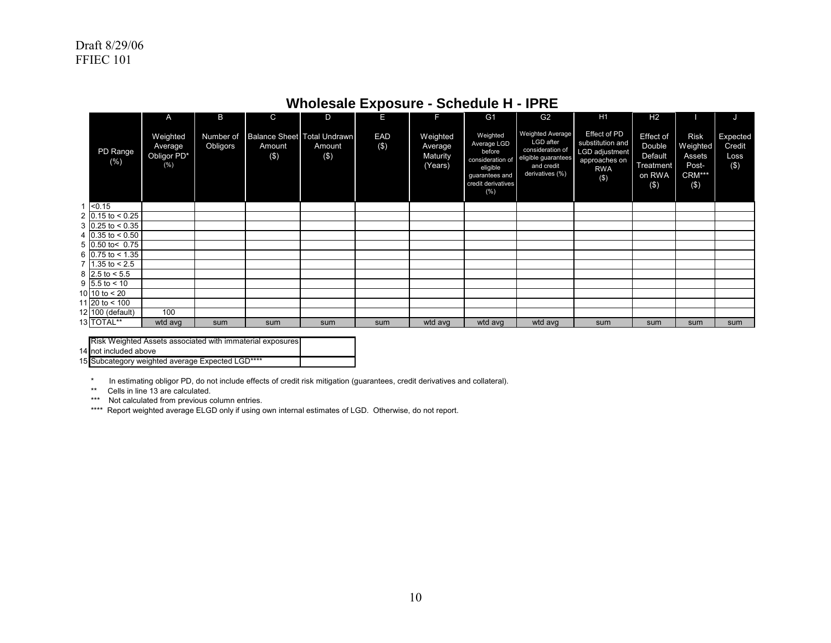|                                     | A                                         | B                     | $\mathsf{C}$                                    | D                 | E             | F                                          | G <sub>1</sub>                                                                                                   | G <sub>2</sub>                                                                                                   | H1                                                                                       | H <sub>2</sub>                                               |                                                                | J                                     |
|-------------------------------------|-------------------------------------------|-----------------------|-------------------------------------------------|-------------------|---------------|--------------------------------------------|------------------------------------------------------------------------------------------------------------------|------------------------------------------------------------------------------------------------------------------|------------------------------------------------------------------------------------------|--------------------------------------------------------------|----------------------------------------------------------------|---------------------------------------|
| PD Range<br>(% )                    | Weighted<br>Average<br>Obligor PD*<br>(%) | Number of<br>Obligors | Balance Sheet Total Undrawn<br>Amount<br>$($ \$ | Amount<br>$($ \$) | EAD<br>$($ \$ | Weighted<br>Average<br>Maturity<br>(Years) | Weighted<br>Average LGD<br>before<br>consideration of<br>eligible<br>guarantees and<br>credit derivatives<br>(%) | <b>Weighted Average</b><br>LGD after<br>consideration of<br>eligible guarantees<br>and credit<br>derivatives (%) | Effect of PD<br>substitution and<br>LGD adjustment<br>approaches on<br><b>RWA</b><br>(3) | Effect of<br>Double<br>Default<br>Treatment<br>on RWA<br>(3) | <b>Risk</b><br>Weighted<br>Assets<br>Post-<br>CRM***<br>$(\$)$ | Expected<br>Credit<br>Loss<br>$($ \$) |
| $1 \le 0.15$                        |                                           |                       |                                                 |                   |               |                                            |                                                                                                                  |                                                                                                                  |                                                                                          |                                                              |                                                                |                                       |
| 2 0.15 to < 0.25                    |                                           |                       |                                                 |                   |               |                                            |                                                                                                                  |                                                                                                                  |                                                                                          |                                                              |                                                                |                                       |
| 3 $ 0.25 \text{ to } < 0.35 $       |                                           |                       |                                                 |                   |               |                                            |                                                                                                                  |                                                                                                                  |                                                                                          |                                                              |                                                                |                                       |
| 4 $0.35$ to < 0.50                  |                                           |                       |                                                 |                   |               |                                            |                                                                                                                  |                                                                                                                  |                                                                                          |                                                              |                                                                |                                       |
| $5$ 0.50 to < 0.75                  |                                           |                       |                                                 |                   |               |                                            |                                                                                                                  |                                                                                                                  |                                                                                          |                                                              |                                                                |                                       |
| 6 0.75 to < 1.35                    |                                           |                       |                                                 |                   |               |                                            |                                                                                                                  |                                                                                                                  |                                                                                          |                                                              |                                                                |                                       |
| $7 \vert 1.35 \vert 1.35 \vert 2.5$ |                                           |                       |                                                 |                   |               |                                            |                                                                                                                  |                                                                                                                  |                                                                                          |                                                              |                                                                |                                       |
| 8 2.5 to $< 5.5$                    |                                           |                       |                                                 |                   |               |                                            |                                                                                                                  |                                                                                                                  |                                                                                          |                                                              |                                                                |                                       |
| $9 5.5 $ to < 10                    |                                           |                       |                                                 |                   |               |                                            |                                                                                                                  |                                                                                                                  |                                                                                          |                                                              |                                                                |                                       |
| 10 10 to $< 20$                     |                                           |                       |                                                 |                   |               |                                            |                                                                                                                  |                                                                                                                  |                                                                                          |                                                              |                                                                |                                       |
| 11 20 to < 100                      |                                           |                       |                                                 |                   |               |                                            |                                                                                                                  |                                                                                                                  |                                                                                          |                                                              |                                                                |                                       |
| 12 100 (default)                    | 100                                       |                       |                                                 |                   |               |                                            |                                                                                                                  |                                                                                                                  |                                                                                          |                                                              |                                                                |                                       |
| 13 TOTAL**                          | wtd avg                                   | sum                   | sum                                             | sum               | sum           | wtd avg                                    | wtd avg                                                                                                          | wtd avg                                                                                                          | sum                                                                                      | sum                                                          | sum                                                            | sum                                   |

## **Wholesale Exposure - Schedule H - IPRE**

| Risk Weighted Assets associated with immaterial exposures |  |
|-----------------------------------------------------------|--|
| 14 not included above                                     |  |
|                                                           |  |

 15 Subcategory weighted average Expected LGD\*\*\*\*

\* In estimating obligor PD, do not include effects of credit risk mitigation (guarantees, credit derivatives and collateral).

\*\* Cells in line 13 are calculated.

\*\*\* Not calculated from previous column entries.

\*\*\*\* Report weighted average ELGD only if using own internal estimates of LGD. Otherwise, do not report.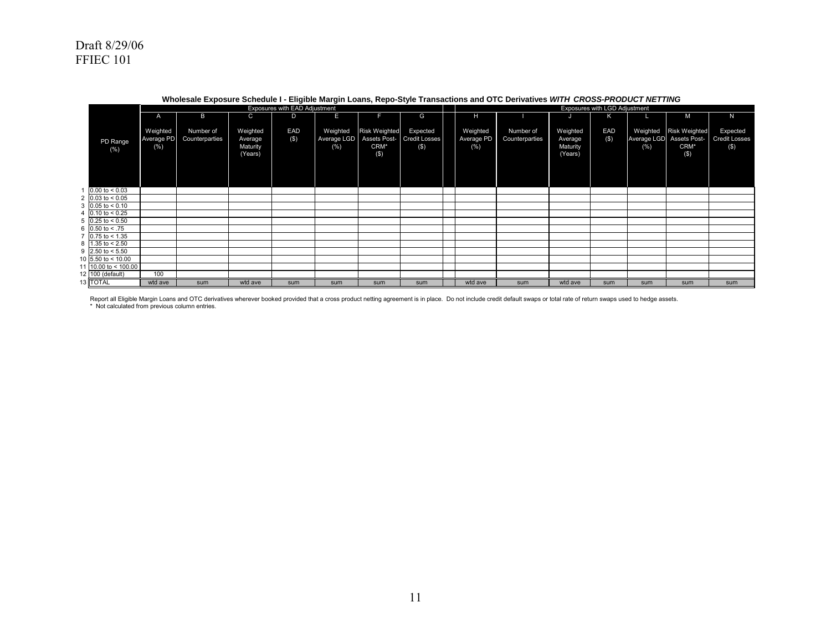|                                |              |                |          | Exposures with EAD Adjustment |             |                      |                            |            |                |          | Exposures with LGD Adjustment |      |                          |                      |
|--------------------------------|--------------|----------------|----------|-------------------------------|-------------|----------------------|----------------------------|------------|----------------|----------|-------------------------------|------|--------------------------|----------------------|
|                                | $\mathsf{A}$ | B              | C        | D                             | Е           |                      | G                          | н          |                | J        | ĸ                             |      | M                        | N                    |
|                                |              |                |          |                               |             |                      |                            |            |                |          |                               |      |                          |                      |
|                                | Weighted     | Number of      | Weighted | EAD                           | Weighted    | <b>Risk Weighted</b> | Expected                   | Weighted   | Number of      | Weighted | EAD                           |      | Weighted Risk Weighted   | Expected             |
| PD Range                       | Average PD   | Counterparties | Average  | $($ \$                        | Average LGD |                      | Assets Post- Credit Losses | Average PD | Counterparties | Average  | (S)                           |      | Average LGD Assets Post- | <b>Credit Losses</b> |
| (% )                           | $(\% )$      |                | Maturity |                               | (% )        | CRM*                 | (S)                        | $(\%)$     |                | Maturity |                               | (% ) | CRM*                     | (S)                  |
|                                |              |                | (Years)  |                               |             | $($ \$)              |                            |            |                | (Years)  |                               |      | $($ \$                   |                      |
|                                |              |                |          |                               |             |                      |                            |            |                |          |                               |      |                          |                      |
|                                |              |                |          |                               |             |                      |                            |            |                |          |                               |      |                          |                      |
|                                |              |                |          |                               |             |                      |                            |            |                |          |                               |      |                          |                      |
| $0.00$ to < 0.03               |              |                |          |                               |             |                      |                            |            |                |          |                               |      |                          |                      |
| 2 $0.03$ to < 0.05             |              |                |          |                               |             |                      |                            |            |                |          |                               |      |                          |                      |
| $3 \cdot 0.05$ to < 0.10       |              |                |          |                               |             |                      |                            |            |                |          |                               |      |                          |                      |
| 4 $0.10 \text{ to } 0.25$      |              |                |          |                               |             |                      |                            |            |                |          |                               |      |                          |                      |
| $5 \mid 0.25 \text{ to } 0.50$ |              |                |          |                               |             |                      |                            |            |                |          |                               |      |                          |                      |
| 6 $0.50$ to < .75              |              |                |          |                               |             |                      |                            |            |                |          |                               |      |                          |                      |
| 7 $0.75$ to < 1.35             |              |                |          |                               |             |                      |                            |            |                |          |                               |      |                          |                      |
| 8 $1.35$ to < 2.50             |              |                |          |                               |             |                      |                            |            |                |          |                               |      |                          |                      |
| 9 2.50 to $< 5.50$             |              |                |          |                               |             |                      |                            |            |                |          |                               |      |                          |                      |
| 10 5.50 to < 10.00             |              |                |          |                               |             |                      |                            |            |                |          |                               |      |                          |                      |
| 11 10.00 to < 100.00           |              |                |          |                               |             |                      |                            |            |                |          |                               |      |                          |                      |
| 12 100 (default)               | 100          |                |          |                               |             |                      |                            |            |                |          |                               |      |                          |                      |
| 13 TOTAL                       | wtd ave      |                | wtd ave  |                               |             | sum                  | sum                        | wtd ave    | sum            | wtd ave  | sum                           | sum  |                          |                      |
|                                |              | sum            |          | sum                           | sum         |                      |                            |            |                |          |                               |      | sum                      | sum                  |

#### **Wholesale Exposure Schedule I - Eligible Margin Loans, Repo-Style Transactions and OTC Derivatives** *WITH CROSS-PRODUCT NETTING*

Report all Eligible Margin Loans and OTC derivatives wherever booked provided that a cross product netting agreement is in place. Do not include credit default swaps or total rate of return swaps used to hedge assets. \* Not calculated from previous column entries.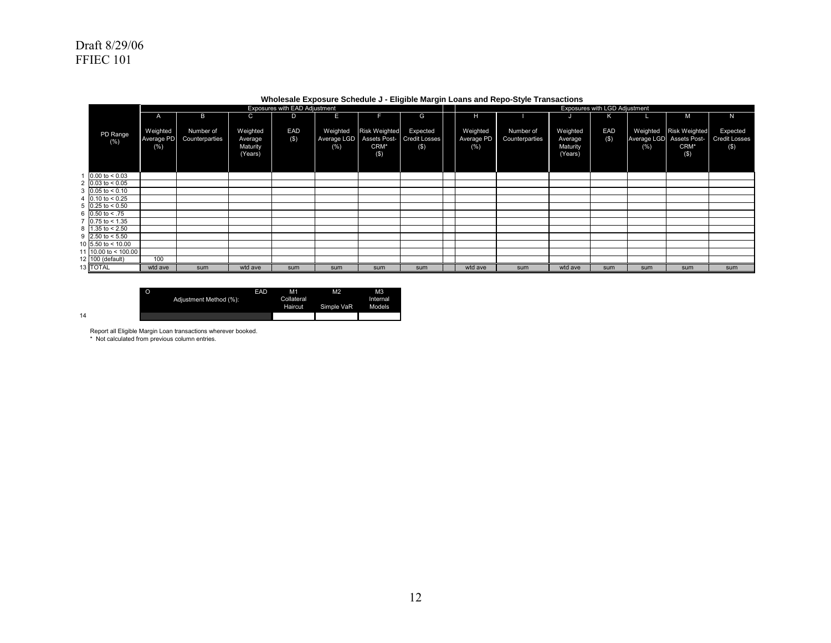|                                |                               |                             |                                            | Exposures with EAD Adjustment |                                 |                                        |                                                  |                                   |                             |                                            | <b>Exposures with LGD Adjustment</b> |      |                                                                      |                                         |
|--------------------------------|-------------------------------|-----------------------------|--------------------------------------------|-------------------------------|---------------------------------|----------------------------------------|--------------------------------------------------|-----------------------------------|-----------------------------|--------------------------------------------|--------------------------------------|------|----------------------------------------------------------------------|-----------------------------------------|
|                                | $\mathsf{A}$                  | B                           | C                                          | D                             | E                               |                                        | G                                                | н                                 |                             | ل.                                         | ĸ                                    |      | M                                                                    | N                                       |
| PD Range<br>$(\% )$            | Weighted<br>Average PD<br>(%) | Number of<br>Counterparties | Weighted<br>Average<br>Maturity<br>(Years) | EAD<br>$($ \$                 | Weighted<br>Average LGD<br>(% ) | <b>Risk Weighted</b><br>CRM*<br>$($ \$ | Expected<br>Assets Post- Credit Losses<br>$($ \$ | Weighted<br>Average PD<br>$(\% )$ | Number of<br>Counterparties | Weighted<br>Average<br>Maturity<br>(Years) | EAD<br>$($ \$                        | (% ) | Weighted Risk Weighted<br>Average LGD Assets Post-<br>CRM*<br>$($ \$ | Expected<br><b>Credit Losses</b><br>(S) |
| $0.00$ to $< 0.03$             |                               |                             |                                            |                               |                                 |                                        |                                                  |                                   |                             |                                            |                                      |      |                                                                      |                                         |
| 2 $0.03$ to < 0.05             |                               |                             |                                            |                               |                                 |                                        |                                                  |                                   |                             |                                            |                                      |      |                                                                      |                                         |
| $3\,0.05$ to < 0.10            |                               |                             |                                            |                               |                                 |                                        |                                                  |                                   |                             |                                            |                                      |      |                                                                      |                                         |
| 4 $0.10$ to < 0.25             |                               |                             |                                            |                               |                                 |                                        |                                                  |                                   |                             |                                            |                                      |      |                                                                      |                                         |
| $5\,$ 0.25 to < 0.50           |                               |                             |                                            |                               |                                 |                                        |                                                  |                                   |                             |                                            |                                      |      |                                                                      |                                         |
| 6 $0.50$ to < .75              |                               |                             |                                            |                               |                                 |                                        |                                                  |                                   |                             |                                            |                                      |      |                                                                      |                                         |
| $7 \overline{)0.75}$ to < 1.35 |                               |                             |                                            |                               |                                 |                                        |                                                  |                                   |                             |                                            |                                      |      |                                                                      |                                         |
| $8 \overline{)1.35}$ to < 2.50 |                               |                             |                                            |                               |                                 |                                        |                                                  |                                   |                             |                                            |                                      |      |                                                                      |                                         |
| 9 2.50 to $< 5.50$             |                               |                             |                                            |                               |                                 |                                        |                                                  |                                   |                             |                                            |                                      |      |                                                                      |                                         |
| 10 $5.50$ to < 10.00           |                               |                             |                                            |                               |                                 |                                        |                                                  |                                   |                             |                                            |                                      |      |                                                                      |                                         |
| 11 10.00 to < 100.00           |                               |                             |                                            |                               |                                 |                                        |                                                  |                                   |                             |                                            |                                      |      |                                                                      |                                         |
| 12 100 (default)               | 100                           |                             |                                            |                               |                                 |                                        |                                                  |                                   |                             |                                            |                                      |      |                                                                      |                                         |
| 13 TOTAL                       | wtd ave                       | sum                         | wtd ave                                    | sum                           | sum                             | sum                                    | sum                                              | wtd ave                           | sum                         | wtd ave                                    | sum                                  | sum  | sum                                                                  | sum                                     |

#### **Wholesale Exposure Schedule J - Eligible Margin Loans and Repo-Style Transactions**

|    | Adjustment Method (%): | EAD | M <sub>1</sub><br>Collateral<br><b>Haircut</b> | M <sub>2</sub><br>Simple VaR | M <sub>3</sub><br>Internal<br>Models |
|----|------------------------|-----|------------------------------------------------|------------------------------|--------------------------------------|
| 14 |                        |     |                                                |                              |                                      |

Report all Eligible Margin Loan transactions wherever booked. \* Not calculated from previous column entries.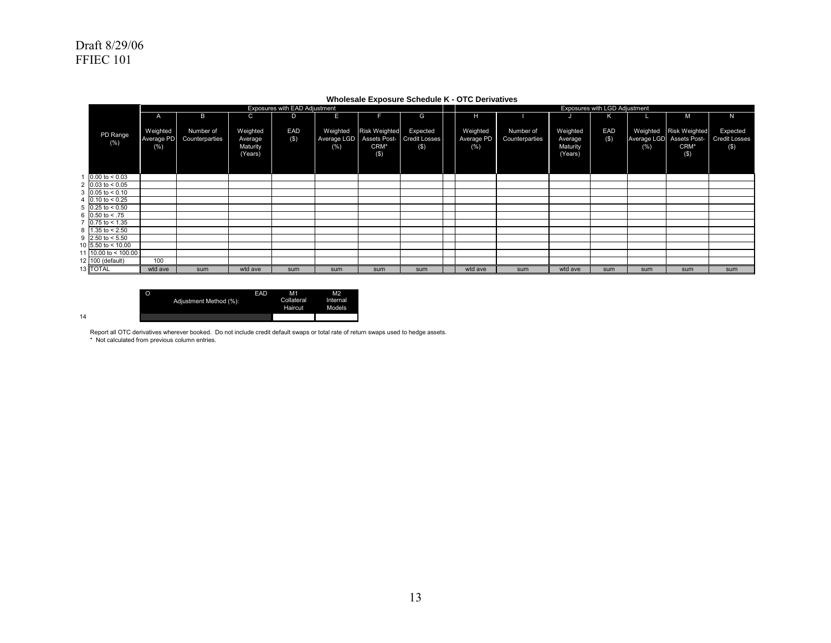|                                |                                | Exposures with EAD Adjustment<br>Exposures with LGD Adjustment |                                            |                |                                 |                                     |                                                  |  |                                   |                             |                                            |               |     |                                                                   |                                            |
|--------------------------------|--------------------------------|----------------------------------------------------------------|--------------------------------------------|----------------|---------------------------------|-------------------------------------|--------------------------------------------------|--|-----------------------------------|-----------------------------|--------------------------------------------|---------------|-----|-------------------------------------------------------------------|--------------------------------------------|
|                                | $\mathsf{A}$                   | B                                                              | C                                          | D              | Е                               |                                     | G                                                |  | н.                                |                             |                                            | к             |     | M                                                                 | N                                          |
| PD Range<br>$(\% )$            | Weighted<br>Average PD<br>(% ) | Number of<br>Counterparties                                    | Weighted<br>Average<br>Maturity<br>(Years) | EAD<br>$($ \$) | Weighted<br>Average LGD<br>(% ) | <b>Risk Weighted</b><br>CRM*<br>(3) | Expected<br>Assets Post- Credit Losses<br>$($ \$ |  | Weighted<br>Average PD<br>$(\% )$ | Number of<br>Counterparties | Weighted<br>Average<br>Maturity<br>(Years) | EAD<br>$($ \$ | (%) | Weighted Risk Weighted<br>Average LGD Assets Post-<br>CRM*<br>(S) | Expected<br><b>Credit Losses</b><br>$($ \$ |
| 0.00 to < 0.03                 |                                |                                                                |                                            |                |                                 |                                     |                                                  |  |                                   |                             |                                            |               |     |                                                                   |                                            |
| 2 0.03 to $< 0.05$             |                                |                                                                |                                            |                |                                 |                                     |                                                  |  |                                   |                             |                                            |               |     |                                                                   |                                            |
| $3 \cdot 0.05$ to < 0.10       |                                |                                                                |                                            |                |                                 |                                     |                                                  |  |                                   |                             |                                            |               |     |                                                                   |                                            |
| 4 $0.10 \text{ to } 0.25$      |                                |                                                                |                                            |                |                                 |                                     |                                                  |  |                                   |                             |                                            |               |     |                                                                   |                                            |
| $5$ 0.25 to < 0.50             |                                |                                                                |                                            |                |                                 |                                     |                                                  |  |                                   |                             |                                            |               |     |                                                                   |                                            |
| 6 $0.50$ to < .75              |                                |                                                                |                                            |                |                                 |                                     |                                                  |  |                                   |                             |                                            |               |     |                                                                   |                                            |
| $7 \overline{)0.75}$ to < 1.35 |                                |                                                                |                                            |                |                                 |                                     |                                                  |  |                                   |                             |                                            |               |     |                                                                   |                                            |
| $8 \overline{)1.35}$ to < 2.50 |                                |                                                                |                                            |                |                                 |                                     |                                                  |  |                                   |                             |                                            |               |     |                                                                   |                                            |
| 9 2.50 to $< 5.50$             |                                |                                                                |                                            |                |                                 |                                     |                                                  |  |                                   |                             |                                            |               |     |                                                                   |                                            |
| 10 $5.50$ to < 10.00           |                                |                                                                |                                            |                |                                 |                                     |                                                  |  |                                   |                             |                                            |               |     |                                                                   |                                            |
| 11 $10.00$ to < 100.00         |                                |                                                                |                                            |                |                                 |                                     |                                                  |  |                                   |                             |                                            |               |     |                                                                   |                                            |
| 12 100 (default)               | 100                            |                                                                |                                            |                |                                 |                                     |                                                  |  |                                   |                             |                                            |               |     |                                                                   |                                            |
| 13 TOTAL                       | wtd ave                        | sum                                                            | wtd ave                                    | sum            | sum                             | sum                                 | sum                                              |  | wtd ave                           | sum                         | wtd ave                                    | sum           | sum | sum                                                               | sum                                        |

#### **Wholesale Exposure Schedule K - OTC Derivatives**

M1 M2<br>Collateral Interr<br>Haircut Mode Internal Models O EAD Adjustment Method (%):

Report all OTC derivatives wherever booked. Do not include credit default swaps or total rate of return swaps used to hedge assets. \* Not calculated from previous column entries.

14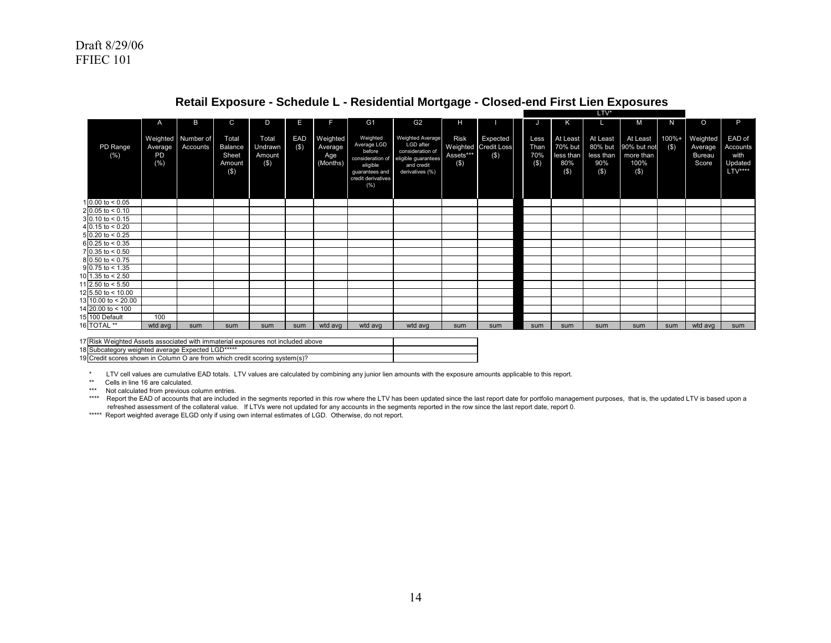|                           | A                                 | B                     | $\mathbf C$                                           | D                                     | Е              |                                        | G <sub>1</sub>                                                                                                      | G <sub>2</sub>                                                                                            | н                                  |                                         | IJ                         | Κ                                               |                                                   | M                                                      | N                | $\Omega$                                      | P                                                |
|---------------------------|-----------------------------------|-----------------------|-------------------------------------------------------|---------------------------------------|----------------|----------------------------------------|---------------------------------------------------------------------------------------------------------------------|-----------------------------------------------------------------------------------------------------------|------------------------------------|-----------------------------------------|----------------------------|-------------------------------------------------|---------------------------------------------------|--------------------------------------------------------|------------------|-----------------------------------------------|--------------------------------------------------|
| PD Range<br>(% )          | Weighted<br>Average<br>PD<br>(% ) | Number of<br>Accounts | Total<br><b>Balance</b><br>Sheet<br>Amount<br>$($ \$) | Total<br>Undrawn<br>Amount<br>$($ \$) | EAD<br>$($ \$) | Weighted<br>Average<br>Age<br>(Months) | Weighted<br>Average LGD<br>before<br>consideration of<br>eligible<br>quarantees and<br>credit derivatives<br>$(\%)$ | Weighted Average<br>LGD after<br>consideration of<br>eligible guarantees<br>and credit<br>derivatives (%) | <b>Risk</b><br>Assets***<br>$($ \$ | Expected<br>Weighted Credit Loss<br>(3) | Less<br>Than<br>70%<br>(3) | At Least<br>70% but<br>less than<br>80%<br>(\$) | At Least<br>80% but<br>less than<br>90%<br>$($ \$ | At Least<br>90% but not<br>more than<br>100%<br>$($ \$ | 100%+<br>$($ \$) | Weighted<br>Average<br><b>Bureau</b><br>Score | EAD of<br>Accounts<br>with<br>Updated<br>LTV**** |
| $1 0.00$ to < 0.05        |                                   |                       |                                                       |                                       |                |                                        |                                                                                                                     |                                                                                                           |                                    |                                         |                            |                                                 |                                                   |                                                        |                  |                                               |                                                  |
| $2 0.05$ to < 0.10        |                                   |                       |                                                       |                                       |                |                                        |                                                                                                                     |                                                                                                           |                                    |                                         |                            |                                                 |                                                   |                                                        |                  |                                               |                                                  |
| $3 0.10 \text{ to } 5.15$ |                                   |                       |                                                       |                                       |                |                                        |                                                                                                                     |                                                                                                           |                                    |                                         |                            |                                                 |                                                   |                                                        |                  |                                               |                                                  |
| 4 0.15 to < $0.20$        |                                   |                       |                                                       |                                       |                |                                        |                                                                                                                     |                                                                                                           |                                    |                                         |                            |                                                 |                                                   |                                                        |                  |                                               |                                                  |
| $5 0.20$ to < 0.25        |                                   |                       |                                                       |                                       |                |                                        |                                                                                                                     |                                                                                                           |                                    |                                         |                            |                                                 |                                                   |                                                        |                  |                                               |                                                  |
| $6$ 0.25 to < 0.35        |                                   |                       |                                                       |                                       |                |                                        |                                                                                                                     |                                                                                                           |                                    |                                         |                            |                                                 |                                                   |                                                        |                  |                                               |                                                  |
| $7$ 0.35 to < 0.50        |                                   |                       |                                                       |                                       |                |                                        |                                                                                                                     |                                                                                                           |                                    |                                         |                            |                                                 |                                                   |                                                        |                  |                                               |                                                  |
| $8 0.50$ to < 0.75        |                                   |                       |                                                       |                                       |                |                                        |                                                                                                                     |                                                                                                           |                                    |                                         |                            |                                                 |                                                   |                                                        |                  |                                               |                                                  |
| $9$ 0.75 to < 1.35        |                                   |                       |                                                       |                                       |                |                                        |                                                                                                                     |                                                                                                           |                                    |                                         |                            |                                                 |                                                   |                                                        |                  |                                               |                                                  |
| 10 1.35 to < 2.50         |                                   |                       |                                                       |                                       |                |                                        |                                                                                                                     |                                                                                                           |                                    |                                         |                            |                                                 |                                                   |                                                        |                  |                                               |                                                  |
| 11 2.50 to $< 5.50$       |                                   |                       |                                                       |                                       |                |                                        |                                                                                                                     |                                                                                                           |                                    |                                         |                            |                                                 |                                                   |                                                        |                  |                                               |                                                  |
| 12 5.50 to < 10.00        |                                   |                       |                                                       |                                       |                |                                        |                                                                                                                     |                                                                                                           |                                    |                                         |                            |                                                 |                                                   |                                                        |                  |                                               |                                                  |
| 13 10.00 to < 20.00       |                                   |                       |                                                       |                                       |                |                                        |                                                                                                                     |                                                                                                           |                                    |                                         |                            |                                                 |                                                   |                                                        |                  |                                               |                                                  |
| 14 20.00 to < 100         |                                   |                       |                                                       |                                       |                |                                        |                                                                                                                     |                                                                                                           |                                    |                                         |                            |                                                 |                                                   |                                                        |                  |                                               |                                                  |
| 15 100 Default            | 100                               |                       |                                                       |                                       |                |                                        |                                                                                                                     |                                                                                                           |                                    |                                         |                            |                                                 |                                                   |                                                        |                  |                                               |                                                  |
| 16 TOTAL <sup>**</sup>    | wtd avg                           | sum                   | sum                                                   | sum                                   | sum            | wtd avg                                | wtd avg                                                                                                             | wtd avg                                                                                                   | sum                                | sum                                     | sum                        | sum                                             | sum                                               | sum                                                    | sum              | wtd avg                                       | sum                                              |

#### **Retail Exposure - Schedule L - Residential Mortgage - Closed-end First Lien Exposures** LTV\*

| <sup>1</sup> 7 Risk<br>Weighted Assets associated with immaterial<br>I exposures not included above |  |
|-----------------------------------------------------------------------------------------------------|--|
| 18 Subcategory<br>weighted average Expected LGD*****                                                |  |
| 19 Credit scores shown in Column O<br>C are from which credit scoring,<br>system(s)                 |  |

\* LTV cell values are cumulative EAD totals. LTV values are calculated by combining any junior lien amounts with the exposure amounts applicable to this report.

\*\* Cells in line 16 are calculated.

\*\*\* Not calculated from previous column entries.

\*\*\*\* Report the EAD of accounts that are included in the segments reported in this row where the LTV has been updated since the last report date for portfolio management purposes, that is, the updated LTV is based upon a refreshed assessment of the collateral value. If LTVs were not updated for any accounts in the segments reported in the row since the last report date, report 0.

\*\*\*\*\* Report weighted average ELGD only if using own internal estimates of LGD. Otherwise, do not report.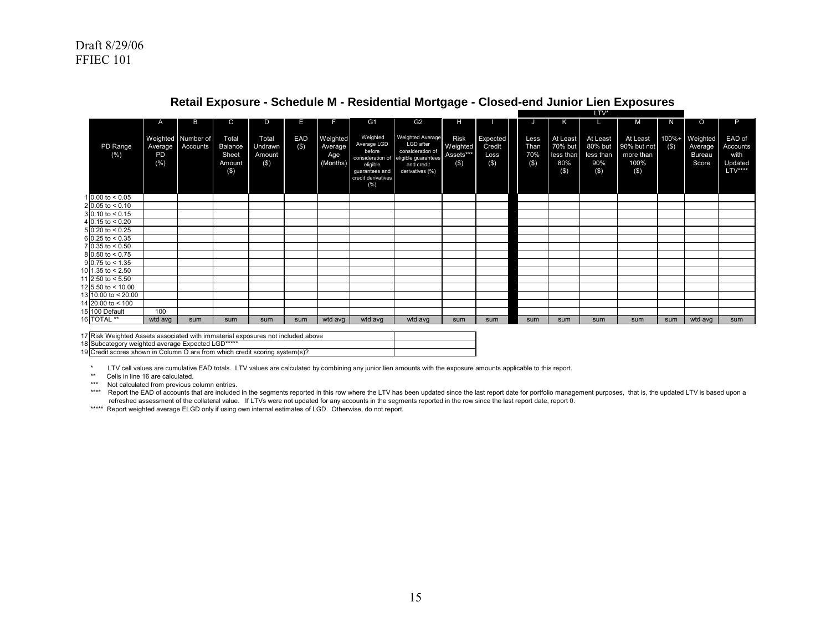|                         | $\mathsf{A}$         | B                              | С                                                     | D                                        | Е              |                                        | G1                                                                                                                | G2                                                                                                               | н                                              |                                      |                            | ĸ                                                  |                                                    | м                                                       | N                | $\circ$                                | P.                                                |
|-------------------------|----------------------|--------------------------------|-------------------------------------------------------|------------------------------------------|----------------|----------------------------------------|-------------------------------------------------------------------------------------------------------------------|------------------------------------------------------------------------------------------------------------------|------------------------------------------------|--------------------------------------|----------------------------|----------------------------------------------------|----------------------------------------------------|---------------------------------------------------------|------------------|----------------------------------------|---------------------------------------------------|
| PD Range<br>(% )        | Average<br>PD<br>(%) | Weighted Number of<br>Accounts | Total<br><b>Balance</b><br>Sheet<br>Amount<br>$($ \$) | Total<br><b>Undrawn</b><br>Amount<br>(3) | EAD<br>$($ \$) | Weighted<br>Average<br>Age<br>(Months) | Weighted<br>Average LGD<br>before<br>consideration of<br>eligible<br>quarantees and<br>credit derivatives<br>(% ) | <b>Weighted Average</b><br>LGD after<br>consideration of<br>eligible guarantees<br>and credit<br>derivatives (%) | <b>Risk</b><br>Weighted<br>Assets***<br>$($ \$ | Expected<br>Credit<br>Loss<br>$($ \$ | Less<br>Than<br>70%<br>(3) | At Least<br>70% but<br>less than<br>80%<br>$($ \$) | At Least<br>80% but<br>less than<br>90%<br>$($ \$) | At Least<br>90% but not<br>more than<br>100%<br>$($ \$) | 100%+<br>$($ \$) | Weighted<br>Average<br>Bureau<br>Score | EAD of<br>Accounts<br>with<br>Updated<br>$LTV***$ |
| 1 0.00 to $< 0.05$      |                      |                                |                                                       |                                          |                |                                        |                                                                                                                   |                                                                                                                  |                                                |                                      |                            |                                                    |                                                    |                                                         |                  |                                        |                                                   |
| $2 0.05 $ to < 0.10     |                      |                                |                                                       |                                          |                |                                        |                                                                                                                   |                                                                                                                  |                                                |                                      |                            |                                                    |                                                    |                                                         |                  |                                        |                                                   |
| $3 \mid 0.10$ to < 0.15 |                      |                                |                                                       |                                          |                |                                        |                                                                                                                   |                                                                                                                  |                                                |                                      |                            |                                                    |                                                    |                                                         |                  |                                        |                                                   |
| 4 0.15 to $< 0.20$      |                      |                                |                                                       |                                          |                |                                        |                                                                                                                   |                                                                                                                  |                                                |                                      |                            |                                                    |                                                    |                                                         |                  |                                        |                                                   |
| $50.20$ to < 0.25       |                      |                                |                                                       |                                          |                |                                        |                                                                                                                   |                                                                                                                  |                                                |                                      |                            |                                                    |                                                    |                                                         |                  |                                        |                                                   |
| $6$ 0.25 to < 0.35      |                      |                                |                                                       |                                          |                |                                        |                                                                                                                   |                                                                                                                  |                                                |                                      |                            |                                                    |                                                    |                                                         |                  |                                        |                                                   |
| 7 0.35 to < 0.50        |                      |                                |                                                       |                                          |                |                                        |                                                                                                                   |                                                                                                                  |                                                |                                      |                            |                                                    |                                                    |                                                         |                  |                                        |                                                   |
| $8 0.50$ to < 0.75      |                      |                                |                                                       |                                          |                |                                        |                                                                                                                   |                                                                                                                  |                                                |                                      |                            |                                                    |                                                    |                                                         |                  |                                        |                                                   |
| $9$ 0.75 to < 1.35      |                      |                                |                                                       |                                          |                |                                        |                                                                                                                   |                                                                                                                  |                                                |                                      |                            |                                                    |                                                    |                                                         |                  |                                        |                                                   |
| 10 1.35 to $< 2.50$     |                      |                                |                                                       |                                          |                |                                        |                                                                                                                   |                                                                                                                  |                                                |                                      |                            |                                                    |                                                    |                                                         |                  |                                        |                                                   |
| 11 2.50 to $< 5.50$     |                      |                                |                                                       |                                          |                |                                        |                                                                                                                   |                                                                                                                  |                                                |                                      |                            |                                                    |                                                    |                                                         |                  |                                        |                                                   |
| 12 5.50 to < 10.00      |                      |                                |                                                       |                                          |                |                                        |                                                                                                                   |                                                                                                                  |                                                |                                      |                            |                                                    |                                                    |                                                         |                  |                                        |                                                   |
| 13 10.00 to < 20.00     |                      |                                |                                                       |                                          |                |                                        |                                                                                                                   |                                                                                                                  |                                                |                                      |                            |                                                    |                                                    |                                                         |                  |                                        |                                                   |
| 14 20.00 to < 100       |                      |                                |                                                       |                                          |                |                                        |                                                                                                                   |                                                                                                                  |                                                |                                      |                            |                                                    |                                                    |                                                         |                  |                                        |                                                   |
| 15 100 Default          | 100                  |                                |                                                       |                                          |                |                                        |                                                                                                                   |                                                                                                                  |                                                |                                      |                            |                                                    |                                                    |                                                         |                  |                                        |                                                   |
| 16 TOTAL **             | wtd avg              | sum                            | sum                                                   | sum                                      | sum            | wtd avg                                | wtd avg                                                                                                           | wtd avg                                                                                                          | sum                                            | sum                                  | sum                        | sum                                                | sum                                                | sum                                                     | sum              | wtd avg                                | sum                                               |

## **Retail Exposure - Schedule M - Residential Mortgage - Closed-end Junior Lien Exposures**

LTV\*

| 17 Risk Weighted Assets associated with immaterial exposures not included above |  |
|---------------------------------------------------------------------------------|--|
| 18 Subcategory weighted average Expected LGD*****                               |  |
| 19 Credit scores shown in Column O are from which credit scoring system(s)?     |  |

\* LTV cell values are cumulative EAD totals. LTV values are calculated by combining any junior lien amounts with the exposure amounts applicable to this report.

\*\* Cells in line 16 are calculated.

\*\*\* Not calculated from previous column entries.

\*\*\*\* Report the EAD of accounts that are included in the segments reported in this row where the LTV has been updated since the last report date for portfolio management purposes, that is, the updated LTV is based upon a refreshed assessment of the collateral value. If LTVs were not updated for any accounts in the segments reported in the row since the last report date, report 0.

\*\*\*\*\* Report weighted average ELGD only if using own internal estimates of LGD. Otherwise, do not report.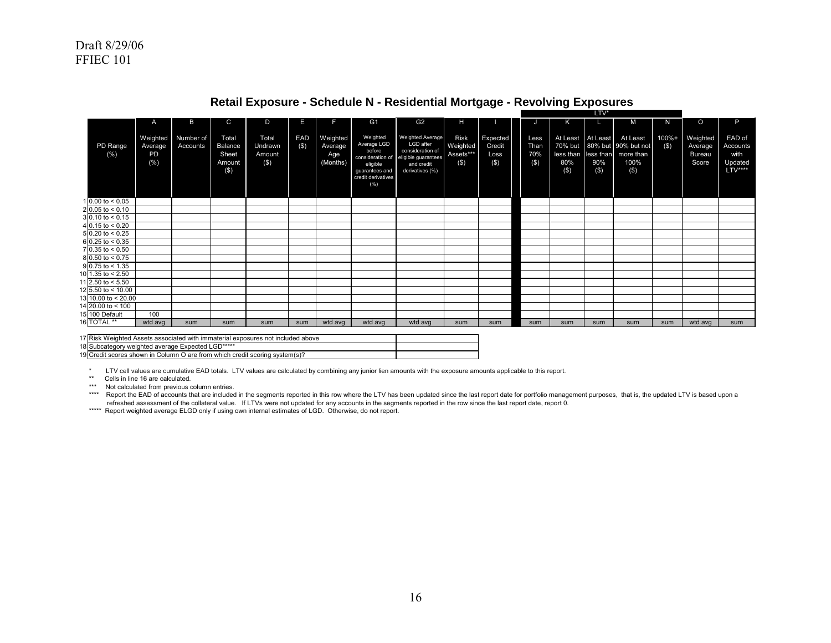|                               | A                                | B                     | C                                                     | D                                     | Е             | F                                      | G <sub>1</sub>                                                                                                    | G <sub>2</sub>                                                                                            | н                                              |                                       |                                | Κ                                   |                | м                                                                                           | N                   | $\circ$                                       | P                                                |
|-------------------------------|----------------------------------|-----------------------|-------------------------------------------------------|---------------------------------------|---------------|----------------------------------------|-------------------------------------------------------------------------------------------------------------------|-----------------------------------------------------------------------------------------------------------|------------------------------------------------|---------------------------------------|--------------------------------|-------------------------------------|----------------|---------------------------------------------------------------------------------------------|---------------------|-----------------------------------------------|--------------------------------------------------|
| PD Range<br>(% )              | Weighted<br>Average<br>PD<br>(%) | Number of<br>Accounts | Total<br><b>Balance</b><br>Sheet<br>Amount<br>$($ \$) | Total<br>Undrawn<br>Amount<br>$($ \$) | EAD<br>$($ \$ | Weighted<br>Average<br>Age<br>(Months) | Weighted<br>Average LGD<br>before<br>consideration of<br>eligible<br>quarantees and<br>credit derivatives<br>(% ) | Weighted Average<br>LGD after<br>consideration of<br>eligible guarantees<br>and credit<br>derivatives (%) | <b>Risk</b><br>Weighted<br>Assets***<br>$($ \$ | Expected<br>Credit<br>Loss<br>$($ \$) | Less<br>Than<br>70%<br>$($ \$) | At Least At Least<br>80%<br>$($ \$) | 90%<br>$($ \$) | At Least<br>70% but 80% but 90% but not<br>less than less than more than<br>100%<br>$($ \$) | $100% +$<br>$($ \$) | Weighted<br>Average<br><b>Bureau</b><br>Score | EAD of<br>Accounts<br>with<br>Updated<br>LTV**** |
| 1 0.00 to $< 0.05$            |                                  |                       |                                                       |                                       |               |                                        |                                                                                                                   |                                                                                                           |                                                |                                       |                                |                                     |                |                                                                                             |                     |                                               |                                                  |
| $2[0.05 \text{ to } 5.10]$    |                                  |                       |                                                       |                                       |               |                                        |                                                                                                                   |                                                                                                           |                                                |                                       |                                |                                     |                |                                                                                             |                     |                                               |                                                  |
| $3 0.10 \text{ to } 5.15$     |                                  |                       |                                                       |                                       |               |                                        |                                                                                                                   |                                                                                                           |                                                |                                       |                                |                                     |                |                                                                                             |                     |                                               |                                                  |
| $4\overline{)0.15}$ to < 0.20 |                                  |                       |                                                       |                                       |               |                                        |                                                                                                                   |                                                                                                           |                                                |                                       |                                |                                     |                |                                                                                             |                     |                                               |                                                  |
| $50.20$ to < 0.25             |                                  |                       |                                                       |                                       |               |                                        |                                                                                                                   |                                                                                                           |                                                |                                       |                                |                                     |                |                                                                                             |                     |                                               |                                                  |
| $6$ 0.25 to < 0.35            |                                  |                       |                                                       |                                       |               |                                        |                                                                                                                   |                                                                                                           |                                                |                                       |                                |                                     |                |                                                                                             |                     |                                               |                                                  |
| $7 0.35 $ to < 0.50           |                                  |                       |                                                       |                                       |               |                                        |                                                                                                                   |                                                                                                           |                                                |                                       |                                |                                     |                |                                                                                             |                     |                                               |                                                  |
| $8 0.50 $ to < 0.75           |                                  |                       |                                                       |                                       |               |                                        |                                                                                                                   |                                                                                                           |                                                |                                       |                                |                                     |                |                                                                                             |                     |                                               |                                                  |
| $9 \times 75$ to < 1.35       |                                  |                       |                                                       |                                       |               |                                        |                                                                                                                   |                                                                                                           |                                                |                                       |                                |                                     |                |                                                                                             |                     |                                               |                                                  |
| 10 1.35 to $< 2.50$           |                                  |                       |                                                       |                                       |               |                                        |                                                                                                                   |                                                                                                           |                                                |                                       |                                |                                     |                |                                                                                             |                     |                                               |                                                  |
| 11 2.50 to $< 5.50$           |                                  |                       |                                                       |                                       |               |                                        |                                                                                                                   |                                                                                                           |                                                |                                       |                                |                                     |                |                                                                                             |                     |                                               |                                                  |
| 12 5.50 to < 10.00            |                                  |                       |                                                       |                                       |               |                                        |                                                                                                                   |                                                                                                           |                                                |                                       |                                |                                     |                |                                                                                             |                     |                                               |                                                  |
| 13 10.00 to < 20.00           |                                  |                       |                                                       |                                       |               |                                        |                                                                                                                   |                                                                                                           |                                                |                                       |                                |                                     |                |                                                                                             |                     |                                               |                                                  |
| 14 20.00 to < 100             |                                  |                       |                                                       |                                       |               |                                        |                                                                                                                   |                                                                                                           |                                                |                                       |                                |                                     |                |                                                                                             |                     |                                               |                                                  |
| 15 100 Default                | 100                              |                       |                                                       |                                       |               |                                        |                                                                                                                   |                                                                                                           |                                                |                                       |                                |                                     |                |                                                                                             |                     |                                               |                                                  |
| 16 TOTAL <sup>**</sup>        | wtd avg                          | sum                   | sum                                                   | sum                                   | sum           | wtd avg                                | wtd avg                                                                                                           | wtd avg                                                                                                   | sum                                            | sum                                   | sum                            | sum                                 | sum            | sum                                                                                         | sum                 | wtd avg                                       | sum                                              |

## **Retail Exposure - Schedule N - Residential Mortgage - Revolving Exposures**

LTV\*

| 17 Risk Weighted Assets associated with immaterial exposures not included above |  |
|---------------------------------------------------------------------------------|--|
| 18 Subcategory weighted average Expected LGD*****                               |  |
| 19 Credit scores shown in Column O are from which credit scoring system(s)?     |  |

\* LTV cell values are cumulative EAD totals. LTV values are calculated by combining any junior lien amounts with the exposure amounts applicable to this report.

\*\* Cells in line 16 are calculated.

\*\*\* Not calculated from previous column entries.

\*\*\*\* Report the EAD of accounts that are included in the segments reported in this row where the LTV has been updated since the last report date for portfolio management purposes, that is, the updated LTV is based upon a refreshed assessment of the collateral value. If LTVs were not updated for any accounts in the segments reported in the row since the last report date, report 0.

\*\*\*\*\* Report weighted average ELGD only if using own internal estimates of LGD. Otherwise, do not report.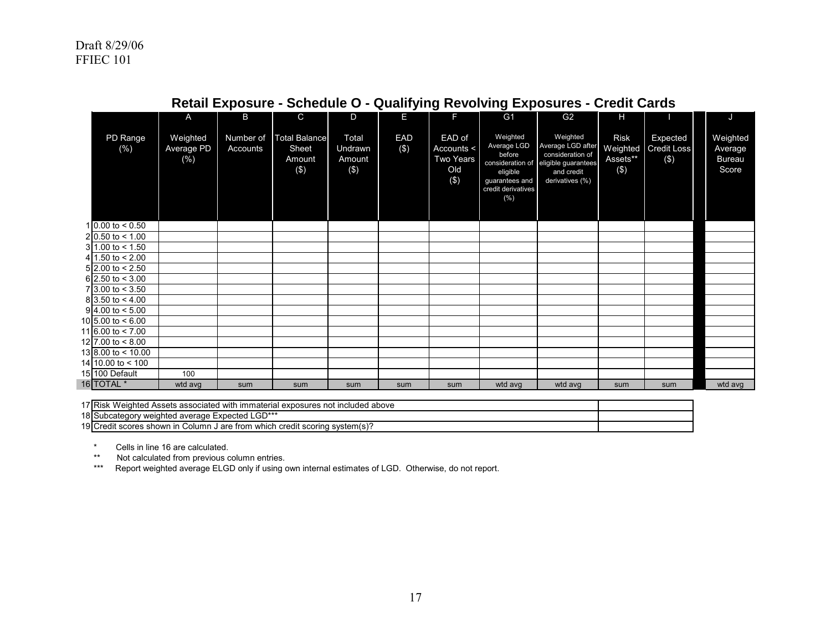|                           | A                                 | B                     | C.                                             | D                                 | E.                | F                                                          | G1                                                                                           | G2                                                                                                                         | н                                              |                                          | J                                             |  |
|---------------------------|-----------------------------------|-----------------------|------------------------------------------------|-----------------------------------|-------------------|------------------------------------------------------------|----------------------------------------------------------------------------------------------|----------------------------------------------------------------------------------------------------------------------------|------------------------------------------------|------------------------------------------|-----------------------------------------------|--|
| PD Range<br>(% )          | Weighted<br>Average PD<br>$(\% )$ | Number of<br>Accounts | <b>Total Balance</b><br>Sheet<br>Amount<br>(3) | Total<br>Undrawn<br>Amount<br>(3) | <b>EAD</b><br>(3) | EAD of<br>Accounts <<br><b>Two Years</b><br>Old<br>$($ \$) | Weighted<br>Average LGD<br>before<br>eligible<br>guarantees and<br>credit derivatives<br>(%) | Weighted<br>Average LGD after<br>consideration of<br>consideration of eligible guarantees<br>and credit<br>derivatives (%) | <b>Risk</b><br>Weighted<br>Assets**<br>$($ \$) | Expected<br><b>Credit Loss</b><br>$(\$)$ | Weighted<br>Average<br><b>Bureau</b><br>Score |  |
| 1 0.00 to $< 0.50$        |                                   |                       |                                                |                                   |                   |                                                            |                                                                                              |                                                                                                                            |                                                |                                          |                                               |  |
| $210.50$ to < 1.00        |                                   |                       |                                                |                                   |                   |                                                            |                                                                                              |                                                                                                                            |                                                |                                          |                                               |  |
| $31.00$ to < 1.50         |                                   |                       |                                                |                                   |                   |                                                            |                                                                                              |                                                                                                                            |                                                |                                          |                                               |  |
| 4 1.50 to $< 2.00$        |                                   |                       |                                                |                                   |                   |                                                            |                                                                                              |                                                                                                                            |                                                |                                          |                                               |  |
| $5$ 2.00 to < 2.50        |                                   |                       |                                                |                                   |                   |                                                            |                                                                                              |                                                                                                                            |                                                |                                          |                                               |  |
| $6$ 2.50 to < 3.00        |                                   |                       |                                                |                                   |                   |                                                            |                                                                                              |                                                                                                                            |                                                |                                          |                                               |  |
| $7\,3.00$ to $< 3.50$     |                                   |                       |                                                |                                   |                   |                                                            |                                                                                              |                                                                                                                            |                                                |                                          |                                               |  |
| $813.50 \text{ to } 4.00$ |                                   |                       |                                                |                                   |                   |                                                            |                                                                                              |                                                                                                                            |                                                |                                          |                                               |  |
| $9 4.00 $ to $< 5.00$     |                                   |                       |                                                |                                   |                   |                                                            |                                                                                              |                                                                                                                            |                                                |                                          |                                               |  |
| 10 5.00 to $< 6.00$       |                                   |                       |                                                |                                   |                   |                                                            |                                                                                              |                                                                                                                            |                                                |                                          |                                               |  |
| 11 6.00 to $< 7.00$       |                                   |                       |                                                |                                   |                   |                                                            |                                                                                              |                                                                                                                            |                                                |                                          |                                               |  |
| 12 7.00 to $< 8.00$       |                                   |                       |                                                |                                   |                   |                                                            |                                                                                              |                                                                                                                            |                                                |                                          |                                               |  |
| $13 8.00$ to < 10.00      |                                   |                       |                                                |                                   |                   |                                                            |                                                                                              |                                                                                                                            |                                                |                                          |                                               |  |
| 14 10.00 to $<$ 100       |                                   |                       |                                                |                                   |                   |                                                            |                                                                                              |                                                                                                                            |                                                |                                          |                                               |  |
| 15 100 Default            | 100                               |                       |                                                |                                   |                   |                                                            |                                                                                              |                                                                                                                            |                                                |                                          |                                               |  |
| 16 TOTAL *                | wtd avg                           | sum                   | sum                                            | sum                               | sum               | sum                                                        | wtd avg                                                                                      | wtd avg                                                                                                                    | sum                                            | sum                                      | wtd avg                                       |  |

# **Retail Exposure - Schedule O - Qualifying Revolving Exposures - Credit Cards**

17 Risk Weighted Assets associated with immaterial exposures not included above 18 Subcategory weighted average Expected LGD\*\*\*

19 Credit scores shown in Column J are from which credit scoring system(s)?

\* Cells in line 16 are calculated.

\*\* Not calculated from previous column entries.<br>\*\*\* Report weighted average ELGD only if using

Report weighted average ELGD only if using own internal estimates of LGD. Otherwise, do not report.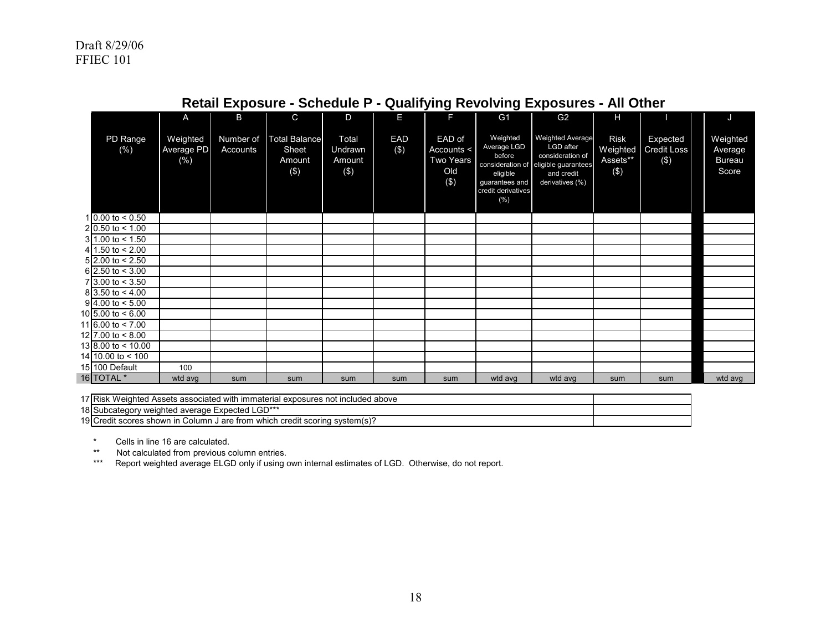×

|                                      | A                              | B                     | C                                              | D                                    | E                 | F.                                              | G <sub>1</sub>                                                                                                    | G <sub>2</sub>                                                                                                   | $\mathbf{H}$                                   |                                           | J                                             |
|--------------------------------------|--------------------------------|-----------------------|------------------------------------------------|--------------------------------------|-------------------|-------------------------------------------------|-------------------------------------------------------------------------------------------------------------------|------------------------------------------------------------------------------------------------------------------|------------------------------------------------|-------------------------------------------|-----------------------------------------------|
| PD Range<br>(%)                      | Weighted<br>Average PD<br>(% ) | Number of<br>Accounts | <b>Total Balance</b><br>Sheet<br>Amount<br>(3) | Total<br>Undrawn<br>Amount<br>$(\$)$ | <b>EAD</b><br>(3) | EAD of<br>Accounts <<br>Two Years<br>Old<br>(3) | Weighted<br>Average LGD<br>before<br>consideration of<br>eligible<br>guarantees and<br>credit derivatives<br>(% ) | <b>Weighted Average</b><br>LGD after<br>consideration of<br>eligible guarantees<br>and credit<br>derivatives (%) | <b>Risk</b><br>Weighted<br>Assets**<br>$($ \$) | Expected<br><b>Credit Loss</b><br>$($ \$) | Weighted<br>Average<br><b>Bureau</b><br>Score |
| 1 0.00 to $< 0.50$                   |                                |                       |                                                |                                      |                   |                                                 |                                                                                                                   |                                                                                                                  |                                                |                                           |                                               |
| 2 0.50 to $< 1.00$                   |                                |                       |                                                |                                      |                   |                                                 |                                                                                                                   |                                                                                                                  |                                                |                                           |                                               |
| $31.00$ to < 1.50                    |                                |                       |                                                |                                      |                   |                                                 |                                                                                                                   |                                                                                                                  |                                                |                                           |                                               |
| 4 1.50 to $< 2.00$                   |                                |                       |                                                |                                      |                   |                                                 |                                                                                                                   |                                                                                                                  |                                                |                                           |                                               |
| $5$ 2.00 to < 2.50                   |                                |                       |                                                |                                      |                   |                                                 |                                                                                                                   |                                                                                                                  |                                                |                                           |                                               |
| 6 2.50 to $<$ 3.00                   |                                |                       |                                                |                                      |                   |                                                 |                                                                                                                   |                                                                                                                  |                                                |                                           |                                               |
| $7\overline{)3.00 \text{ to } 5.50}$ |                                |                       |                                                |                                      |                   |                                                 |                                                                                                                   |                                                                                                                  |                                                |                                           |                                               |
| $8\,3.50$ to $< 4.00$                |                                |                       |                                                |                                      |                   |                                                 |                                                                                                                   |                                                                                                                  |                                                |                                           |                                               |
| $9 4.00 $ to $< 5.00$                |                                |                       |                                                |                                      |                   |                                                 |                                                                                                                   |                                                                                                                  |                                                |                                           |                                               |
| 10 5.00 to $< 6.00$                  |                                |                       |                                                |                                      |                   |                                                 |                                                                                                                   |                                                                                                                  |                                                |                                           |                                               |
| 11 6.00 to $< 7.00$                  |                                |                       |                                                |                                      |                   |                                                 |                                                                                                                   |                                                                                                                  |                                                |                                           |                                               |
| 12 7.00 to $< 8.00$                  |                                |                       |                                                |                                      |                   |                                                 |                                                                                                                   |                                                                                                                  |                                                |                                           |                                               |
| $13 8.00 \text{ to} < 10.00$         |                                |                       |                                                |                                      |                   |                                                 |                                                                                                                   |                                                                                                                  |                                                |                                           |                                               |
| 14 10.00 to < 100                    |                                |                       |                                                |                                      |                   |                                                 |                                                                                                                   |                                                                                                                  |                                                |                                           |                                               |
| 15 100 Default                       | 100                            |                       |                                                |                                      |                   |                                                 |                                                                                                                   |                                                                                                                  |                                                |                                           |                                               |
| 16 TOTAL <sup>*</sup>                | wtd avg                        | sum                   | sum                                            | sum                                  | sum               | sum                                             | wtd avg                                                                                                           | wtd avg                                                                                                          | sum                                            | sum                                       | wtd avg                                       |

# **Retail Exposure - Schedule P - Qualifying Revolving Exposures - All Other**

17 Risk Weighted Assets associated with immaterial exposures not included above 18 Subcategory weighted average Expected LGD\*\*\* 19 Credit scores shown in Column J are from which credit scoring system(s)?

\* Cells in line 16 are calculated.

\*\* Not calculated from previous column entries.<br>\*\*\* Report weighted average ELGD only if using o

\*\* Report weighted average ELGD only if using own internal estimates of LGD. Otherwise, do not report.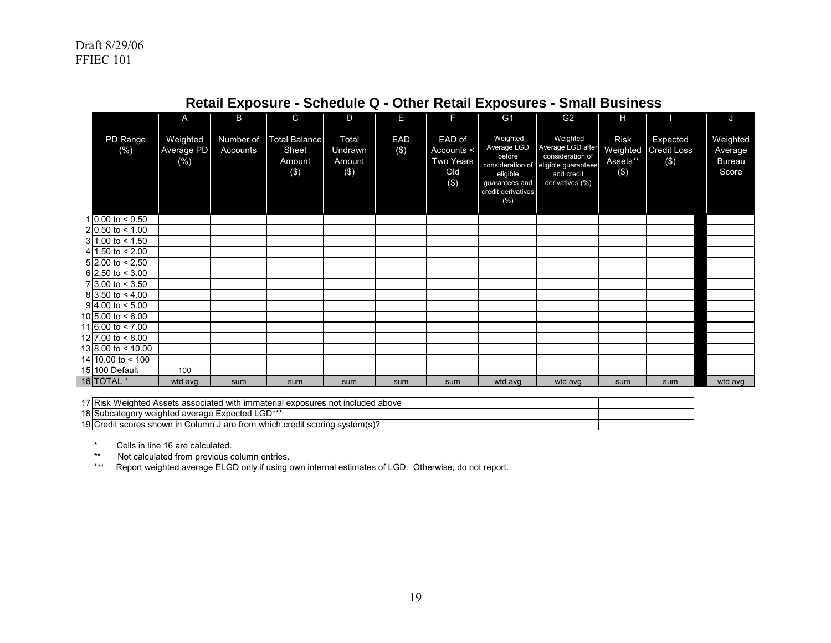|                                | A                             | B                     | $\mathsf{C}$                                   | D                                 | E             | E                                                         | G <sub>1</sub>                                                                                                       | G <sub>2</sub>                                                                                            | Н                                             |                                       | J                                             |
|--------------------------------|-------------------------------|-----------------------|------------------------------------------------|-----------------------------------|---------------|-----------------------------------------------------------|----------------------------------------------------------------------------------------------------------------------|-----------------------------------------------------------------------------------------------------------|-----------------------------------------------|---------------------------------------|-----------------------------------------------|
| PD Range<br>(% )               | Weighted<br>Average PD<br>(%) | Number of<br>Accounts | <b>Total Balance</b><br>Sheet<br>Amount<br>(3) | Total<br>Undrawn<br>Amount<br>(3) | EAD<br>$(\$)$ | EAD of<br>Accounts <<br><b>Two Years</b><br>Old<br>$(\$)$ | Weighted<br>Average LGD<br>before<br>consideration of<br>eligible<br>guarantees and<br>credit derivatives<br>$(\% )$ | Weighted<br>Average LGD after<br>consideration of<br>eligible guarantees<br>and credit<br>derivatives (%) | <b>Risk</b><br>Weighted<br>Assets**<br>$(\$)$ | Expected<br><b>Credit Loss</b><br>(3) | Weighted<br>Average<br><b>Bureau</b><br>Score |
| 1 0.00 to $< 0.50$             |                               |                       |                                                |                                   |               |                                                           |                                                                                                                      |                                                                                                           |                                               |                                       |                                               |
| $2 0.50$ to < 1.00             |                               |                       |                                                |                                   |               |                                                           |                                                                                                                      |                                                                                                           |                                               |                                       |                                               |
| 31.00 to < 1.50                |                               |                       |                                                |                                   |               |                                                           |                                                                                                                      |                                                                                                           |                                               |                                       |                                               |
| $4 \overline{)1.50}$ to < 2.00 |                               |                       |                                                |                                   |               |                                                           |                                                                                                                      |                                                                                                           |                                               |                                       |                                               |
| $5$ 2.00 to < 2.50             |                               |                       |                                                |                                   |               |                                                           |                                                                                                                      |                                                                                                           |                                               |                                       |                                               |
| $6$ 2.50 to < 3.00             |                               |                       |                                                |                                   |               |                                                           |                                                                                                                      |                                                                                                           |                                               |                                       |                                               |
| $7\,3.00$ to $< 3.50$          |                               |                       |                                                |                                   |               |                                                           |                                                                                                                      |                                                                                                           |                                               |                                       |                                               |
| $8\,3.50$ to $< 4.00$          |                               |                       |                                                |                                   |               |                                                           |                                                                                                                      |                                                                                                           |                                               |                                       |                                               |
| $9\overline{4.00}$ to < 5.00   |                               |                       |                                                |                                   |               |                                                           |                                                                                                                      |                                                                                                           |                                               |                                       |                                               |
| 10 5.00 to $< 6.00$            |                               |                       |                                                |                                   |               |                                                           |                                                                                                                      |                                                                                                           |                                               |                                       |                                               |
| 11 6.00 to $<$ 7.00            |                               |                       |                                                |                                   |               |                                                           |                                                                                                                      |                                                                                                           |                                               |                                       |                                               |
| 12 7.00 to $< 8.00$            |                               |                       |                                                |                                   |               |                                                           |                                                                                                                      |                                                                                                           |                                               |                                       |                                               |
| $13 8.00$ to < 10.00           |                               |                       |                                                |                                   |               |                                                           |                                                                                                                      |                                                                                                           |                                               |                                       |                                               |
| 14 10.00 to $<$ 100            |                               |                       |                                                |                                   |               |                                                           |                                                                                                                      |                                                                                                           |                                               |                                       |                                               |
| 15 100 Default                 | 100                           |                       |                                                |                                   |               |                                                           |                                                                                                                      |                                                                                                           |                                               |                                       |                                               |
| 16 TOTAL <sup>*</sup>          | wtd avg                       | sum                   | sum                                            | sum                               | sum           | sum                                                       | wtd avg                                                                                                              | wtd avg                                                                                                   | sum                                           | sum                                   | wtd avg                                       |

# **Retail Exposure - Schedule Q - Other Retail Exposures - Small Business**

17 Risk Weighted Assets associated with immaterial exposures not included above

18 Subcategory weighted average Expected LGD\*\*\*

19 Credit scores shown in Column J are from which credit scoring system(s)?

\* Cells in line 16 are calculated.

\*\* Not calculated from previous column entries.

\*\*\* Report weighted average ELGD only if using own internal estimates of LGD. Otherwise, do not report.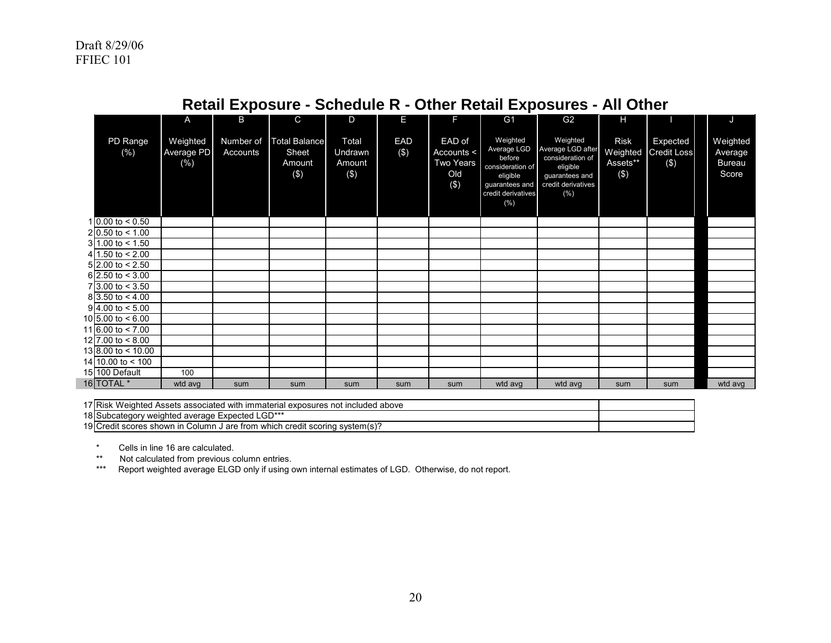|                               | A                                        | B                     | $\mathsf{C}$                                   | D                                     | E             |                                                 | G <sub>1</sub>                                                                                                    | G <sub>2</sub>                                                                                               | Н                                              |                                                  | J                                             |
|-------------------------------|------------------------------------------|-----------------------|------------------------------------------------|---------------------------------------|---------------|-------------------------------------------------|-------------------------------------------------------------------------------------------------------------------|--------------------------------------------------------------------------------------------------------------|------------------------------------------------|--------------------------------------------------|-----------------------------------------------|
| PD Range<br>(% )              | Weighted<br><b>Average PD</b><br>$(\% )$ | Number of<br>Accounts | <b>Total Balance</b><br>Sheet<br>Amount<br>(3) | Total<br>Undrawn<br>Amount<br>$($ \$) | EAD<br>$(\$)$ | EAD of<br>Accounts <<br>Two Years<br>Old<br>(3) | Weighted<br>Average LGD<br>before<br>consideration of<br>eligible<br>guarantees and<br>credit derivatives<br>(% ) | Weighted<br>Average LGD after<br>consideration of<br>eligible<br>guarantees and<br>credit derivatives<br>(%) | <b>Risk</b><br>Weighted<br>Assets**<br>$($ \$) | <b>Expected</b><br><b>Credit Loss</b><br>$($ \$) | Weighted<br>Average<br><b>Bureau</b><br>Score |
| 1 0.00 to $< 0.50$            |                                          |                       |                                                |                                       |               |                                                 |                                                                                                                   |                                                                                                              |                                                |                                                  |                                               |
| $2 0.50 \text{ to } 5.00$     |                                          |                       |                                                |                                       |               |                                                 |                                                                                                                   |                                                                                                              |                                                |                                                  |                                               |
| $31.00 \text{ to } 50$        |                                          |                       |                                                |                                       |               |                                                 |                                                                                                                   |                                                                                                              |                                                |                                                  |                                               |
| 4 1.50 to $< 2.00$            |                                          |                       |                                                |                                       |               |                                                 |                                                                                                                   |                                                                                                              |                                                |                                                  |                                               |
| $5$ 2.00 to < 2.50            |                                          |                       |                                                |                                       |               |                                                 |                                                                                                                   |                                                                                                              |                                                |                                                  |                                               |
| $6$ 2.50 to < 3.00            |                                          |                       |                                                |                                       |               |                                                 |                                                                                                                   |                                                                                                              |                                                |                                                  |                                               |
| $7 3.00 \text{ to } < 3.50$   |                                          |                       |                                                |                                       |               |                                                 |                                                                                                                   |                                                                                                              |                                                |                                                  |                                               |
| $8\overline{)3.50}$ to < 4.00 |                                          |                       |                                                |                                       |               |                                                 |                                                                                                                   |                                                                                                              |                                                |                                                  |                                               |
| $9\overline{4.00}$ to < 5.00  |                                          |                       |                                                |                                       |               |                                                 |                                                                                                                   |                                                                                                              |                                                |                                                  |                                               |
| 10 5.00 to $< 6.00$           |                                          |                       |                                                |                                       |               |                                                 |                                                                                                                   |                                                                                                              |                                                |                                                  |                                               |
| 11 6.00 to $< 7.00$           |                                          |                       |                                                |                                       |               |                                                 |                                                                                                                   |                                                                                                              |                                                |                                                  |                                               |
| 12 7.00 to $< 8.00$           |                                          |                       |                                                |                                       |               |                                                 |                                                                                                                   |                                                                                                              |                                                |                                                  |                                               |
| $13 8.00 \text{ to} < 10.00$  |                                          |                       |                                                |                                       |               |                                                 |                                                                                                                   |                                                                                                              |                                                |                                                  |                                               |
| 14 10.00 to $<$ 100           |                                          |                       |                                                |                                       |               |                                                 |                                                                                                                   |                                                                                                              |                                                |                                                  |                                               |
| 15 100 Default                | 100                                      |                       |                                                |                                       |               |                                                 |                                                                                                                   |                                                                                                              |                                                |                                                  |                                               |
| 16 TOTAL <sup>*</sup>         | wtd avg                                  | sum                   | sum                                            | sum                                   | sum           | sum                                             | wtd avg                                                                                                           | wtd avg                                                                                                      | sum                                            | sum                                              | wtd avg                                       |

# **Retail Exposure - Schedule R - Other Retail Exposures - All Other**

17 Risk Weighted Assets associated with immaterial exposures not included above

18 Subcategory weighted average Expected LGD\*\*\*

19 Credit scores shown in Column J are from which credit scoring system(s)?

\* Cells in line 16 are calculated.

\*\* Not calculated from previous column entries.<br>\*\*\* Report weighted average ELGD only if using

Report weighted average ELGD only if using own internal estimates of LGD. Otherwise, do not report.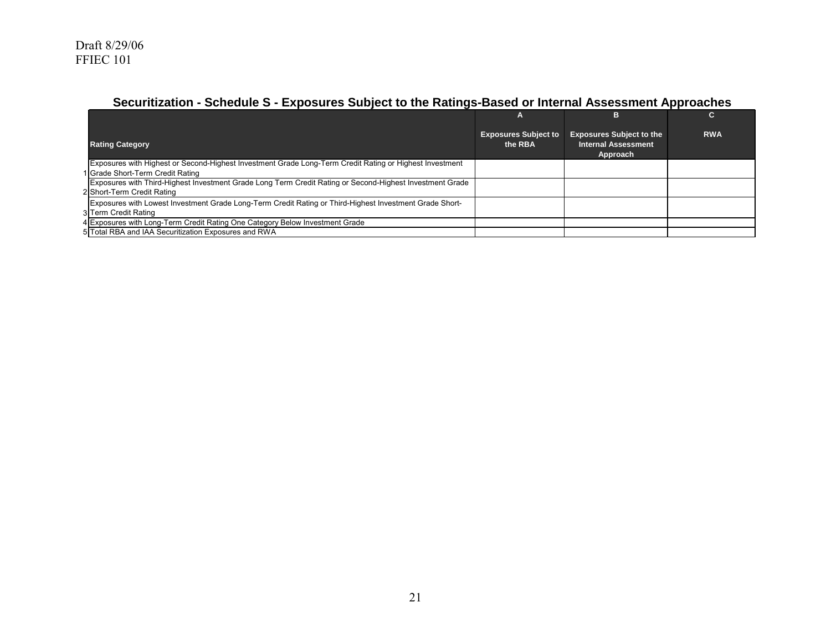# **Securitization - Schedule S - Exposures Subject to the Ratings-Based or Internal Assessment Approaches**

|                                                                                                          |                                        | в                                                                         |            |
|----------------------------------------------------------------------------------------------------------|----------------------------------------|---------------------------------------------------------------------------|------------|
| <b>Rating Category</b>                                                                                   | <b>Exposures Subject to</b><br>the RBA | <b>Exposures Subject to the</b><br><b>Internal Assessment</b><br>Approach | <b>RWA</b> |
| Exposures with Highest or Second-Highest Investment Grade Long-Term Credit Rating or Highest Investment  |                                        |                                                                           |            |
| 1 Grade Short-Term Credit Rating                                                                         |                                        |                                                                           |            |
| Exposures with Third-Highest Investment Grade Long Term Credit Rating or Second-Highest Investment Grade |                                        |                                                                           |            |
| 2 Short-Term Credit Rating                                                                               |                                        |                                                                           |            |
| Exposures with Lowest Investment Grade Long-Term Credit Rating or Third-Highest Investment Grade Short-  |                                        |                                                                           |            |
| 3 Term Credit Rating                                                                                     |                                        |                                                                           |            |
| 4 Exposures with Long-Term Credit Rating One Category Below Investment Grade                             |                                        |                                                                           |            |
| 5 Total RBA and IAA Securitization Exposures and RWA                                                     |                                        |                                                                           |            |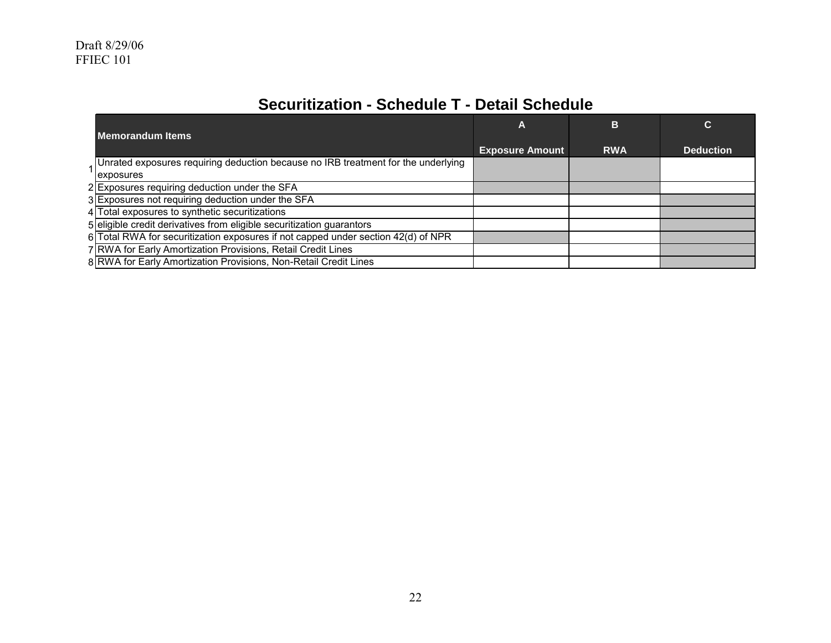# **Securitization - Schedule T - Detail Schedule**

| <b>Memorandum Items</b>                                                             | A                      | в          | C                |
|-------------------------------------------------------------------------------------|------------------------|------------|------------------|
|                                                                                     | <b>Exposure Amount</b> | <b>RWA</b> | <b>Deduction</b> |
| 1 Unrated exposures requiring deduction because no IRB treatment for the underlying |                        |            |                  |
| exposures                                                                           |                        |            |                  |
| 2 Exposures requiring deduction under the SFA                                       |                        |            |                  |
| 3 Exposures not requiring deduction under the SFA                                   |                        |            |                  |
| 4 Total exposures to synthetic securitizations                                      |                        |            |                  |
| 5 eligible credit derivatives from eligible securitization guarantors               |                        |            |                  |
| 6 Total RWA for securitization exposures if not capped under section 42(d) of NPR   |                        |            |                  |
| 7 RWA for Early Amortization Provisions, Retail Credit Lines                        |                        |            |                  |
| 8 RWA for Early Amortization Provisions, Non-Retail Credit Lines                    |                        |            |                  |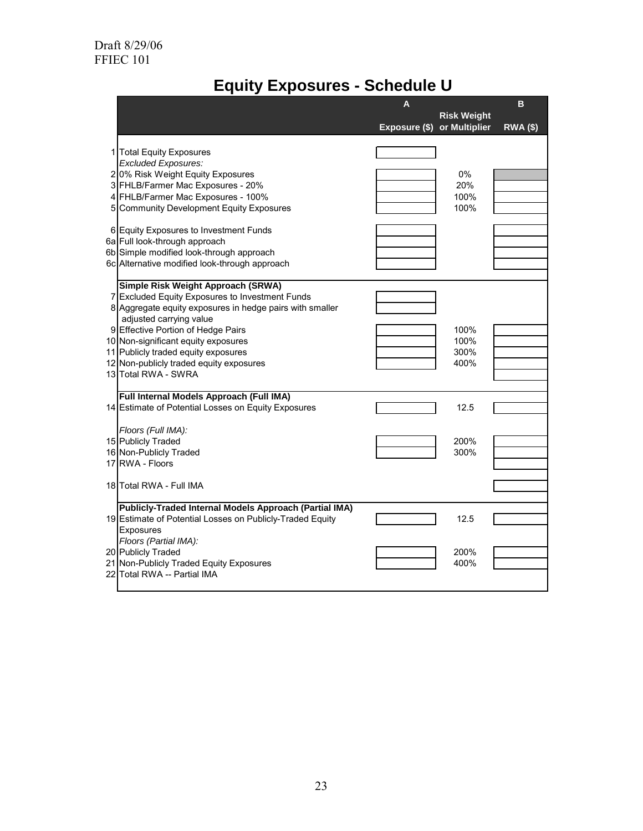# **Equity Exposures - Schedule U**

|   |                                                                                                                                                                                                                                                                                                                                                                    | A                           |                              | B               |
|---|--------------------------------------------------------------------------------------------------------------------------------------------------------------------------------------------------------------------------------------------------------------------------------------------------------------------------------------------------------------------|-----------------------------|------------------------------|-----------------|
|   |                                                                                                                                                                                                                                                                                                                                                                    | Exposure (\$) or Multiplier | <b>Risk Weight</b>           | <b>RWA (\$)</b> |
| 1 | <b>Total Equity Exposures</b><br><b>Excluded Exposures:</b><br>20% Risk Weight Equity Exposures<br>3 FHLB/Farmer Mac Exposures - 20%<br>4 FHLB/Farmer Mac Exposures - 100%<br>5 Community Development Equity Exposures                                                                                                                                             |                             | $0\%$<br>20%<br>100%<br>100% |                 |
|   | 6 Equity Exposures to Investment Funds<br>6a Full look-through approach<br>6b Simple modified look-through approach<br>6c Alternative modified look-through approach                                                                                                                                                                                               |                             |                              |                 |
|   | Simple Risk Weight Approach (SRWA)<br>7 Excluded Equity Exposures to Investment Funds<br>8 Aggregate equity exposures in hedge pairs with smaller<br>adjusted carrying value<br>9 Effective Portion of Hedge Pairs<br>10 Non-significant equity exposures<br>11 Publicly traded equity exposures<br>12 Non-publicly traded equity exposures<br>13 Total RWA - SWRA |                             | 100%<br>100%<br>300%<br>400% |                 |
|   | Full Internal Models Approach (Full IMA)<br>14 Estimate of Potential Losses on Equity Exposures                                                                                                                                                                                                                                                                    |                             | 12.5                         |                 |
|   | Floors (Full IMA):<br>15 Publicly Traded<br>16 Non-Publicly Traded<br>17 RWA - Floors                                                                                                                                                                                                                                                                              |                             | 200%<br>300%                 |                 |
|   | 18 Total RWA - Full IMA                                                                                                                                                                                                                                                                                                                                            |                             |                              |                 |
|   | Publicly-Traded Internal Models Approach (Partial IMA)<br>19 Estimate of Potential Losses on Publicly-Traded Equity<br>Exposures                                                                                                                                                                                                                                   |                             | 12.5                         |                 |
|   | Floors (Partial IMA):<br>20 Publicly Traded<br>21 Non-Publicly Traded Equity Exposures<br>22 Total RWA -- Partial IMA                                                                                                                                                                                                                                              |                             | 200%<br>400%                 |                 |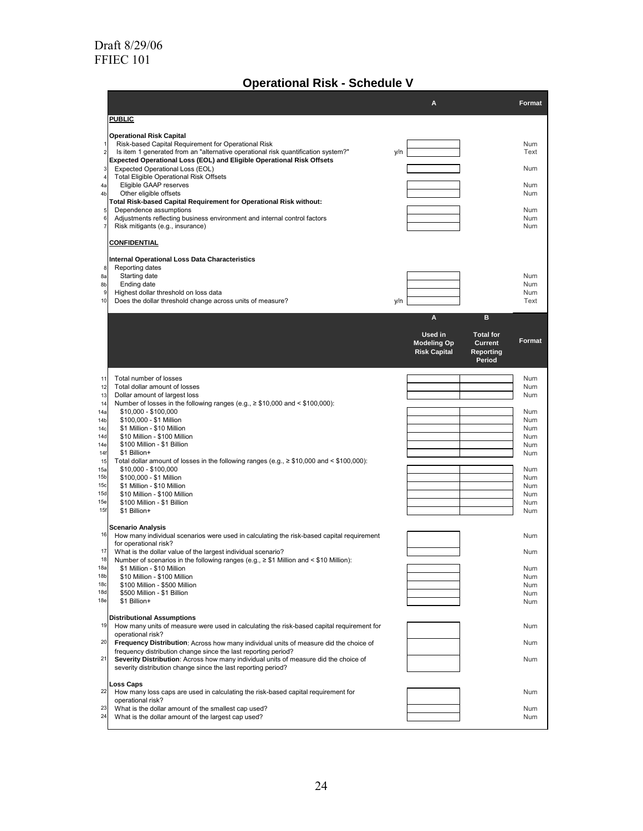## **Operational Risk - Schedule V**

|                                    |                                                                                                                                                                                    | A                             |                                    | Format                   |
|------------------------------------|------------------------------------------------------------------------------------------------------------------------------------------------------------------------------------|-------------------------------|------------------------------------|--------------------------|
|                                    | <b>PUBLIC</b>                                                                                                                                                                      |                               |                                    |                          |
| 1<br>$\overline{\mathbf{c}}$       | <b>Operational Risk Capital</b><br>Risk-based Capital Requirement for Operational Risk<br>Is item 1 generated from an "alternative operational risk quantification system?"<br>y/n |                               |                                    | Num<br>Text              |
| 3                                  | Expected Operational Loss (EOL) and Eligible Operational Risk Offsets<br>Expected Operational Loss (EOL)                                                                           |                               |                                    | Num                      |
| 4<br>4a                            | <b>Total Eligible Operational Risk Offsets</b><br>Eligible GAAP reserves                                                                                                           |                               |                                    | <b>Num</b>               |
| 4b                                 | Other eligible offsets<br>Total Risk-based Capital Requirement for Operational Risk without:                                                                                       |                               |                                    | Num                      |
| 5<br>6<br>7                        | Dependence assumptions<br>Adjustments reflecting business environment and internal control factors<br>Risk mitigants (e.g., insurance)                                             |                               |                                    | Num<br>Num<br><b>Num</b> |
|                                    | <u>CONFIDENTIAL</u>                                                                                                                                                                |                               |                                    |                          |
| 8                                  | Internal Operational Loss Data Characteristics<br>Reporting dates                                                                                                                  |                               |                                    |                          |
| 8a                                 | Starting date                                                                                                                                                                      |                               |                                    | Num                      |
| 8b<br>9                            | Ending date<br>Highest dollar threshold on loss data                                                                                                                               |                               |                                    | Num<br><b>Num</b>        |
| 10                                 | Does the dollar threshold change across units of measure?<br>y/n                                                                                                                   |                               |                                    | Text                     |
|                                    |                                                                                                                                                                                    | A                             | в                                  |                          |
|                                    |                                                                                                                                                                                    | Used in<br><b>Modeling Op</b> | <b>Total for</b><br><b>Current</b> | Format                   |
|                                    |                                                                                                                                                                                    | <b>Risk Capital</b>           | Reporting<br>Period                |                          |
| 11                                 | Total number of losses                                                                                                                                                             |                               |                                    | Num                      |
| 12                                 | Total dollar amount of losses                                                                                                                                                      |                               |                                    | Num                      |
| 13<br>14                           | Dollar amount of largest loss<br>Number of losses in the following ranges (e.g., $\geq$ \$10,000 and < \$100,000):                                                                 |                               |                                    | Num                      |
| 14a                                | \$10,000 - \$100,000                                                                                                                                                               |                               |                                    | <b>Num</b>               |
| 14 <sub>b</sub>                    | \$100,000 - \$1 Million<br>\$1 Million - \$10 Million                                                                                                                              |                               |                                    | Num                      |
| 14 <sub>c</sub><br>14d             | \$10 Million - \$100 Million                                                                                                                                                       |                               |                                    | Num<br>Num               |
| 14e                                | \$100 Million - \$1 Billion                                                                                                                                                        |                               |                                    | <b>Num</b>               |
| 14f<br>15                          | \$1 Billion+<br>Total dollar amount of losses in the following ranges (e.g., $\geq$ \$10,000 and < \$100,000):                                                                     |                               |                                    | Num                      |
| 15a                                | \$10,000 - \$100,000                                                                                                                                                               |                               |                                    | Num                      |
| 15 <sub>b</sub>                    | \$100,000 - \$1 Million                                                                                                                                                            |                               |                                    | Num                      |
| 15 <sub>c</sub><br>15d             | \$1 Million - \$10 Million<br>\$10 Million - \$100 Million                                                                                                                         |                               |                                    | Num<br>Num               |
| 15e                                | \$100 Million - \$1 Billion                                                                                                                                                        |                               |                                    | Num                      |
| 15f                                | \$1 Billion+                                                                                                                                                                       |                               |                                    | Num                      |
| 16                                 | <b>Scenario Analysis</b><br>How many individual scenarios were used in calculating the risk-based capital requirement                                                              |                               |                                    | Num                      |
| 17                                 | for operational risk?<br>What is the dollar value of the largest individual scenario?                                                                                              |                               |                                    | Num                      |
| 18<br>18a                          | Number of scenarios in the following ranges (e.g., $\geq$ \$1 Million and < \$10 Million):<br>\$1 Million - \$10 Million                                                           |                               |                                    | Num                      |
| 18 <sub>b</sub><br>18 <sub>c</sub> | \$10 Million - \$100 Million<br>\$100 Million - \$500 Million                                                                                                                      |                               |                                    | Num<br><b>Num</b>        |
| 18d                                | \$500 Million - \$1 Billion                                                                                                                                                        |                               |                                    | Num                      |
| 18e                                | \$1 Billion+                                                                                                                                                                       |                               |                                    | Num                      |
|                                    | <b>Distributional Assumptions</b>                                                                                                                                                  |                               |                                    |                          |
| 19                                 | How many units of measure were used in calculating the risk-based capital requirement for<br>operational risk?                                                                     |                               |                                    | Num                      |
| 20                                 | Frequency Distribution: Across how many individual units of measure did the choice of<br>frequency distribution change since the last reporting period?                            |                               |                                    | Num                      |
| 21                                 | Severity Distribution: Across how many individual units of measure did the choice of<br>severity distribution change since the last reporting period?                              |                               |                                    | Num                      |
| 22                                 | <b>Loss Caps</b>                                                                                                                                                                   |                               |                                    |                          |
|                                    | How many loss caps are used in calculating the risk-based capital requirement for<br>operational risk?                                                                             |                               |                                    | <b>Num</b>               |
| 23<br>24                           | What is the dollar amount of the smallest cap used?<br>What is the dollar amount of the largest cap used?                                                                          |                               |                                    | Num<br>Num               |
|                                    |                                                                                                                                                                                    |                               |                                    |                          |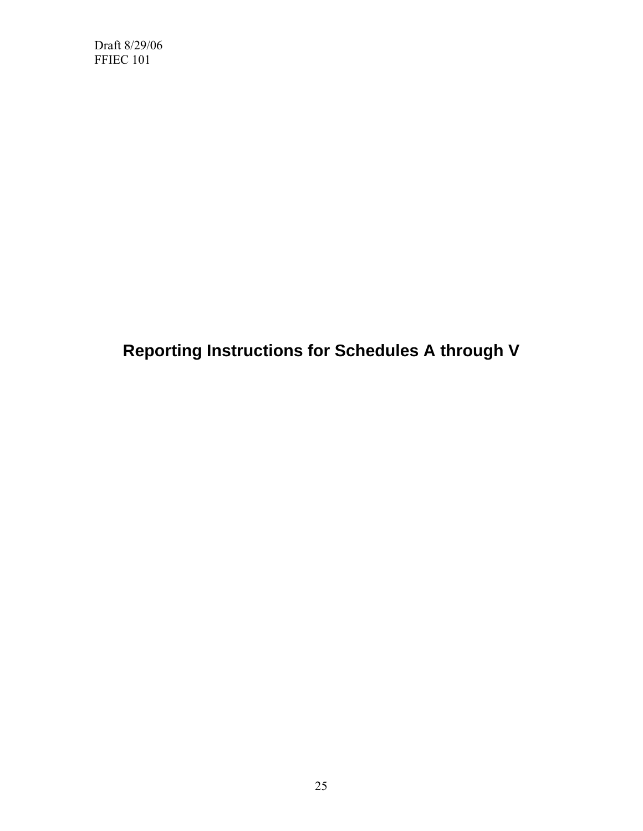**Reporting Instructions for Schedules A through V**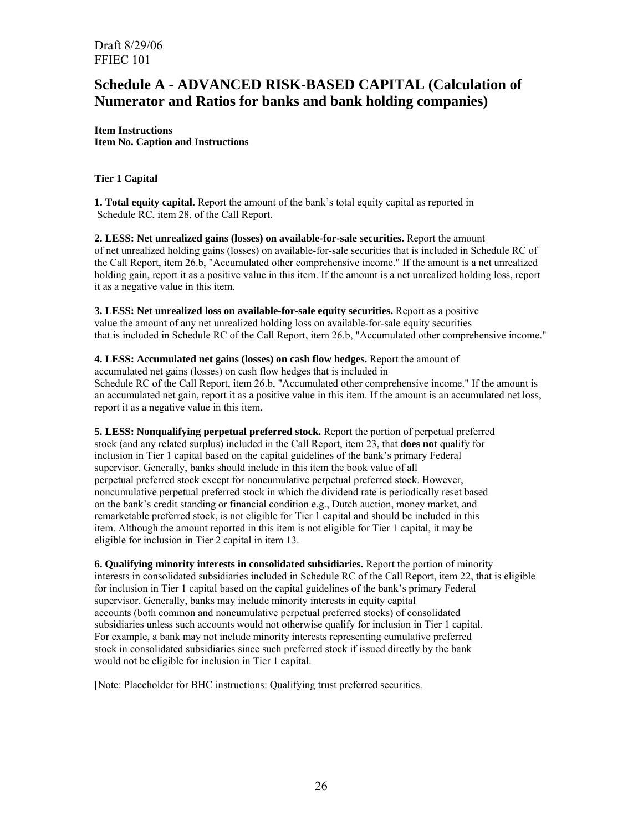## **Schedule A - ADVANCED RISK-BASED CAPITAL (Calculation of Numerator and Ratios for banks and bank holding companies)**

**Item Instructions Item No. Caption and Instructions** 

#### **Tier 1 Capital**

**1. Total equity capital.** Report the amount of the bank's total equity capital as reported in Schedule RC, item 28, of the Call Report.

**2. LESS: Net unrealized gains (losses) on available-for-sale securities.** Report the amount of net unrealized holding gains (losses) on available-for-sale securities that is included in Schedule RC of the Call Report, item 26.b, "Accumulated other comprehensive income." If the amount is a net unrealized holding gain, report it as a positive value in this item. If the amount is a net unrealized holding loss, report it as a negative value in this item.

**3. LESS: Net unrealized loss on available-for-sale equity securities.** Report as a positive value the amount of any net unrealized holding loss on available-for-sale equity securities that is included in Schedule RC of the Call Report, item 26.b, "Accumulated other comprehensive income."

**4. LESS: Accumulated net gains (losses) on cash flow hedges.** Report the amount of accumulated net gains (losses) on cash flow hedges that is included in Schedule RC of the Call Report, item 26.b, "Accumulated other comprehensive income." If the amount is an accumulated net gain, report it as a positive value in this item. If the amount is an accumulated net loss, report it as a negative value in this item.

**5. LESS: Nonqualifying perpetual preferred stock.** Report the portion of perpetual preferred stock (and any related surplus) included in the Call Report, item 23, that **does not** qualify for inclusion in Tier 1 capital based on the capital guidelines of the bank's primary Federal supervisor. Generally, banks should include in this item the book value of all perpetual preferred stock except for noncumulative perpetual preferred stock. However, noncumulative perpetual preferred stock in which the dividend rate is periodically reset based on the bank's credit standing or financial condition e.g., Dutch auction, money market, and remarketable preferred stock, is not eligible for Tier 1 capital and should be included in this item. Although the amount reported in this item is not eligible for Tier 1 capital, it may be eligible for inclusion in Tier 2 capital in item 13.

**6. Qualifying minority interests in consolidated subsidiaries.** Report the portion of minority interests in consolidated subsidiaries included in Schedule RC of the Call Report, item 22, that is eligible for inclusion in Tier 1 capital based on the capital guidelines of the bank's primary Federal supervisor. Generally, banks may include minority interests in equity capital accounts (both common and noncumulative perpetual preferred stocks) of consolidated subsidiaries unless such accounts would not otherwise qualify for inclusion in Tier 1 capital. For example, a bank may not include minority interests representing cumulative preferred stock in consolidated subsidiaries since such preferred stock if issued directly by the bank would not be eligible for inclusion in Tier 1 capital.

[Note: Placeholder for BHC instructions: Qualifying trust preferred securities.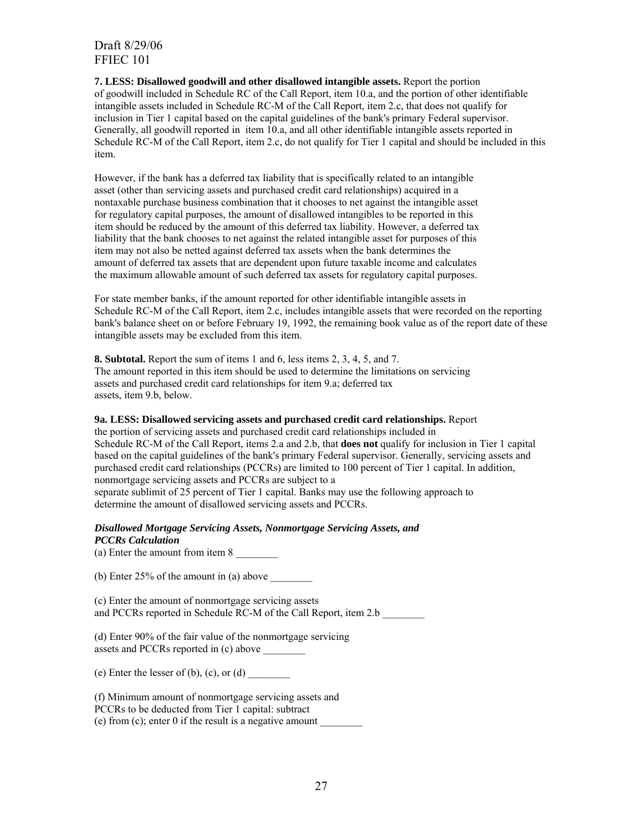**7. LESS: Disallowed goodwill and other disallowed intangible assets.** Report the portion of goodwill included in Schedule RC of the Call Report, item 10.a, and the portion of other identifiable intangible assets included in Schedule RC-M of the Call Report, item 2.c, that does not qualify for inclusion in Tier 1 capital based on the capital guidelines of the bank's primary Federal supervisor. Generally, all goodwill reported in item 10.a, and all other identifiable intangible assets reported in Schedule RC-M of the Call Report, item 2.c, do not qualify for Tier 1 capital and should be included in this item.

However, if the bank has a deferred tax liability that is specifically related to an intangible asset (other than servicing assets and purchased credit card relationships) acquired in a nontaxable purchase business combination that it chooses to net against the intangible asset for regulatory capital purposes, the amount of disallowed intangibles to be reported in this item should be reduced by the amount of this deferred tax liability. However, a deferred tax liability that the bank chooses to net against the related intangible asset for purposes of this item may not also be netted against deferred tax assets when the bank determines the amount of deferred tax assets that are dependent upon future taxable income and calculates the maximum allowable amount of such deferred tax assets for regulatory capital purposes.

For state member banks, if the amount reported for other identifiable intangible assets in Schedule RC-M of the Call Report, item 2.c, includes intangible assets that were recorded on the reporting bank's balance sheet on or before February 19, 1992, the remaining book value as of the report date of these intangible assets may be excluded from this item.

**8. Subtotal.** Report the sum of items 1 and 6, less items 2, 3, 4, 5, and 7. The amount reported in this item should be used to determine the limitations on servicing assets and purchased credit card relationships for item 9.a; deferred tax assets, item 9.b, below.

#### **9a. LESS: Disallowed servicing assets and purchased credit card relationships.** Report

the portion of servicing assets and purchased credit card relationships included in Schedule RC-M of the Call Report, items 2.a and 2.b, that **does not** qualify for inclusion in Tier 1 capital based on the capital guidelines of the bank's primary Federal supervisor. Generally, servicing assets and purchased credit card relationships (PCCRs) are limited to 100 percent of Tier 1 capital. In addition, nonmortgage servicing assets and PCCRs are subject to a separate sublimit of 25 percent of Tier 1 capital. Banks may use the following approach to determine the amount of disallowed servicing assets and PCCRs.

#### *Disallowed Mortgage Servicing Assets, Nonmortgage Servicing Assets, and PCCRs Calculation*

(a) Enter the amount from item 8

(b) Enter  $25\%$  of the amount in (a) above

(c) Enter the amount of nonmortgage servicing assets and PCCRs reported in Schedule RC-M of the Call Report, item 2.b

(d) Enter 90% of the fair value of the nonmortgage servicing assets and PCCRs reported in (c) above

(e) Enter the lesser of (b), (c), or (d)

(f) Minimum amount of nonmortgage servicing assets and PCCRs to be deducted from Tier 1 capital: subtract (e) from (c); enter 0 if the result is a negative amount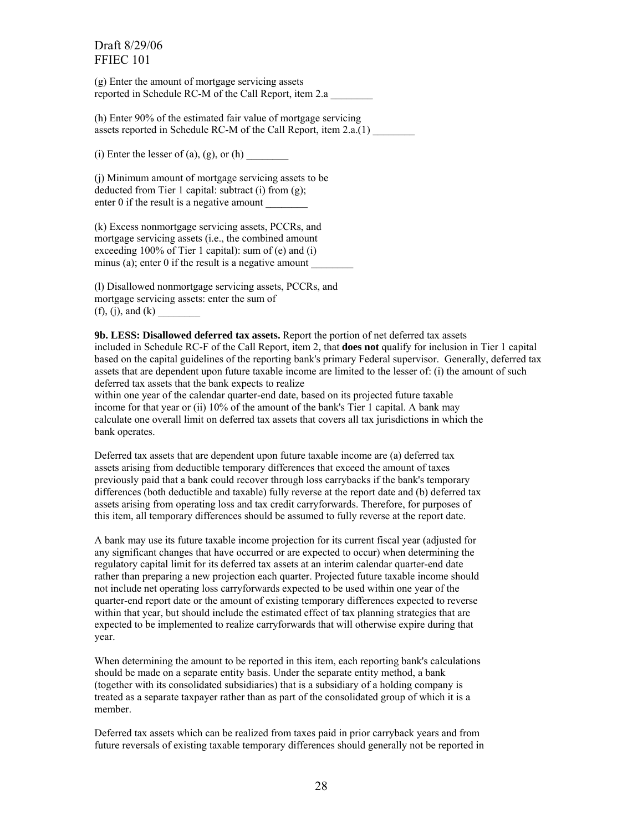(g) Enter the amount of mortgage servicing assets reported in Schedule RC-M of the Call Report, item 2.a \_\_\_\_\_\_\_\_

(h) Enter 90% of the estimated fair value of mortgage servicing assets reported in Schedule RC-M of the Call Report, item 2.a.(1)

(i) Enter the lesser of (a), (g), or (h)

(j) Minimum amount of mortgage servicing assets to be deducted from Tier 1 capital: subtract (i) from (g); enter 0 if the result is a negative amount

(k) Excess nonmortgage servicing assets, PCCRs, and mortgage servicing assets (i.e., the combined amount exceeding 100% of Tier 1 capital): sum of (e) and (i) minus (a); enter 0 if the result is a negative amount

(l) Disallowed nonmortgage servicing assets, PCCRs, and mortgage servicing assets: enter the sum of  $(f)$ ,  $(i)$ , and  $(k)$ 

**9b. LESS: Disallowed deferred tax assets.** Report the portion of net deferred tax assets included in Schedule RC-F of the Call Report, item 2, that **does not** qualify for inclusion in Tier 1 capital based on the capital guidelines of the reporting bank's primary Federal supervisor. Generally, deferred tax assets that are dependent upon future taxable income are limited to the lesser of: (i) the amount of such deferred tax assets that the bank expects to realize

within one year of the calendar quarter-end date, based on its projected future taxable income for that year or (ii) 10% of the amount of the bank's Tier 1 capital. A bank may calculate one overall limit on deferred tax assets that covers all tax jurisdictions in which the bank operates.

Deferred tax assets that are dependent upon future taxable income are (a) deferred tax assets arising from deductible temporary differences that exceed the amount of taxes previously paid that a bank could recover through loss carrybacks if the bank's temporary differences (both deductible and taxable) fully reverse at the report date and (b) deferred tax assets arising from operating loss and tax credit carryforwards. Therefore, for purposes of this item, all temporary differences should be assumed to fully reverse at the report date.

A bank may use its future taxable income projection for its current fiscal year (adjusted for any significant changes that have occurred or are expected to occur) when determining the regulatory capital limit for its deferred tax assets at an interim calendar quarter-end date rather than preparing a new projection each quarter. Projected future taxable income should not include net operating loss carryforwards expected to be used within one year of the quarter-end report date or the amount of existing temporary differences expected to reverse within that year, but should include the estimated effect of tax planning strategies that are expected to be implemented to realize carryforwards that will otherwise expire during that year.

When determining the amount to be reported in this item, each reporting bank's calculations should be made on a separate entity basis. Under the separate entity method, a bank (together with its consolidated subsidiaries) that is a subsidiary of a holding company is treated as a separate taxpayer rather than as part of the consolidated group of which it is a member.

Deferred tax assets which can be realized from taxes paid in prior carryback years and from future reversals of existing taxable temporary differences should generally not be reported in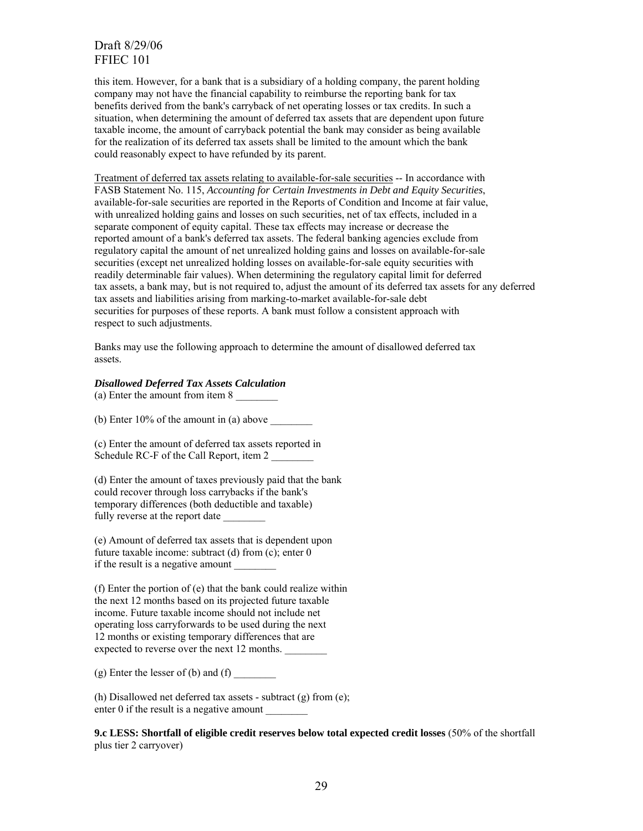this item. However, for a bank that is a subsidiary of a holding company, the parent holding company may not have the financial capability to reimburse the reporting bank for tax benefits derived from the bank's carryback of net operating losses or tax credits. In such a situation, when determining the amount of deferred tax assets that are dependent upon future taxable income, the amount of carryback potential the bank may consider as being available for the realization of its deferred tax assets shall be limited to the amount which the bank could reasonably expect to have refunded by its parent.

Treatment of deferred tax assets relating to available-for-sale securities -- In accordance with FASB Statement No. 115, *Accounting for Certain Investments in Debt and Equity Securities*, available-for-sale securities are reported in the Reports of Condition and Income at fair value, with unrealized holding gains and losses on such securities, net of tax effects, included in a separate component of equity capital. These tax effects may increase or decrease the reported amount of a bank's deferred tax assets. The federal banking agencies exclude from regulatory capital the amount of net unrealized holding gains and losses on available-for-sale securities (except net unrealized holding losses on available-for-sale equity securities with readily determinable fair values). When determining the regulatory capital limit for deferred tax assets, a bank may, but is not required to, adjust the amount of its deferred tax assets for any deferred tax assets and liabilities arising from marking-to-market available-for-sale debt securities for purposes of these reports. A bank must follow a consistent approach with respect to such adjustments.

Banks may use the following approach to determine the amount of disallowed deferred tax assets.

#### *Disallowed Deferred Tax Assets Calculation*

(a) Enter the amount from item 8

(b) Enter  $10\%$  of the amount in (a) above

(c) Enter the amount of deferred tax assets reported in Schedule RC-F of the Call Report, item 2

(d) Enter the amount of taxes previously paid that the bank could recover through loss carrybacks if the bank's temporary differences (both deductible and taxable) fully reverse at the report date

(e) Amount of deferred tax assets that is dependent upon future taxable income: subtract (d) from (c); enter 0 if the result is a negative amount

(f) Enter the portion of (e) that the bank could realize within the next 12 months based on its projected future taxable income. Future taxable income should not include net operating loss carryforwards to be used during the next 12 months or existing temporary differences that are expected to reverse over the next 12 months.

 $(g)$  Enter the lesser of (b) and (f)

(h) Disallowed net deferred tax assets - subtract (g) from (e); enter 0 if the result is a negative amount

**9.c LESS: Shortfall of eligible credit reserves below total expected credit losses** (50% of the shortfall plus tier 2 carryover)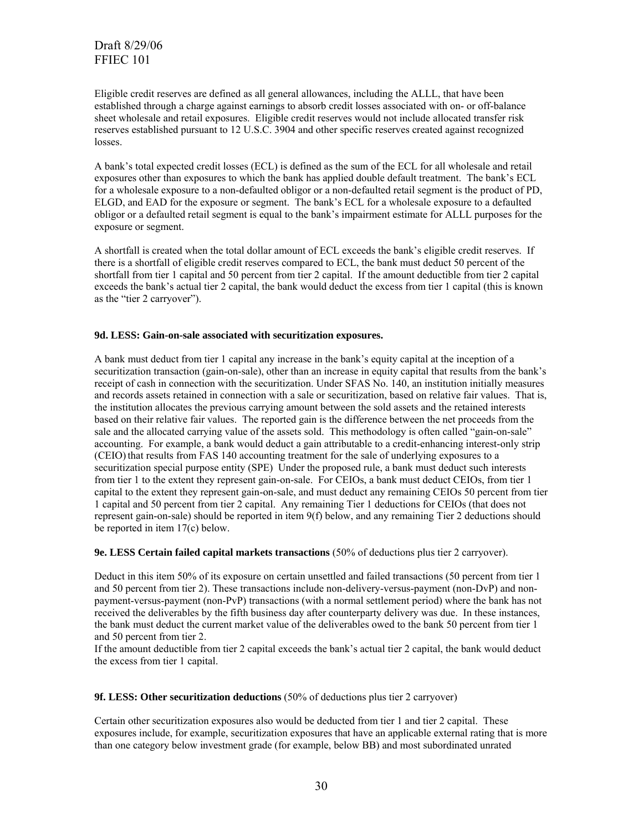Eligible credit reserves are defined as all general allowances, including the ALLL, that have been established through a charge against earnings to absorb credit losses associated with on- or off-balance sheet wholesale and retail exposures. Eligible credit reserves would not include allocated transfer risk reserves established pursuant to 12 U.S.C. 3904 and other specific reserves created against recognized losses.

A bank's total expected credit losses (ECL) is defined as the sum of the ECL for all wholesale and retail exposures other than exposures to which the bank has applied double default treatment. The bank's ECL for a wholesale exposure to a non-defaulted obligor or a non-defaulted retail segment is the product of PD, ELGD, and EAD for the exposure or segment. The bank's ECL for a wholesale exposure to a defaulted obligor or a defaulted retail segment is equal to the bank's impairment estimate for ALLL purposes for the exposure or segment.

A shortfall is created when the total dollar amount of ECL exceeds the bank's eligible credit reserves. If there is a shortfall of eligible credit reserves compared to ECL, the bank must deduct 50 percent of the shortfall from tier 1 capital and 50 percent from tier 2 capital. If the amount deductible from tier 2 capital exceeds the bank's actual tier 2 capital, the bank would deduct the excess from tier 1 capital (this is known as the "tier 2 carryover").

#### **9d. LESS: Gain-on-sale associated with securitization exposures.**

A bank must deduct from tier 1 capital any increase in the bank's equity capital at the inception of a securitization transaction (gain-on-sale), other than an increase in equity capital that results from the bank's receipt of cash in connection with the securitization. Under SFAS No. 140, an institution initially measures and records assets retained in connection with a sale or securitization, based on relative fair values. That is, the institution allocates the previous carrying amount between the sold assets and the retained interests based on their relative fair values. The reported gain is the difference between the net proceeds from the sale and the allocated carrying value of the assets sold. This methodology is often called "gain-on-sale" accounting. For example, a bank would deduct a gain attributable to a credit-enhancing interest-only strip (CEIO) that results from FAS 140 accounting treatment for the sale of underlying exposures to a securitization special purpose entity (SPE) Under the proposed rule, a bank must deduct such interests from tier 1 to the extent they represent gain-on-sale. For CEIOs, a bank must deduct CEIOs, from tier 1 capital to the extent they represent gain-on-sale, and must deduct any remaining CEIOs 50 percent from tier 1 capital and 50 percent from tier 2 capital. Any remaining Tier 1 deductions for CEIOs (that does not represent gain-on-sale) should be reported in item 9(f) below, and any remaining Tier 2 deductions should be reported in item 17(c) below.

#### **9e. LESS Certain failed capital markets transactions** (50% of deductions plus tier 2 carryover).

Deduct in this item 50% of its exposure on certain unsettled and failed transactions (50 percent from tier 1 and 50 percent from tier 2). These transactions include non-delivery-versus-payment (non-DvP) and nonpayment-versus-payment (non-PvP) transactions (with a normal settlement period) where the bank has not received the deliverables by the fifth business day after counterparty delivery was due. In these instances, the bank must deduct the current market value of the deliverables owed to the bank 50 percent from tier 1 and 50 percent from tier 2.

If the amount deductible from tier 2 capital exceeds the bank's actual tier 2 capital, the bank would deduct the excess from tier 1 capital.

#### **9f. LESS: Other securitization deductions** (50% of deductions plus tier 2 carryover)

Certain other securitization exposures also would be deducted from tier 1 and tier 2 capital. These exposures include, for example, securitization exposures that have an applicable external rating that is more than one category below investment grade (for example, below BB) and most subordinated unrated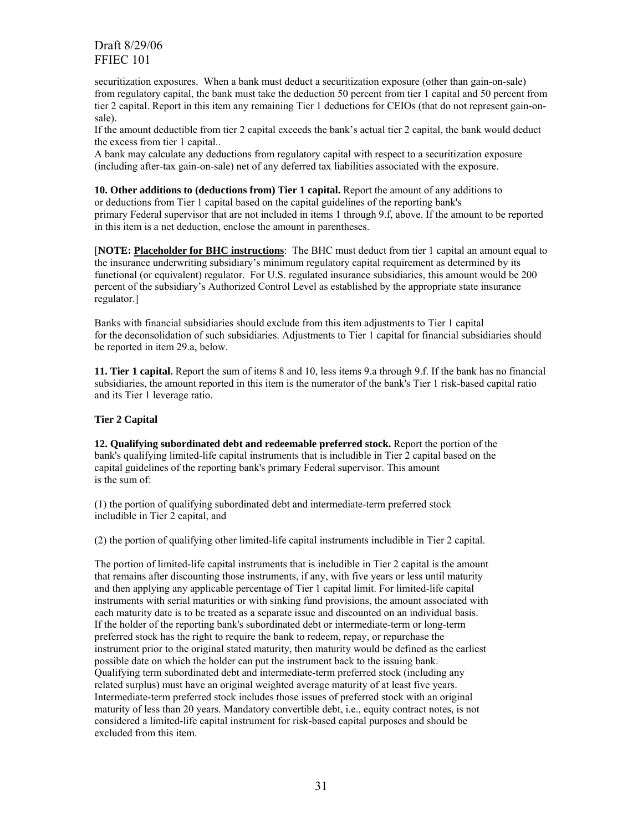securitization exposures. When a bank must deduct a securitization exposure (other than gain-on-sale) from regulatory capital, the bank must take the deduction 50 percent from tier 1 capital and 50 percent from tier 2 capital. Report in this item any remaining Tier 1 deductions for CEIOs (that do not represent gain-onsale).

If the amount deductible from tier 2 capital exceeds the bank's actual tier 2 capital, the bank would deduct the excess from tier 1 capital..

A bank may calculate any deductions from regulatory capital with respect to a securitization exposure (including after-tax gain-on-sale) net of any deferred tax liabilities associated with the exposure.

**10. Other additions to (deductions from) Tier 1 capital.** Report the amount of any additions to or deductions from Tier 1 capital based on the capital guidelines of the reporting bank's primary Federal supervisor that are not included in items 1 through 9.f, above. If the amount to be reported in this item is a net deduction, enclose the amount in parentheses.

[**NOTE: Placeholder for BHC instructions**: The BHC must deduct from tier 1 capital an amount equal to the insurance underwriting subsidiary's minimum regulatory capital requirement as determined by its functional (or equivalent) regulator. For U.S. regulated insurance subsidiaries, this amount would be 200 percent of the subsidiary's Authorized Control Level as established by the appropriate state insurance regulator.]

Banks with financial subsidiaries should exclude from this item adjustments to Tier 1 capital for the deconsolidation of such subsidiaries. Adjustments to Tier 1 capital for financial subsidiaries should be reported in item 29.a, below.

**11. Tier 1 capital.** Report the sum of items 8 and 10, less items 9.a through 9.f. If the bank has no financial subsidiaries, the amount reported in this item is the numerator of the bank's Tier 1 risk-based capital ratio and its Tier 1 leverage ratio.

#### **Tier 2 Capital**

**12. Qualifying subordinated debt and redeemable preferred stock.** Report the portion of the bank's qualifying limited-life capital instruments that is includible in Tier 2 capital based on the capital guidelines of the reporting bank's primary Federal supervisor. This amount is the sum of:

(1) the portion of qualifying subordinated debt and intermediate-term preferred stock includible in Tier 2 capital, and

(2) the portion of qualifying other limited-life capital instruments includible in Tier 2 capital.

The portion of limited-life capital instruments that is includible in Tier 2 capital is the amount that remains after discounting those instruments, if any, with five years or less until maturity and then applying any applicable percentage of Tier 1 capital limit. For limited-life capital instruments with serial maturities or with sinking fund provisions, the amount associated with each maturity date is to be treated as a separate issue and discounted on an individual basis. If the holder of the reporting bank's subordinated debt or intermediate-term or long-term preferred stock has the right to require the bank to redeem, repay, or repurchase the instrument prior to the original stated maturity, then maturity would be defined as the earliest possible date on which the holder can put the instrument back to the issuing bank. Qualifying term subordinated debt and intermediate-term preferred stock (including any related surplus) must have an original weighted average maturity of at least five years. Intermediate-term preferred stock includes those issues of preferred stock with an original maturity of less than 20 years. Mandatory convertible debt, i.e., equity contract notes, is not considered a limited-life capital instrument for risk-based capital purposes and should be excluded from this item.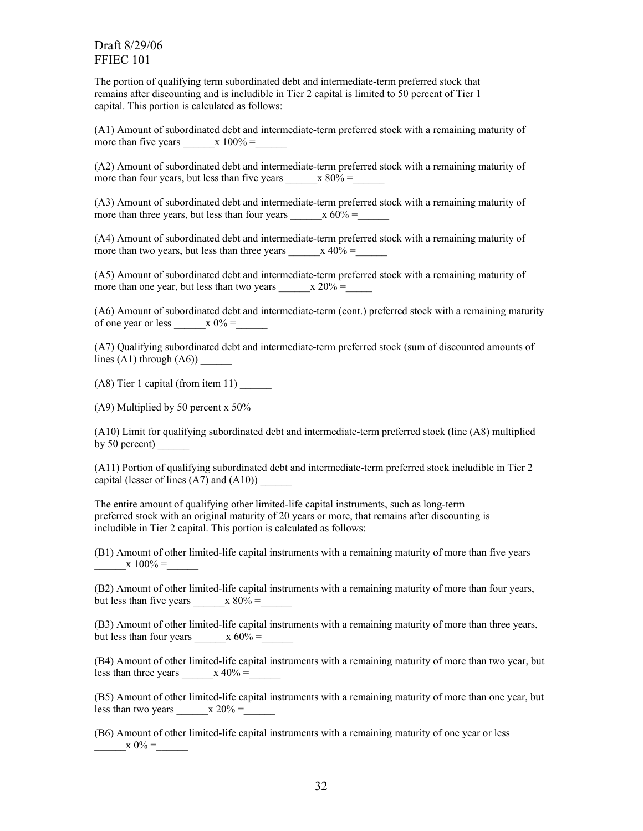The portion of qualifying term subordinated debt and intermediate-term preferred stock that remains after discounting and is includible in Tier 2 capital is limited to 50 percent of Tier 1 capital. This portion is calculated as follows:

(A1) Amount of subordinated debt and intermediate-term preferred stock with a remaining maturity of more than five years  $x 100% =$ 

(A2) Amount of subordinated debt and intermediate-term preferred stock with a remaining maturity of more than four years, but less than five years  $x 80% =$ 

(A3) Amount of subordinated debt and intermediate-term preferred stock with a remaining maturity of more than three years, but less than four years  $x 60\% =$ 

(A4) Amount of subordinated debt and intermediate-term preferred stock with a remaining maturity of more than two years, but less than three years  $x 40% =$ 

(A5) Amount of subordinated debt and intermediate-term preferred stock with a remaining maturity of more than one year, but less than two years  $x 20% =$ 

(A6) Amount of subordinated debt and intermediate-term (cont.) preferred stock with a remaining maturity of one year or less  $x 0\% =$ 

(A7) Qualifying subordinated debt and intermediate-term preferred stock (sum of discounted amounts of lines  $(A1)$  through  $(A6)$ )

(A8) Tier 1 capital (from item 11) \_\_\_\_\_\_

(A9) Multiplied by 50 percent x 50%

(A10) Limit for qualifying subordinated debt and intermediate-term preferred stock (line (A8) multiplied by 50 percent) \_\_\_\_\_\_

(A11) Portion of qualifying subordinated debt and intermediate-term preferred stock includible in Tier 2 capital (lesser of lines  $(A7)$  and  $(A10)$ )

The entire amount of qualifying other limited-life capital instruments, such as long-term preferred stock with an original maturity of 20 years or more, that remains after discounting is includible in Tier 2 capital. This portion is calculated as follows:

(B1) Amount of other limited-life capital instruments with a remaining maturity of more than five years  $x 100% =$ 

(B2) Amount of other limited-life capital instruments with a remaining maturity of more than four years, but less than five years  $x 80% =$ 

(B3) Amount of other limited-life capital instruments with a remaining maturity of more than three years, but less than four years  $\frac{x}{60\%}$  =

(B4) Amount of other limited-life capital instruments with a remaining maturity of more than two year, but less than three years  $\frac{x}{40\%} =$ 

(B5) Amount of other limited-life capital instruments with a remaining maturity of more than one year, but less than two years  $\frac{x}{20\%}$  =

(B6) Amount of other limited-life capital instruments with a remaining maturity of one year or less  $x \ 0\% =$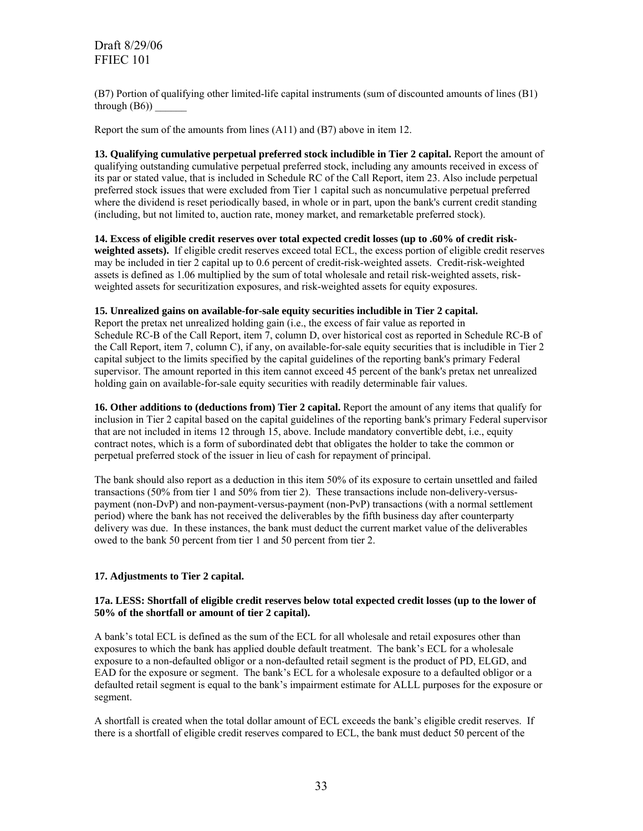(B7) Portion of qualifying other limited-life capital instruments (sum of discounted amounts of lines (B1) through  $(B6)$ )

Report the sum of the amounts from lines (A11) and (B7) above in item 12.

**13. Qualifying cumulative perpetual preferred stock includible in Tier 2 capital.** Report the amount of qualifying outstanding cumulative perpetual preferred stock, including any amounts received in excess of its par or stated value, that is included in Schedule RC of the Call Report, item 23. Also include perpetual preferred stock issues that were excluded from Tier 1 capital such as noncumulative perpetual preferred where the dividend is reset periodically based, in whole or in part, upon the bank's current credit standing (including, but not limited to, auction rate, money market, and remarketable preferred stock).

## **14. Excess of eligible credit reserves over total expected credit losses (up to .60% of credit risk-**

**weighted assets).** If eligible credit reserves exceed total ECL, the excess portion of eligible credit reserves may be included in tier 2 capital up to 0.6 percent of credit-risk-weighted assets. Credit-risk-weighted assets is defined as 1.06 multiplied by the sum of total wholesale and retail risk-weighted assets, riskweighted assets for securitization exposures, and risk-weighted assets for equity exposures.

### **15. Unrealized gains on available-for-sale equity securities includible in Tier 2 capital.**

Report the pretax net unrealized holding gain (i.e., the excess of fair value as reported in Schedule RC-B of the Call Report, item 7, column D, over historical cost as reported in Schedule RC-B of the Call Report, item 7, column C), if any, on available-for-sale equity securities that is includible in Tier 2 capital subject to the limits specified by the capital guidelines of the reporting bank's primary Federal supervisor. The amount reported in this item cannot exceed 45 percent of the bank's pretax net unrealized holding gain on available-for-sale equity securities with readily determinable fair values.

**16. Other additions to (deductions from) Tier 2 capital.** Report the amount of any items that qualify for inclusion in Tier 2 capital based on the capital guidelines of the reporting bank's primary Federal supervisor that are not included in items 12 through 15, above. Include mandatory convertible debt, i.e., equity contract notes, which is a form of subordinated debt that obligates the holder to take the common or perpetual preferred stock of the issuer in lieu of cash for repayment of principal.

The bank should also report as a deduction in this item 50% of its exposure to certain unsettled and failed transactions (50% from tier 1 and 50% from tier 2). These transactions include non-delivery-versuspayment (non-DvP) and non-payment-versus-payment (non-PvP) transactions (with a normal settlement period) where the bank has not received the deliverables by the fifth business day after counterparty delivery was due. In these instances, the bank must deduct the current market value of the deliverables owed to the bank 50 percent from tier 1 and 50 percent from tier 2.

#### **17. Adjustments to Tier 2 capital.**

#### **17a. LESS: Shortfall of eligible credit reserves below total expected credit losses (up to the lower of 50% of the shortfall or amount of tier 2 capital).**

A bank's total ECL is defined as the sum of the ECL for all wholesale and retail exposures other than exposures to which the bank has applied double default treatment. The bank's ECL for a wholesale exposure to a non-defaulted obligor or a non-defaulted retail segment is the product of PD, ELGD, and EAD for the exposure or segment. The bank's ECL for a wholesale exposure to a defaulted obligor or a defaulted retail segment is equal to the bank's impairment estimate for ALLL purposes for the exposure or segment.

A shortfall is created when the total dollar amount of ECL exceeds the bank's eligible credit reserves. If there is a shortfall of eligible credit reserves compared to ECL, the bank must deduct 50 percent of the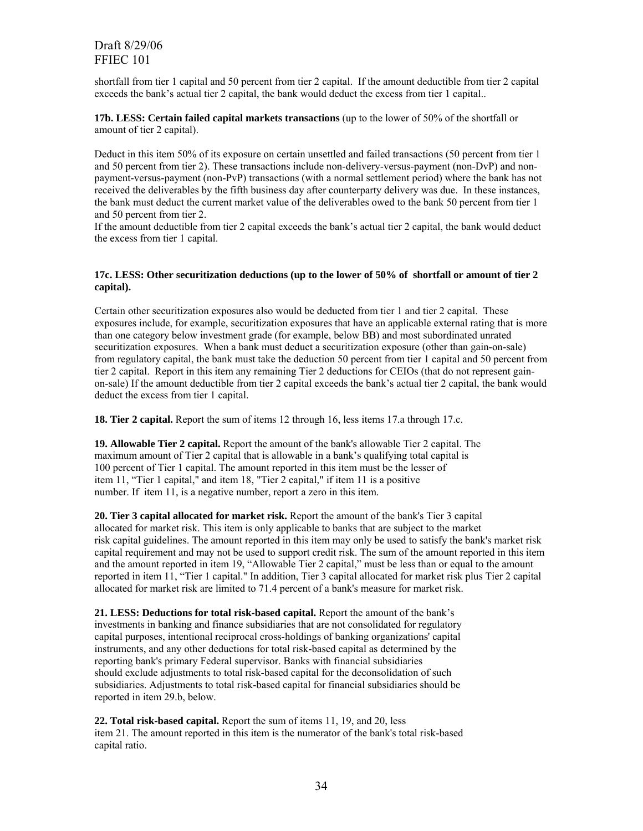shortfall from tier 1 capital and 50 percent from tier 2 capital. If the amount deductible from tier 2 capital exceeds the bank's actual tier 2 capital, the bank would deduct the excess from tier 1 capital..

**17b. LESS: Certain failed capital markets transactions** (up to the lower of 50% of the shortfall or amount of tier 2 capital).

Deduct in this item 50% of its exposure on certain unsettled and failed transactions (50 percent from tier 1 and 50 percent from tier 2). These transactions include non-delivery-versus-payment (non-DvP) and nonpayment-versus-payment (non-PvP) transactions (with a normal settlement period) where the bank has not received the deliverables by the fifth business day after counterparty delivery was due. In these instances, the bank must deduct the current market value of the deliverables owed to the bank 50 percent from tier 1 and 50 percent from tier 2.

If the amount deductible from tier 2 capital exceeds the bank's actual tier 2 capital, the bank would deduct the excess from tier 1 capital.

#### **17c. LESS: Other securitization deductions (up to the lower of 50% of shortfall or amount of tier 2 capital).**

Certain other securitization exposures also would be deducted from tier 1 and tier 2 capital. These exposures include, for example, securitization exposures that have an applicable external rating that is more than one category below investment grade (for example, below BB) and most subordinated unrated securitization exposures. When a bank must deduct a securitization exposure (other than gain-on-sale) from regulatory capital, the bank must take the deduction 50 percent from tier 1 capital and 50 percent from tier 2 capital. Report in this item any remaining Tier 2 deductions for CEIOs (that do not represent gainon-sale) If the amount deductible from tier 2 capital exceeds the bank's actual tier 2 capital, the bank would deduct the excess from tier 1 capital.

**18. Tier 2 capital.** Report the sum of items 12 through 16, less items 17.a through 17.c.

**19. Allowable Tier 2 capital.** Report the amount of the bank's allowable Tier 2 capital. The maximum amount of Tier 2 capital that is allowable in a bank's qualifying total capital is 100 percent of Tier 1 capital. The amount reported in this item must be the lesser of item 11, "Tier 1 capital," and item 18, "Tier 2 capital," if item 11 is a positive number. If item 11, is a negative number, report a zero in this item.

**20. Tier 3 capital allocated for market risk.** Report the amount of the bank's Tier 3 capital allocated for market risk. This item is only applicable to banks that are subject to the market risk capital guidelines. The amount reported in this item may only be used to satisfy the bank's market risk capital requirement and may not be used to support credit risk. The sum of the amount reported in this item and the amount reported in item 19, "Allowable Tier 2 capital," must be less than or equal to the amount reported in item 11, "Tier 1 capital." In addition, Tier 3 capital allocated for market risk plus Tier 2 capital allocated for market risk are limited to 71.4 percent of a bank's measure for market risk.

**21. LESS: Deductions for total risk-based capital.** Report the amount of the bank's investments in banking and finance subsidiaries that are not consolidated for regulatory capital purposes, intentional reciprocal cross-holdings of banking organizations' capital instruments, and any other deductions for total risk-based capital as determined by the reporting bank's primary Federal supervisor. Banks with financial subsidiaries should exclude adjustments to total risk-based capital for the deconsolidation of such subsidiaries. Adjustments to total risk-based capital for financial subsidiaries should be reported in item 29.b, below.

**22. Total risk-based capital.** Report the sum of items 11, 19, and 20, less item 21. The amount reported in this item is the numerator of the bank's total risk-based capital ratio.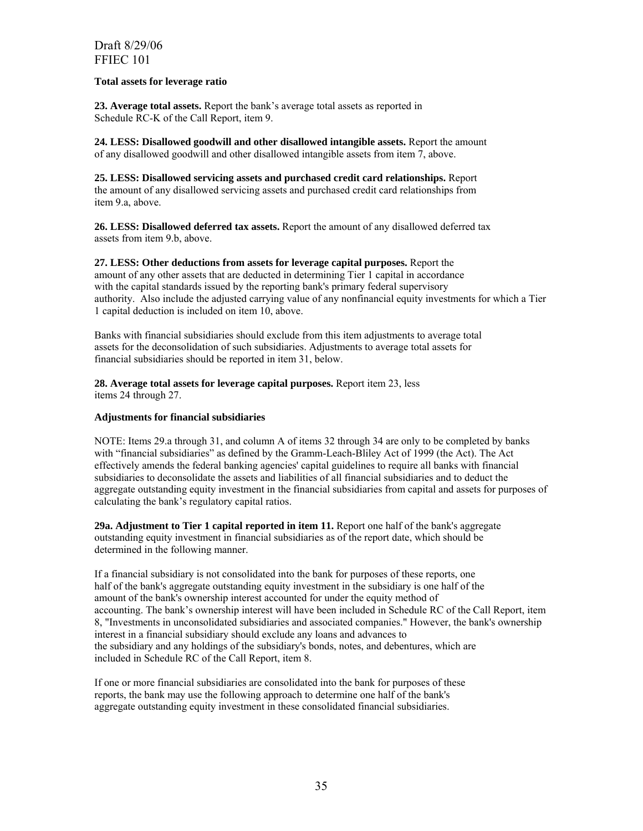#### **Total assets for leverage ratio**

**23. Average total assets.** Report the bank's average total assets as reported in Schedule RC-K of the Call Report, item 9.

**24. LESS: Disallowed goodwill and other disallowed intangible assets.** Report the amount of any disallowed goodwill and other disallowed intangible assets from item 7, above.

**25. LESS: Disallowed servicing assets and purchased credit card relationships.** Report the amount of any disallowed servicing assets and purchased credit card relationships from item 9.a, above.

**26. LESS: Disallowed deferred tax assets.** Report the amount of any disallowed deferred tax assets from item 9.b, above.

**27. LESS: Other deductions from assets for leverage capital purposes.** Report the amount of any other assets that are deducted in determining Tier 1 capital in accordance with the capital standards issued by the reporting bank's primary federal supervisory authority. Also include the adjusted carrying value of any nonfinancial equity investments for which a Tier 1 capital deduction is included on item 10, above.

Banks with financial subsidiaries should exclude from this item adjustments to average total assets for the deconsolidation of such subsidiaries. Adjustments to average total assets for financial subsidiaries should be reported in item 31, below.

**28. Average total assets for leverage capital purposes.** Report item 23, less items 24 through 27.

#### **Adjustments for financial subsidiaries**

NOTE: Items 29.a through 31, and column A of items 32 through 34 are only to be completed by banks with "financial subsidiaries" as defined by the Gramm-Leach-Bliley Act of 1999 (the Act). The Act effectively amends the federal banking agencies' capital guidelines to require all banks with financial subsidiaries to deconsolidate the assets and liabilities of all financial subsidiaries and to deduct the aggregate outstanding equity investment in the financial subsidiaries from capital and assets for purposes of calculating the bank's regulatory capital ratios.

**29a. Adjustment to Tier 1 capital reported in item 11.** Report one half of the bank's aggregate outstanding equity investment in financial subsidiaries as of the report date, which should be determined in the following manner.

If a financial subsidiary is not consolidated into the bank for purposes of these reports, one half of the bank's aggregate outstanding equity investment in the subsidiary is one half of the amount of the bank's ownership interest accounted for under the equity method of accounting. The bank's ownership interest will have been included in Schedule RC of the Call Report, item 8, "Investments in unconsolidated subsidiaries and associated companies." However, the bank's ownership interest in a financial subsidiary should exclude any loans and advances to the subsidiary and any holdings of the subsidiary's bonds, notes, and debentures, which are included in Schedule RC of the Call Report, item 8.

If one or more financial subsidiaries are consolidated into the bank for purposes of these reports, the bank may use the following approach to determine one half of the bank's aggregate outstanding equity investment in these consolidated financial subsidiaries.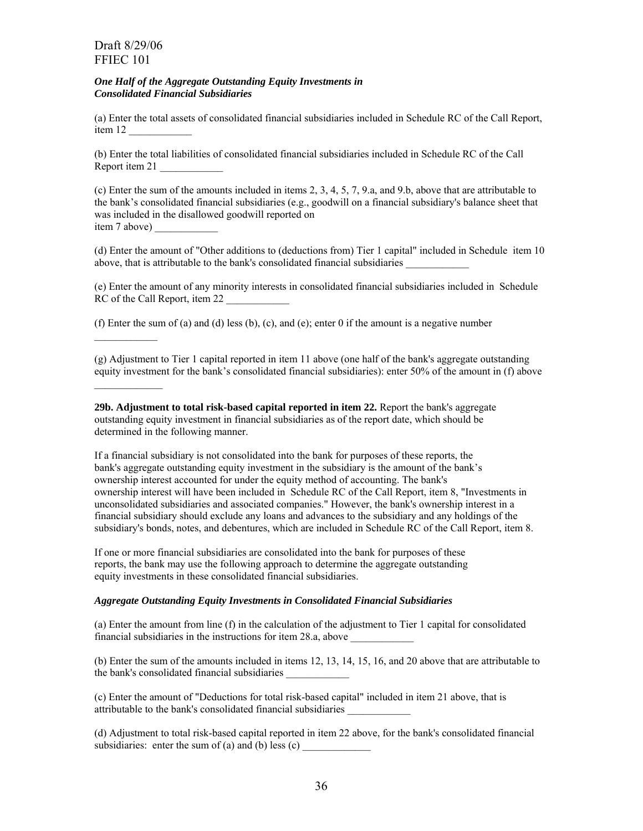$\frac{1}{2}$ 

#### *One Half of the Aggregate Outstanding Equity Investments in Consolidated Financial Subsidiaries*

(a) Enter the total assets of consolidated financial subsidiaries included in Schedule RC of the Call Report, item 12 \_\_\_\_\_\_\_\_\_\_\_\_

(b) Enter the total liabilities of consolidated financial subsidiaries included in Schedule RC of the Call Report item 21 \_\_\_\_\_\_\_\_\_\_\_\_

(c) Enter the sum of the amounts included in items 2, 3, 4, 5, 7, 9.a, and 9.b, above that are attributable to the bank's consolidated financial subsidiaries (e.g., goodwill on a financial subsidiary's balance sheet that was included in the disallowed goodwill reported on item 7 above)

(d) Enter the amount of "Other additions to (deductions from) Tier 1 capital" included in Schedule item 10 above, that is attributable to the bank's consolidated financial subsidiaries \_\_\_\_\_\_\_\_\_\_\_\_

(e) Enter the amount of any minority interests in consolidated financial subsidiaries included in Schedule RC of the Call Report, item 22

(f) Enter the sum of (a) and (d) less (b), (c), and (e); enter 0 if the amount is a negative number

(g) Adjustment to Tier 1 capital reported in item 11 above (one half of the bank's aggregate outstanding equity investment for the bank's consolidated financial subsidiaries): enter 50% of the amount in (f) above

**29b. Adjustment to total risk-based capital reported in item 22.** Report the bank's aggregate outstanding equity investment in financial subsidiaries as of the report date, which should be determined in the following manner.

If a financial subsidiary is not consolidated into the bank for purposes of these reports, the bank's aggregate outstanding equity investment in the subsidiary is the amount of the bank's ownership interest accounted for under the equity method of accounting. The bank's ownership interest will have been included in Schedule RC of the Call Report, item 8, "Investments in unconsolidated subsidiaries and associated companies." However, the bank's ownership interest in a financial subsidiary should exclude any loans and advances to the subsidiary and any holdings of the subsidiary's bonds, notes, and debentures, which are included in Schedule RC of the Call Report, item 8.

If one or more financial subsidiaries are consolidated into the bank for purposes of these reports, the bank may use the following approach to determine the aggregate outstanding equity investments in these consolidated financial subsidiaries.

#### *Aggregate Outstanding Equity Investments in Consolidated Financial Subsidiaries*

(a) Enter the amount from line (f) in the calculation of the adjustment to Tier 1 capital for consolidated financial subsidiaries in the instructions for item 28.a, above \_\_\_\_\_\_\_\_\_\_\_\_

(b) Enter the sum of the amounts included in items 12, 13, 14, 15, 16, and 20 above that are attributable to the bank's consolidated financial subsidiaries \_\_\_\_\_\_\_\_\_\_\_\_

(c) Enter the amount of "Deductions for total risk-based capital" included in item 21 above, that is attributable to the bank's consolidated financial subsidiaries \_\_\_\_\_\_\_\_\_\_\_\_

(d) Adjustment to total risk-based capital reported in item 22 above, for the bank's consolidated financial subsidiaries: enter the sum of (a) and (b) less  $(c)$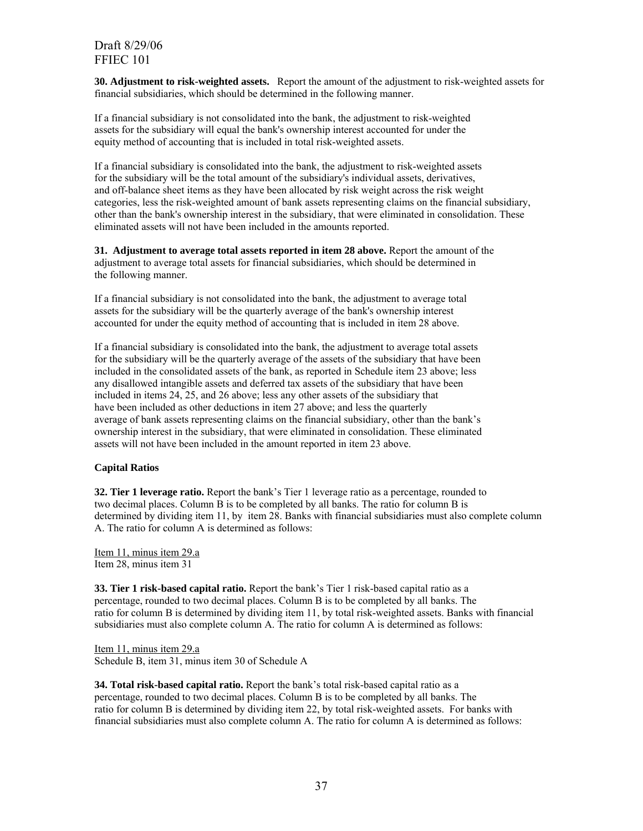**30. Adjustment to risk-weighted assets.** Report the amount of the adjustment to risk-weighted assets for financial subsidiaries, which should be determined in the following manner.

If a financial subsidiary is not consolidated into the bank, the adjustment to risk-weighted assets for the subsidiary will equal the bank's ownership interest accounted for under the equity method of accounting that is included in total risk-weighted assets.

If a financial subsidiary is consolidated into the bank, the adjustment to risk-weighted assets for the subsidiary will be the total amount of the subsidiary's individual assets, derivatives, and off-balance sheet items as they have been allocated by risk weight across the risk weight categories, less the risk-weighted amount of bank assets representing claims on the financial subsidiary, other than the bank's ownership interest in the subsidiary, that were eliminated in consolidation. These eliminated assets will not have been included in the amounts reported.

**31. Adjustment to average total assets reported in item 28 above.** Report the amount of the adjustment to average total assets for financial subsidiaries, which should be determined in the following manner.

If a financial subsidiary is not consolidated into the bank, the adjustment to average total assets for the subsidiary will be the quarterly average of the bank's ownership interest accounted for under the equity method of accounting that is included in item 28 above.

If a financial subsidiary is consolidated into the bank, the adjustment to average total assets for the subsidiary will be the quarterly average of the assets of the subsidiary that have been included in the consolidated assets of the bank, as reported in Schedule item 23 above; less any disallowed intangible assets and deferred tax assets of the subsidiary that have been included in items 24, 25, and 26 above; less any other assets of the subsidiary that have been included as other deductions in item 27 above; and less the quarterly average of bank assets representing claims on the financial subsidiary, other than the bank's ownership interest in the subsidiary, that were eliminated in consolidation. These eliminated assets will not have been included in the amount reported in item 23 above.

#### **Capital Ratios**

**32. Tier 1 leverage ratio.** Report the bank's Tier 1 leverage ratio as a percentage, rounded to two decimal places. Column B is to be completed by all banks. The ratio for column B is determined by dividing item 11, by item 28. Banks with financial subsidiaries must also complete column A. The ratio for column A is determined as follows:

Item 11, minus item 29.a Item 28, minus item 31

**33. Tier 1 risk-based capital ratio.** Report the bank's Tier 1 risk-based capital ratio as a percentage, rounded to two decimal places. Column B is to be completed by all banks. The ratio for column B is determined by dividing item 11, by total risk-weighted assets. Banks with financial subsidiaries must also complete column A. The ratio for column A is determined as follows:

Item 11, minus item 29.a Schedule B, item 31, minus item 30 of Schedule A

**34. Total risk-based capital ratio.** Report the bank's total risk-based capital ratio as a percentage, rounded to two decimal places. Column B is to be completed by all banks. The ratio for column B is determined by dividing item 22, by total risk-weighted assets. For banks with financial subsidiaries must also complete column A. The ratio for column A is determined as follows: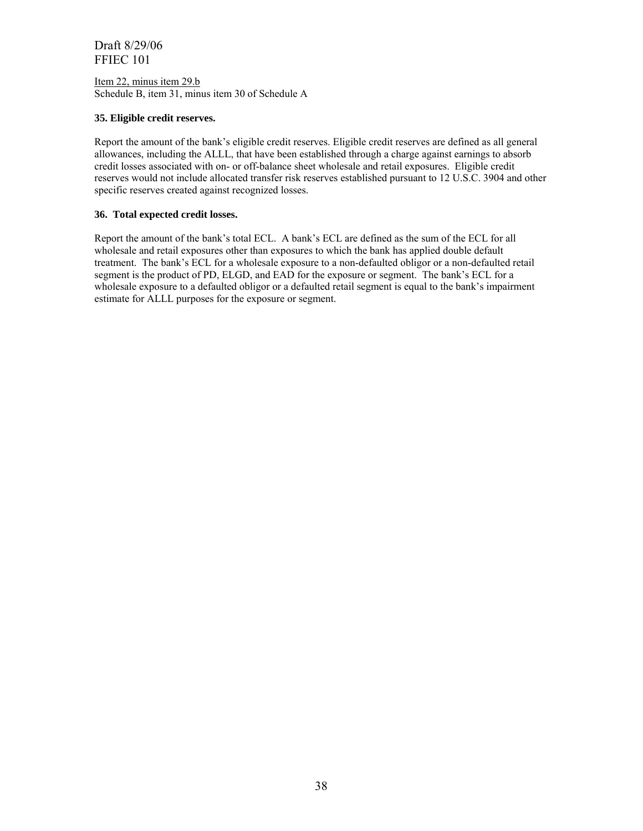Item 22, minus item 29.b Schedule B, item 31, minus item 30 of Schedule A

#### **35. Eligible credit reserves.**

Report the amount of the bank's eligible credit reserves. Eligible credit reserves are defined as all general allowances, including the ALLL, that have been established through a charge against earnings to absorb credit losses associated with on- or off-balance sheet wholesale and retail exposures. Eligible credit reserves would not include allocated transfer risk reserves established pursuant to 12 U.S.C. 3904 and other specific reserves created against recognized losses.

#### **36. Total expected credit losses.**

Report the amount of the bank's total ECL. A bank's ECL are defined as the sum of the ECL for all wholesale and retail exposures other than exposures to which the bank has applied double default treatment. The bank's ECL for a wholesale exposure to a non-defaulted obligor or a non-defaulted retail segment is the product of PD, ELGD, and EAD for the exposure or segment. The bank's ECL for a wholesale exposure to a defaulted obligor or a defaulted retail segment is equal to the bank's impairment estimate for ALLL purposes for the exposure or segment.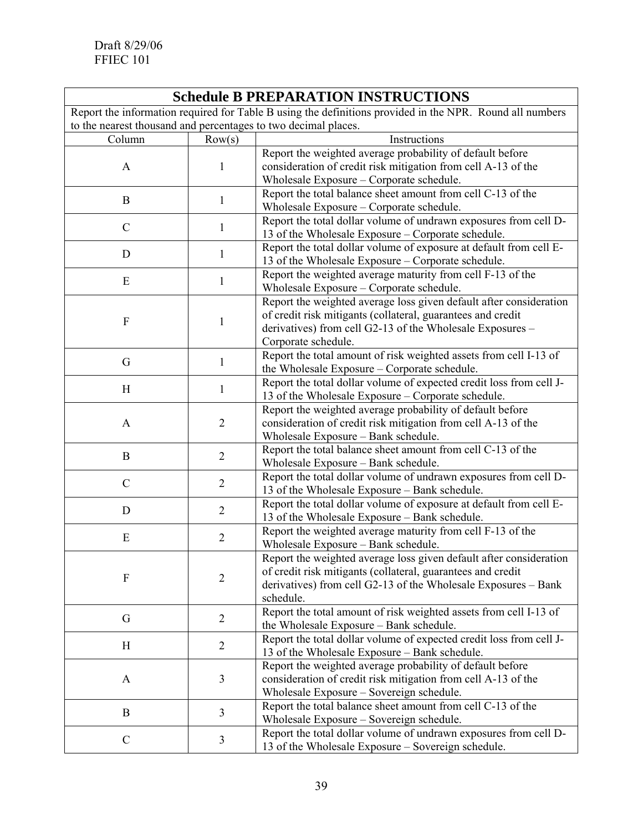# **Schedule B PREPARATION INSTRUCTIONS**

Report the information required for Table B using the definitions provided in the NPR. Round all numbers to the nearest thousand and percentages to two decimal places.

| to the nearest mousand and percentages to two decimal places. |                         |                                                                     |
|---------------------------------------------------------------|-------------------------|---------------------------------------------------------------------|
| Column                                                        | Row(s)                  | Instructions                                                        |
|                                                               |                         | Report the weighted average probability of default before           |
| $\mathbf{A}$                                                  | 1                       | consideration of credit risk mitigation from cell A-13 of the       |
|                                                               |                         | Wholesale Exposure - Corporate schedule.                            |
|                                                               |                         | Report the total balance sheet amount from cell C-13 of the         |
| B                                                             | 1                       | Wholesale Exposure - Corporate schedule.                            |
|                                                               |                         | Report the total dollar volume of undrawn exposures from cell D-    |
| $\mathcal{C}$                                                 | 1                       | 13 of the Wholesale Exposure – Corporate schedule.                  |
|                                                               |                         | Report the total dollar volume of exposure at default from cell E-  |
| D                                                             | 1                       | 13 of the Wholesale Exposure – Corporate schedule.                  |
|                                                               |                         | Report the weighted average maturity from cell F-13 of the          |
| E                                                             | $\mathbf{1}$            | Wholesale Exposure - Corporate schedule.                            |
|                                                               |                         | Report the weighted average loss given default after consideration  |
|                                                               |                         | of credit risk mitigants (collateral, guarantees and credit         |
| ${\bf F}$                                                     | $\mathbf{1}$            | derivatives) from cell G2-13 of the Wholesale Exposures –           |
|                                                               |                         | Corporate schedule.                                                 |
|                                                               |                         | Report the total amount of risk weighted assets from cell I-13 of   |
| G                                                             | $\mathbf{1}$            | the Wholesale Exposure - Corporate schedule.                        |
|                                                               |                         | Report the total dollar volume of expected credit loss from cell J- |
| H                                                             | 1                       |                                                                     |
|                                                               |                         | 13 of the Wholesale Exposure – Corporate schedule.                  |
|                                                               | $\overline{2}$          | Report the weighted average probability of default before           |
| $\mathbf{A}$                                                  |                         | consideration of credit risk mitigation from cell A-13 of the       |
|                                                               |                         | Wholesale Exposure - Bank schedule.                                 |
| $\mathbf B$                                                   | $\overline{2}$          | Report the total balance sheet amount from cell C-13 of the         |
|                                                               |                         | Wholesale Exposure - Bank schedule.                                 |
| $\mathcal{C}$                                                 | $\overline{2}$          | Report the total dollar volume of undrawn exposures from cell D-    |
|                                                               |                         | 13 of the Wholesale Exposure – Bank schedule.                       |
| D                                                             | $\overline{2}$          | Report the total dollar volume of exposure at default from cell E-  |
|                                                               |                         | 13 of the Wholesale Exposure - Bank schedule.                       |
| E                                                             | $\overline{2}$          | Report the weighted average maturity from cell F-13 of the          |
|                                                               |                         | Wholesale Exposure - Bank schedule.                                 |
|                                                               |                         | Report the weighted average loss given default after consideration  |
| F                                                             | $\sqrt{2}$              | of credit risk mitigants (collateral, guarantees and credit         |
|                                                               |                         | derivatives) from cell G2-13 of the Wholesale Exposures – Bank      |
|                                                               |                         | schedule.                                                           |
| G                                                             | $\overline{2}$          | Report the total amount of risk weighted assets from cell I-13 of   |
|                                                               |                         | the Wholesale Exposure – Bank schedule.                             |
| H                                                             | $\overline{2}$          | Report the total dollar volume of expected credit loss from cell J- |
|                                                               |                         | 13 of the Wholesale Exposure - Bank schedule.                       |
|                                                               |                         | Report the weighted average probability of default before           |
| $\mathbf{A}$                                                  | $\overline{\mathbf{3}}$ | consideration of credit risk mitigation from cell A-13 of the       |
|                                                               |                         | Wholesale Exposure - Sovereign schedule.                            |
| B                                                             | $\overline{3}$          | Report the total balance sheet amount from cell C-13 of the         |
|                                                               |                         | Wholesale Exposure - Sovereign schedule.                            |
| $\mathcal{C}$                                                 | 3                       | Report the total dollar volume of undrawn exposures from cell D-    |
|                                                               |                         | 13 of the Wholesale Exposure – Sovereign schedule.                  |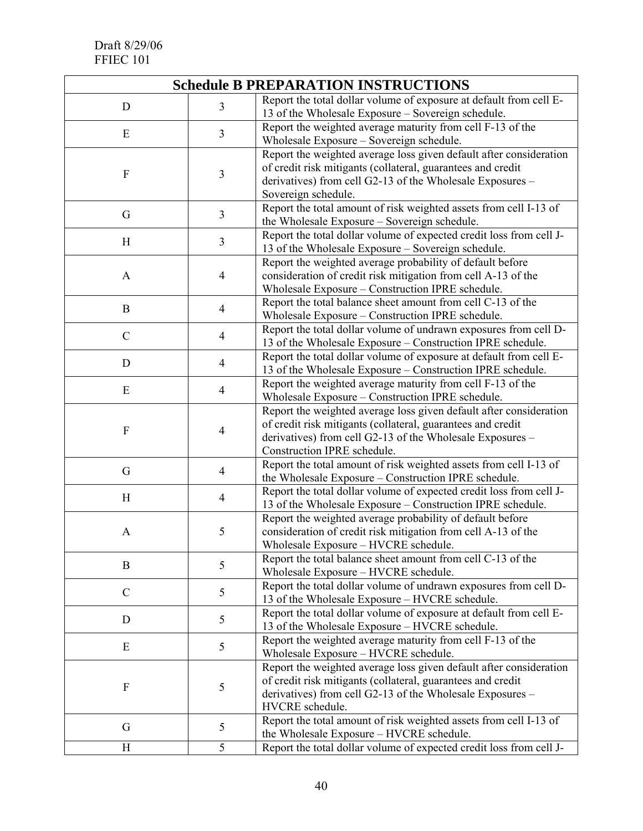| <b>Schedule B PREPARATION INSTRUCTIONS</b> |                          |                                                                                                                                                                                                                               |  |  |  |  |
|--------------------------------------------|--------------------------|-------------------------------------------------------------------------------------------------------------------------------------------------------------------------------------------------------------------------------|--|--|--|--|
| D                                          | 3                        | Report the total dollar volume of exposure at default from cell E-<br>13 of the Wholesale Exposure - Sovereign schedule.                                                                                                      |  |  |  |  |
| E                                          | $\overline{3}$           | Report the weighted average maturity from cell F-13 of the<br>Wholesale Exposure - Sovereign schedule.                                                                                                                        |  |  |  |  |
| $\boldsymbol{F}$                           | $\mathfrak{Z}$           | Report the weighted average loss given default after consideration<br>of credit risk mitigants (collateral, guarantees and credit<br>derivatives) from cell G2-13 of the Wholesale Exposures -<br>Sovereign schedule.         |  |  |  |  |
| G                                          | $\overline{3}$           | Report the total amount of risk weighted assets from cell I-13 of<br>the Wholesale Exposure - Sovereign schedule.                                                                                                             |  |  |  |  |
| H                                          | 3                        | Report the total dollar volume of expected credit loss from cell J-<br>13 of the Wholesale Exposure – Sovereign schedule.                                                                                                     |  |  |  |  |
| A                                          | $\overline{4}$           | Report the weighted average probability of default before<br>consideration of credit risk mitigation from cell A-13 of the<br>Wholesale Exposure – Construction IPRE schedule.                                                |  |  |  |  |
| B                                          | $\overline{4}$           | Report the total balance sheet amount from cell C-13 of the<br>Wholesale Exposure - Construction IPRE schedule.                                                                                                               |  |  |  |  |
| $\mathcal{C}$                              | $\overline{4}$           | Report the total dollar volume of undrawn exposures from cell D-<br>13 of the Wholesale Exposure – Construction IPRE schedule.                                                                                                |  |  |  |  |
| D                                          | $\overline{4}$           | Report the total dollar volume of exposure at default from cell E-<br>13 of the Wholesale Exposure – Construction IPRE schedule.                                                                                              |  |  |  |  |
| E                                          | $\overline{\mathcal{A}}$ | Report the weighted average maturity from cell F-13 of the<br>Wholesale Exposure - Construction IPRE schedule.                                                                                                                |  |  |  |  |
| $\boldsymbol{F}$                           | $\overline{4}$           | Report the weighted average loss given default after consideration<br>of credit risk mitigants (collateral, guarantees and credit<br>derivatives) from cell G2-13 of the Wholesale Exposures -<br>Construction IPRE schedule. |  |  |  |  |
| G                                          | $\overline{4}$           | Report the total amount of risk weighted assets from cell I-13 of<br>the Wholesale Exposure - Construction IPRE schedule.                                                                                                     |  |  |  |  |
| H                                          | $\overline{4}$           | Report the total dollar volume of expected credit loss from cell J-<br>13 of the Wholesale Exposure – Construction IPRE schedule.                                                                                             |  |  |  |  |
| A                                          | 5                        | Report the weighted average probability of default before<br>consideration of credit risk mitigation from cell A-13 of the<br>Wholesale Exposure – HVCRE schedule.                                                            |  |  |  |  |
| B                                          | 5                        | Report the total balance sheet amount from cell C-13 of the<br>Wholesale Exposure - HVCRE schedule.                                                                                                                           |  |  |  |  |
| $\mathcal{C}$                              | 5                        | Report the total dollar volume of undrawn exposures from cell D-<br>13 of the Wholesale Exposure – HVCRE schedule.                                                                                                            |  |  |  |  |
| D                                          | 5                        | Report the total dollar volume of exposure at default from cell E-<br>13 of the Wholesale Exposure – HVCRE schedule.                                                                                                          |  |  |  |  |
| E                                          | 5                        | Report the weighted average maturity from cell F-13 of the<br>Wholesale Exposure - HVCRE schedule.                                                                                                                            |  |  |  |  |
| F                                          | 5                        | Report the weighted average loss given default after consideration<br>of credit risk mitigants (collateral, guarantees and credit<br>derivatives) from cell G2-13 of the Wholesale Exposures –<br>HVCRE schedule.             |  |  |  |  |
| G                                          | 5                        | Report the total amount of risk weighted assets from cell I-13 of<br>the Wholesale Exposure - HVCRE schedule.                                                                                                                 |  |  |  |  |
| Η                                          | 5                        | Report the total dollar volume of expected credit loss from cell J-                                                                                                                                                           |  |  |  |  |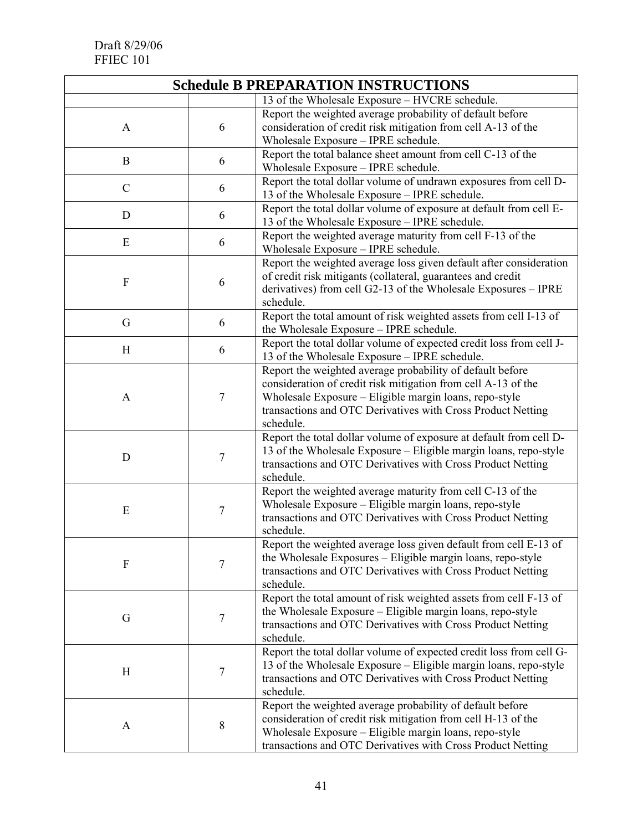| <b>Schedule B PREPARATION INSTRUCTIONS</b> |                  |                                                                                                                                 |  |  |  |  |  |
|--------------------------------------------|------------------|---------------------------------------------------------------------------------------------------------------------------------|--|--|--|--|--|
|                                            |                  | 13 of the Wholesale Exposure - HVCRE schedule.                                                                                  |  |  |  |  |  |
|                                            |                  | Report the weighted average probability of default before                                                                       |  |  |  |  |  |
| A                                          | 6                | consideration of credit risk mitigation from cell A-13 of the                                                                   |  |  |  |  |  |
|                                            |                  | Wholesale Exposure - IPRE schedule.                                                                                             |  |  |  |  |  |
| B                                          | 6                | Report the total balance sheet amount from cell C-13 of the                                                                     |  |  |  |  |  |
|                                            |                  | Wholesale Exposure - IPRE schedule.                                                                                             |  |  |  |  |  |
| $\mathcal{C}$                              | 6                | Report the total dollar volume of undrawn exposures from cell D-                                                                |  |  |  |  |  |
|                                            |                  | 13 of the Wholesale Exposure - IPRE schedule.                                                                                   |  |  |  |  |  |
| 6<br>D                                     |                  | Report the total dollar volume of exposure at default from cell E-                                                              |  |  |  |  |  |
|                                            |                  | 13 of the Wholesale Exposure – IPRE schedule.<br>Report the weighted average maturity from cell F-13 of the                     |  |  |  |  |  |
| E                                          | 6                | Wholesale Exposure - IPRE schedule.                                                                                             |  |  |  |  |  |
|                                            |                  | Report the weighted average loss given default after consideration                                                              |  |  |  |  |  |
|                                            |                  | of credit risk mitigants (collateral, guarantees and credit                                                                     |  |  |  |  |  |
| $\boldsymbol{F}$                           | 6                | derivatives) from cell G2-13 of the Wholesale Exposures - IPRE                                                                  |  |  |  |  |  |
|                                            |                  | schedule.                                                                                                                       |  |  |  |  |  |
|                                            |                  | Report the total amount of risk weighted assets from cell I-13 of                                                               |  |  |  |  |  |
| G                                          | 6                | the Wholesale Exposure - IPRE schedule.                                                                                         |  |  |  |  |  |
| H                                          | 6                | Report the total dollar volume of expected credit loss from cell J-                                                             |  |  |  |  |  |
|                                            |                  | 13 of the Wholesale Exposure - IPRE schedule.                                                                                   |  |  |  |  |  |
|                                            |                  | Report the weighted average probability of default before                                                                       |  |  |  |  |  |
|                                            |                  | consideration of credit risk mitigation from cell A-13 of the                                                                   |  |  |  |  |  |
| A                                          | $\boldsymbol{7}$ | Wholesale Exposure - Eligible margin loans, repo-style                                                                          |  |  |  |  |  |
|                                            |                  | transactions and OTC Derivatives with Cross Product Netting                                                                     |  |  |  |  |  |
|                                            |                  | schedule.                                                                                                                       |  |  |  |  |  |
|                                            |                  | Report the total dollar volume of exposure at default from cell D-                                                              |  |  |  |  |  |
| D                                          | 7                | 13 of the Wholesale Exposure – Eligible margin loans, repo-style<br>transactions and OTC Derivatives with Cross Product Netting |  |  |  |  |  |
|                                            |                  | schedule.                                                                                                                       |  |  |  |  |  |
|                                            |                  | Report the weighted average maturity from cell C-13 of the                                                                      |  |  |  |  |  |
|                                            |                  | Wholesale Exposure - Eligible margin loans, repo-style                                                                          |  |  |  |  |  |
| ${\bf E}$                                  | $\tau$           | transactions and OTC Derivatives with Cross Product Netting                                                                     |  |  |  |  |  |
|                                            |                  | schedule.                                                                                                                       |  |  |  |  |  |
|                                            |                  | Report the weighted average loss given default from cell E-13 of                                                                |  |  |  |  |  |
| F                                          | 7                | the Wholesale Exposures – Eligible margin loans, repo-style                                                                     |  |  |  |  |  |
|                                            |                  | transactions and OTC Derivatives with Cross Product Netting                                                                     |  |  |  |  |  |
|                                            |                  | schedule.                                                                                                                       |  |  |  |  |  |
|                                            |                  | Report the total amount of risk weighted assets from cell F-13 of                                                               |  |  |  |  |  |
| G                                          | 7                | the Wholesale Exposure – Eligible margin loans, repo-style                                                                      |  |  |  |  |  |
|                                            |                  | transactions and OTC Derivatives with Cross Product Netting                                                                     |  |  |  |  |  |
|                                            |                  | schedule.<br>Report the total dollar volume of expected credit loss from cell G-                                                |  |  |  |  |  |
|                                            |                  | 13 of the Wholesale Exposure – Eligible margin loans, repo-style                                                                |  |  |  |  |  |
| H                                          | $\tau$           | transactions and OTC Derivatives with Cross Product Netting                                                                     |  |  |  |  |  |
|                                            |                  | schedule.                                                                                                                       |  |  |  |  |  |
|                                            |                  | Report the weighted average probability of default before                                                                       |  |  |  |  |  |
|                                            |                  | consideration of credit risk mitigation from cell H-13 of the                                                                   |  |  |  |  |  |
| A                                          | 8                | Wholesale Exposure – Eligible margin loans, repo-style                                                                          |  |  |  |  |  |
|                                            |                  | transactions and OTC Derivatives with Cross Product Netting                                                                     |  |  |  |  |  |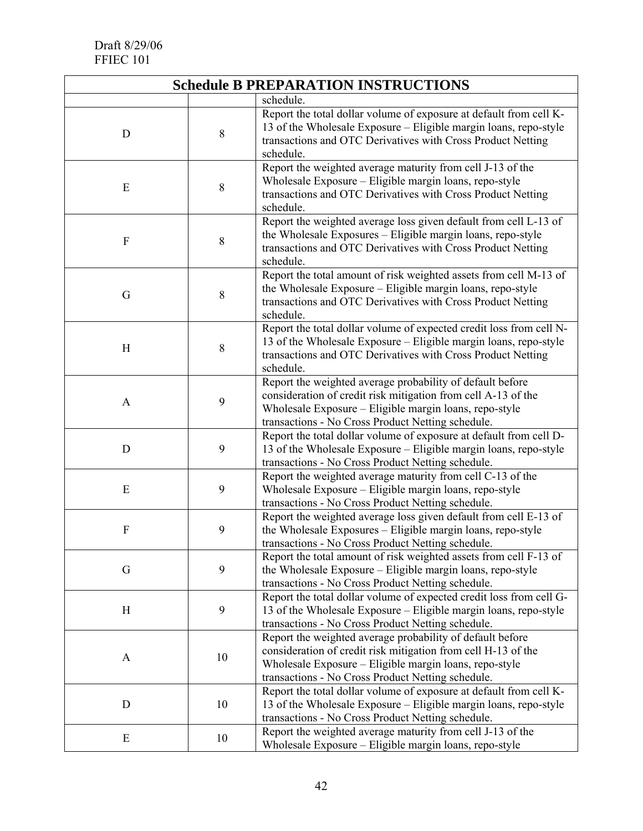| <b>Schedule B PREPARATION INSTRUCTIONS</b> |    |                                                                                                                                                                                                                                           |  |  |  |  |
|--------------------------------------------|----|-------------------------------------------------------------------------------------------------------------------------------------------------------------------------------------------------------------------------------------------|--|--|--|--|
|                                            |    | schedule.                                                                                                                                                                                                                                 |  |  |  |  |
| D                                          | 8  | Report the total dollar volume of exposure at default from cell K-<br>13 of the Wholesale Exposure - Eligible margin loans, repo-style<br>transactions and OTC Derivatives with Cross Product Netting<br>schedule.                        |  |  |  |  |
| ${\bf E}$                                  | 8  | Report the weighted average maturity from cell J-13 of the<br>Wholesale Exposure - Eligible margin loans, repo-style<br>transactions and OTC Derivatives with Cross Product Netting<br>schedule.                                          |  |  |  |  |
| F                                          | 8  | Report the weighted average loss given default from cell L-13 of<br>the Wholesale Exposures - Eligible margin loans, repo-style<br>transactions and OTC Derivatives with Cross Product Netting<br>schedule.                               |  |  |  |  |
| G                                          | 8  | Report the total amount of risk weighted assets from cell M-13 of<br>the Wholesale Exposure - Eligible margin loans, repo-style<br>transactions and OTC Derivatives with Cross Product Netting<br>schedule.                               |  |  |  |  |
| H                                          | 8  | Report the total dollar volume of expected credit loss from cell N-<br>13 of the Wholesale Exposure - Eligible margin loans, repo-style<br>transactions and OTC Derivatives with Cross Product Netting<br>schedule.                       |  |  |  |  |
| $\mathbf{A}$                               | 9  | Report the weighted average probability of default before<br>consideration of credit risk mitigation from cell A-13 of the<br>Wholesale Exposure - Eligible margin loans, repo-style<br>transactions - No Cross Product Netting schedule. |  |  |  |  |
| D                                          | 9  | Report the total dollar volume of exposure at default from cell D-<br>13 of the Wholesale Exposure – Eligible margin loans, repo-style<br>transactions - No Cross Product Netting schedule.                                               |  |  |  |  |
| E                                          | 9  | Report the weighted average maturity from cell C-13 of the<br>Wholesale Exposure - Eligible margin loans, repo-style<br>transactions - No Cross Product Netting schedule.                                                                 |  |  |  |  |
| F                                          | 9  | Report the weighted average loss given default from cell E-13 of<br>the Wholesale Exposures - Eligible margin loans, repo-style<br>transactions - No Cross Product Netting schedule.                                                      |  |  |  |  |
| G                                          | 9  | Report the total amount of risk weighted assets from cell F-13 of<br>the Wholesale Exposure – Eligible margin loans, repo-style<br>transactions - No Cross Product Netting schedule.                                                      |  |  |  |  |
| H                                          | 9  | Report the total dollar volume of expected credit loss from cell G-<br>13 of the Wholesale Exposure – Eligible margin loans, repo-style<br>transactions - No Cross Product Netting schedule.                                              |  |  |  |  |
| A                                          | 10 | Report the weighted average probability of default before<br>consideration of credit risk mitigation from cell H-13 of the<br>Wholesale Exposure – Eligible margin loans, repo-style<br>transactions - No Cross Product Netting schedule. |  |  |  |  |
| D                                          | 10 | Report the total dollar volume of exposure at default from cell K-<br>13 of the Wholesale Exposure - Eligible margin loans, repo-style<br>transactions - No Cross Product Netting schedule.                                               |  |  |  |  |
| E                                          | 10 | Report the weighted average maturity from cell J-13 of the<br>Wholesale Exposure - Eligible margin loans, repo-style                                                                                                                      |  |  |  |  |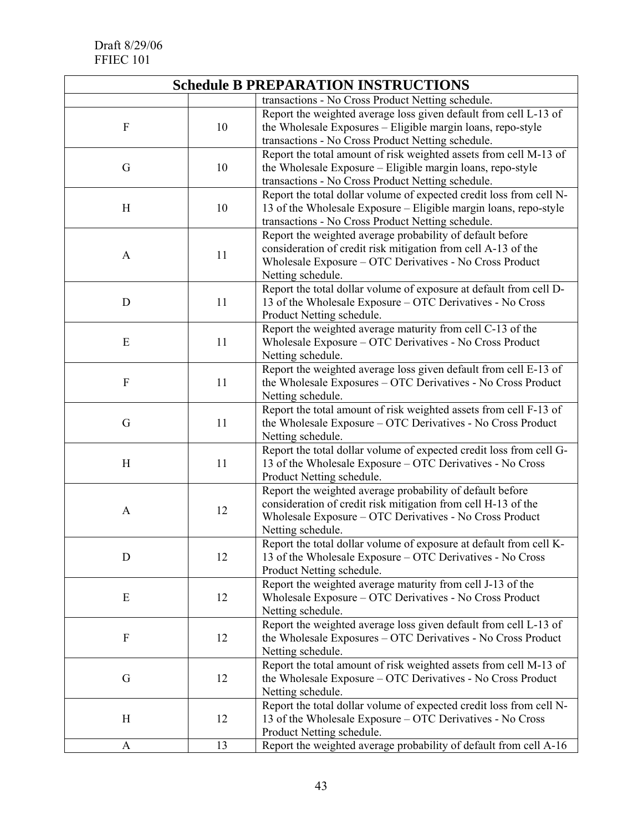| <b>Schedule B PREPARATION INSTRUCTIONS</b> |    |                                                                                                                                                                                                            |  |  |
|--------------------------------------------|----|------------------------------------------------------------------------------------------------------------------------------------------------------------------------------------------------------------|--|--|
|                                            |    | transactions - No Cross Product Netting schedule.                                                                                                                                                          |  |  |
| $\boldsymbol{F}$                           | 10 | Report the weighted average loss given default from cell L-13 of<br>the Wholesale Exposures - Eligible margin loans, repo-style<br>transactions - No Cross Product Netting schedule.                       |  |  |
| G                                          | 10 | Report the total amount of risk weighted assets from cell M-13 of<br>the Wholesale Exposure - Eligible margin loans, repo-style<br>transactions - No Cross Product Netting schedule.                       |  |  |
| H                                          | 10 | Report the total dollar volume of expected credit loss from cell N-<br>13 of the Wholesale Exposure - Eligible margin loans, repo-style<br>transactions - No Cross Product Netting schedule.               |  |  |
| A                                          | 11 | Report the weighted average probability of default before<br>consideration of credit risk mitigation from cell A-13 of the<br>Wholesale Exposure - OTC Derivatives - No Cross Product<br>Netting schedule. |  |  |
| D                                          | 11 | Report the total dollar volume of exposure at default from cell D-<br>13 of the Wholesale Exposure – OTC Derivatives - No Cross<br>Product Netting schedule.                                               |  |  |
| E                                          | 11 | Report the weighted average maturity from cell C-13 of the<br>Wholesale Exposure – OTC Derivatives - No Cross Product<br>Netting schedule.                                                                 |  |  |
| $\boldsymbol{F}$                           | 11 | Report the weighted average loss given default from cell $\overline{E-13}$ of<br>the Wholesale Exposures – OTC Derivatives - No Cross Product<br>Netting schedule.                                         |  |  |
| G                                          | 11 | Report the total amount of risk weighted assets from cell F-13 of<br>the Wholesale Exposure – OTC Derivatives - No Cross Product<br>Netting schedule.                                                      |  |  |
| H                                          | 11 | Report the total dollar volume of expected credit loss from cell G-<br>13 of the Wholesale Exposure – OTC Derivatives - No Cross<br>Product Netting schedule.                                              |  |  |
| $\mathbf{A}$                               | 12 | Report the weighted average probability of default before<br>consideration of credit risk mitigation from cell H-13 of the<br>Wholesale Exposure - OTC Derivatives - No Cross Product<br>Netting schedule. |  |  |
| D                                          | 12 | Report the total dollar volume of exposure at default from cell K-<br>13 of the Wholesale Exposure – OTC Derivatives - No Cross<br>Product Netting schedule.                                               |  |  |
| Ε                                          | 12 | Report the weighted average maturity from cell J-13 of the<br>Wholesale Exposure - OTC Derivatives - No Cross Product<br>Netting schedule.                                                                 |  |  |
| $\boldsymbol{F}$                           | 12 | Report the weighted average loss given default from cell L-13 of<br>the Wholesale Exposures - OTC Derivatives - No Cross Product<br>Netting schedule.                                                      |  |  |
| G                                          | 12 | Report the total amount of risk weighted assets from cell M-13 of<br>the Wholesale Exposure – OTC Derivatives - No Cross Product<br>Netting schedule.                                                      |  |  |
| H                                          | 12 | Report the total dollar volume of expected credit loss from cell N-<br>13 of the Wholesale Exposure – OTC Derivatives - No Cross<br>Product Netting schedule.                                              |  |  |
| A                                          | 13 | Report the weighted average probability of default from cell A-16                                                                                                                                          |  |  |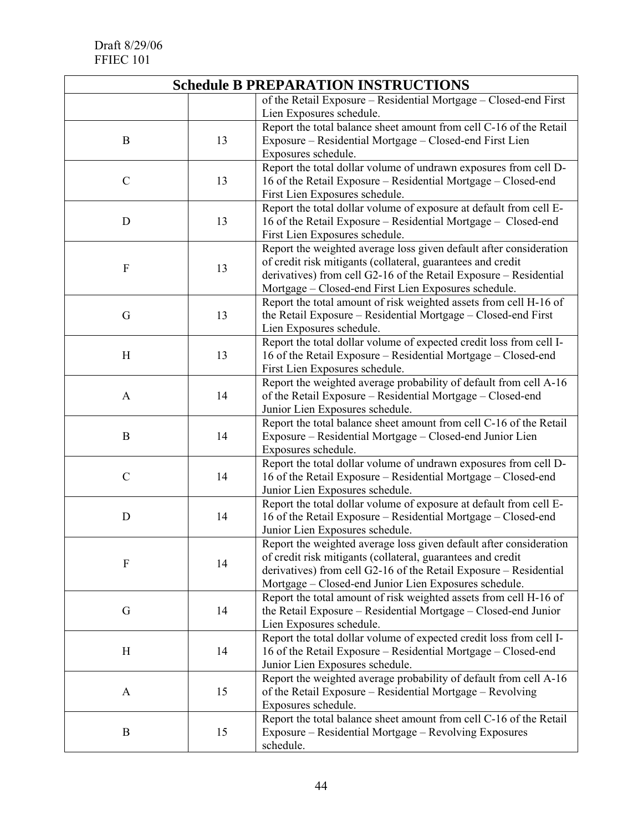| <b>Schedule B PREPARATION INSTRUCTIONS</b> |    |                                                                                                  |  |  |
|--------------------------------------------|----|--------------------------------------------------------------------------------------------------|--|--|
|                                            |    | of the Retail Exposure - Residential Mortgage - Closed-end First                                 |  |  |
|                                            |    | Lien Exposures schedule.                                                                         |  |  |
|                                            |    | Report the total balance sheet amount from cell C-16 of the Retail                               |  |  |
| B                                          | 13 | Exposure - Residential Mortgage - Closed-end First Lien                                          |  |  |
|                                            |    | Exposures schedule.                                                                              |  |  |
|                                            | 13 | Report the total dollar volume of undrawn exposures from cell D-                                 |  |  |
| $\mathcal{C}$                              |    | 16 of the Retail Exposure - Residential Mortgage - Closed-end                                    |  |  |
|                                            |    | First Lien Exposures schedule.                                                                   |  |  |
| D                                          | 13 | Report the total dollar volume of exposure at default from cell E-                               |  |  |
|                                            |    | 16 of the Retail Exposure – Residential Mortgage – Closed-end                                    |  |  |
|                                            |    | First Lien Exposures schedule.                                                                   |  |  |
|                                            | 13 | Report the weighted average loss given default after consideration                               |  |  |
| F                                          |    | of credit risk mitigants (collateral, guarantees and credit                                      |  |  |
|                                            |    | derivatives) from cell G2-16 of the Retail Exposure - Residential                                |  |  |
|                                            |    | Mortgage - Closed-end First Lien Exposures schedule.                                             |  |  |
|                                            |    | Report the total amount of risk weighted assets from cell H-16 of                                |  |  |
| G                                          | 13 | the Retail Exposure – Residential Mortgage – Closed-end First                                    |  |  |
|                                            |    | Lien Exposures schedule.                                                                         |  |  |
|                                            | 13 | Report the total dollar volume of expected credit loss from cell I-                              |  |  |
| H                                          |    | 16 of the Retail Exposure – Residential Mortgage – Closed-end                                    |  |  |
|                                            |    | First Lien Exposures schedule.                                                                   |  |  |
|                                            | 14 | Report the weighted average probability of default from cell A-16                                |  |  |
| $\mathbf{A}$                               |    | of the Retail Exposure - Residential Mortgage - Closed-end                                       |  |  |
|                                            |    | Junior Lien Exposures schedule.                                                                  |  |  |
|                                            | 14 | Report the total balance sheet amount from cell C-16 of the Retail                               |  |  |
| $\bf{B}$                                   |    | Exposure – Residential Mortgage – Closed-end Junior Lien                                         |  |  |
|                                            |    | Exposures schedule.                                                                              |  |  |
| $\mathcal{C}$                              | 14 | Report the total dollar volume of undrawn exposures from cell D-                                 |  |  |
|                                            |    | 16 of the Retail Exposure – Residential Mortgage – Closed-end<br>Junior Lien Exposures schedule. |  |  |
|                                            |    | Report the total dollar volume of exposure at default from cell E-                               |  |  |
| D                                          | 14 | 16 of the Retail Exposure – Residential Mortgage – Closed-end                                    |  |  |
|                                            |    | Junior Lien Exposures schedule.                                                                  |  |  |
|                                            |    | Report the weighted average loss given default after consideration                               |  |  |
| $\boldsymbol{F}$                           | 14 | of credit risk mitigants (collateral, guarantees and credit                                      |  |  |
|                                            |    | derivatives) from cell G2-16 of the Retail Exposure – Residential                                |  |  |
|                                            |    | Mortgage – Closed-end Junior Lien Exposures schedule.                                            |  |  |
|                                            | 14 | Report the total amount of risk weighted assets from cell H-16 of                                |  |  |
| G                                          |    | the Retail Exposure – Residential Mortgage – Closed-end Junior                                   |  |  |
|                                            |    | Lien Exposures schedule.                                                                         |  |  |
| H                                          | 14 | Report the total dollar volume of expected credit loss from cell I-                              |  |  |
|                                            |    | 16 of the Retail Exposure – Residential Mortgage – Closed-end                                    |  |  |
|                                            |    | Junior Lien Exposures schedule.                                                                  |  |  |
| A                                          | 15 | Report the weighted average probability of default from cell A-16                                |  |  |
|                                            |    | of the Retail Exposure – Residential Mortgage – Revolving                                        |  |  |
|                                            |    | Exposures schedule.                                                                              |  |  |
| B                                          | 15 | Report the total balance sheet amount from cell C-16 of the Retail                               |  |  |
|                                            |    | Exposure – Residential Mortgage – Revolving Exposures                                            |  |  |
|                                            |    | schedule.                                                                                        |  |  |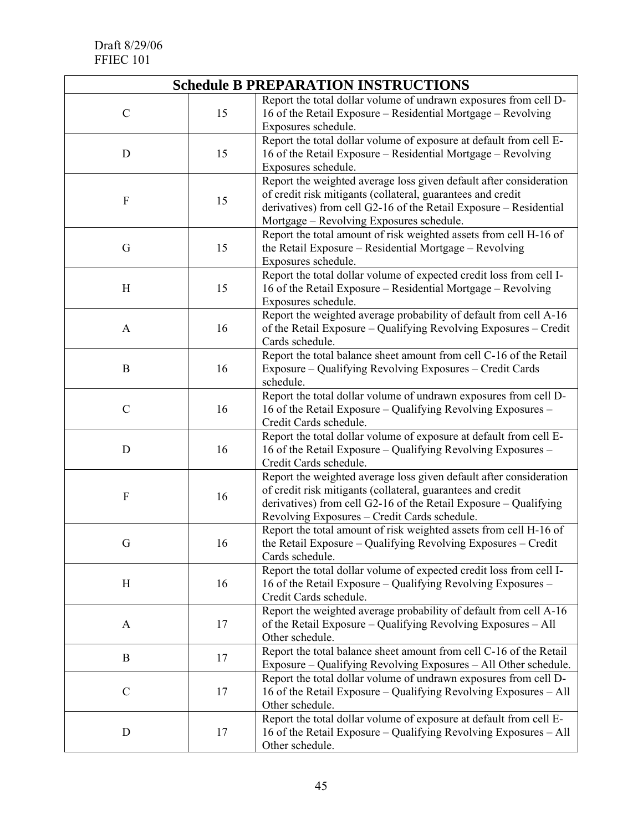| <b>Schedule B PREPARATION INSTRUCTIONS</b> |    |                                                                                                                                                                                                                                                         |  |  |
|--------------------------------------------|----|---------------------------------------------------------------------------------------------------------------------------------------------------------------------------------------------------------------------------------------------------------|--|--|
| $\mathcal{C}$                              | 15 | Report the total dollar volume of undrawn exposures from cell D-<br>16 of the Retail Exposure – Residential Mortgage – Revolving<br>Exposures schedule.                                                                                                 |  |  |
| D                                          | 15 | Report the total dollar volume of exposure at default from cell E-<br>16 of the Retail Exposure – Residential Mortgage – Revolving<br>Exposures schedule.                                                                                               |  |  |
| F                                          | 15 | Report the weighted average loss given default after consideration<br>of credit risk mitigants (collateral, guarantees and credit<br>derivatives) from cell G2-16 of the Retail Exposure - Residential<br>Mortgage - Revolving Exposures schedule.      |  |  |
| G                                          | 15 | Report the total amount of risk weighted assets from cell H-16 of<br>the Retail Exposure - Residential Mortgage - Revolving<br>Exposures schedule.                                                                                                      |  |  |
| H                                          | 15 | Report the total dollar volume of expected credit loss from cell I-<br>16 of the Retail Exposure – Residential Mortgage – Revolving<br>Exposures schedule.                                                                                              |  |  |
| $\mathbf{A}$                               | 16 | Report the weighted average probability of default from cell A-16<br>of the Retail Exposure – Qualifying Revolving Exposures – Credit<br>Cards schedule.                                                                                                |  |  |
| B                                          | 16 | Report the total balance sheet amount from cell C-16 of the Retail<br>Exposure – Qualifying Revolving Exposures – Credit Cards<br>schedule.                                                                                                             |  |  |
| $\mathcal{C}$                              | 16 | Report the total dollar volume of undrawn exposures from cell D-<br>16 of the Retail Exposure - Qualifying Revolving Exposures -<br>Credit Cards schedule.                                                                                              |  |  |
| D                                          | 16 | Report the total dollar volume of exposure at default from cell E-<br>16 of the Retail Exposure – Qualifying Revolving Exposures –<br>Credit Cards schedule.                                                                                            |  |  |
| F                                          | 16 | Report the weighted average loss given default after consideration<br>of credit risk mitigants (collateral, guarantees and credit<br>derivatives) from cell G2-16 of the Retail Exposure $-$ Qualifying<br>Revolving Exposures - Credit Cards schedule. |  |  |
| G                                          | 16 | Report the total amount of risk weighted assets from cell H-16 of<br>the Retail Exposure - Qualifying Revolving Exposures - Credit<br>Cards schedule.                                                                                                   |  |  |
| H                                          | 16 | Report the total dollar volume of expected credit loss from cell I-<br>16 of the Retail Exposure - Qualifying Revolving Exposures -<br>Credit Cards schedule.                                                                                           |  |  |
| A                                          | 17 | Report the weighted average probability of default from cell A-16<br>of the Retail Exposure – Qualifying Revolving Exposures – All<br>Other schedule.                                                                                                   |  |  |
| $\bf{B}$                                   | 17 | Report the total balance sheet amount from cell C-16 of the Retail<br>Exposure – Qualifying Revolving Exposures – All Other schedule.                                                                                                                   |  |  |
| $\mathcal{C}$                              | 17 | Report the total dollar volume of undrawn exposures from cell D-<br>16 of the Retail Exposure – Qualifying Revolving Exposures – All<br>Other schedule.                                                                                                 |  |  |
| D                                          | 17 | Report the total dollar volume of exposure at default from cell E-<br>16 of the Retail Exposure – Qualifying Revolving Exposures – All<br>Other schedule.                                                                                               |  |  |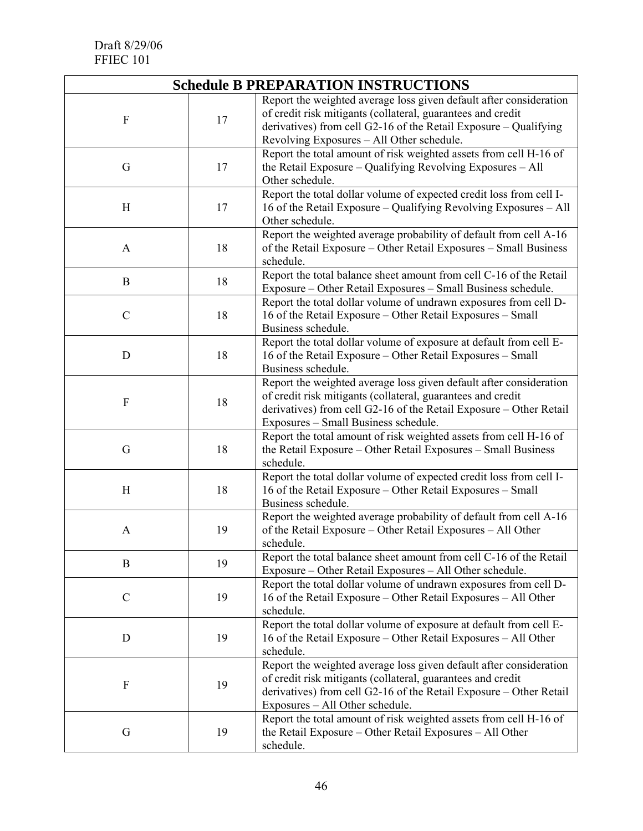| <b>Schedule B PREPARATION INSTRUCTIONS</b> |    |                                                                                                                                                                                                                                                    |  |
|--------------------------------------------|----|----------------------------------------------------------------------------------------------------------------------------------------------------------------------------------------------------------------------------------------------------|--|
| $\mathbf{F}$                               | 17 | Report the weighted average loss given default after consideration<br>of credit risk mitigants (collateral, guarantees and credit<br>derivatives) from cell G2-16 of the Retail Exposure – Qualifying<br>Revolving Exposures - All Other schedule. |  |
| G                                          | 17 | Report the total amount of risk weighted assets from cell H-16 of<br>the Retail Exposure – Qualifying Revolving Exposures – All<br>Other schedule.                                                                                                 |  |
| H                                          | 17 | Report the total dollar volume of expected credit loss from cell I-<br>16 of the Retail Exposure – Qualifying Revolving Exposures – All<br>Other schedule.                                                                                         |  |
| $\mathbf{A}$                               | 18 | Report the weighted average probability of default from cell A-16<br>of the Retail Exposure – Other Retail Exposures – Small Business<br>schedule.                                                                                                 |  |
| B                                          | 18 | Report the total balance sheet amount from cell C-16 of the Retail<br>Exposure - Other Retail Exposures - Small Business schedule.                                                                                                                 |  |
| $\mathcal{C}$                              | 18 | Report the total dollar volume of undrawn exposures from cell D-<br>16 of the Retail Exposure – Other Retail Exposures – Small<br>Business schedule.                                                                                               |  |
| D                                          | 18 | Report the total dollar volume of exposure at default from cell E-<br>16 of the Retail Exposure – Other Retail Exposures – Small<br>Business schedule.                                                                                             |  |
| $\boldsymbol{\mathrm{F}}$                  | 18 | Report the weighted average loss given default after consideration<br>of credit risk mitigants (collateral, guarantees and credit<br>derivatives) from cell G2-16 of the Retail Exposure - Other Retail<br>Exposures - Small Business schedule.    |  |
| G                                          | 18 | Report the total amount of risk weighted assets from cell H-16 of<br>the Retail Exposure – Other Retail Exposures – Small Business<br>schedule.                                                                                                    |  |
| H                                          | 18 | Report the total dollar volume of expected credit loss from cell I-<br>16 of the Retail Exposure – Other Retail Exposures – Small<br>Business schedule.                                                                                            |  |
| A                                          | 19 | Report the weighted average probability of default from cell A-16<br>of the Retail Exposure – Other Retail Exposures – All Other<br>schedule.                                                                                                      |  |
| B                                          | 19 | Report the total balance sheet amount from cell C-16 of the Retail<br>Exposure - Other Retail Exposures - All Other schedule.                                                                                                                      |  |
| $\mathcal{C}$                              | 19 | Report the total dollar volume of undrawn exposures from cell D-<br>16 of the Retail Exposure – Other Retail Exposures – All Other<br>schedule.                                                                                                    |  |
| D                                          | 19 | Report the total dollar volume of exposure at default from cell E-<br>16 of the Retail Exposure – Other Retail Exposures – All Other<br>schedule.                                                                                                  |  |
| $\boldsymbol{\mathrm{F}}$                  | 19 | Report the weighted average loss given default after consideration<br>of credit risk mitigants (collateral, guarantees and credit<br>derivatives) from cell G2-16 of the Retail Exposure – Other Retail<br>Exposures - All Other schedule.         |  |
| G                                          | 19 | Report the total amount of risk weighted assets from cell H-16 of<br>the Retail Exposure – Other Retail Exposures – All Other<br>schedule.                                                                                                         |  |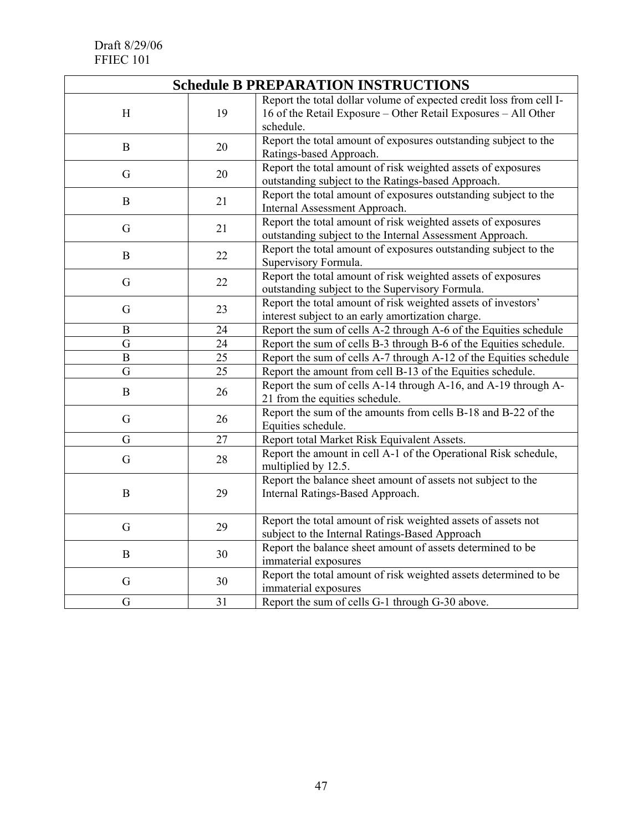| <b>Schedule B PREPARATION INSTRUCTIONS</b> |    |                                                                                                                                                    |  |
|--------------------------------------------|----|----------------------------------------------------------------------------------------------------------------------------------------------------|--|
| H                                          | 19 | Report the total dollar volume of expected credit loss from cell I-<br>16 of the Retail Exposure - Other Retail Exposures - All Other<br>schedule. |  |
| B                                          | 20 | Report the total amount of exposures outstanding subject to the<br>Ratings-based Approach.                                                         |  |
| G                                          | 20 | Report the total amount of risk weighted assets of exposures<br>outstanding subject to the Ratings-based Approach.                                 |  |
| $\mathbf B$                                | 21 | Report the total amount of exposures outstanding subject to the<br>Internal Assessment Approach.                                                   |  |
| G                                          | 21 | Report the total amount of risk weighted assets of exposures<br>outstanding subject to the Internal Assessment Approach.                           |  |
| $\boldsymbol{B}$                           | 22 | Report the total amount of exposures outstanding subject to the<br>Supervisory Formula.                                                            |  |
| G                                          | 22 | Report the total amount of risk weighted assets of exposures<br>outstanding subject to the Supervisory Formula.                                    |  |
| G                                          | 23 | Report the total amount of risk weighted assets of investors'<br>interest subject to an early amortization charge.                                 |  |
| $\mathbf B$                                | 24 | Report the sum of cells A-2 through A-6 of the Equities schedule                                                                                   |  |
| G                                          | 24 | Report the sum of cells B-3 through B-6 of the Equities schedule.                                                                                  |  |
| $\overline{B}$                             | 25 | Report the sum of cells A-7 through A-12 of the Equities schedule                                                                                  |  |
| G                                          | 25 | Report the amount from cell B-13 of the Equities schedule.                                                                                         |  |
| B                                          | 26 | Report the sum of cells A-14 through A-16, and A-19 through A-<br>21 from the equities schedule.                                                   |  |
| G                                          | 26 | Report the sum of the amounts from cells B-18 and B-22 of the<br>Equities schedule.                                                                |  |
| G                                          | 27 | Report total Market Risk Equivalent Assets.                                                                                                        |  |
| G                                          | 28 | Report the amount in cell A-1 of the Operational Risk schedule,<br>multiplied by 12.5.                                                             |  |
| $\mathbf B$                                | 29 | Report the balance sheet amount of assets not subject to the<br>Internal Ratings-Based Approach.                                                   |  |
| G                                          | 29 | Report the total amount of risk weighted assets of assets not<br>subject to the Internal Ratings-Based Approach                                    |  |
| $\boldsymbol{B}$                           | 30 | Report the balance sheet amount of assets determined to be<br>immaterial exposures                                                                 |  |
| G                                          | 30 | Report the total amount of risk weighted assets determined to be<br>immaterial exposures                                                           |  |
| G                                          | 31 | Report the sum of cells G-1 through G-30 above.                                                                                                    |  |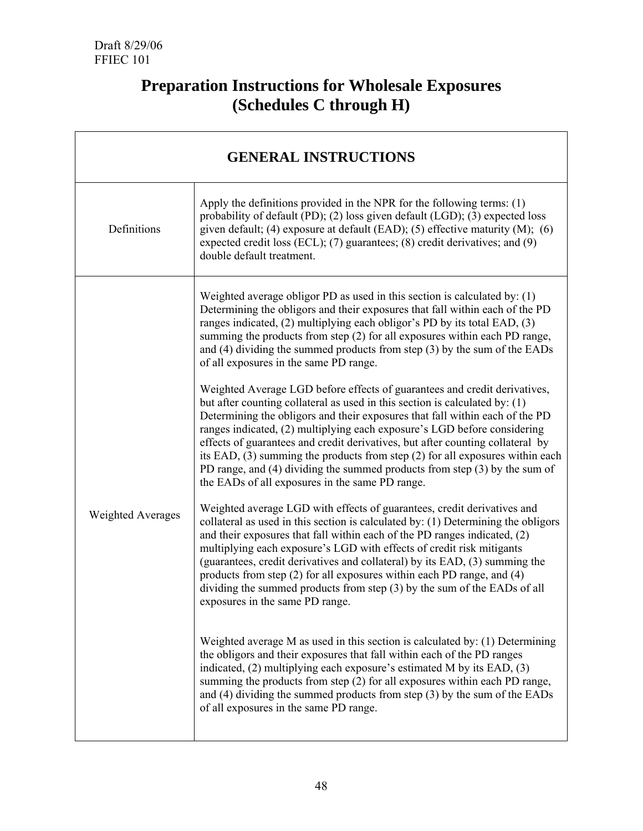# **Preparation Instructions for Wholesale Exposures (Schedules C through H)**

| <b>GENERAL INSTRUCTIONS</b> |                                                                                                                                                                                                                                                                                                                                                                                                                                                                                                                                                                                                                              |  |
|-----------------------------|------------------------------------------------------------------------------------------------------------------------------------------------------------------------------------------------------------------------------------------------------------------------------------------------------------------------------------------------------------------------------------------------------------------------------------------------------------------------------------------------------------------------------------------------------------------------------------------------------------------------------|--|
| Definitions                 | Apply the definitions provided in the NPR for the following terms: $(1)$<br>probability of default (PD); (2) loss given default (LGD); (3) expected loss<br>given default; (4) exposure at default (EAD); (5) effective maturity $(M)$ ; (6)<br>expected credit loss (ECL); (7) guarantees; (8) credit derivatives; and (9)<br>double default treatment.                                                                                                                                                                                                                                                                     |  |
| <b>Weighted Averages</b>    | Weighted average obligor PD as used in this section is calculated by: $(1)$<br>Determining the obligors and their exposures that fall within each of the PD<br>ranges indicated, (2) multiplying each obligor's PD by its total EAD, (3)<br>summing the products from step (2) for all exposures within each PD range,<br>and $(4)$ dividing the summed products from step $(3)$ by the sum of the EADs<br>of all exposures in the same PD range.                                                                                                                                                                            |  |
|                             | Weighted Average LGD before effects of guarantees and credit derivatives,<br>but after counting collateral as used in this section is calculated by: (1)<br>Determining the obligors and their exposures that fall within each of the PD<br>ranges indicated, (2) multiplying each exposure's LGD before considering<br>effects of guarantees and credit derivatives, but after counting collateral by<br>its EAD, (3) summing the products from step (2) for all exposures within each<br>PD range, and $(4)$ dividing the summed products from step $(3)$ by the sum of<br>the EADs of all exposures in the same PD range. |  |
|                             | Weighted average LGD with effects of guarantees, credit derivatives and<br>collateral as used in this section is calculated by: (1) Determining the obligors<br>and their exposures that fall within each of the PD ranges indicated, (2)<br>multiplying each exposure's LGD with effects of credit risk mitigants<br>(guarantees, credit derivatives and collateral) by its EAD, (3) summing the<br>products from step (2) for all exposures within each PD range, and (4)<br>dividing the summed products from step (3) by the sum of the EADs of all<br>exposures in the same PD range.                                   |  |
|                             | Weighted average M as used in this section is calculated by: $(1)$ Determining<br>the obligors and their exposures that fall within each of the PD ranges<br>indicated, (2) multiplying each exposure's estimated M by its EAD, (3)<br>summing the products from step (2) for all exposures within each PD range,<br>and $(4)$ dividing the summed products from step $(3)$ by the sum of the EADs<br>of all exposures in the same PD range.                                                                                                                                                                                 |  |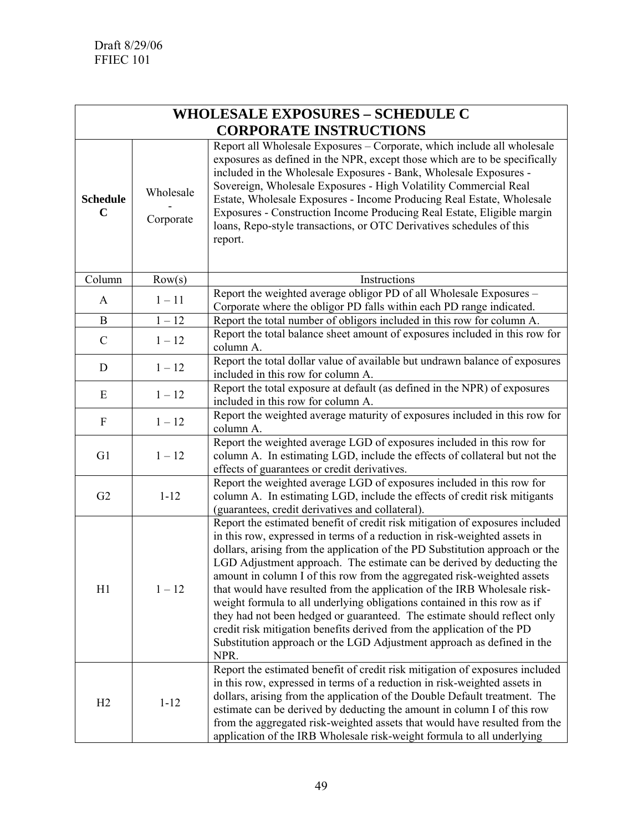| <b>WHOLESALE EXPOSURES - SCHEDULE C</b> |                        |                                                                                                                                                                                                                                                                                                                                                                                                                                                                                                                                                                                                                                                                                                                                                                                               |  |
|-----------------------------------------|------------------------|-----------------------------------------------------------------------------------------------------------------------------------------------------------------------------------------------------------------------------------------------------------------------------------------------------------------------------------------------------------------------------------------------------------------------------------------------------------------------------------------------------------------------------------------------------------------------------------------------------------------------------------------------------------------------------------------------------------------------------------------------------------------------------------------------|--|
| <b>CORPORATE INSTRUCTIONS</b>           |                        |                                                                                                                                                                                                                                                                                                                                                                                                                                                                                                                                                                                                                                                                                                                                                                                               |  |
| <b>Schedule</b><br>$\mathbf C$          | Wholesale<br>Corporate | Report all Wholesale Exposures - Corporate, which include all wholesale<br>exposures as defined in the NPR, except those which are to be specifically<br>included in the Wholesale Exposures - Bank, Wholesale Exposures -<br>Sovereign, Wholesale Exposures - High Volatility Commercial Real<br>Estate, Wholesale Exposures - Income Producing Real Estate, Wholesale<br>Exposures - Construction Income Producing Real Estate, Eligible margin<br>loans, Repo-style transactions, or OTC Derivatives schedules of this<br>report.                                                                                                                                                                                                                                                          |  |
| Column                                  | Row(s)                 | Instructions                                                                                                                                                                                                                                                                                                                                                                                                                                                                                                                                                                                                                                                                                                                                                                                  |  |
| A                                       | $1 - 11$               | Report the weighted average obligor PD of all Wholesale Exposures -<br>Corporate where the obligor PD falls within each PD range indicated.                                                                                                                                                                                                                                                                                                                                                                                                                                                                                                                                                                                                                                                   |  |
| B                                       | $1 - 12$               | Report the total number of obligors included in this row for column A.                                                                                                                                                                                                                                                                                                                                                                                                                                                                                                                                                                                                                                                                                                                        |  |
| $\mathcal{C}$                           | $1 - 12$               | Report the total balance sheet amount of exposures included in this row for<br>column A.                                                                                                                                                                                                                                                                                                                                                                                                                                                                                                                                                                                                                                                                                                      |  |
| D                                       | $1 - 12$               | Report the total dollar value of available but undrawn balance of exposures<br>included in this row for column A.                                                                                                                                                                                                                                                                                                                                                                                                                                                                                                                                                                                                                                                                             |  |
| E                                       | $1 - 12$               | Report the total exposure at default (as defined in the NPR) of exposures<br>included in this row for column A.                                                                                                                                                                                                                                                                                                                                                                                                                                                                                                                                                                                                                                                                               |  |
| F                                       | $1 - 12$               | Report the weighted average maturity of exposures included in this row for<br>column A.                                                                                                                                                                                                                                                                                                                                                                                                                                                                                                                                                                                                                                                                                                       |  |
| G1                                      | $1 - 12$               | Report the weighted average LGD of exposures included in this row for<br>column A. In estimating LGD, include the effects of collateral but not the<br>effects of guarantees or credit derivatives.                                                                                                                                                                                                                                                                                                                                                                                                                                                                                                                                                                                           |  |
| G2                                      | $1 - 12$               | Report the weighted average LGD of exposures included in this row for<br>column A. In estimating LGD, include the effects of credit risk mitigants<br>(guarantees, credit derivatives and collateral).                                                                                                                                                                                                                                                                                                                                                                                                                                                                                                                                                                                        |  |
| H1                                      | $1 - 12$               | Report the estimated benefit of credit risk mitigation of exposures included<br>in this row, expressed in terms of a reduction in risk-weighted assets in<br>dollars, arising from the application of the PD Substitution approach or the<br>LGD Adjustment approach. The estimate can be derived by deducting the<br>amount in column I of this row from the aggregated risk-weighted assets<br>that would have resulted from the application of the IRB Wholesale risk-<br>weight formula to all underlying obligations contained in this row as if<br>they had not been hedged or guaranteed. The estimate should reflect only<br>credit risk mitigation benefits derived from the application of the PD<br>Substitution approach or the LGD Adjustment approach as defined in the<br>NPR. |  |
| H2                                      | $1 - 12$               | Report the estimated benefit of credit risk mitigation of exposures included<br>in this row, expressed in terms of a reduction in risk-weighted assets in<br>dollars, arising from the application of the Double Default treatment. The<br>estimate can be derived by deducting the amount in column I of this row<br>from the aggregated risk-weighted assets that would have resulted from the<br>application of the IRB Wholesale risk-weight formula to all underlying                                                                                                                                                                                                                                                                                                                    |  |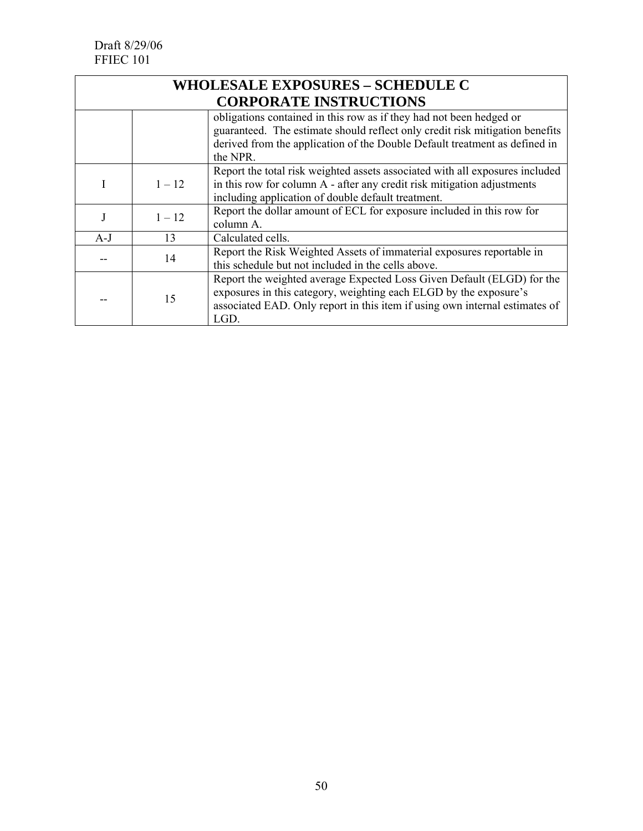| <b>WHOLESALE EXPOSURES - SCHEDULE C</b> |          |                                                                                                                                                                                                                                    |
|-----------------------------------------|----------|------------------------------------------------------------------------------------------------------------------------------------------------------------------------------------------------------------------------------------|
|                                         |          | <b>CORPORATE INSTRUCTIONS</b>                                                                                                                                                                                                      |
|                                         |          | obligations contained in this row as if they had not been hedged or<br>guaranteed. The estimate should reflect only credit risk mitigation benefits<br>derived from the application of the Double Default treatment as defined in  |
|                                         |          | the NPR.                                                                                                                                                                                                                           |
| 1.                                      | $1 - 12$ | Report the total risk weighted assets associated with all exposures included<br>in this row for column A - after any credit risk mitigation adjustments<br>including application of double default treatment.                      |
| J                                       | $1 - 12$ | Report the dollar amount of ECL for exposure included in this row for<br>column A.                                                                                                                                                 |
| $A-J$                                   | 13       | Calculated cells.                                                                                                                                                                                                                  |
|                                         | 14       | Report the Risk Weighted Assets of immaterial exposures reportable in<br>this schedule but not included in the cells above.                                                                                                        |
|                                         | 15       | Report the weighted average Expected Loss Given Default (ELGD) for the<br>exposures in this category, weighting each ELGD by the exposure's<br>associated EAD. Only report in this item if using own internal estimates of<br>LGD. |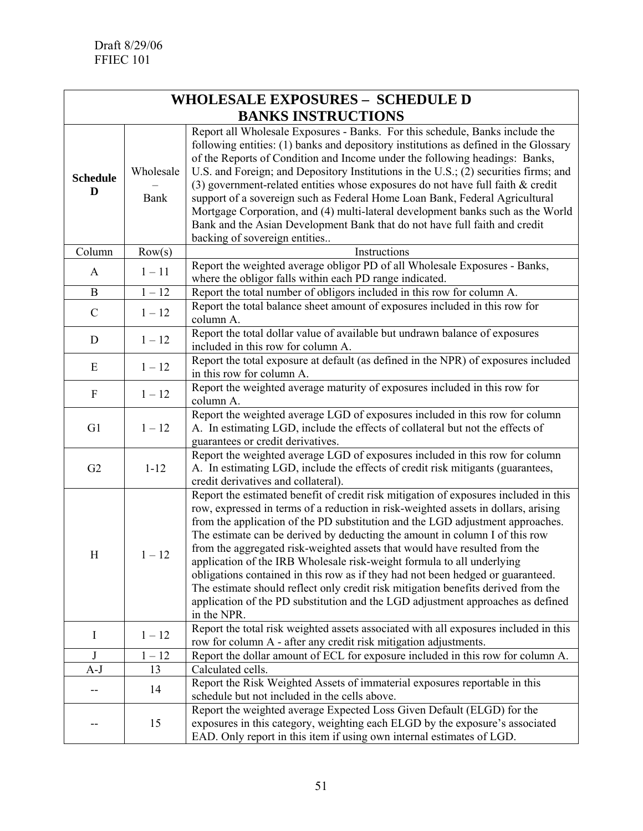| <b>WHOLESALE EXPOSURES - SCHEDULE D</b> |                          |                                                                                                                                                                                                                                                                                                                                                                                                                                                                                                                                                                                                                                                                                                                                                                               |  |
|-----------------------------------------|--------------------------|-------------------------------------------------------------------------------------------------------------------------------------------------------------------------------------------------------------------------------------------------------------------------------------------------------------------------------------------------------------------------------------------------------------------------------------------------------------------------------------------------------------------------------------------------------------------------------------------------------------------------------------------------------------------------------------------------------------------------------------------------------------------------------|--|
| <b>BANKS INSTRUCTIONS</b>               |                          |                                                                                                                                                                                                                                                                                                                                                                                                                                                                                                                                                                                                                                                                                                                                                                               |  |
| <b>Schedule</b><br>D                    | Wholesale<br><b>Bank</b> | Report all Wholesale Exposures - Banks. For this schedule, Banks include the<br>following entities: (1) banks and depository institutions as defined in the Glossary<br>of the Reports of Condition and Income under the following headings: Banks,<br>U.S. and Foreign; and Depository Institutions in the U.S.; (2) securities firms; and<br>(3) government-related entities whose exposures do not have full faith $&$ credit<br>support of a sovereign such as Federal Home Loan Bank, Federal Agricultural<br>Mortgage Corporation, and (4) multi-lateral development banks such as the World<br>Bank and the Asian Development Bank that do not have full faith and credit<br>backing of sovereign entities                                                             |  |
| Column                                  | Row(s)                   | Instructions                                                                                                                                                                                                                                                                                                                                                                                                                                                                                                                                                                                                                                                                                                                                                                  |  |
| A                                       | $1 - 11$                 | Report the weighted average obligor PD of all Wholesale Exposures - Banks,<br>where the obligor falls within each PD range indicated.                                                                                                                                                                                                                                                                                                                                                                                                                                                                                                                                                                                                                                         |  |
| B                                       | $1 - 12$                 | Report the total number of obligors included in this row for column A.                                                                                                                                                                                                                                                                                                                                                                                                                                                                                                                                                                                                                                                                                                        |  |
| $\mathcal{C}$                           | $1 - 12$                 | Report the total balance sheet amount of exposures included in this row for<br>column A.                                                                                                                                                                                                                                                                                                                                                                                                                                                                                                                                                                                                                                                                                      |  |
| D                                       | $1 - 12$                 | Report the total dollar value of available but undrawn balance of exposures<br>included in this row for column A.                                                                                                                                                                                                                                                                                                                                                                                                                                                                                                                                                                                                                                                             |  |
| E                                       | $1 - 12$                 | Report the total exposure at default (as defined in the NPR) of exposures included<br>in this row for column A.                                                                                                                                                                                                                                                                                                                                                                                                                                                                                                                                                                                                                                                               |  |
| $\mathbf F$                             | $1 - 12$                 | Report the weighted average maturity of exposures included in this row for<br>column A.                                                                                                                                                                                                                                                                                                                                                                                                                                                                                                                                                                                                                                                                                       |  |
| G1                                      | $1 - 12$                 | Report the weighted average LGD of exposures included in this row for column<br>A. In estimating LGD, include the effects of collateral but not the effects of<br>guarantees or credit derivatives.                                                                                                                                                                                                                                                                                                                                                                                                                                                                                                                                                                           |  |
| G2                                      | $1 - 12$                 | Report the weighted average LGD of exposures included in this row for column<br>A. In estimating LGD, include the effects of credit risk mitigants (guarantees,<br>credit derivatives and collateral).                                                                                                                                                                                                                                                                                                                                                                                                                                                                                                                                                                        |  |
| H                                       | $1 - 12$                 | Report the estimated benefit of credit risk mitigation of exposures included in this<br>row, expressed in terms of a reduction in risk-weighted assets in dollars, arising<br>from the application of the PD substitution and the LGD adjustment approaches.<br>The estimate can be derived by deducting the amount in column I of this row<br>from the aggregated risk-weighted assets that would have resulted from the<br>application of the IRB Wholesale risk-weight formula to all underlying<br>obligations contained in this row as if they had not been hedged or guaranteed.<br>The estimate should reflect only credit risk mitigation benefits derived from the<br>application of the PD substitution and the LGD adjustment approaches as defined<br>in the NPR. |  |
| I                                       | $1 - 12$                 | Report the total risk weighted assets associated with all exposures included in this<br>row for column A - after any credit risk mitigation adjustments.                                                                                                                                                                                                                                                                                                                                                                                                                                                                                                                                                                                                                      |  |
| J                                       | $1 - 12$                 | Report the dollar amount of ECL for exposure included in this row for column A.                                                                                                                                                                                                                                                                                                                                                                                                                                                                                                                                                                                                                                                                                               |  |
| A-J                                     | 13                       | Calculated cells.                                                                                                                                                                                                                                                                                                                                                                                                                                                                                                                                                                                                                                                                                                                                                             |  |
|                                         | 14                       | Report the Risk Weighted Assets of immaterial exposures reportable in this<br>schedule but not included in the cells above.                                                                                                                                                                                                                                                                                                                                                                                                                                                                                                                                                                                                                                                   |  |
|                                         | 15                       | Report the weighted average Expected Loss Given Default (ELGD) for the<br>exposures in this category, weighting each ELGD by the exposure's associated<br>EAD. Only report in this item if using own internal estimates of LGD.                                                                                                                                                                                                                                                                                                                                                                                                                                                                                                                                               |  |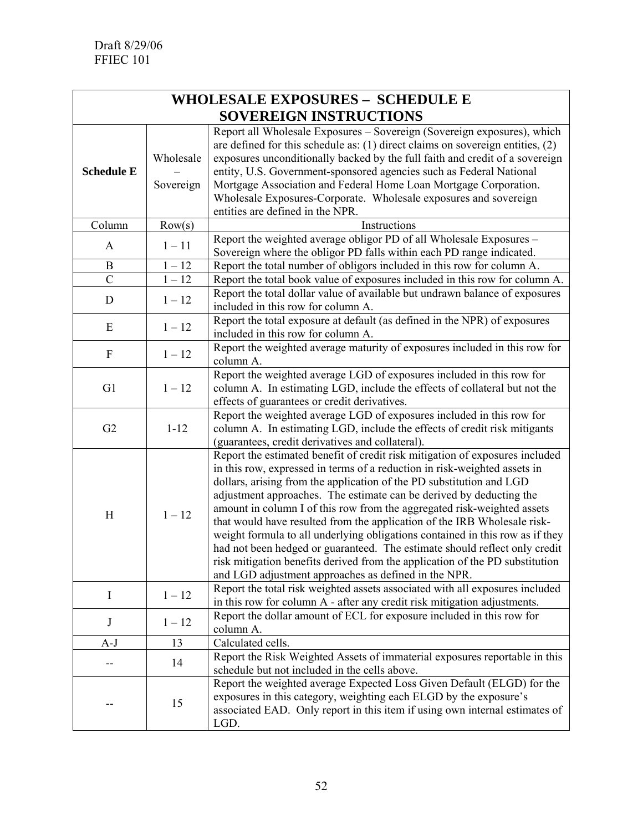| <b>WHOLESALE EXPOSURES - SCHEDULE E</b> |                        |                                                                                                                                                                                                                                                                                                                                                                                                                                                                                                                                                                                                                                                                                                                                                                        |  |
|-----------------------------------------|------------------------|------------------------------------------------------------------------------------------------------------------------------------------------------------------------------------------------------------------------------------------------------------------------------------------------------------------------------------------------------------------------------------------------------------------------------------------------------------------------------------------------------------------------------------------------------------------------------------------------------------------------------------------------------------------------------------------------------------------------------------------------------------------------|--|
|                                         |                        | SOVEREIGN INSTRUCTIONS                                                                                                                                                                                                                                                                                                                                                                                                                                                                                                                                                                                                                                                                                                                                                 |  |
| <b>Schedule E</b>                       | Wholesale<br>Sovereign | Report all Wholesale Exposures - Sovereign (Sovereign exposures), which<br>are defined for this schedule as: $(1)$ direct claims on sovereign entities, $(2)$<br>exposures unconditionally backed by the full faith and credit of a sovereign<br>entity, U.S. Government-sponsored agencies such as Federal National<br>Mortgage Association and Federal Home Loan Mortgage Corporation.<br>Wholesale Exposures-Corporate. Wholesale exposures and sovereign<br>entities are defined in the NPR.                                                                                                                                                                                                                                                                       |  |
| Column                                  | Row(s)                 | Instructions                                                                                                                                                                                                                                                                                                                                                                                                                                                                                                                                                                                                                                                                                                                                                           |  |
| A                                       | $1 - 11$               | Report the weighted average obligor PD of all Wholesale Exposures -<br>Sovereign where the obligor PD falls within each PD range indicated.                                                                                                                                                                                                                                                                                                                                                                                                                                                                                                                                                                                                                            |  |
| B                                       | $1 - 12$               | Report the total number of obligors included in this row for column A.                                                                                                                                                                                                                                                                                                                                                                                                                                                                                                                                                                                                                                                                                                 |  |
| $\overline{C}$                          | $1 - 12$               | Report the total book value of exposures included in this row for column A.                                                                                                                                                                                                                                                                                                                                                                                                                                                                                                                                                                                                                                                                                            |  |
| D                                       | $1 - 12$               | Report the total dollar value of available but undrawn balance of exposures<br>included in this row for column A.                                                                                                                                                                                                                                                                                                                                                                                                                                                                                                                                                                                                                                                      |  |
| E                                       | $1 - 12$               | Report the total exposure at default (as defined in the NPR) of exposures<br>included in this row for column A.                                                                                                                                                                                                                                                                                                                                                                                                                                                                                                                                                                                                                                                        |  |
| ${\rm F}$                               | $1 - 12$               | Report the weighted average maturity of exposures included in this row for<br>column A.                                                                                                                                                                                                                                                                                                                                                                                                                                                                                                                                                                                                                                                                                |  |
| G1                                      | $1 - 12$               | Report the weighted average LGD of exposures included in this row for<br>column A. In estimating LGD, include the effects of collateral but not the<br>effects of guarantees or credit derivatives.                                                                                                                                                                                                                                                                                                                                                                                                                                                                                                                                                                    |  |
| G2                                      | $1 - 12$               | Report the weighted average LGD of exposures included in this row for<br>column A. In estimating LGD, include the effects of credit risk mitigants<br>(guarantees, credit derivatives and collateral).                                                                                                                                                                                                                                                                                                                                                                                                                                                                                                                                                                 |  |
| H                                       | $1 - 12$               | Report the estimated benefit of credit risk mitigation of exposures included<br>in this row, expressed in terms of a reduction in risk-weighted assets in<br>dollars, arising from the application of the PD substitution and LGD<br>adjustment approaches. The estimate can be derived by deducting the<br>amount in column I of this row from the aggregated risk-weighted assets<br>that would have resulted from the application of the IRB Wholesale risk-<br>weight formula to all underlying obligations contained in this row as if they<br>had not been hedged or guaranteed. The estimate should reflect only credit<br>risk mitigation benefits derived from the application of the PD substitution<br>and LGD adjustment approaches as defined in the NPR. |  |
| I                                       | $1 - 12$               | Report the total risk weighted assets associated with all exposures included<br>in this row for column A - after any credit risk mitigation adjustments.                                                                                                                                                                                                                                                                                                                                                                                                                                                                                                                                                                                                               |  |
| J                                       | $1 - 12$               | Report the dollar amount of ECL for exposure included in this row for<br>column A.                                                                                                                                                                                                                                                                                                                                                                                                                                                                                                                                                                                                                                                                                     |  |
| $A-J$                                   | 13                     | Calculated cells.                                                                                                                                                                                                                                                                                                                                                                                                                                                                                                                                                                                                                                                                                                                                                      |  |
|                                         | 14                     | Report the Risk Weighted Assets of immaterial exposures reportable in this<br>schedule but not included in the cells above.                                                                                                                                                                                                                                                                                                                                                                                                                                                                                                                                                                                                                                            |  |
|                                         | 15                     | Report the weighted average Expected Loss Given Default (ELGD) for the<br>exposures in this category, weighting each ELGD by the exposure's<br>associated EAD. Only report in this item if using own internal estimates of<br>LGD.                                                                                                                                                                                                                                                                                                                                                                                                                                                                                                                                     |  |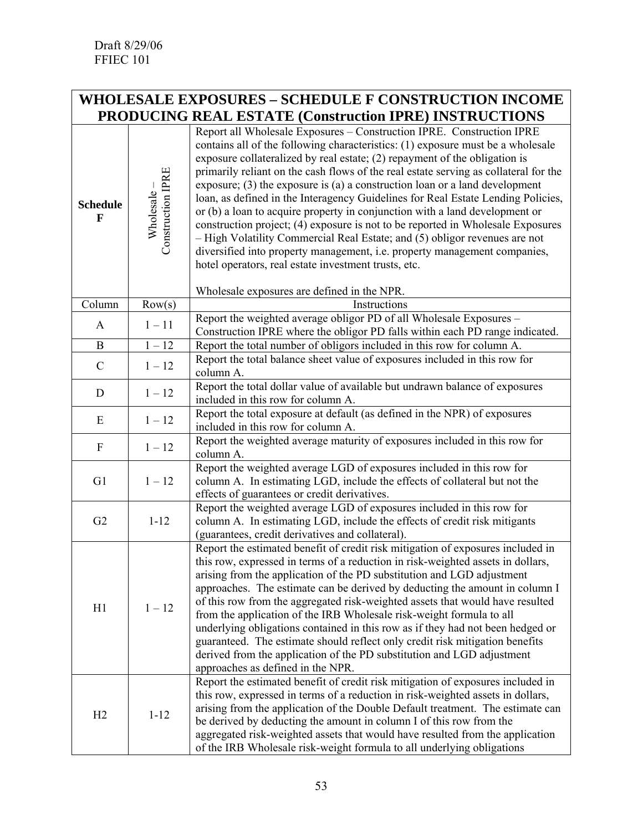# **WHOLESALE EXPOSURES – SCHEDULE F CONSTRUCTION INCOME PRODUCING REAL ESTATE (Construction IPRE) INSTRUCTIONS**

| <b>Schedule</b><br>F | Construction IPRE<br>Wholesale- | Report all Wholesale Exposures - Construction IPRE. Construction IPRE<br>contains all of the following characteristics: (1) exposure must be a wholesale<br>exposure collateralized by real estate; (2) repayment of the obligation is<br>primarily reliant on the cash flows of the real estate serving as collateral for the<br>exposure; $(3)$ the exposure is $(a)$ a construction loan or a land development<br>loan, as defined in the Interagency Guidelines for Real Estate Lending Policies,<br>or (b) a loan to acquire property in conjunction with a land development or<br>construction project; (4) exposure is not to be reported in Wholesale Exposures<br>- High Volatility Commercial Real Estate; and (5) obligor revenues are not<br>diversified into property management, i.e. property management companies,<br>hotel operators, real estate investment trusts, etc.<br>Wholesale exposures are defined in the NPR. |
|----------------------|---------------------------------|-------------------------------------------------------------------------------------------------------------------------------------------------------------------------------------------------------------------------------------------------------------------------------------------------------------------------------------------------------------------------------------------------------------------------------------------------------------------------------------------------------------------------------------------------------------------------------------------------------------------------------------------------------------------------------------------------------------------------------------------------------------------------------------------------------------------------------------------------------------------------------------------------------------------------------------------|
| Column               | Row(s)                          | Instructions                                                                                                                                                                                                                                                                                                                                                                                                                                                                                                                                                                                                                                                                                                                                                                                                                                                                                                                              |
| A                    | $1 - 11$                        | Report the weighted average obligor PD of all Wholesale Exposures -<br>Construction IPRE where the obligor PD falls within each PD range indicated.                                                                                                                                                                                                                                                                                                                                                                                                                                                                                                                                                                                                                                                                                                                                                                                       |
| B                    | $1 - 12$                        | Report the total number of obligors included in this row for column A.                                                                                                                                                                                                                                                                                                                                                                                                                                                                                                                                                                                                                                                                                                                                                                                                                                                                    |
| $\mathcal{C}$        | $1-12\,$                        | Report the total balance sheet value of exposures included in this row for<br>column A.                                                                                                                                                                                                                                                                                                                                                                                                                                                                                                                                                                                                                                                                                                                                                                                                                                                   |
| D                    | $1 - 12$                        | Report the total dollar value of available but undrawn balance of exposures<br>included in this row for column A.                                                                                                                                                                                                                                                                                                                                                                                                                                                                                                                                                                                                                                                                                                                                                                                                                         |
| E                    | $1 - 12$                        | Report the total exposure at default (as defined in the NPR) of exposures<br>included in this row for column A.                                                                                                                                                                                                                                                                                                                                                                                                                                                                                                                                                                                                                                                                                                                                                                                                                           |
| ${\rm F}$            | $1 - 12$                        | Report the weighted average maturity of exposures included in this row for<br>column A.                                                                                                                                                                                                                                                                                                                                                                                                                                                                                                                                                                                                                                                                                                                                                                                                                                                   |
| G1                   | $1 - 12$                        | Report the weighted average LGD of exposures included in this row for<br>column A. In estimating LGD, include the effects of collateral but not the<br>effects of guarantees or credit derivatives.                                                                                                                                                                                                                                                                                                                                                                                                                                                                                                                                                                                                                                                                                                                                       |
| G2                   | $1 - 12$                        | Report the weighted average LGD of exposures included in this row for<br>column A. In estimating LGD, include the effects of credit risk mitigants<br>(guarantees, credit derivatives and collateral).                                                                                                                                                                                                                                                                                                                                                                                                                                                                                                                                                                                                                                                                                                                                    |
| H1                   | $1 - 12$                        | Report the estimated benefit of credit risk mitigation of exposures included in<br>this row, expressed in terms of a reduction in risk-weighted assets in dollars,<br>arising from the application of the PD substitution and LGD adjustment<br>approaches. The estimate can be derived by deducting the amount in column I<br>of this row from the aggregated risk-weighted assets that would have resulted<br>from the application of the IRB Wholesale risk-weight formula to all<br>underlying obligations contained in this row as if they had not been hedged or<br>guaranteed. The estimate should reflect only credit risk mitigation benefits<br>derived from the application of the PD substitution and LGD adjustment<br>approaches as defined in the NPR.                                                                                                                                                                     |
| H <sub>2</sub>       | $1 - 12$                        | Report the estimated benefit of credit risk mitigation of exposures included in<br>this row, expressed in terms of a reduction in risk-weighted assets in dollars,<br>arising from the application of the Double Default treatment. The estimate can<br>be derived by deducting the amount in column I of this row from the<br>aggregated risk-weighted assets that would have resulted from the application<br>of the IRB Wholesale risk-weight formula to all underlying obligations                                                                                                                                                                                                                                                                                                                                                                                                                                                    |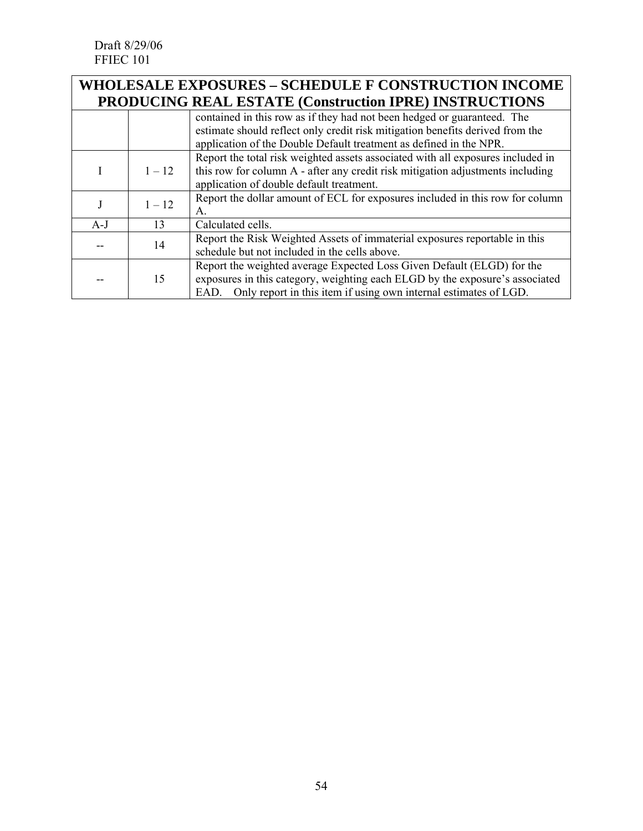Draft 8/29/06 FFIEC 101

### **WHOLESALE EXPOSURES – SCHEDULE F CONSTRUCTION INCOME PRODUCING REAL ESTATE (Construction IPRE) INSTRUCTIONS**

|       |          | I RODUCTIVO REAL ESTATE (CONSULTUON II RE) HVSTRUCTIONS                         |
|-------|----------|---------------------------------------------------------------------------------|
|       |          | contained in this row as if they had not been hedged or guaranteed. The         |
|       |          | estimate should reflect only credit risk mitigation benefits derived from the   |
|       |          | application of the Double Default treatment as defined in the NPR.              |
|       |          | Report the total risk weighted assets associated with all exposures included in |
|       | $1 - 12$ | this row for column A - after any credit risk mitigation adjustments including  |
|       |          | application of double default treatment.                                        |
|       | $1 - 12$ | Report the dollar amount of ECL for exposures included in this row for column   |
|       |          | $A_{\cdot}$                                                                     |
| $A-J$ | 13       | Calculated cells.                                                               |
|       |          | Report the Risk Weighted Assets of immaterial exposures reportable in this      |
|       | 14       | schedule but not included in the cells above.                                   |
|       |          | Report the weighted average Expected Loss Given Default (ELGD) for the          |
|       | 15       | exposures in this category, weighting each ELGD by the exposure's associated    |
|       |          | EAD. Only report in this item if using own internal estimates of LGD.           |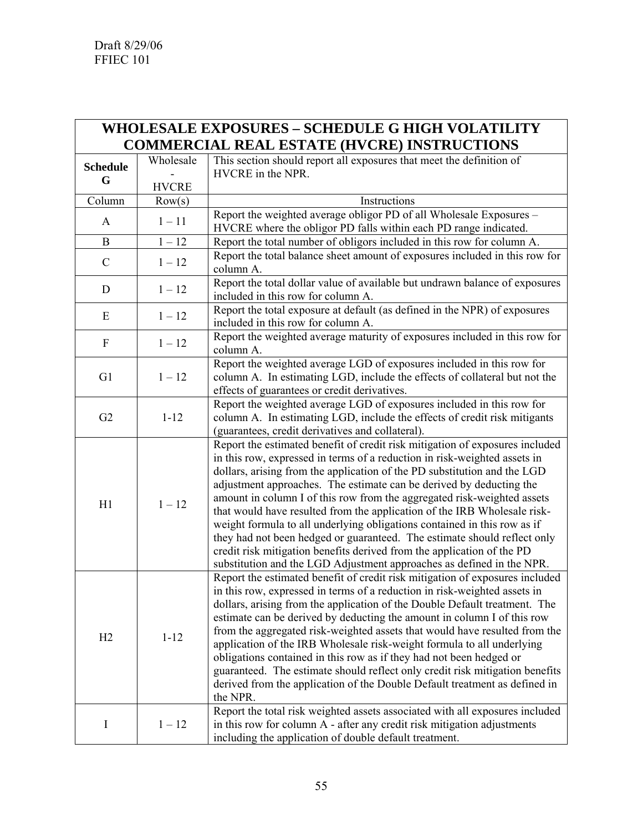| <b>WHOLESALE EXPOSURES - SCHEDULE G HIGH VOLATILITY</b> |              |                                                                                                                                                                                                                                                                                                                                                                                                                                                                                                                                                                                                                                                                                                                                                                                |  |
|---------------------------------------------------------|--------------|--------------------------------------------------------------------------------------------------------------------------------------------------------------------------------------------------------------------------------------------------------------------------------------------------------------------------------------------------------------------------------------------------------------------------------------------------------------------------------------------------------------------------------------------------------------------------------------------------------------------------------------------------------------------------------------------------------------------------------------------------------------------------------|--|
|                                                         |              | <b>COMMERCIAL REAL ESTATE (HVCRE) INSTRUCTIONS</b>                                                                                                                                                                                                                                                                                                                                                                                                                                                                                                                                                                                                                                                                                                                             |  |
| <b>Schedule</b>                                         | Wholesale    | This section should report all exposures that meet the definition of<br>HVCRE in the NPR.                                                                                                                                                                                                                                                                                                                                                                                                                                                                                                                                                                                                                                                                                      |  |
| G                                                       | <b>HVCRE</b> |                                                                                                                                                                                                                                                                                                                                                                                                                                                                                                                                                                                                                                                                                                                                                                                |  |
| Column                                                  | Row(s)       | Instructions                                                                                                                                                                                                                                                                                                                                                                                                                                                                                                                                                                                                                                                                                                                                                                   |  |
|                                                         |              | Report the weighted average obligor PD of all Wholesale Exposures -                                                                                                                                                                                                                                                                                                                                                                                                                                                                                                                                                                                                                                                                                                            |  |
| A                                                       | $1 - 11$     | HVCRE where the obligor PD falls within each PD range indicated.                                                                                                                                                                                                                                                                                                                                                                                                                                                                                                                                                                                                                                                                                                               |  |
| B                                                       | $1 - 12$     | Report the total number of obligors included in this row for column A.                                                                                                                                                                                                                                                                                                                                                                                                                                                                                                                                                                                                                                                                                                         |  |
| $\mathcal{C}$                                           | $1 - 12$     | Report the total balance sheet amount of exposures included in this row for<br>column A.                                                                                                                                                                                                                                                                                                                                                                                                                                                                                                                                                                                                                                                                                       |  |
| $\mathbf D$                                             | $1 - 12$     | Report the total dollar value of available but undrawn balance of exposures<br>included in this row for column A.                                                                                                                                                                                                                                                                                                                                                                                                                                                                                                                                                                                                                                                              |  |
| E                                                       | $1 - 12$     | Report the total exposure at default (as defined in the NPR) of exposures<br>included in this row for column A.                                                                                                                                                                                                                                                                                                                                                                                                                                                                                                                                                                                                                                                                |  |
| ${\bf F}$                                               | $1 - 12$     | Report the weighted average maturity of exposures included in this row for<br>column A.                                                                                                                                                                                                                                                                                                                                                                                                                                                                                                                                                                                                                                                                                        |  |
| G <sub>1</sub>                                          | $1 - 12$     | Report the weighted average LGD of exposures included in this row for<br>column A. In estimating LGD, include the effects of collateral but not the<br>effects of guarantees or credit derivatives.                                                                                                                                                                                                                                                                                                                                                                                                                                                                                                                                                                            |  |
| G2                                                      | $1 - 12$     | Report the weighted average LGD of exposures included in this row for<br>column A. In estimating LGD, include the effects of credit risk mitigants<br>(guarantees, credit derivatives and collateral).                                                                                                                                                                                                                                                                                                                                                                                                                                                                                                                                                                         |  |
| H1                                                      | $1 - 12$     | Report the estimated benefit of credit risk mitigation of exposures included<br>in this row, expressed in terms of a reduction in risk-weighted assets in<br>dollars, arising from the application of the PD substitution and the LGD<br>adjustment approaches. The estimate can be derived by deducting the<br>amount in column I of this row from the aggregated risk-weighted assets<br>that would have resulted from the application of the IRB Wholesale risk-<br>weight formula to all underlying obligations contained in this row as if<br>they had not been hedged or guaranteed. The estimate should reflect only<br>credit risk mitigation benefits derived from the application of the PD<br>substitution and the LGD Adjustment approaches as defined in the NPR. |  |
| H2                                                      | $1 - 12$     | Report the estimated benefit of credit risk mitigation of exposures included<br>in this row, expressed in terms of a reduction in risk-weighted assets in<br>dollars, arising from the application of the Double Default treatment. The<br>estimate can be derived by deducting the amount in column I of this row<br>from the aggregated risk-weighted assets that would have resulted from the<br>application of the IRB Wholesale risk-weight formula to all underlying<br>obligations contained in this row as if they had not been hedged or<br>guaranteed. The estimate should reflect only credit risk mitigation benefits<br>derived from the application of the Double Default treatment as defined in<br>the NPR.                                                    |  |
| I                                                       | $1 - 12$     | Report the total risk weighted assets associated with all exposures included<br>in this row for column A - after any credit risk mitigation adjustments<br>including the application of double default treatment.                                                                                                                                                                                                                                                                                                                                                                                                                                                                                                                                                              |  |

<u> 1989 - Andrea Santa Alemania, amerikana amerikana amerikana amerikana amerikana amerikana amerikana amerikan</u>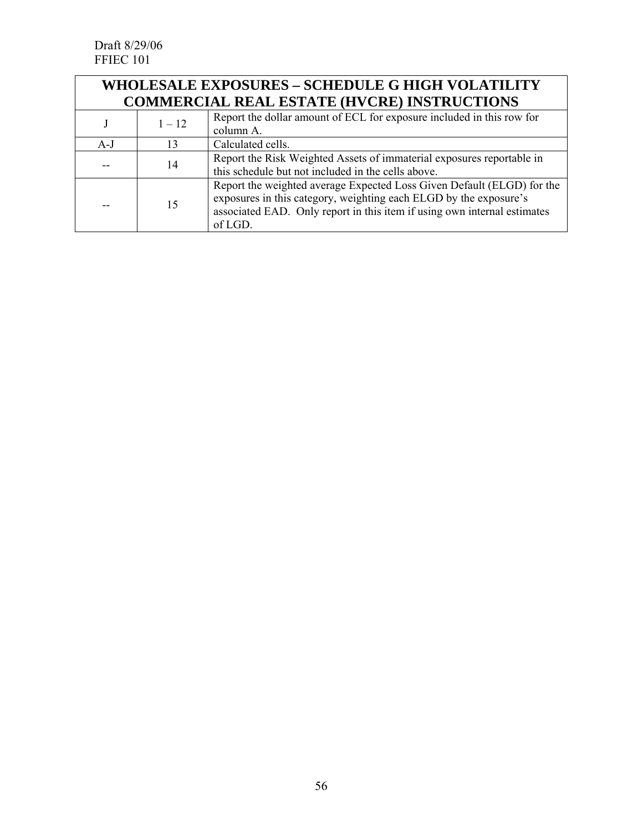| <b>WHOLESALE EXPOSURES - SCHEDULE G HIGH VOLATILITY</b> |                                                    |                                                                                                                                                                                                                                    |  |
|---------------------------------------------------------|----------------------------------------------------|------------------------------------------------------------------------------------------------------------------------------------------------------------------------------------------------------------------------------------|--|
|                                                         | <b>COMMERCIAL REAL ESTATE (HVCRE) INSTRUCTIONS</b> |                                                                                                                                                                                                                                    |  |
|                                                         | $1 - 12$                                           | Report the dollar amount of ECL for exposure included in this row for<br>column A.                                                                                                                                                 |  |
| $A-J$                                                   | 13                                                 | Calculated cells.                                                                                                                                                                                                                  |  |
|                                                         | 14                                                 | Report the Risk Weighted Assets of immaterial exposures reportable in<br>this schedule but not included in the cells above.                                                                                                        |  |
|                                                         | 15                                                 | Report the weighted average Expected Loss Given Default (ELGD) for the<br>exposures in this category, weighting each ELGD by the exposure's<br>associated EAD. Only report in this item if using own internal estimates<br>of LGD. |  |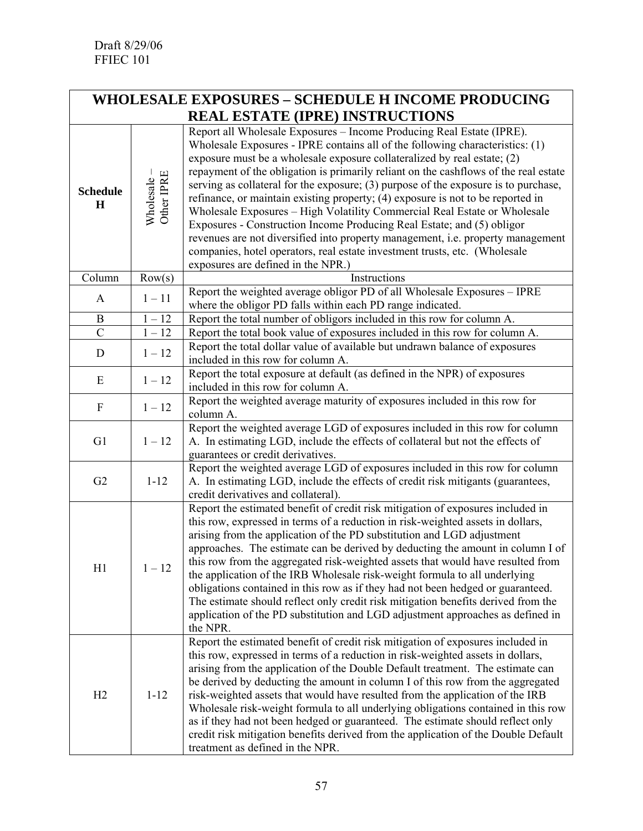|                                | <b>WHOLESALE EXPOSURES - SCHEDULE H INCOME PRODUCING</b> |                                                                                                                                                                                                                                                                                                                                                                                                                                                                                                                                                                                                                                                                                                                                                                                                                                                                      |  |  |
|--------------------------------|----------------------------------------------------------|----------------------------------------------------------------------------------------------------------------------------------------------------------------------------------------------------------------------------------------------------------------------------------------------------------------------------------------------------------------------------------------------------------------------------------------------------------------------------------------------------------------------------------------------------------------------------------------------------------------------------------------------------------------------------------------------------------------------------------------------------------------------------------------------------------------------------------------------------------------------|--|--|
|                                |                                                          | <b>REAL ESTATE (IPRE) INSTRUCTIONS</b>                                                                                                                                                                                                                                                                                                                                                                                                                                                                                                                                                                                                                                                                                                                                                                                                                               |  |  |
| <b>Schedule</b><br>$\mathbf H$ | Wholesale –<br>Other IPRE                                | Report all Wholesale Exposures - Income Producing Real Estate (IPRE).<br>Wholesale Exposures - IPRE contains all of the following characteristics: (1)<br>exposure must be a wholesale exposure collateralized by real estate; (2)<br>repayment of the obligation is primarily reliant on the cashflows of the real estate<br>serving as collateral for the exposure; $(3)$ purpose of the exposure is to purchase,<br>refinance, or maintain existing property; (4) exposure is not to be reported in<br>Wholesale Exposures - High Volatility Commercial Real Estate or Wholesale<br>Exposures - Construction Income Producing Real Estate; and (5) obligor<br>revenues are not diversified into property management, i.e. property management<br>companies, hotel operators, real estate investment trusts, etc. (Wholesale<br>exposures are defined in the NPR.) |  |  |
| Column                         | Row(s)                                                   | Instructions                                                                                                                                                                                                                                                                                                                                                                                                                                                                                                                                                                                                                                                                                                                                                                                                                                                         |  |  |
| A                              | $1 - 11$                                                 | Report the weighted average obligor PD of all Wholesale Exposures - IPRE<br>where the obligor PD falls within each PD range indicated.                                                                                                                                                                                                                                                                                                                                                                                                                                                                                                                                                                                                                                                                                                                               |  |  |
| B                              | $1 - 12$                                                 | Report the total number of obligors included in this row for column A.                                                                                                                                                                                                                                                                                                                                                                                                                                                                                                                                                                                                                                                                                                                                                                                               |  |  |
| $\mathcal{C}$                  | $1 - 12$                                                 | Report the total book value of exposures included in this row for column A.<br>Report the total dollar value of available but undrawn balance of exposures                                                                                                                                                                                                                                                                                                                                                                                                                                                                                                                                                                                                                                                                                                           |  |  |
| D                              | $1 - 12$                                                 | included in this row for column A.                                                                                                                                                                                                                                                                                                                                                                                                                                                                                                                                                                                                                                                                                                                                                                                                                                   |  |  |
| E                              | $1 - 12$                                                 | Report the total exposure at default (as defined in the NPR) of exposures<br>included in this row for column A.                                                                                                                                                                                                                                                                                                                                                                                                                                                                                                                                                                                                                                                                                                                                                      |  |  |
| $\mathbf{F}$                   | $1 - 12$                                                 | Report the weighted average maturity of exposures included in this row for<br>column A.                                                                                                                                                                                                                                                                                                                                                                                                                                                                                                                                                                                                                                                                                                                                                                              |  |  |
| G1                             | $1 - 12$                                                 | Report the weighted average LGD of exposures included in this row for column<br>A. In estimating LGD, include the effects of collateral but not the effects of<br>guarantees or credit derivatives.                                                                                                                                                                                                                                                                                                                                                                                                                                                                                                                                                                                                                                                                  |  |  |
| G <sub>2</sub>                 | $1 - 12$                                                 | Report the weighted average LGD of exposures included in this row for column<br>A. In estimating LGD, include the effects of credit risk mitigants (guarantees,<br>credit derivatives and collateral).                                                                                                                                                                                                                                                                                                                                                                                                                                                                                                                                                                                                                                                               |  |  |
| H1                             | $1 - 12$                                                 | Report the estimated benefit of credit risk mitigation of exposures included in<br>this row, expressed in terms of a reduction in risk-weighted assets in dollars,<br>arising from the application of the PD substitution and LGD adjustment<br>approaches. The estimate can be derived by deducting the amount in column I of<br>this row from the aggregated risk-weighted assets that would have resulted from<br>the application of the IRB Wholesale risk-weight formula to all underlying<br>obligations contained in this row as if they had not been hedged or guaranteed.<br>The estimate should reflect only credit risk mitigation benefits derived from the<br>application of the PD substitution and LGD adjustment approaches as defined in<br>the NPR.                                                                                                |  |  |
| H2                             | $1 - 12$                                                 | Report the estimated benefit of credit risk mitigation of exposures included in<br>this row, expressed in terms of a reduction in risk-weighted assets in dollars,<br>arising from the application of the Double Default treatment. The estimate can<br>be derived by deducting the amount in column I of this row from the aggregated<br>risk-weighted assets that would have resulted from the application of the IRB<br>Wholesale risk-weight formula to all underlying obligations contained in this row<br>as if they had not been hedged or guaranteed. The estimate should reflect only<br>credit risk mitigation benefits derived from the application of the Double Default<br>treatment as defined in the NPR.                                                                                                                                             |  |  |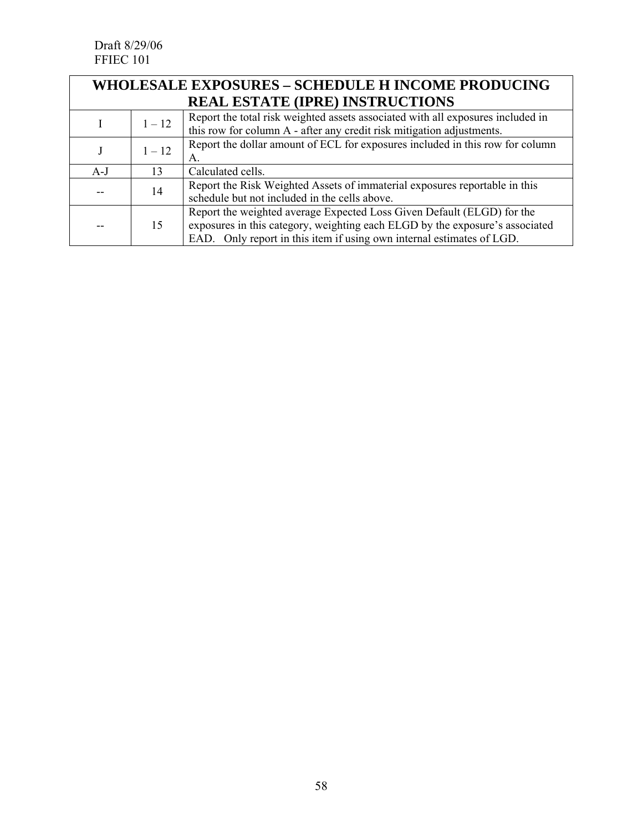Draft 8/29/06 FFIEC 101

| <b>WHOLESALE EXPOSURES - SCHEDULE H INCOME PRODUCING</b> |                                        |                                                                                                                                                                                                                                 |  |  |
|----------------------------------------------------------|----------------------------------------|---------------------------------------------------------------------------------------------------------------------------------------------------------------------------------------------------------------------------------|--|--|
|                                                          | <b>REAL ESTATE (IPRE) INSTRUCTIONS</b> |                                                                                                                                                                                                                                 |  |  |
|                                                          | $1 - 12$                               | Report the total risk weighted assets associated with all exposures included in<br>this row for column A - after any credit risk mitigation adjustments.                                                                        |  |  |
|                                                          | $1 - 12$                               | Report the dollar amount of ECL for exposures included in this row for column<br>А.                                                                                                                                             |  |  |
| $A-J$                                                    | 13                                     | Calculated cells.                                                                                                                                                                                                               |  |  |
|                                                          | 14                                     | Report the Risk Weighted Assets of immaterial exposures reportable in this<br>schedule but not included in the cells above.                                                                                                     |  |  |
|                                                          | 15                                     | Report the weighted average Expected Loss Given Default (ELGD) for the<br>exposures in this category, weighting each ELGD by the exposure's associated<br>EAD. Only report in this item if using own internal estimates of LGD. |  |  |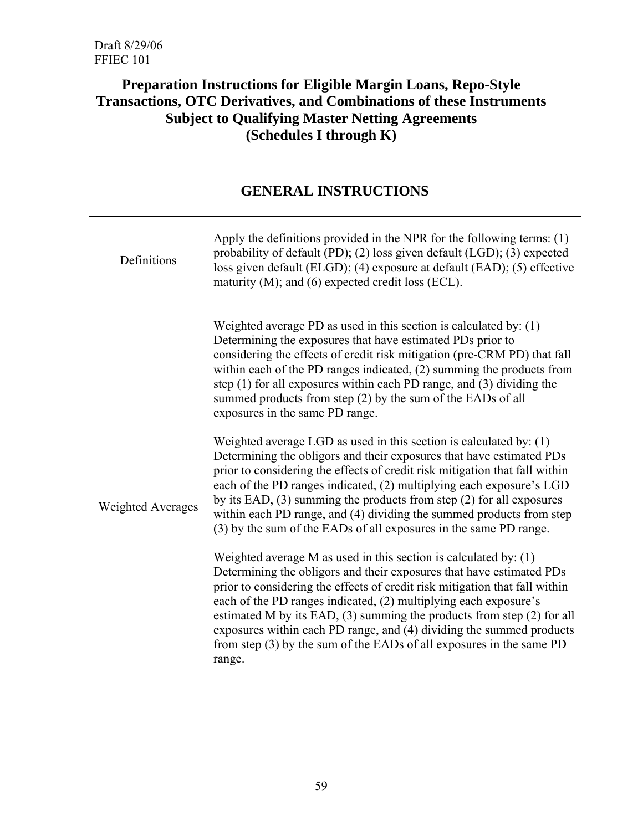# **Preparation Instructions for Eligible Margin Loans, Repo-Style Transactions, OTC Derivatives, and Combinations of these Instruments Subject to Qualifying Master Netting Agreements (Schedules I through K)**

| <b>GENERAL INSTRUCTIONS</b> |                                                                                                                                                                                                                                                                                                                                                                                                                                                                                                                                         |  |
|-----------------------------|-----------------------------------------------------------------------------------------------------------------------------------------------------------------------------------------------------------------------------------------------------------------------------------------------------------------------------------------------------------------------------------------------------------------------------------------------------------------------------------------------------------------------------------------|--|
| Definitions                 | Apply the definitions provided in the NPR for the following terms: $(1)$<br>probability of default (PD); (2) loss given default (LGD); (3) expected<br>loss given default (ELGD); (4) exposure at default (EAD); (5) effective<br>maturity $(M)$ ; and $(6)$ expected credit loss (ECL).                                                                                                                                                                                                                                                |  |
|                             | Weighted average PD as used in this section is calculated by: $(1)$<br>Determining the exposures that have estimated PDs prior to<br>considering the effects of credit risk mitigation (pre-CRM PD) that fall<br>within each of the PD ranges indicated, (2) summing the products from<br>step $(1)$ for all exposures within each PD range, and $(3)$ dividing the<br>summed products from step (2) by the sum of the EADs of all<br>exposures in the same PD range.                                                                   |  |
| <b>Weighted Averages</b>    | Weighted average LGD as used in this section is calculated by: $(1)$<br>Determining the obligors and their exposures that have estimated PDs<br>prior to considering the effects of credit risk mitigation that fall within<br>each of the PD ranges indicated, (2) multiplying each exposure's LGD<br>by its EAD, $(3)$ summing the products from step $(2)$ for all exposures<br>within each PD range, and (4) dividing the summed products from step<br>(3) by the sum of the EADs of all exposures in the same PD range.            |  |
|                             | Weighted average M as used in this section is calculated by: $(1)$<br>Determining the obligors and their exposures that have estimated PDs<br>prior to considering the effects of credit risk mitigation that fall within<br>each of the PD ranges indicated, (2) multiplying each exposure's<br>estimated M by its EAD, $(3)$ summing the products from step $(2)$ for all<br>exposures within each PD range, and (4) dividing the summed products<br>from step $(3)$ by the sum of the EADs of all exposures in the same PD<br>range. |  |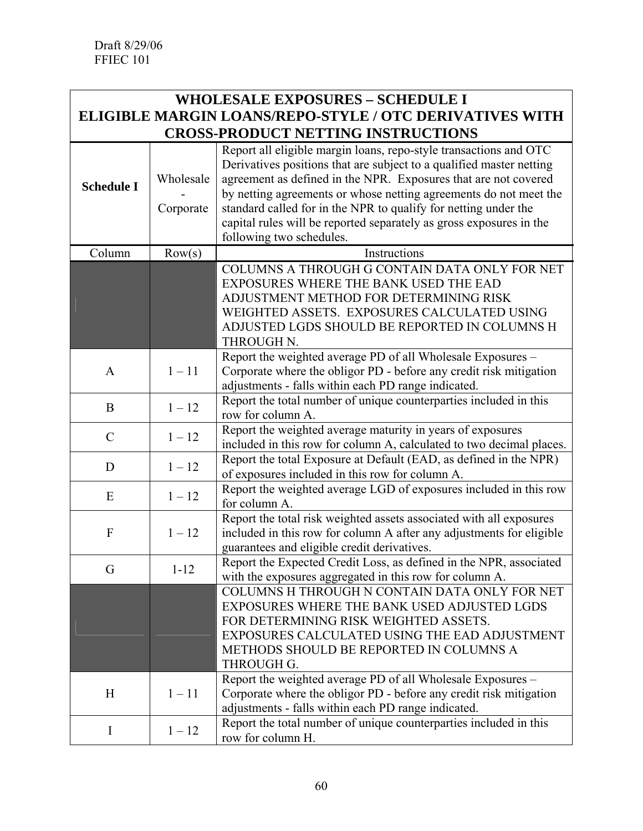# **WHOLESALE EXPOSURES – SCHEDULE I ELIGIBLE MARGIN LOANS/REPO-STYLE / OTC DERIVATIVES WITH CROSS-PRODUCT NETTING INSTRUCTIONS**

| <b>Schedule I</b> | Wholesale<br>Corporate | Report all eligible margin loans, repo-style transactions and OTC<br>Derivatives positions that are subject to a qualified master netting<br>agreement as defined in the NPR. Exposures that are not covered<br>by netting agreements or whose netting agreements do not meet the<br>standard called for in the NPR to qualify for netting under the<br>capital rules will be reported separately as gross exposures in the<br>following two schedules. |
|-------------------|------------------------|---------------------------------------------------------------------------------------------------------------------------------------------------------------------------------------------------------------------------------------------------------------------------------------------------------------------------------------------------------------------------------------------------------------------------------------------------------|
| Column            | Row(s)                 | Instructions                                                                                                                                                                                                                                                                                                                                                                                                                                            |
|                   |                        | COLUMNS A THROUGH G CONTAIN DATA ONLY FOR NET<br>EXPOSURES WHERE THE BANK USED THE EAD<br>ADJUSTMENT METHOD FOR DETERMINING RISK<br>WEIGHTED ASSETS. EXPOSURES CALCULATED USING<br>ADJUSTED LGDS SHOULD BE REPORTED IN COLUMNS H<br>THROUGH N.                                                                                                                                                                                                          |
| A                 | $1 - 11$               | Report the weighted average PD of all Wholesale Exposures -<br>Corporate where the obligor PD - before any credit risk mitigation<br>adjustments - falls within each PD range indicated.                                                                                                                                                                                                                                                                |
| $\bf{B}$          | $1 - 12$               | Report the total number of unique counterparties included in this<br>row for column A.                                                                                                                                                                                                                                                                                                                                                                  |
| $\mathcal{C}$     | $1 - 12$               | Report the weighted average maturity in years of exposures<br>included in this row for column A, calculated to two decimal places.                                                                                                                                                                                                                                                                                                                      |
| D                 | $1 - 12$               | Report the total Exposure at Default (EAD, as defined in the NPR)<br>of exposures included in this row for column A.                                                                                                                                                                                                                                                                                                                                    |
| E                 | $1 - 12$               | Report the weighted average LGD of exposures included in this row<br>for column A.                                                                                                                                                                                                                                                                                                                                                                      |
| $\boldsymbol{F}$  | $1 - 12$               | Report the total risk weighted assets associated with all exposures<br>included in this row for column A after any adjustments for eligible<br>guarantees and eligible credit derivatives.                                                                                                                                                                                                                                                              |
| G                 | $1 - 12$               | Report the Expected Credit Loss, as defined in the NPR, associated<br>with the exposures aggregated in this row for column A.                                                                                                                                                                                                                                                                                                                           |
|                   |                        | COLUMNS H THROUGH N CONTAIN DATA ONLY FOR NET<br>EXPOSURES WHERE THE BANK USED ADJUSTED LGDS<br>FOR DETERMINING RISK WEIGHTED ASSETS.<br>EXPOSURES CALCULATED USING THE EAD ADJUSTMENT<br>METHODS SHOULD BE REPORTED IN COLUMNS A<br><b>THROUGH G.</b>                                                                                                                                                                                                  |
| H                 | $1 - 11$               | Report the weighted average PD of all Wholesale Exposures -<br>Corporate where the obligor PD - before any credit risk mitigation<br>adjustments - falls within each PD range indicated.                                                                                                                                                                                                                                                                |
| I                 | $1 - 12$               | Report the total number of unique counterparties included in this<br>row for column H.                                                                                                                                                                                                                                                                                                                                                                  |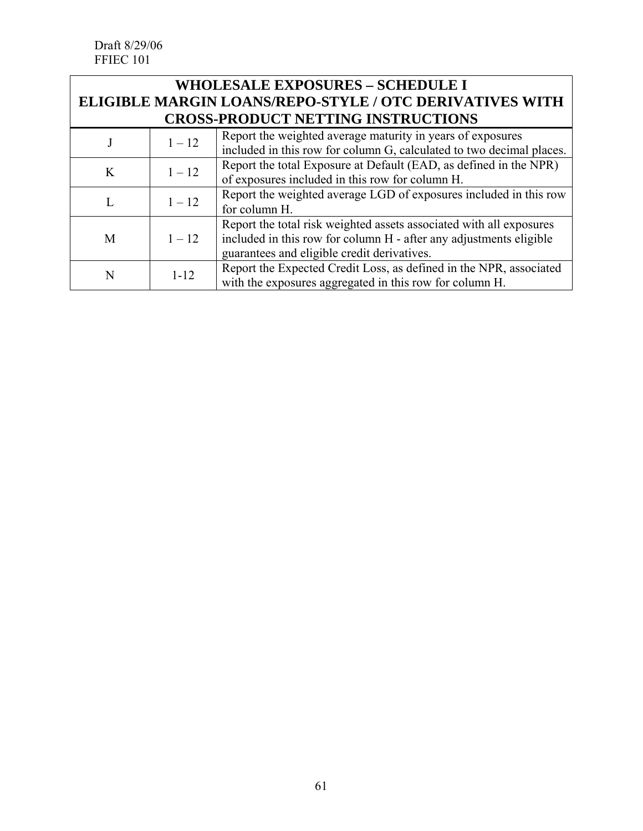Draft 8/29/06 FFIEC 101

| <b>WHOLESALE EXPOSURES - SCHEDULE I</b>                 |          |                                                                                                                                                                                          |  |  |
|---------------------------------------------------------|----------|------------------------------------------------------------------------------------------------------------------------------------------------------------------------------------------|--|--|
| ELIGIBLE MARGIN LOANS/REPO-STYLE / OTC DERIVATIVES WITH |          |                                                                                                                                                                                          |  |  |
| <b>CROSS-PRODUCT NETTING INSTRUCTIONS</b>               |          |                                                                                                                                                                                          |  |  |
|                                                         | $1 - 12$ | Report the weighted average maturity in years of exposures<br>included in this row for column G, calculated to two decimal places.                                                       |  |  |
| K                                                       | $1 - 12$ | Report the total Exposure at Default (EAD, as defined in the NPR)<br>of exposures included in this row for column H.                                                                     |  |  |
|                                                         | $1 - 12$ | Report the weighted average LGD of exposures included in this row<br>for column H.                                                                                                       |  |  |
| M                                                       | $1 - 12$ | Report the total risk weighted assets associated with all exposures<br>included in this row for column H - after any adjustments eligible<br>guarantees and eligible credit derivatives. |  |  |
| N                                                       | $1 - 12$ | Report the Expected Credit Loss, as defined in the NPR, associated<br>with the exposures aggregated in this row for column H.                                                            |  |  |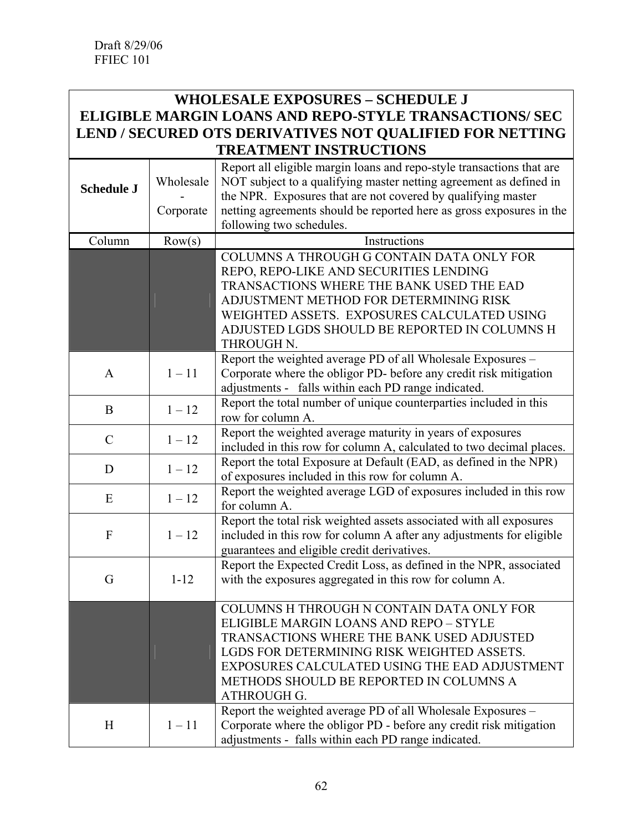#### **WHOLESALE EXPOSURES – SCHEDULE J ELIGIBLE MARGIN LOANS AND REPO-STYLE TRANSACTIONS/ SEC LEND / SECURED OTS DERIVATIVES NOT QUALIFIED FOR NETTING TREATMENT INSTRUCTIONS**

| <b>ETTIMENT HWINCOILONS</b> |                        |                                                                                                                                                                                                                                                                                                                 |  |
|-----------------------------|------------------------|-----------------------------------------------------------------------------------------------------------------------------------------------------------------------------------------------------------------------------------------------------------------------------------------------------------------|--|
| <b>Schedule J</b>           | Wholesale<br>Corporate | Report all eligible margin loans and repo-style transactions that are<br>NOT subject to a qualifying master netting agreement as defined in<br>the NPR. Exposures that are not covered by qualifying master<br>netting agreements should be reported here as gross exposures in the<br>following two schedules. |  |
| Column                      | Row(s)                 | Instructions                                                                                                                                                                                                                                                                                                    |  |
|                             |                        | COLUMNS A THROUGH G CONTAIN DATA ONLY FOR<br>REPO, REPO-LIKE AND SECURITIES LENDING<br>TRANSACTIONS WHERE THE BANK USED THE EAD<br>ADJUSTMENT METHOD FOR DETERMINING RISK<br>WEIGHTED ASSETS. EXPOSURES CALCULATED USING<br>ADJUSTED LGDS SHOULD BE REPORTED IN COLUMNS H<br>THROUGH N.                         |  |
| A                           | $1 - 11$               | Report the weighted average PD of all Wholesale Exposures -<br>Corporate where the obligor PD- before any credit risk mitigation<br>adjustments - falls within each PD range indicated.                                                                                                                         |  |
| $\bf{B}$                    | $1 - 12$               | Report the total number of unique counterparties included in this<br>row for column A.                                                                                                                                                                                                                          |  |
| $\mathcal{C}$               | $1 - 12$               | Report the weighted average maturity in years of exposures<br>included in this row for column A, calculated to two decimal places.                                                                                                                                                                              |  |
| D                           | $1 - 12$               | Report the total Exposure at Default (EAD, as defined in the NPR)<br>of exposures included in this row for column A.                                                                                                                                                                                            |  |
| E                           | $1 - 12$               | Report the weighted average LGD of exposures included in this row<br>for column A.                                                                                                                                                                                                                              |  |
| F                           | $1 - 12$               | Report the total risk weighted assets associated with all exposures<br>included in this row for column A after any adjustments for eligible<br>guarantees and eligible credit derivatives.                                                                                                                      |  |
| G                           | $1 - 12$               | Report the Expected Credit Loss, as defined in the NPR, associated<br>with the exposures aggregated in this row for column A.                                                                                                                                                                                   |  |
|                             |                        | COLUMNS H THROUGH N CONTAIN DATA ONLY FOR<br>ELIGIBLE MARGIN LOANS AND REPO - STYLE<br>TRANSACTIONS WHERE THE BANK USED ADJUSTED<br>LGDS FOR DETERMINING RISK WEIGHTED ASSETS.<br>EXPOSURES CALCULATED USING THE EAD ADJUSTMENT<br>METHODS SHOULD BE REPORTED IN COLUMNS A<br><b>ATHROUGH G.</b>                |  |
| H                           | $1 - 11$               | Report the weighted average PD of all Wholesale Exposures -<br>Corporate where the obligor PD - before any credit risk mitigation<br>adjustments - falls within each PD range indicated.                                                                                                                        |  |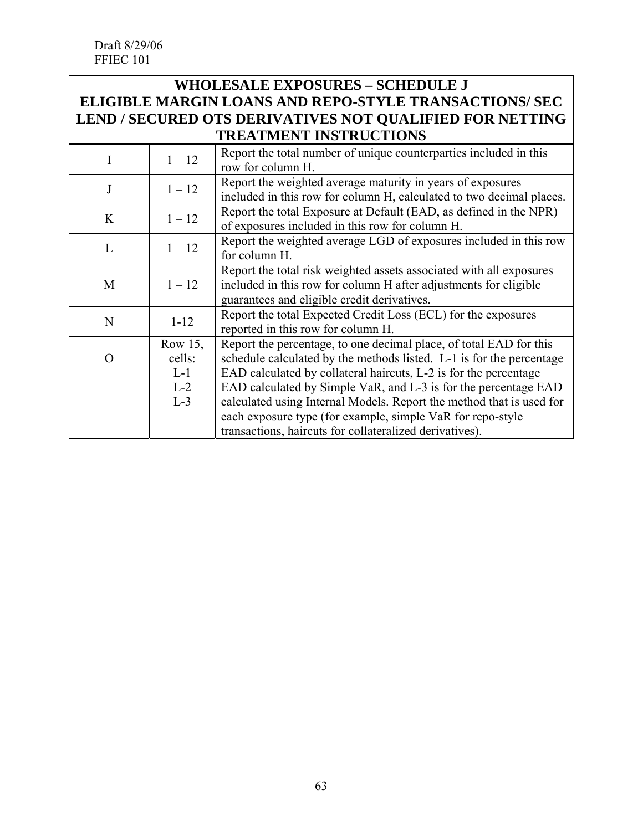### **WHOLESALE EXPOSURES – SCHEDULE J ELIGIBLE MARGIN LOANS AND REPO-STYLE TRANSACTIONS/ SEC LEND / SECURED OTS DERIVATIVES NOT QUALIFIED FOR NETTING TREATMENT INSTRUCTIONS**

|                  | $1 - 12$   | Report the total number of unique counterparties included in this<br>row for column H. |
|------------------|------------|----------------------------------------------------------------------------------------|
| J                |            | Report the weighted average maturity in years of exposures                             |
|                  | $1 - 12$   | included in this row for column H, calculated to two decimal places.                   |
|                  | $1 - 12$   | Report the total Exposure at Default (EAD, as defined in the NPR)                      |
| K                |            | of exposures included in this row for column H.                                        |
|                  |            | Report the weighted average LGD of exposures included in this row                      |
| L                | $1 - 12$   | for column H.                                                                          |
|                  |            | Report the total risk weighted assets associated with all exposures                    |
| M                | $1 - 12$   | included in this row for column H after adjustments for eligible                       |
|                  |            | guarantees and eligible credit derivatives.                                            |
| N                | $1 - 12$   | Report the total Expected Credit Loss (ECL) for the exposures                          |
|                  |            | reported in this row for column H.                                                     |
|                  | Row $15$ , | Report the percentage, to one decimal place, of total EAD for this                     |
| $\left( \right)$ | cells:     | schedule calculated by the methods listed. L-1 is for the percentage                   |
|                  | $L-1$      | EAD calculated by collateral haircuts, L-2 is for the percentage                       |
|                  | $L-2$      | EAD calculated by Simple VaR, and L-3 is for the percentage EAD                        |
|                  | $L-3$      | calculated using Internal Models. Report the method that is used for                   |
|                  |            | each exposure type (for example, simple VaR for repo-style                             |
|                  |            | transactions, haircuts for collateralized derivatives).                                |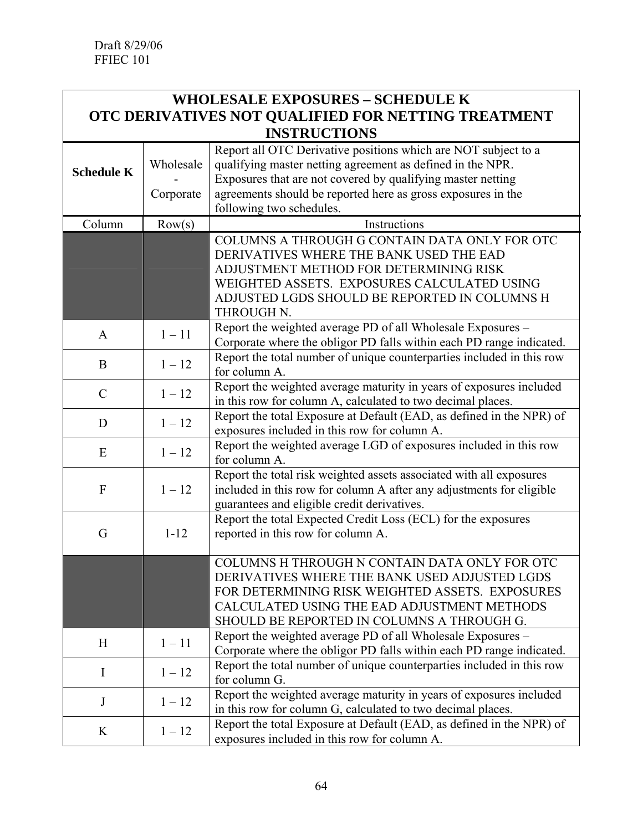| <b>WHOLESALE EXPOSURES - SCHEDULE K</b>             |           |                                                                                                                                                                                                                                                  |  |
|-----------------------------------------------------|-----------|--------------------------------------------------------------------------------------------------------------------------------------------------------------------------------------------------------------------------------------------------|--|
| OTC DERIVATIVES NOT QUALIFIED FOR NETTING TREATMENT |           |                                                                                                                                                                                                                                                  |  |
| <b>INSTRUCTIONS</b>                                 |           |                                                                                                                                                                                                                                                  |  |
| <b>Schedule K</b>                                   | Wholesale | Report all OTC Derivative positions which are NOT subject to a<br>qualifying master netting agreement as defined in the NPR.<br>Exposures that are not covered by qualifying master netting                                                      |  |
|                                                     | Corporate | agreements should be reported here as gross exposures in the<br>following two schedules.                                                                                                                                                         |  |
| Column                                              | Row(s)    | Instructions                                                                                                                                                                                                                                     |  |
|                                                     |           | COLUMNS A THROUGH G CONTAIN DATA ONLY FOR OTC<br>DERIVATIVES WHERE THE BANK USED THE EAD<br>ADJUSTMENT METHOD FOR DETERMINING RISK<br>WEIGHTED ASSETS. EXPOSURES CALCULATED USING<br>ADJUSTED LGDS SHOULD BE REPORTED IN COLUMNS H<br>THROUGH N. |  |
| $\mathbf{A}$                                        | $1 - 11$  | Report the weighted average PD of all Wholesale Exposures -<br>Corporate where the obligor PD falls within each PD range indicated.                                                                                                              |  |
| B                                                   | $1 - 12$  | Report the total number of unique counterparties included in this row<br>for column A.                                                                                                                                                           |  |
| $\mathcal{C}$                                       | $1 - 12$  | Report the weighted average maturity in years of exposures included<br>in this row for column A, calculated to two decimal places.                                                                                                               |  |
| D                                                   | $1 - 12$  | Report the total Exposure at Default (EAD, as defined in the NPR) of<br>exposures included in this row for column A.                                                                                                                             |  |
| E                                                   | $1 - 12$  | Report the weighted average LGD of exposures included in this row<br>for column A.                                                                                                                                                               |  |
| $\mathbf{F}$                                        | $1 - 12$  | Report the total risk weighted assets associated with all exposures<br>included in this row for column A after any adjustments for eligible<br>guarantees and eligible credit derivatives.                                                       |  |
| G                                                   | $1 - 12$  | Report the total Expected Credit Loss (ECL) for the exposures<br>reported in this row for column A.                                                                                                                                              |  |
|                                                     |           | COLUMNS H THROUGH N CONTAIN DATA ONLY FOR OTC<br>DERIVATIVES WHERE THE BANK USED ADJUSTED LGDS<br>FOR DETERMINING RISK WEIGHTED ASSETS. EXPOSURES<br>CALCULATED USING THE EAD ADJUSTMENT METHODS<br>SHOULD BE REPORTED IN COLUMNS A THROUGH G.   |  |
| H                                                   | $1 - 11$  | Report the weighted average PD of all Wholesale Exposures –<br>Corporate where the obligor PD falls within each PD range indicated.                                                                                                              |  |
| I                                                   | $1 - 12$  | Report the total number of unique counterparties included in this row<br>for column G.                                                                                                                                                           |  |
| $\mathbf{J}$                                        | $1 - 12$  | Report the weighted average maturity in years of exposures included<br>in this row for column G, calculated to two decimal places.                                                                                                               |  |
| K                                                   | $1 - 12$  | Report the total Exposure at Default (EAD, as defined in the NPR) of<br>exposures included in this row for column A.                                                                                                                             |  |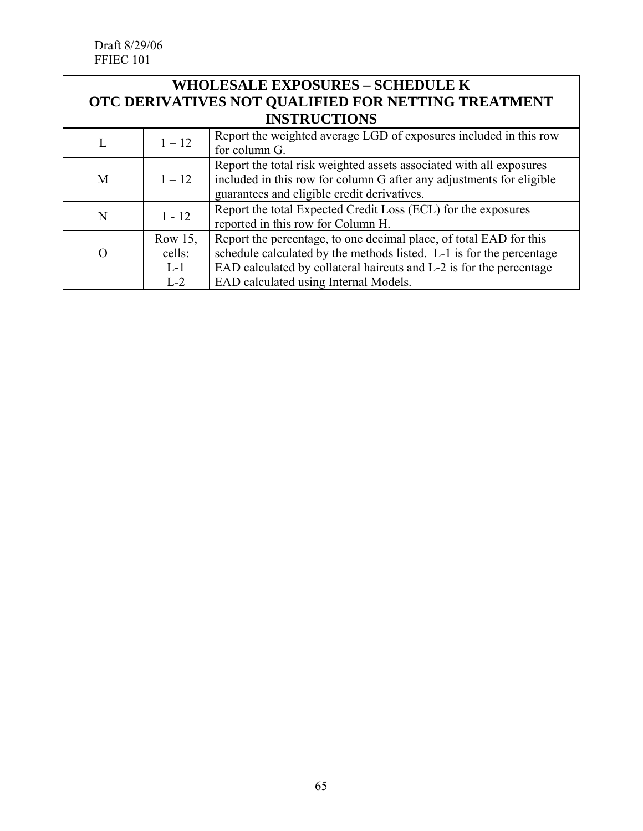Draft 8/29/06 FFIEC 101

| <b>WHOLESALE EXPOSURES - SCHEDULE K</b>             |
|-----------------------------------------------------|
| OTC DERIVATIVES NOT QUALIFIED FOR NETTING TREATMENT |
| <b>INSTRUCTIONS</b>                                 |

|   | $1 - 12$                            | Report the weighted average LGD of exposures included in this row<br>for column G.                                                                                                                                                                         |
|---|-------------------------------------|------------------------------------------------------------------------------------------------------------------------------------------------------------------------------------------------------------------------------------------------------------|
| M | $1 - 12$                            | Report the total risk weighted assets associated with all exposures<br>included in this row for column G after any adjustments for eligible<br>guarantees and eligible credit derivatives.                                                                 |
| N | $1 - 12$                            | Report the total Expected Credit Loss (ECL) for the exposures<br>reported in this row for Column H.                                                                                                                                                        |
|   | Row 15,<br>cells:<br>$L-1$<br>$L-2$ | Report the percentage, to one decimal place, of total EAD for this<br>schedule calculated by the methods listed. L-1 is for the percentage<br>EAD calculated by collateral haircuts and L-2 is for the percentage<br>EAD calculated using Internal Models. |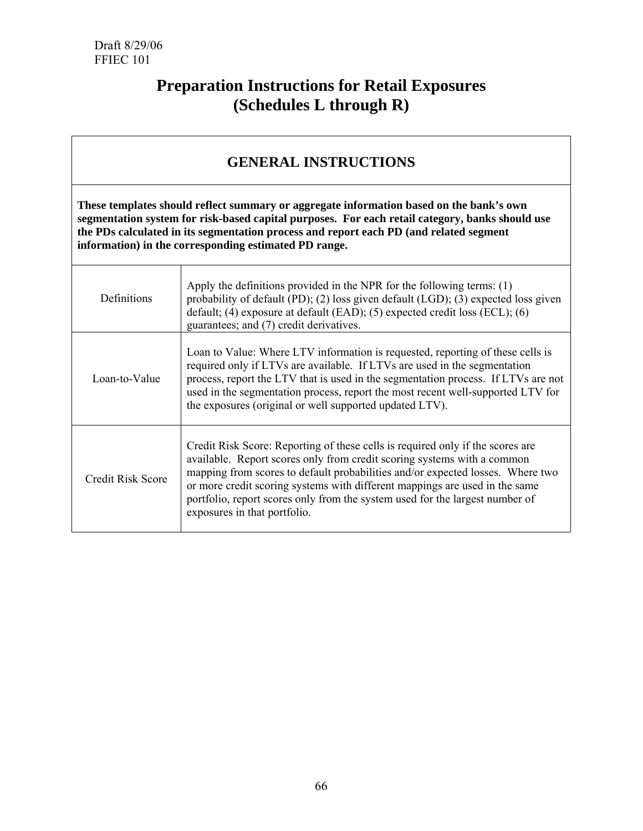# **Preparation Instructions for Retail Exposures (Schedules L through R)**

## **GENERAL INSTRUCTIONS**

**These templates should reflect summary or aggregate information based on the bank's own segmentation system for risk-based capital purposes. For each retail category, banks should use the PDs calculated in its segmentation process and report each PD (and related segment information) in the corresponding estimated PD range.** 

| Definitions       | Apply the definitions provided in the NPR for the following terms: $(1)$<br>probability of default (PD); (2) loss given default (LGD); (3) expected loss given<br>default; (4) exposure at default (EAD); (5) expected credit loss (ECL); (6)<br>guarantees; and (7) credit derivatives.                                                                                                                                                   |
|-------------------|--------------------------------------------------------------------------------------------------------------------------------------------------------------------------------------------------------------------------------------------------------------------------------------------------------------------------------------------------------------------------------------------------------------------------------------------|
| Loan-to-Value     | Loan to Value: Where LTV information is requested, reporting of these cells is<br>required only if LTVs are available. If LTVs are used in the segmentation<br>process, report the LTV that is used in the segmentation process. If LTVs are not<br>used in the segmentation process, report the most recent well-supported LTV for<br>the exposures (original or well supported updated LTV).                                             |
| Credit Risk Score | Credit Risk Score: Reporting of these cells is required only if the scores are<br>available. Report scores only from credit scoring systems with a common<br>mapping from scores to default probabilities and/or expected losses. Where two<br>or more credit scoring systems with different mappings are used in the same<br>portfolio, report scores only from the system used for the largest number of<br>exposures in that portfolio. |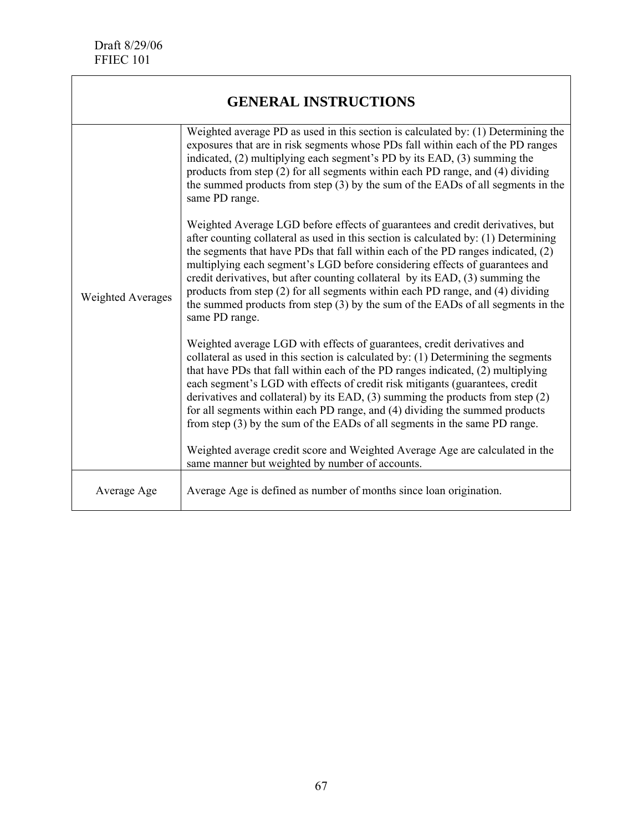| <b>GENERAL INSTRUCTIONS</b> |                                                                                                                                                                                                                                                                                                                                                                                                                                                                                                                                                                                                                 |  |
|-----------------------------|-----------------------------------------------------------------------------------------------------------------------------------------------------------------------------------------------------------------------------------------------------------------------------------------------------------------------------------------------------------------------------------------------------------------------------------------------------------------------------------------------------------------------------------------------------------------------------------------------------------------|--|
|                             | Weighted average PD as used in this section is calculated by: (1) Determining the<br>exposures that are in risk segments whose PDs fall within each of the PD ranges<br>indicated, (2) multiplying each segment's PD by its EAD, (3) summing the<br>products from step (2) for all segments within each PD range, and (4) dividing<br>the summed products from step (3) by the sum of the EADs of all segments in the<br>same PD range.                                                                                                                                                                         |  |
| <b>Weighted Averages</b>    | Weighted Average LGD before effects of guarantees and credit derivatives, but<br>after counting collateral as used in this section is calculated by: (1) Determining<br>the segments that have PDs that fall within each of the PD ranges indicated, (2)<br>multiplying each segment's LGD before considering effects of guarantees and<br>credit derivatives, but after counting collateral by its EAD, (3) summing the<br>products from step (2) for all segments within each PD range, and (4) dividing<br>the summed products from step (3) by the sum of the EADs of all segments in the<br>same PD range. |  |
|                             | Weighted average LGD with effects of guarantees, credit derivatives and<br>collateral as used in this section is calculated by: (1) Determining the segments<br>that have PDs that fall within each of the PD ranges indicated, (2) multiplying<br>each segment's LGD with effects of credit risk mitigants (guarantees, credit<br>derivatives and collateral) by its EAD, $(3)$ summing the products from step $(2)$<br>for all segments within each PD range, and (4) dividing the summed products<br>from step (3) by the sum of the EADs of all segments in the same PD range.                              |  |
|                             | Weighted average credit score and Weighted Average Age are calculated in the<br>same manner but weighted by number of accounts.                                                                                                                                                                                                                                                                                                                                                                                                                                                                                 |  |
| Average Age                 | Average Age is defined as number of months since loan origination.                                                                                                                                                                                                                                                                                                                                                                                                                                                                                                                                              |  |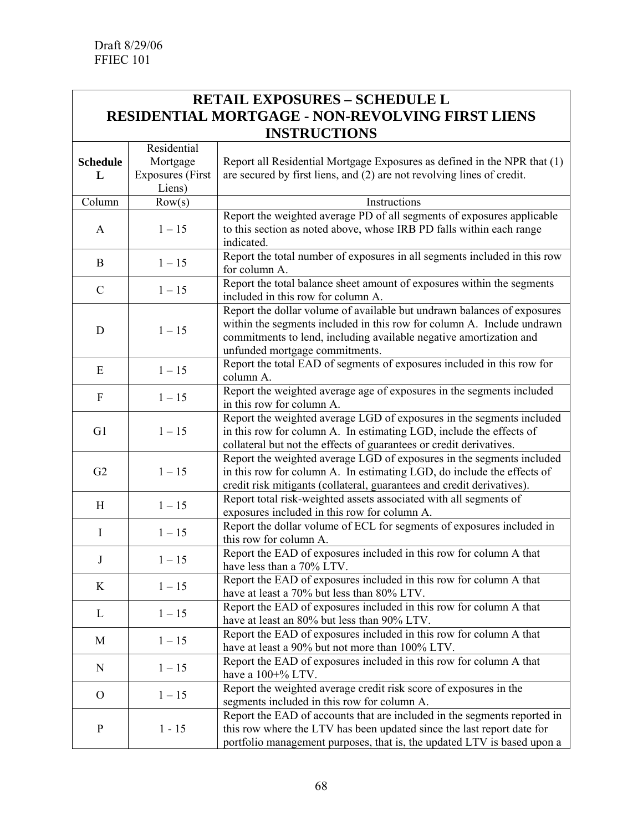#### **RETAIL EXPOSURES – SCHEDULE L RESIDENTIAL MORTGAGE - NON-REVOLVING FIRST LIENS INSTRUCTIONS**  $\overline{\phantom{a}}$

|                 | Residential             |                                                                           |
|-----------------|-------------------------|---------------------------------------------------------------------------|
| <b>Schedule</b> | Mortgage                | Report all Residential Mortgage Exposures as defined in the NPR that (1)  |
| L               | <b>Exposures</b> (First | are secured by first liens, and (2) are not revolving lines of credit.    |
|                 | Liens)                  |                                                                           |
| Column          | Row(s)                  | Instructions                                                              |
|                 |                         | Report the weighted average PD of all segments of exposures applicable    |
| A               | $1 - 15$                | to this section as noted above, whose IRB PD falls within each range      |
|                 |                         | indicated.                                                                |
| B               | $1 - 15$                | Report the total number of exposures in all segments included in this row |
|                 |                         | for column A.                                                             |
| $\mathcal{C}$   | $1 - 15$                | Report the total balance sheet amount of exposures within the segments    |
|                 |                         | included in this row for column A.                                        |
|                 |                         | Report the dollar volume of available but undrawn balances of exposures   |
| D               | $1 - 15$                | within the segments included in this row for column A. Include undrawn    |
|                 |                         | commitments to lend, including available negative amortization and        |
|                 |                         | unfunded mortgage commitments.                                            |
| Ε               | $1 - 15$                | Report the total EAD of segments of exposures included in this row for    |
|                 |                         | column A.                                                                 |
| F               | $1 - 15$                | Report the weighted average age of exposures in the segments included     |
|                 |                         | in this row for column A.                                                 |
|                 |                         | Report the weighted average LGD of exposures in the segments included     |
| G1              | $1 - 15$                | in this row for column A. In estimating LGD, include the effects of       |
|                 |                         | collateral but not the effects of guarantees or credit derivatives.       |
|                 | $1 - 15$                | Report the weighted average LGD of exposures in the segments included     |
| G2              |                         | in this row for column A. In estimating LGD, do include the effects of    |
|                 |                         | credit risk mitigants (collateral, guarantees and credit derivatives).    |
| H               | $1 - 15$                | Report total risk-weighted assets associated with all segments of         |
|                 |                         | exposures included in this row for column A.                              |
| $\bf{I}$        | $1 - 15$                | Report the dollar volume of ECL for segments of exposures included in     |
|                 |                         | this row for column A.                                                    |
| $\mathbf J$     | $1 - 15$                | Report the EAD of exposures included in this row for column A that        |
|                 |                         | have less than a 70% LTV.                                                 |
| K               | $1 - 15$                | Report the EAD of exposures included in this row for column A that        |
|                 |                         | have at least a 70% but less than 80% LTV.                                |
| L               | $1 - 15$                | Report the EAD of exposures included in this row for column A that        |
|                 |                         | have at least an 80% but less than 90% LTV.                               |
| M               | $1 - 15$                | Report the EAD of exposures included in this row for column A that        |
|                 |                         | have at least a 90% but not more than 100% LTV.                           |
| N               | $1 - 15$                | Report the EAD of exposures included in this row for column A that        |
|                 |                         | have a 100+% LTV.                                                         |
| $\mathbf{O}$    | $1 - 15$                | Report the weighted average credit risk score of exposures in the         |
|                 |                         | segments included in this row for column A.                               |
|                 |                         | Report the EAD of accounts that are included in the segments reported in  |
| $\mathbf{P}$    | $1 - 15$                | this row where the LTV has been updated since the last report date for    |
|                 |                         | portfolio management purposes, that is, the updated LTV is based upon a   |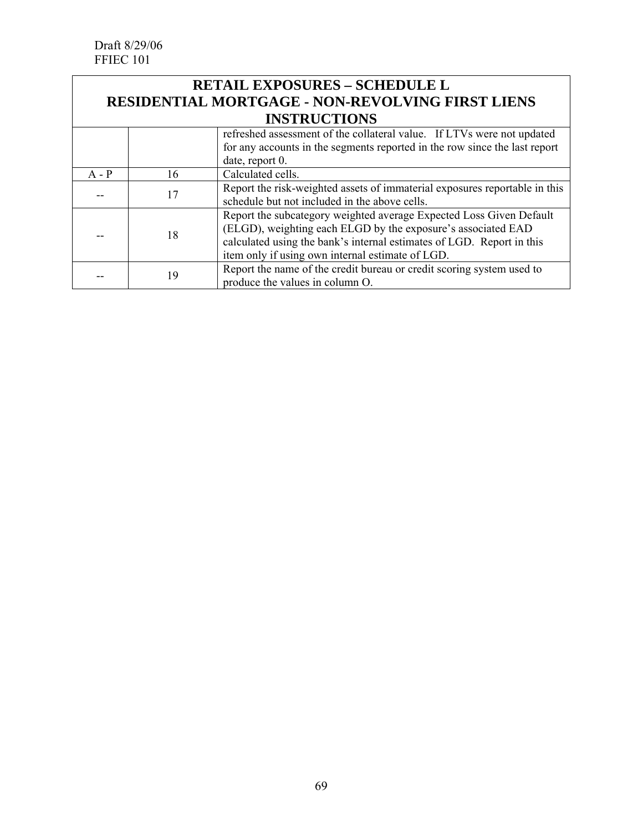## **RETAIL EXPOSURES – SCHEDULE L RESIDENTIAL MORTGAGE - NON-REVOLVING FIRST LIENS INSTRUCTIONS**

|         |    | refreshed assessment of the collateral value. If LTVs were not updated     |
|---------|----|----------------------------------------------------------------------------|
|         |    | for any accounts in the segments reported in the row since the last report |
|         |    | date, report 0.                                                            |
| $A - P$ | 16 | Calculated cells.                                                          |
|         |    | Report the risk-weighted assets of immaterial exposures reportable in this |
|         |    | schedule but not included in the above cells.                              |
|         |    | Report the subcategory weighted average Expected Loss Given Default        |
|         | 18 | (ELGD), weighting each ELGD by the exposure's associated EAD               |
|         |    | calculated using the bank's internal estimates of LGD. Report in this      |
|         |    | item only if using own internal estimate of LGD.                           |
|         | 19 | Report the name of the credit bureau or credit scoring system used to      |
|         |    | produce the values in column O.                                            |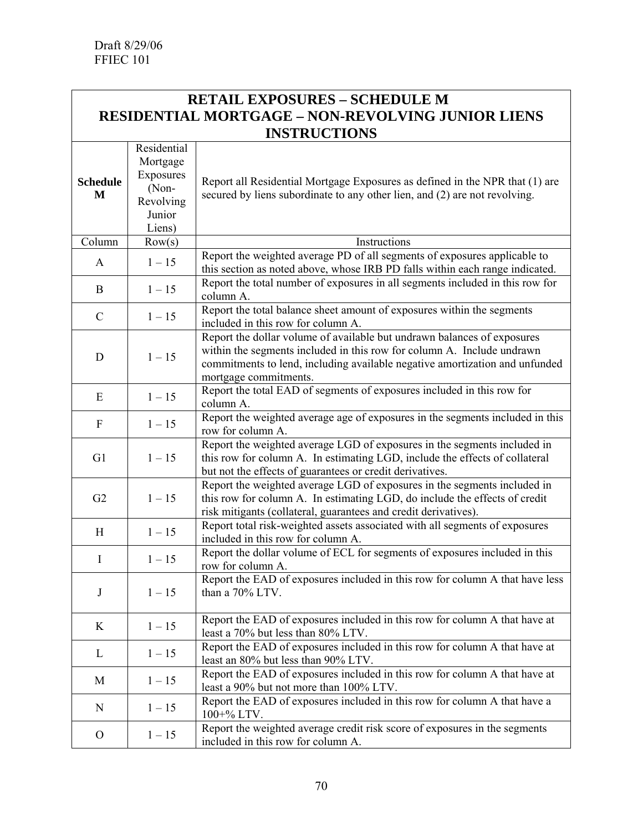### **RETAIL EXPOSURES – SCHEDULE M RESIDENTIAL MORTGAGE – NON-REVOLVING JUNIOR LIENS INSTRUCTIONS**

| Mortgage<br>Exposures<br><b>Schedule</b><br>Report all Residential Mortgage Exposures as defined in the NPR that (1) are<br>(Non-<br>secured by liens subordinate to any other lien, and (2) are not revolving.<br>M<br>Revolving<br>Junior<br>Liens)<br>Column<br>Row(s)<br>Instructions<br>Report the weighted average PD of all segments of exposures applicable to<br>$1 - 15$<br>A<br>this section as noted above, whose IRB PD falls within each range indicated.<br>Report the total number of exposures in all segments included in this row for<br>$1 - 15$<br>B<br>column A.<br>Report the total balance sheet amount of exposures within the segments<br>$1 - 15$<br>$\mathcal{C}$<br>included in this row for column A.<br>Report the dollar volume of available but undrawn balances of exposures<br>within the segments included in this row for column A. Include undrawn<br>$1 - 15$<br>D<br>commitments to lend, including available negative amortization and unfunded<br>mortgage commitments.<br>Report the total EAD of segments of exposures included in this row for<br>$1 - 15$<br>E<br>column A.<br>Report the weighted average age of exposures in the segments included in this<br>$1 - 15$<br>$\boldsymbol{\mathrm{F}}$<br>row for column A. |  | Residential |                                                                              |
|--------------------------------------------------------------------------------------------------------------------------------------------------------------------------------------------------------------------------------------------------------------------------------------------------------------------------------------------------------------------------------------------------------------------------------------------------------------------------------------------------------------------------------------------------------------------------------------------------------------------------------------------------------------------------------------------------------------------------------------------------------------------------------------------------------------------------------------------------------------------------------------------------------------------------------------------------------------------------------------------------------------------------------------------------------------------------------------------------------------------------------------------------------------------------------------------------------------------------------------------------------------------------|--|-------------|------------------------------------------------------------------------------|
|                                                                                                                                                                                                                                                                                                                                                                                                                                                                                                                                                                                                                                                                                                                                                                                                                                                                                                                                                                                                                                                                                                                                                                                                                                                                          |  |             |                                                                              |
|                                                                                                                                                                                                                                                                                                                                                                                                                                                                                                                                                                                                                                                                                                                                                                                                                                                                                                                                                                                                                                                                                                                                                                                                                                                                          |  |             |                                                                              |
|                                                                                                                                                                                                                                                                                                                                                                                                                                                                                                                                                                                                                                                                                                                                                                                                                                                                                                                                                                                                                                                                                                                                                                                                                                                                          |  |             |                                                                              |
|                                                                                                                                                                                                                                                                                                                                                                                                                                                                                                                                                                                                                                                                                                                                                                                                                                                                                                                                                                                                                                                                                                                                                                                                                                                                          |  |             |                                                                              |
|                                                                                                                                                                                                                                                                                                                                                                                                                                                                                                                                                                                                                                                                                                                                                                                                                                                                                                                                                                                                                                                                                                                                                                                                                                                                          |  |             |                                                                              |
|                                                                                                                                                                                                                                                                                                                                                                                                                                                                                                                                                                                                                                                                                                                                                                                                                                                                                                                                                                                                                                                                                                                                                                                                                                                                          |  |             |                                                                              |
|                                                                                                                                                                                                                                                                                                                                                                                                                                                                                                                                                                                                                                                                                                                                                                                                                                                                                                                                                                                                                                                                                                                                                                                                                                                                          |  |             |                                                                              |
|                                                                                                                                                                                                                                                                                                                                                                                                                                                                                                                                                                                                                                                                                                                                                                                                                                                                                                                                                                                                                                                                                                                                                                                                                                                                          |  |             |                                                                              |
|                                                                                                                                                                                                                                                                                                                                                                                                                                                                                                                                                                                                                                                                                                                                                                                                                                                                                                                                                                                                                                                                                                                                                                                                                                                                          |  |             |                                                                              |
|                                                                                                                                                                                                                                                                                                                                                                                                                                                                                                                                                                                                                                                                                                                                                                                                                                                                                                                                                                                                                                                                                                                                                                                                                                                                          |  |             |                                                                              |
|                                                                                                                                                                                                                                                                                                                                                                                                                                                                                                                                                                                                                                                                                                                                                                                                                                                                                                                                                                                                                                                                                                                                                                                                                                                                          |  |             |                                                                              |
|                                                                                                                                                                                                                                                                                                                                                                                                                                                                                                                                                                                                                                                                                                                                                                                                                                                                                                                                                                                                                                                                                                                                                                                                                                                                          |  |             |                                                                              |
|                                                                                                                                                                                                                                                                                                                                                                                                                                                                                                                                                                                                                                                                                                                                                                                                                                                                                                                                                                                                                                                                                                                                                                                                                                                                          |  |             |                                                                              |
|                                                                                                                                                                                                                                                                                                                                                                                                                                                                                                                                                                                                                                                                                                                                                                                                                                                                                                                                                                                                                                                                                                                                                                                                                                                                          |  |             |                                                                              |
|                                                                                                                                                                                                                                                                                                                                                                                                                                                                                                                                                                                                                                                                                                                                                                                                                                                                                                                                                                                                                                                                                                                                                                                                                                                                          |  |             |                                                                              |
|                                                                                                                                                                                                                                                                                                                                                                                                                                                                                                                                                                                                                                                                                                                                                                                                                                                                                                                                                                                                                                                                                                                                                                                                                                                                          |  |             |                                                                              |
|                                                                                                                                                                                                                                                                                                                                                                                                                                                                                                                                                                                                                                                                                                                                                                                                                                                                                                                                                                                                                                                                                                                                                                                                                                                                          |  |             |                                                                              |
|                                                                                                                                                                                                                                                                                                                                                                                                                                                                                                                                                                                                                                                                                                                                                                                                                                                                                                                                                                                                                                                                                                                                                                                                                                                                          |  |             |                                                                              |
|                                                                                                                                                                                                                                                                                                                                                                                                                                                                                                                                                                                                                                                                                                                                                                                                                                                                                                                                                                                                                                                                                                                                                                                                                                                                          |  |             |                                                                              |
|                                                                                                                                                                                                                                                                                                                                                                                                                                                                                                                                                                                                                                                                                                                                                                                                                                                                                                                                                                                                                                                                                                                                                                                                                                                                          |  |             | Report the weighted average LGD of exposures in the segments included in     |
| G1<br>$1 - 15$<br>this row for column A. In estimating LGD, include the effects of collateral                                                                                                                                                                                                                                                                                                                                                                                                                                                                                                                                                                                                                                                                                                                                                                                                                                                                                                                                                                                                                                                                                                                                                                            |  |             |                                                                              |
| but not the effects of guarantees or credit derivatives.                                                                                                                                                                                                                                                                                                                                                                                                                                                                                                                                                                                                                                                                                                                                                                                                                                                                                                                                                                                                                                                                                                                                                                                                                 |  |             |                                                                              |
| Report the weighted average LGD of exposures in the segments included in                                                                                                                                                                                                                                                                                                                                                                                                                                                                                                                                                                                                                                                                                                                                                                                                                                                                                                                                                                                                                                                                                                                                                                                                 |  |             |                                                                              |
| $1 - 15$<br>this row for column A. In estimating LGD, do include the effects of credit<br>G2                                                                                                                                                                                                                                                                                                                                                                                                                                                                                                                                                                                                                                                                                                                                                                                                                                                                                                                                                                                                                                                                                                                                                                             |  |             |                                                                              |
| risk mitigants (collateral, guarantees and credit derivatives).                                                                                                                                                                                                                                                                                                                                                                                                                                                                                                                                                                                                                                                                                                                                                                                                                                                                                                                                                                                                                                                                                                                                                                                                          |  |             |                                                                              |
| Report total risk-weighted assets associated with all segments of exposures                                                                                                                                                                                                                                                                                                                                                                                                                                                                                                                                                                                                                                                                                                                                                                                                                                                                                                                                                                                                                                                                                                                                                                                              |  |             |                                                                              |
| $1 - 15$<br>H<br>included in this row for column A.                                                                                                                                                                                                                                                                                                                                                                                                                                                                                                                                                                                                                                                                                                                                                                                                                                                                                                                                                                                                                                                                                                                                                                                                                      |  |             |                                                                              |
| Report the dollar volume of ECL for segments of exposures included in this                                                                                                                                                                                                                                                                                                                                                                                                                                                                                                                                                                                                                                                                                                                                                                                                                                                                                                                                                                                                                                                                                                                                                                                               |  |             |                                                                              |
| $1 - 15$<br>I<br>row for column A.                                                                                                                                                                                                                                                                                                                                                                                                                                                                                                                                                                                                                                                                                                                                                                                                                                                                                                                                                                                                                                                                                                                                                                                                                                       |  |             |                                                                              |
|                                                                                                                                                                                                                                                                                                                                                                                                                                                                                                                                                                                                                                                                                                                                                                                                                                                                                                                                                                                                                                                                                                                                                                                                                                                                          |  |             | Report the EAD of exposures included in this row for column A that have less |
| $\bf J$<br>$1 - 15$<br>than a 70% LTV.                                                                                                                                                                                                                                                                                                                                                                                                                                                                                                                                                                                                                                                                                                                                                                                                                                                                                                                                                                                                                                                                                                                                                                                                                                   |  |             |                                                                              |
|                                                                                                                                                                                                                                                                                                                                                                                                                                                                                                                                                                                                                                                                                                                                                                                                                                                                                                                                                                                                                                                                                                                                                                                                                                                                          |  |             |                                                                              |
| Report the EAD of exposures included in this row for column A that have at                                                                                                                                                                                                                                                                                                                                                                                                                                                                                                                                                                                                                                                                                                                                                                                                                                                                                                                                                                                                                                                                                                                                                                                               |  |             |                                                                              |
| $1 - 15$<br>K<br>least a 70% but less than 80% LTV.                                                                                                                                                                                                                                                                                                                                                                                                                                                                                                                                                                                                                                                                                                                                                                                                                                                                                                                                                                                                                                                                                                                                                                                                                      |  |             |                                                                              |
| Report the EAD of exposures included in this row for column A that have at                                                                                                                                                                                                                                                                                                                                                                                                                                                                                                                                                                                                                                                                                                                                                                                                                                                                                                                                                                                                                                                                                                                                                                                               |  |             |                                                                              |
| $1 - 15$<br>L<br>least an 80% but less than 90% LTV.                                                                                                                                                                                                                                                                                                                                                                                                                                                                                                                                                                                                                                                                                                                                                                                                                                                                                                                                                                                                                                                                                                                                                                                                                     |  |             |                                                                              |
| Report the EAD of exposures included in this row for column A that have at                                                                                                                                                                                                                                                                                                                                                                                                                                                                                                                                                                                                                                                                                                                                                                                                                                                                                                                                                                                                                                                                                                                                                                                               |  |             |                                                                              |
| M<br>least a 90% but not more than 100% LTV.                                                                                                                                                                                                                                                                                                                                                                                                                                                                                                                                                                                                                                                                                                                                                                                                                                                                                                                                                                                                                                                                                                                                                                                                                             |  | $1 - 15$    |                                                                              |
| Report the EAD of exposures included in this row for column A that have a                                                                                                                                                                                                                                                                                                                                                                                                                                                                                                                                                                                                                                                                                                                                                                                                                                                                                                                                                                                                                                                                                                                                                                                                |  |             |                                                                              |
| $1 - 15$<br>N<br>$100+% LTV.$                                                                                                                                                                                                                                                                                                                                                                                                                                                                                                                                                                                                                                                                                                                                                                                                                                                                                                                                                                                                                                                                                                                                                                                                                                            |  |             |                                                                              |
| Report the weighted average credit risk score of exposures in the segments                                                                                                                                                                                                                                                                                                                                                                                                                                                                                                                                                                                                                                                                                                                                                                                                                                                                                                                                                                                                                                                                                                                                                                                               |  |             |                                                                              |
| $1 - 15$<br>$\mathbf{O}$<br>included in this row for column A.                                                                                                                                                                                                                                                                                                                                                                                                                                                                                                                                                                                                                                                                                                                                                                                                                                                                                                                                                                                                                                                                                                                                                                                                           |  |             |                                                                              |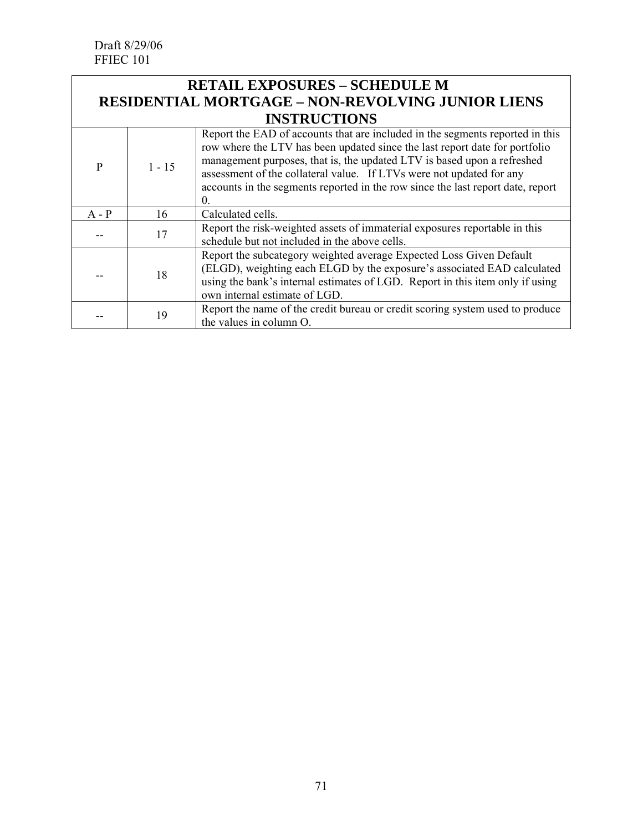### **RETAIL EXPOSURES – SCHEDULE M RESIDENTIAL MORTGAGE – NON-REVOLVING JUNIOR LIENS INSTRUCTIONS**

|         | 11 10 1 11 0 0 1 1 0 1 1 1 0 |                                                                                                                                                                                                                                                                                                                                                                                                                  |  |  |
|---------|------------------------------|------------------------------------------------------------------------------------------------------------------------------------------------------------------------------------------------------------------------------------------------------------------------------------------------------------------------------------------------------------------------------------------------------------------|--|--|
| P       | $1 - 15$                     | Report the EAD of accounts that are included in the segments reported in this<br>row where the LTV has been updated since the last report date for portfolio<br>management purposes, that is, the updated LTV is based upon a refreshed<br>assessment of the collateral value. If LTVs were not updated for any<br>accounts in the segments reported in the row since the last report date, report<br>$\theta$ . |  |  |
| $A - P$ | 16                           | Calculated cells.                                                                                                                                                                                                                                                                                                                                                                                                |  |  |
|         | 17                           | Report the risk-weighted assets of immaterial exposures reportable in this<br>schedule but not included in the above cells.                                                                                                                                                                                                                                                                                      |  |  |
|         | 18                           | Report the subcategory weighted average Expected Loss Given Default<br>(ELGD), weighting each ELGD by the exposure's associated EAD calculated<br>using the bank's internal estimates of LGD. Report in this item only if using<br>own internal estimate of LGD.                                                                                                                                                 |  |  |
|         | 19                           | Report the name of the credit bureau or credit scoring system used to produce<br>the values in column O.                                                                                                                                                                                                                                                                                                         |  |  |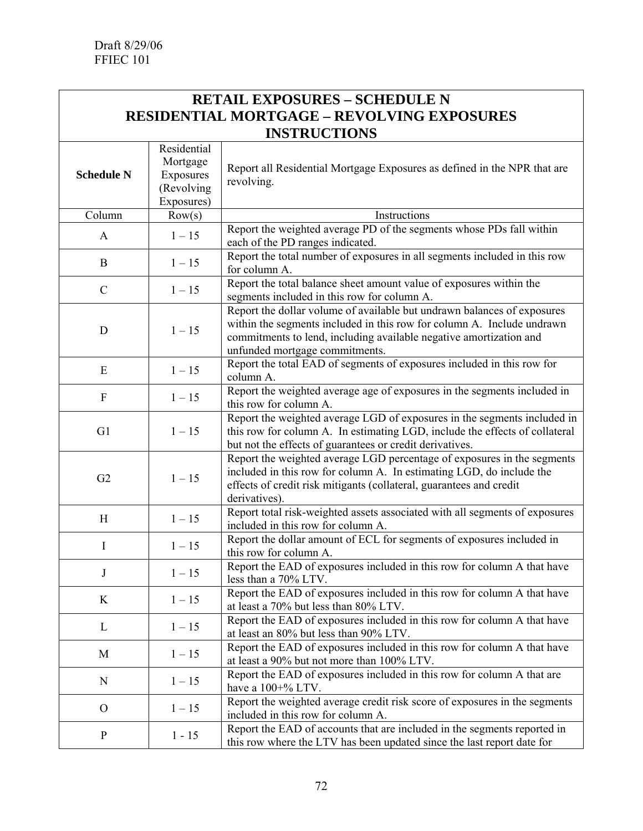#### **RETAIL EXPOSURES – SCHEDULE N RESIDENTIAL MORTGAGE – REVOLVING EXPOSURES INSTRUCTIONS** era de la componentación de la componentación de la componentación de la componentación de la componentación d<br>En la componentación de la componentación de la componentación de la componentación de la componentación de la

| <b>Schedule N</b> | Residential<br>Mortgage<br>Exposures<br>(Revolving<br>Exposures) | Report all Residential Mortgage Exposures as defined in the NPR that are<br>revolving.                                                                                                                                                                    |
|-------------------|------------------------------------------------------------------|-----------------------------------------------------------------------------------------------------------------------------------------------------------------------------------------------------------------------------------------------------------|
| Column            | Row(s)                                                           | Instructions                                                                                                                                                                                                                                              |
| A                 | $1 - 15$                                                         | Report the weighted average PD of the segments whose PDs fall within<br>each of the PD ranges indicated.                                                                                                                                                  |
| B                 | $1 - 15$                                                         | Report the total number of exposures in all segments included in this row<br>for column A.                                                                                                                                                                |
| $\mathcal{C}$     | $1 - 15$                                                         | Report the total balance sheet amount value of exposures within the<br>segments included in this row for column A.                                                                                                                                        |
| D                 | $1 - 15$                                                         | Report the dollar volume of available but undrawn balances of exposures<br>within the segments included in this row for column A. Include undrawn<br>commitments to lend, including available negative amortization and<br>unfunded mortgage commitments. |
| E                 | $1 - 15$                                                         | Report the total EAD of segments of exposures included in this row for<br>column A.                                                                                                                                                                       |
| $\boldsymbol{F}$  | $1 - 15$                                                         | Report the weighted average age of exposures in the segments included in<br>this row for column A.                                                                                                                                                        |
| G1                | $1 - 15$                                                         | Report the weighted average LGD of exposures in the segments included in<br>this row for column A. In estimating LGD, include the effects of collateral<br>but not the effects of guarantees or credit derivatives.                                       |
| G2                | $1 - 15$                                                         | Report the weighted average LGD percentage of exposures in the segments<br>included in this row for column A. In estimating LGD, do include the<br>effects of credit risk mitigants (collateral, guarantees and credit<br>derivatives).                   |
| H                 | $1 - 15$                                                         | Report total risk-weighted assets associated with all segments of exposures<br>included in this row for column A.                                                                                                                                         |
| I                 | $1 - 15$                                                         | Report the dollar amount of ECL for segments of exposures included in<br>this row for column A.                                                                                                                                                           |
| $\bf J$           | $1 - 15$                                                         | Report the EAD of exposures included in this row for column A that have<br>less than a 70% LTV.                                                                                                                                                           |
| K                 | $1 - 15$                                                         | Report the EAD of exposures included in this row for column A that have<br>at least a 70% but less than 80% LTV.                                                                                                                                          |
| L                 | $1 - 15$                                                         | Report the EAD of exposures included in this row for column A that have<br>at least an 80% but less than 90% LTV.                                                                                                                                         |
| M                 | $1 - 15$                                                         | Report the EAD of exposures included in this row for column A that have<br>at least a 90% but not more than 100% LTV.                                                                                                                                     |
| N                 | $1 - 15$                                                         | Report the EAD of exposures included in this row for column $\overline{A}$ that are<br>have a 100+% LTV.                                                                                                                                                  |
| $\mathcal{O}$     | $1 - 15$                                                         | Report the weighted average credit risk score of exposures in the segments<br>included in this row for column A.                                                                                                                                          |
| $\mathbf{P}$      | $1 - 15$                                                         | Report the EAD of accounts that are included in the segments reported in<br>this row where the LTV has been updated since the last report date for                                                                                                        |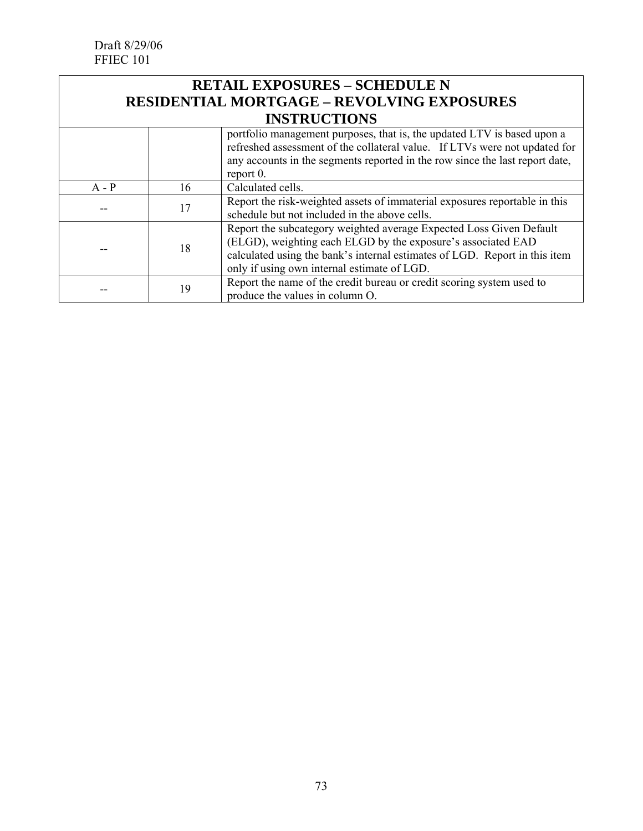#### **RETAIL EXPOSURES – SCHEDULE N RESIDENTIAL MORTGAGE – REVOLVING EXPOSURES INSTRUCTIONS**

|         |    | portfolio management purposes, that is, the updated LTV is based upon a<br>refreshed assessment of the collateral value. If LTVs were not updated for<br>any accounts in the segments reported in the row since the last report date,<br>report $0$ .            |  |
|---------|----|------------------------------------------------------------------------------------------------------------------------------------------------------------------------------------------------------------------------------------------------------------------|--|
| $A - P$ | 16 | Calculated cells.                                                                                                                                                                                                                                                |  |
|         | 17 | Report the risk-weighted assets of immaterial exposures reportable in this<br>schedule but not included in the above cells.                                                                                                                                      |  |
|         | 18 | Report the subcategory weighted average Expected Loss Given Default<br>(ELGD), weighting each ELGD by the exposure's associated EAD<br>calculated using the bank's internal estimates of LGD. Report in this item<br>only if using own internal estimate of LGD. |  |
|         | 19 | Report the name of the credit bureau or credit scoring system used to<br>produce the values in column O.                                                                                                                                                         |  |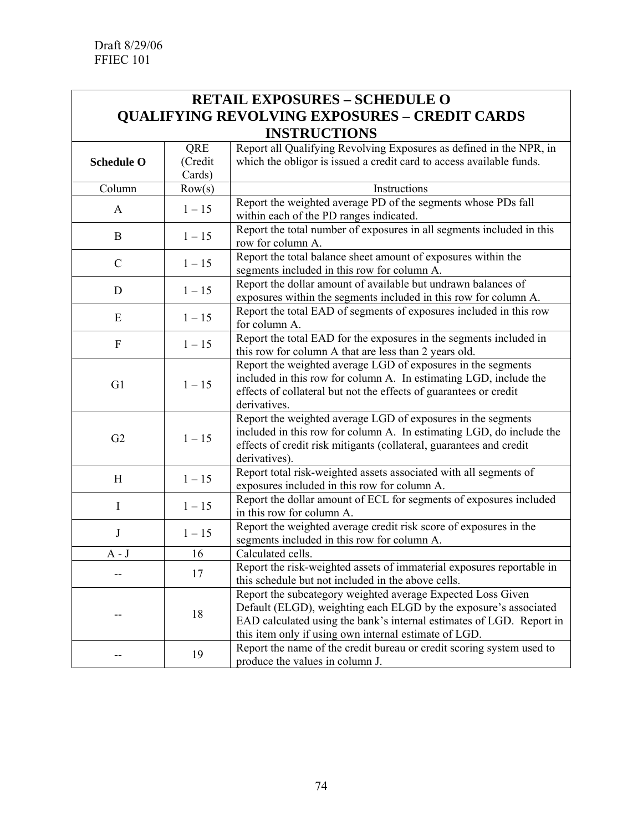## **RETAIL EXPOSURES – SCHEDULE O QUALIFYING REVOLVING EXPOSURES – CREDIT CARDS INSTRUCTIONS**

|                   | QRE      | Report all Qualifying Revolving Exposures as defined in the NPR, in   |
|-------------------|----------|-----------------------------------------------------------------------|
| <b>Schedule O</b> | (Credit  | which the obligor is issued a credit card to access available funds.  |
|                   | Cards)   |                                                                       |
| Column            | Row(s)   | Instructions                                                          |
|                   |          | Report the weighted average PD of the segments whose PDs fall         |
| $\mathbf{A}$      | $1 - 15$ | within each of the PD ranges indicated.                               |
|                   |          | Report the total number of exposures in all segments included in this |
| $\bf{B}$          | $1 - 15$ | row for column A.                                                     |
|                   |          | Report the total balance sheet amount of exposures within the         |
| $\mathcal{C}$     | $1 - 15$ | segments included in this row for column A.                           |
|                   |          | Report the dollar amount of available but undrawn balances of         |
| D                 | $1 - 15$ | exposures within the segments included in this row for column A.      |
|                   |          | Report the total EAD of segments of exposures included in this row    |
| E                 | $1 - 15$ | for column A.                                                         |
| ${\bf F}$         |          | Report the total EAD for the exposures in the segments included in    |
|                   | $1 - 15$ | this row for column A that are less than 2 years old.                 |
|                   |          | Report the weighted average LGD of exposures in the segments          |
| G1                | $1 - 15$ | included in this row for column A. In estimating LGD, include the     |
|                   |          | effects of collateral but not the effects of guarantees or credit     |
|                   |          | derivatives.                                                          |
|                   |          | Report the weighted average LGD of exposures in the segments          |
| G2                | $1 - 15$ | included in this row for column A. In estimating LGD, do include the  |
|                   |          | effects of credit risk mitigants (collateral, guarantees and credit   |
|                   |          | derivatives).                                                         |
| H                 | $1-15\,$ | Report total risk-weighted assets associated with all segments of     |
|                   |          | exposures included in this row for column A.                          |
| I                 | $1 - 15$ | Report the dollar amount of ECL for segments of exposures included    |
|                   |          | in this row for column A.                                             |
| J                 | $1 - 15$ | Report the weighted average credit risk score of exposures in the     |
|                   |          | segments included in this row for column A.                           |
| $A - J$           | 16       | Calculated cells.                                                     |
|                   | 17       | Report the risk-weighted assets of immaterial exposures reportable in |
|                   |          | this schedule but not included in the above cells.                    |
|                   |          | Report the subcategory weighted average Expected Loss Given           |
|                   | 18       | Default (ELGD), weighting each ELGD by the exposure's associated      |
|                   |          | EAD calculated using the bank's internal estimates of LGD. Report in  |
|                   |          | this item only if using own internal estimate of LGD.                 |
|                   | 19       | Report the name of the credit bureau or credit scoring system used to |
|                   |          | produce the values in column J.                                       |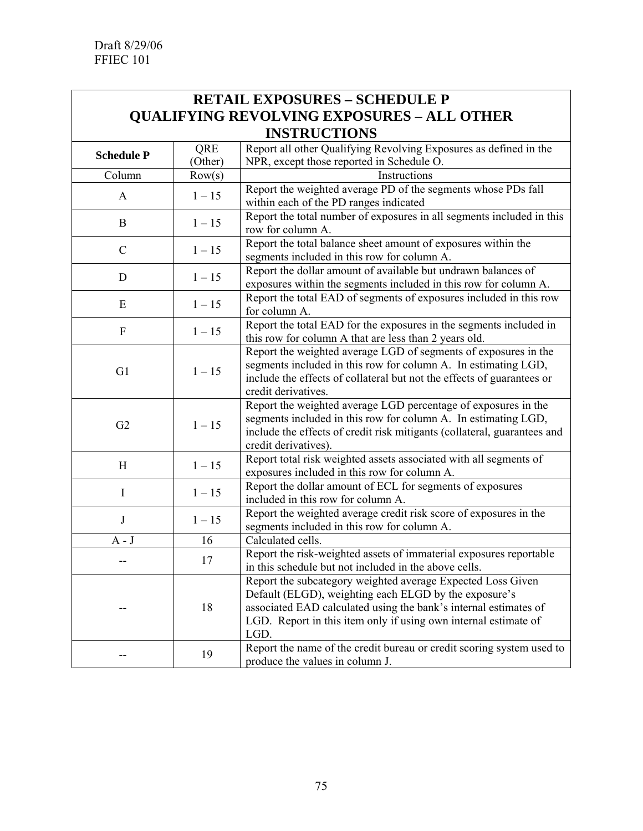## **RETAIL EXPOSURES – SCHEDULE P QUALIFYING REVOLVING EXPOSURES – ALL OTHER INSTRUCTIONS**

|                   | QRE      | Report all other Qualifying Revolving Exposures as defined in the                                                                                                                                                                                                   |
|-------------------|----------|---------------------------------------------------------------------------------------------------------------------------------------------------------------------------------------------------------------------------------------------------------------------|
| <b>Schedule P</b> | (Other)  | NPR, except those reported in Schedule O.                                                                                                                                                                                                                           |
| Column            | Row(s)   | Instructions                                                                                                                                                                                                                                                        |
| $\mathbf{A}$      | $1 - 15$ | Report the weighted average PD of the segments whose PDs fall<br>within each of the PD ranges indicated                                                                                                                                                             |
| $\bf{B}$          | $1 - 15$ | Report the total number of exposures in all segments included in this<br>row for column A.                                                                                                                                                                          |
| $\mathcal{C}$     | $1 - 15$ | Report the total balance sheet amount of exposures within the<br>segments included in this row for column A.                                                                                                                                                        |
| D                 | $1 - 15$ | Report the dollar amount of available but undrawn balances of<br>exposures within the segments included in this row for column A.                                                                                                                                   |
| E                 | $1 - 15$ | Report the total EAD of segments of exposures included in this row<br>for column A.                                                                                                                                                                                 |
| ${\bf F}$         | $1 - 15$ | Report the total EAD for the exposures in the segments included in<br>this row for column A that are less than 2 years old.                                                                                                                                         |
| G1                | $1 - 15$ | Report the weighted average LGD of segments of exposures in the<br>segments included in this row for column A. In estimating LGD,<br>include the effects of collateral but not the effects of guarantees or<br>credit derivatives.                                  |
| G2                | $1 - 15$ | Report the weighted average LGD percentage of exposures in the<br>segments included in this row for column A. In estimating LGD,<br>include the effects of credit risk mitigants (collateral, guarantees and<br>credit derivatives).                                |
| H                 | $1 - 15$ | Report total risk weighted assets associated with all segments of<br>exposures included in this row for column A.                                                                                                                                                   |
| $\mathbf I$       | $1 - 15$ | Report the dollar amount of ECL for segments of exposures<br>included in this row for column A.                                                                                                                                                                     |
| $\bf J$           | $1 - 15$ | Report the weighted average credit risk score of exposures in the<br>segments included in this row for column A.                                                                                                                                                    |
| $A - J$           | 16       | Calculated cells.                                                                                                                                                                                                                                                   |
|                   | 17       | Report the risk-weighted assets of immaterial exposures reportable<br>in this schedule but not included in the above cells.                                                                                                                                         |
|                   | 18       | Report the subcategory weighted average Expected Loss Given<br>Default (ELGD), weighting each ELGD by the exposure's<br>associated EAD calculated using the bank's internal estimates of<br>LGD. Report in this item only if using own internal estimate of<br>LGD. |
|                   | 19       | Report the name of the credit bureau or credit scoring system used to<br>produce the values in column J.                                                                                                                                                            |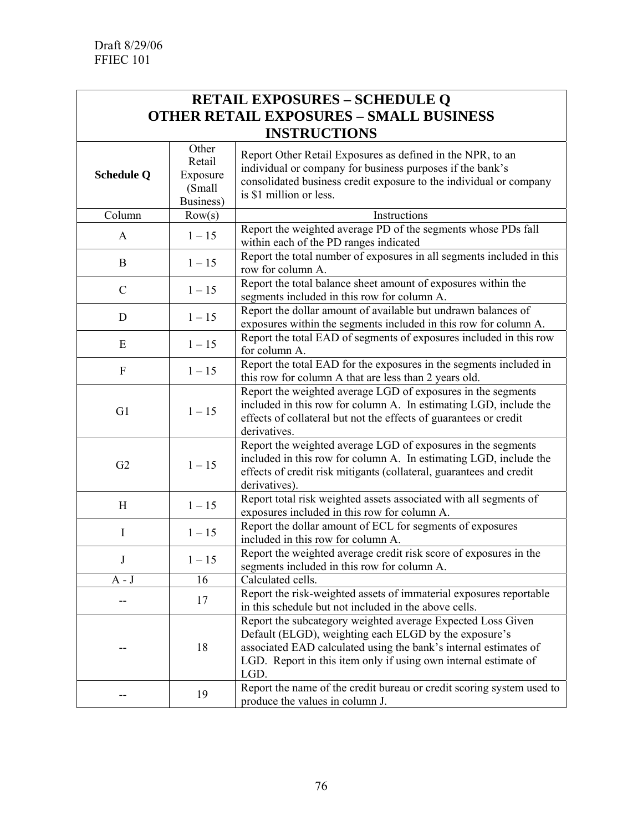#### **RETAIL EXPOSURES – SCHEDULE Q OTHER RETAIL EXPOSURES – SMALL BUSINESS INSTRUCTIONS**  $\int$   $\theta$ <sup>ther</sup>

| <b>Schedule Q</b> | <b>Other</b><br>Retail<br>Exposure<br>(Small<br>Business) | Report Other Retail Exposures as defined in the NPR, to an<br>individual or company for business purposes if the bank's<br>consolidated business credit exposure to the individual or company<br>is \$1 million or less.                                            |
|-------------------|-----------------------------------------------------------|---------------------------------------------------------------------------------------------------------------------------------------------------------------------------------------------------------------------------------------------------------------------|
| Column            | Row(s)                                                    | Instructions                                                                                                                                                                                                                                                        |
| A                 | $1 - 15$                                                  | Report the weighted average PD of the segments whose PDs fall<br>within each of the PD ranges indicated                                                                                                                                                             |
| $\bf{B}$          | $1 - 15$                                                  | Report the total number of exposures in all segments included in this<br>row for column A.                                                                                                                                                                          |
| $\mathcal{C}$     | $1 - 15$                                                  | Report the total balance sheet amount of exposures within the<br>segments included in this row for column A.                                                                                                                                                        |
| D                 | $1 - 15$                                                  | Report the dollar amount of available but undrawn balances of<br>exposures within the segments included in this row for column A.                                                                                                                                   |
| E                 | $1 - 15$                                                  | Report the total EAD of segments of exposures included in this row<br>for column A.                                                                                                                                                                                 |
| ${\bf F}$         | $1 - 15$                                                  | Report the total EAD for the exposures in the segments included in<br>this row for column A that are less than 2 years old.                                                                                                                                         |
| G1                | $1 - 15$                                                  | Report the weighted average LGD of exposures in the segments<br>included in this row for column A. In estimating LGD, include the<br>effects of collateral but not the effects of guarantees or credit<br>derivatives.                                              |
| G2                | $1 - 15$                                                  | Report the weighted average LGD of exposures in the segments<br>included in this row for column A. In estimating LGD, include the<br>effects of credit risk mitigants (collateral, guarantees and credit<br>derivatives).                                           |
| H                 | $1 - 15$                                                  | Report total risk weighted assets associated with all segments of<br>exposures included in this row for column A.                                                                                                                                                   |
| I                 | $1 - 15$                                                  | Report the dollar amount of ECL for segments of exposures<br>included in this row for column A.                                                                                                                                                                     |
| J                 | $1 - 15$                                                  | Report the weighted average credit risk score of exposures in the<br>segments included in this row for column A.                                                                                                                                                    |
| $A - J$           | 16                                                        | Calculated cells.                                                                                                                                                                                                                                                   |
|                   | 17                                                        | Report the risk-weighted assets of immaterial exposures reportable<br>in this schedule but not included in the above cells.                                                                                                                                         |
|                   | 18                                                        | Report the subcategory weighted average Expected Loss Given<br>Default (ELGD), weighting each ELGD by the exposure's<br>associated EAD calculated using the bank's internal estimates of<br>LGD. Report in this item only if using own internal estimate of<br>LGD. |
|                   | 19                                                        | Report the name of the credit bureau or credit scoring system used to<br>produce the values in column J.                                                                                                                                                            |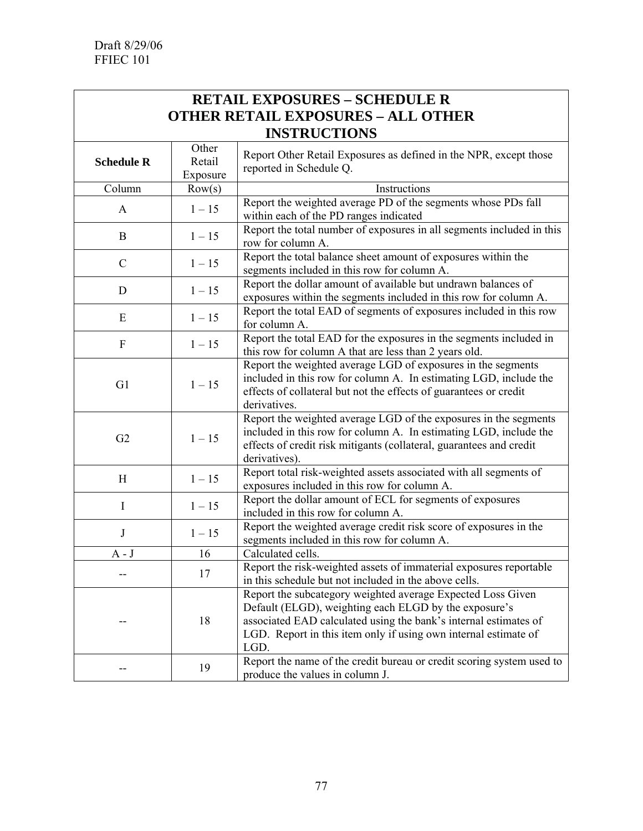# **RETAIL EXPOSURES – SCHEDULE R OTHER RETAIL EXPOSURES – ALL OTHER INSTRUCTIONS**

| <b>Schedule R</b> | Other<br>Retail | Report Other Retail Exposures as defined in the NPR, except those<br>reported in Schedule Q.                                                                                                                                                                        |
|-------------------|-----------------|---------------------------------------------------------------------------------------------------------------------------------------------------------------------------------------------------------------------------------------------------------------------|
|                   | Exposure        |                                                                                                                                                                                                                                                                     |
| Column            | Row(s)          | Instructions                                                                                                                                                                                                                                                        |
| $\mathbf{A}$      | $1 - 15$        | Report the weighted average PD of the segments whose PDs fall<br>within each of the PD ranges indicated                                                                                                                                                             |
| $\bf{B}$          | $1 - 15$        | Report the total number of exposures in all segments included in this<br>row for column A.                                                                                                                                                                          |
| $\mathcal{C}$     | $1 - 15$        | Report the total balance sheet amount of exposures within the<br>segments included in this row for column A.                                                                                                                                                        |
| $\mathbf D$       | $1 - 15$        | Report the dollar amount of available but undrawn balances of<br>exposures within the segments included in this row for column A.                                                                                                                                   |
| ${\bf E}$         | $1 - 15$        | Report the total EAD of segments of exposures included in this row<br>for column A.                                                                                                                                                                                 |
| ${\bf F}$         | $1 - 15$        | Report the total EAD for the exposures in the segments included in<br>this row for column A that are less than 2 years old.                                                                                                                                         |
| G1                | $1 - 15$        | Report the weighted average LGD of exposures in the segments<br>included in this row for column A. In estimating LGD, include the<br>effects of collateral but not the effects of guarantees or credit<br>derivatives.                                              |
| G2                | $1 - 15$        | Report the weighted average LGD of the exposures in the segments<br>included in this row for column A. In estimating LGD, include the<br>effects of credit risk mitigants (collateral, guarantees and credit<br>derivatives).                                       |
| H                 | $1 - 15$        | Report total risk-weighted assets associated with all segments of<br>exposures included in this row for column A.                                                                                                                                                   |
| $\mathbf I$       | $1 - 15$        | Report the dollar amount of ECL for segments of exposures<br>included in this row for column A.                                                                                                                                                                     |
| $\bf J$           | $1 - 15$        | Report the weighted average credit risk score of exposures in the<br>segments included in this row for column A.                                                                                                                                                    |
| $A - J$           | 16              | Calculated cells.                                                                                                                                                                                                                                                   |
| --                | 17              | Report the risk-weighted assets of immaterial exposures reportable<br>in this schedule but not included in the above cells.                                                                                                                                         |
|                   | 18              | Report the subcategory weighted average Expected Loss Given<br>Default (ELGD), weighting each ELGD by the exposure's<br>associated EAD calculated using the bank's internal estimates of<br>LGD. Report in this item only if using own internal estimate of<br>LGD. |
|                   | 19              | Report the name of the credit bureau or credit scoring system used to<br>produce the values in column J.                                                                                                                                                            |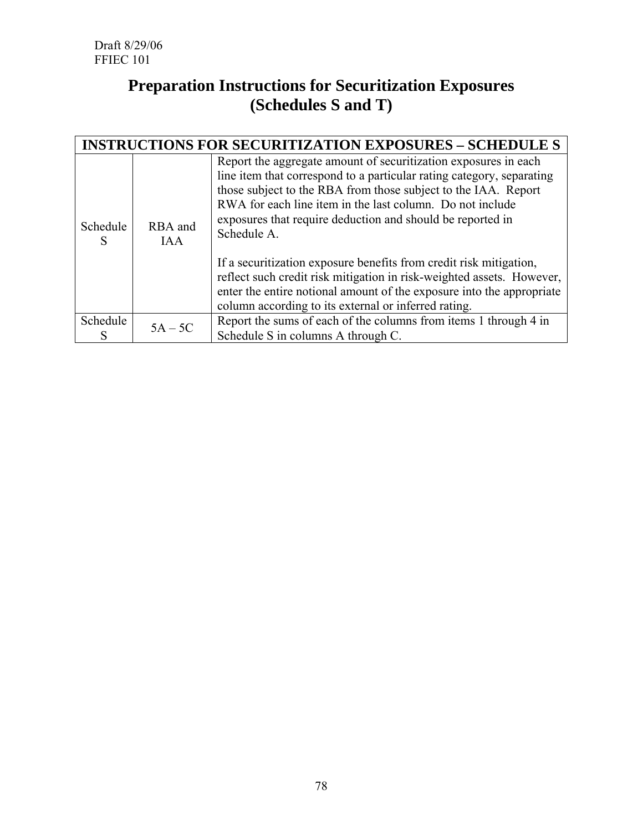# **Preparation Instructions for Securitization Exposures (Schedules S and T)**

|               | <b>INSTRUCTIONS FOR SECURITIZATION EXPOSURES - SCHEDULE S</b> |                                                                                                                                                                                                                                                                                                                                                      |  |  |
|---------------|---------------------------------------------------------------|------------------------------------------------------------------------------------------------------------------------------------------------------------------------------------------------------------------------------------------------------------------------------------------------------------------------------------------------------|--|--|
| Schedule<br>S | RBA and<br><b>IAA</b>                                         | Report the aggregate amount of securitization exposures in each<br>line item that correspond to a particular rating category, separating<br>those subject to the RBA from those subject to the IAA. Report<br>RWA for each line item in the last column. Do not include<br>exposures that require deduction and should be reported in<br>Schedule A. |  |  |
|               |                                                               | If a securitization exposure benefits from credit risk mitigation,<br>reflect such credit risk mitigation in risk-weighted assets. However,<br>enter the entire notional amount of the exposure into the appropriate<br>column according to its external or inferred rating.                                                                         |  |  |
| Schedule      | $5A - 5C$                                                     | Report the sums of each of the columns from items 1 through 4 in<br>Schedule S in columns A through C.                                                                                                                                                                                                                                               |  |  |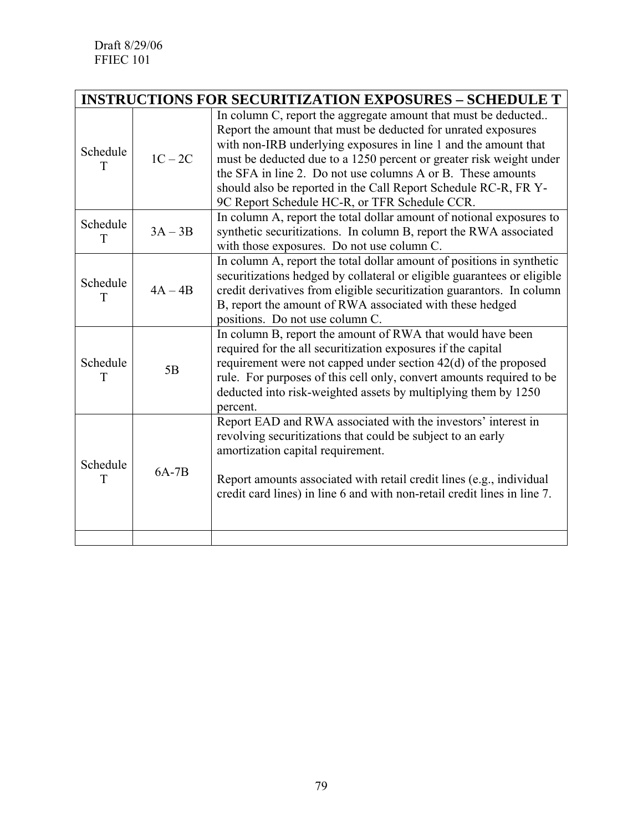|               | <b>INSTRUCTIONS FOR SECURITIZATION EXPOSURES - SCHEDULE T</b> |                                                                                                                                                                                                                                                                                                                                                                                                                                                              |  |  |
|---------------|---------------------------------------------------------------|--------------------------------------------------------------------------------------------------------------------------------------------------------------------------------------------------------------------------------------------------------------------------------------------------------------------------------------------------------------------------------------------------------------------------------------------------------------|--|--|
| Schedule<br>T | $1C - 2C$                                                     | In column C, report the aggregate amount that must be deducted<br>Report the amount that must be deducted for unrated exposures<br>with non-IRB underlying exposures in line 1 and the amount that<br>must be deducted due to a 1250 percent or greater risk weight under<br>the SFA in line 2. Do not use columns A or B. These amounts<br>should also be reported in the Call Report Schedule RC-R, FR Y-<br>9C Report Schedule HC-R, or TFR Schedule CCR. |  |  |
| Schedule<br>T | $3A-3B$                                                       | In column A, report the total dollar amount of notional exposures to<br>synthetic securitizations. In column B, report the RWA associated<br>with those exposures. Do not use column C.                                                                                                                                                                                                                                                                      |  |  |
| Schedule<br>T | $4A - 4B$                                                     | In column A, report the total dollar amount of positions in synthetic<br>securitizations hedged by collateral or eligible guarantees or eligible<br>credit derivatives from eligible securitization guarantors. In column<br>B, report the amount of RWA associated with these hedged<br>positions. Do not use column C.                                                                                                                                     |  |  |
| Schedule<br>T | 5B                                                            | In column B, report the amount of RWA that would have been<br>required for the all securitization exposures if the capital<br>requirement were not capped under section 42(d) of the proposed<br>rule. For purposes of this cell only, convert amounts required to be<br>deducted into risk-weighted assets by multiplying them by 1250<br>percent.                                                                                                          |  |  |
| Schedule<br>T | $6A-7B$                                                       | Report EAD and RWA associated with the investors' interest in<br>revolving securitizations that could be subject to an early<br>amortization capital requirement.<br>Report amounts associated with retail credit lines (e.g., individual<br>credit card lines) in line 6 and with non-retail credit lines in line 7.                                                                                                                                        |  |  |
|               |                                                               |                                                                                                                                                                                                                                                                                                                                                                                                                                                              |  |  |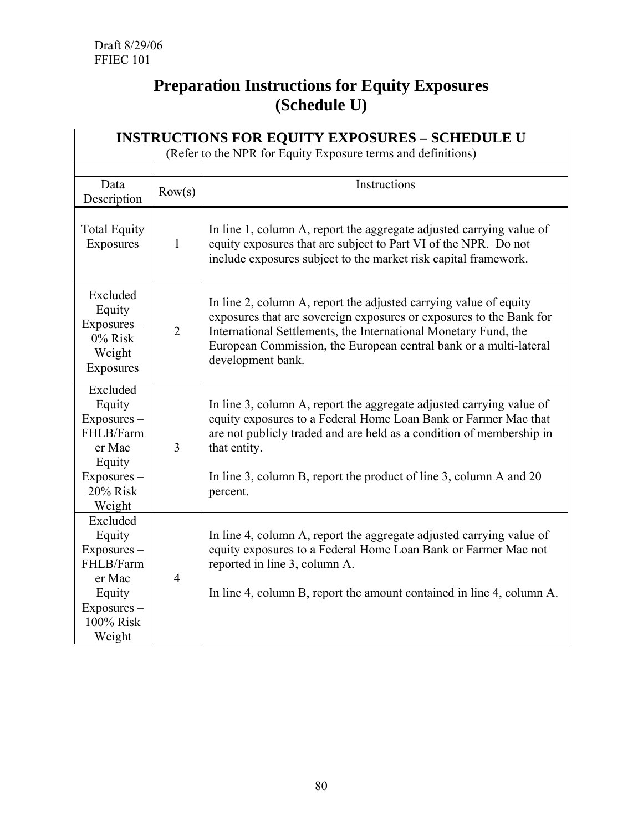# **Preparation Instructions for Equity Exposures (Schedule U)**

| <b>INSTRUCTIONS FOR EQUITY EXPOSURES - SCHEDULE U</b>                                                    |                |                                                                                                                                                                                                                                                                                                                   |  |
|----------------------------------------------------------------------------------------------------------|----------------|-------------------------------------------------------------------------------------------------------------------------------------------------------------------------------------------------------------------------------------------------------------------------------------------------------------------|--|
| (Refer to the NPR for Equity Exposure terms and definitions)                                             |                |                                                                                                                                                                                                                                                                                                                   |  |
| Data<br>Description                                                                                      | Row(s)         | Instructions                                                                                                                                                                                                                                                                                                      |  |
| <b>Total Equity</b><br>Exposures                                                                         | $\mathbf{1}$   | In line 1, column A, report the aggregate adjusted carrying value of<br>equity exposures that are subject to Part VI of the NPR. Do not<br>include exposures subject to the market risk capital framework.                                                                                                        |  |
| Excluded<br>Equity<br>Exposures-<br>0% Risk<br>Weight<br>Exposures                                       | $\overline{2}$ | In line 2, column A, report the adjusted carrying value of equity<br>exposures that are sovereign exposures or exposures to the Bank for<br>International Settlements, the International Monetary Fund, the<br>European Commission, the European central bank or a multi-lateral<br>development bank.             |  |
| Excluded<br>Equity<br>Exposures -<br>FHLB/Farm<br>er Mac<br>Equity<br>Exposures-<br>20% Risk<br>Weight   | 3              | In line 3, column A, report the aggregate adjusted carrying value of<br>equity exposures to a Federal Home Loan Bank or Farmer Mac that<br>are not publicly traded and are held as a condition of membership in<br>that entity.<br>In line 3, column B, report the product of line 3, column A and 20<br>percent. |  |
| Excluded<br>Equity<br>Exposures -<br>FHLB/Farm<br>er Mac<br>Equity<br>Exposures -<br>100% Risk<br>Weight | $\overline{4}$ | In line 4, column A, report the aggregate adjusted carrying value of<br>equity exposures to a Federal Home Loan Bank or Farmer Mac not<br>reported in line 3, column A.<br>In line 4, column B, report the amount contained in line 4, column A.                                                                  |  |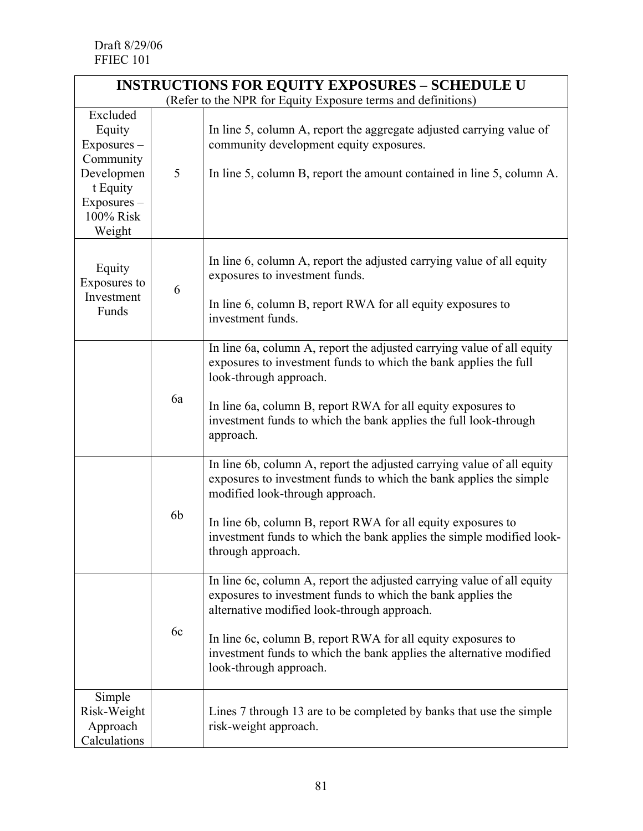| <b>INSTRUCTIONS FOR EQUITY EXPOSURES - SCHEDULE U</b>                                                          |                |                                                                                                                                                                                                                                                                                                                                                       |
|----------------------------------------------------------------------------------------------------------------|----------------|-------------------------------------------------------------------------------------------------------------------------------------------------------------------------------------------------------------------------------------------------------------------------------------------------------------------------------------------------------|
| (Refer to the NPR for Equity Exposure terms and definitions)                                                   |                |                                                                                                                                                                                                                                                                                                                                                       |
| Excluded<br>Equity<br>Exposures -<br>Community<br>Developmen<br>t Equity<br>Exposures -<br>100% Risk<br>Weight | 5              | In line 5, column A, report the aggregate adjusted carrying value of<br>community development equity exposures.<br>In line 5, column B, report the amount contained in line 5, column A.                                                                                                                                                              |
| Equity<br>Exposures to<br>Investment<br>Funds                                                                  | 6              | In line 6, column A, report the adjusted carrying value of all equity<br>exposures to investment funds.<br>In line 6, column B, report RWA for all equity exposures to<br>investment funds.                                                                                                                                                           |
|                                                                                                                | 6a             | In line 6a, column A, report the adjusted carrying value of all equity<br>exposures to investment funds to which the bank applies the full<br>look-through approach.<br>In line 6a, column B, report RWA for all equity exposures to<br>investment funds to which the bank applies the full look-through<br>approach.                                 |
|                                                                                                                | 6 <sub>b</sub> | In line 6b, column A, report the adjusted carrying value of all equity<br>exposures to investment funds to which the bank applies the simple<br>modified look-through approach.<br>In line 6b, column B, report RWA for all equity exposures to<br>investment funds to which the bank applies the simple modified look-<br>through approach.          |
|                                                                                                                | 6c             | In line 6c, column A, report the adjusted carrying value of all equity<br>exposures to investment funds to which the bank applies the<br>alternative modified look-through approach.<br>In line 6c, column B, report RWA for all equity exposures to<br>investment funds to which the bank applies the alternative modified<br>look-through approach. |
| Simple<br>Risk-Weight<br>Approach<br>Calculations                                                              |                | Lines 7 through 13 are to be completed by banks that use the simple<br>risk-weight approach.                                                                                                                                                                                                                                                          |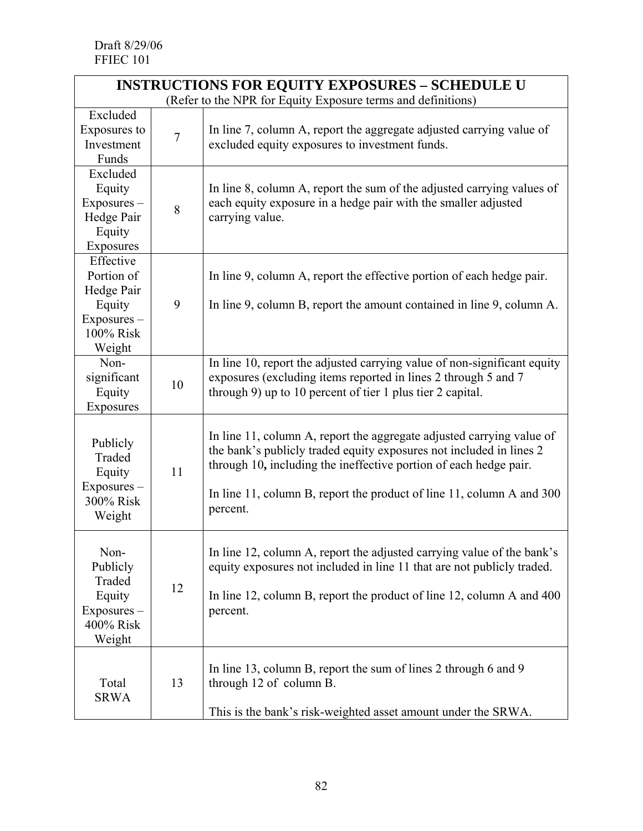| <b>INSTRUCTIONS FOR EQUITY EXPOSURES - SCHEDULE U</b>                                 |                |                                                                                                                                                                                                                                                                                                        |  |  |  |  |
|---------------------------------------------------------------------------------------|----------------|--------------------------------------------------------------------------------------------------------------------------------------------------------------------------------------------------------------------------------------------------------------------------------------------------------|--|--|--|--|
| (Refer to the NPR for Equity Exposure terms and definitions)                          |                |                                                                                                                                                                                                                                                                                                        |  |  |  |  |
| Excluded<br>Exposures to<br>Investment<br>Funds                                       | $\overline{7}$ | In line 7, column A, report the aggregate adjusted carrying value of<br>excluded equity exposures to investment funds.                                                                                                                                                                                 |  |  |  |  |
| Excluded<br>Equity<br>$Exposures -$<br>Hedge Pair<br>Equity<br>Exposures              | 8              | In line 8, column A, report the sum of the adjusted carrying values of<br>each equity exposure in a hedge pair with the smaller adjusted<br>carrying value.                                                                                                                                            |  |  |  |  |
| Effective<br>Portion of<br>Hedge Pair<br>Equity<br>Exposures -<br>100% Risk<br>Weight | 9              | In line 9, column A, report the effective portion of each hedge pair.<br>In line 9, column B, report the amount contained in line 9, column A.                                                                                                                                                         |  |  |  |  |
| Non-<br>significant<br>Equity<br>Exposures                                            | 10             | In line 10, report the adjusted carrying value of non-significant equity<br>exposures (excluding items reported in lines 2 through 5 and 7<br>through 9) up to 10 percent of tier 1 plus tier 2 capital.                                                                                               |  |  |  |  |
| Publicly<br>Traded<br>Equity<br>Exposures -<br>300% Risk<br>Weight                    | 11             | In line 11, column A, report the aggregate adjusted carrying value of<br>the bank's publicly traded equity exposures not included in lines 2<br>through 10, including the ineffective portion of each hedge pair.<br>In line 11, column B, report the product of line 11, column A and 300<br>percent. |  |  |  |  |
| Non-<br>Publicly<br>Traded<br>Equity<br>Exposures-<br>400% Risk<br>Weight             | 12             | In line 12, column A, report the adjusted carrying value of the bank's<br>equity exposures not included in line 11 that are not publicly traded.<br>In line 12, column B, report the product of line 12, column A and 400<br>percent.                                                                  |  |  |  |  |
| Total<br><b>SRWA</b>                                                                  | 13             | In line 13, column B, report the sum of lines 2 through 6 and 9<br>through 12 of column B.<br>This is the bank's risk-weighted asset amount under the SRWA.                                                                                                                                            |  |  |  |  |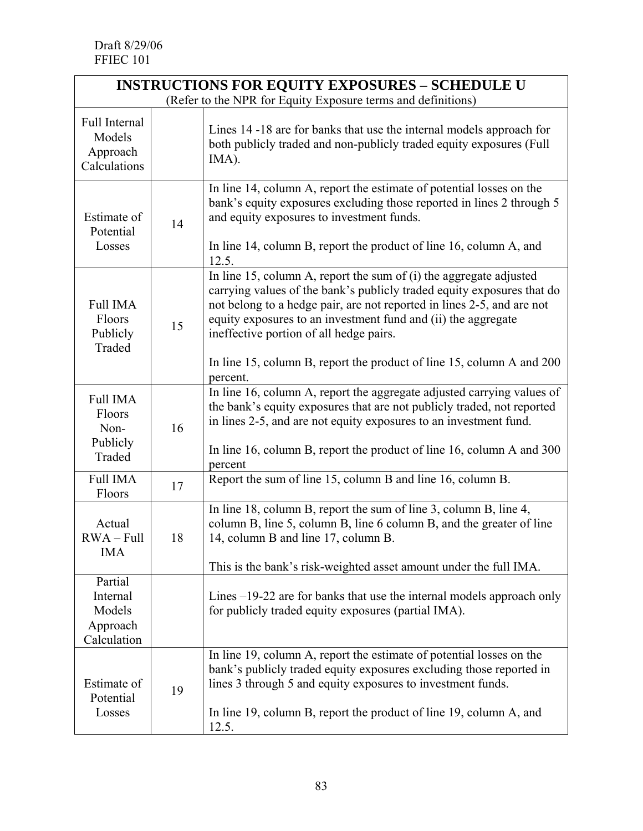| <b>INSTRUCTIONS FOR EQUITY EXPOSURES - SCHEDULE U</b>        |    |                                                                                                                                                                                                                                                                                                                                                                                                                           |  |  |  |
|--------------------------------------------------------------|----|---------------------------------------------------------------------------------------------------------------------------------------------------------------------------------------------------------------------------------------------------------------------------------------------------------------------------------------------------------------------------------------------------------------------------|--|--|--|
| (Refer to the NPR for Equity Exposure terms and definitions) |    |                                                                                                                                                                                                                                                                                                                                                                                                                           |  |  |  |
| Full Internal<br>Models<br>Approach<br>Calculations          |    | Lines 14 -18 are for banks that use the internal models approach for<br>both publicly traded and non-publicly traded equity exposures (Full<br>IMA).                                                                                                                                                                                                                                                                      |  |  |  |
| Estimate of<br>Potential<br>Losses                           | 14 | In line 14, column A, report the estimate of potential losses on the<br>bank's equity exposures excluding those reported in lines 2 through 5<br>and equity exposures to investment funds.<br>In line 14, column B, report the product of line 16, column A, and<br>12.5.                                                                                                                                                 |  |  |  |
| <b>Full IMA</b><br>Floors<br>Publicly<br>Traded              | 15 | In line 15, column A, report the sum of $(i)$ the aggregate adjusted<br>carrying values of the bank's publicly traded equity exposures that do<br>not belong to a hedge pair, are not reported in lines 2-5, and are not<br>equity exposures to an investment fund and (ii) the aggregate<br>ineffective portion of all hedge pairs.<br>In line 15, column B, report the product of line 15, column A and 200<br>percent. |  |  |  |
| <b>Full IMA</b><br>Floors<br>Non-<br>Publicly<br>Traded      | 16 | In line 16, column A, report the aggregate adjusted carrying values of<br>the bank's equity exposures that are not publicly traded, not reported<br>in lines 2-5, and are not equity exposures to an investment fund.<br>In line 16, column B, report the product of line 16, column A and 300<br>percent                                                                                                                 |  |  |  |
| <b>Full IMA</b><br>Floors                                    | 17 | Report the sum of line 15, column B and line 16, column B.                                                                                                                                                                                                                                                                                                                                                                |  |  |  |
| Actual<br>$RWA - Full$<br><b>IMA</b>                         | 18 | In line 18, column B, report the sum of line 3, column B, line 4,<br>column B, line 5, column B, line 6 column B, and the greater of line<br>14, column B and line 17, column B.<br>This is the bank's risk-weighted asset amount under the full IMA.                                                                                                                                                                     |  |  |  |
| Partial<br>Internal<br>Models<br>Approach<br>Calculation     |    | Lines $-19-22$ are for banks that use the internal models approach only<br>for publicly traded equity exposures (partial IMA).                                                                                                                                                                                                                                                                                            |  |  |  |
| Estimate of<br>Potential<br>Losses                           | 19 | In line 19, column A, report the estimate of potential losses on the<br>bank's publicly traded equity exposures excluding those reported in<br>lines 3 through 5 and equity exposures to investment funds.<br>In line 19, column B, report the product of line 19, column A, and<br>12.5.                                                                                                                                 |  |  |  |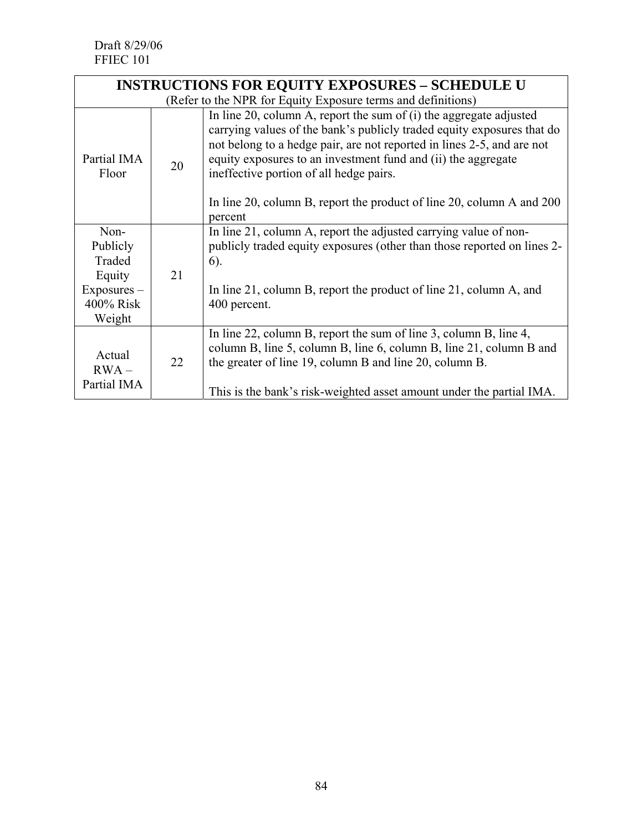| <b>INSTRUCTIONS FOR EQUITY EXPOSURES - SCHEDULE U</b>                        |    |                                                                                                                                                                                                                                                                                                                                                                                                                          |  |  |  |
|------------------------------------------------------------------------------|----|--------------------------------------------------------------------------------------------------------------------------------------------------------------------------------------------------------------------------------------------------------------------------------------------------------------------------------------------------------------------------------------------------------------------------|--|--|--|
| (Refer to the NPR for Equity Exposure terms and definitions)                 |    |                                                                                                                                                                                                                                                                                                                                                                                                                          |  |  |  |
| Partial IMA<br>Floor                                                         | 20 | In line 20, column A, report the sum of $(i)$ the aggregate adjusted<br>carrying values of the bank's publicly traded equity exposures that do<br>not belong to a hedge pair, are not reported in lines 2-5, and are not<br>equity exposures to an investment fund and (ii) the aggregate<br>ineffective portion of all hedge pairs.<br>In line 20, column B, report the product of line 20, column A and 200<br>percent |  |  |  |
| Non-<br>Publicly<br>Traded<br>Equity<br>$Exposures -$<br>400% Risk<br>Weight | 21 | In line 21, column A, report the adjusted carrying value of non-<br>publicly traded equity exposures (other than those reported on lines 2-<br>$6)$ .<br>In line 21, column B, report the product of line 21, column A, and<br>400 percent.                                                                                                                                                                              |  |  |  |
| Actual<br>$RWA -$<br>Partial IMA                                             | 22 | In line 22, column B, report the sum of line 3, column B, line 4,<br>column B, line 5, column B, line 6, column B, line 21, column B and<br>the greater of line 19, column B and line 20, column B.<br>This is the bank's risk-weighted asset amount under the partial IMA.                                                                                                                                              |  |  |  |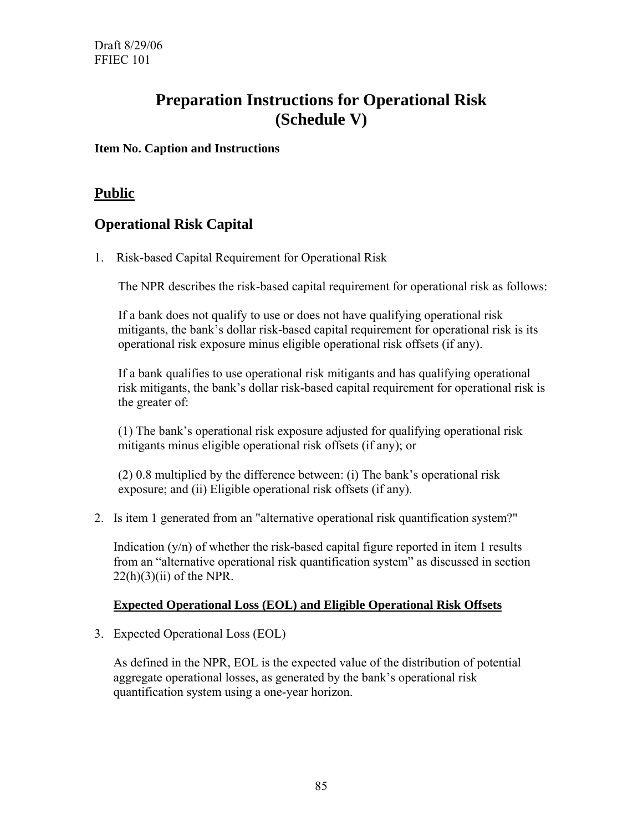# **Preparation Instructions for Operational Risk (Schedule V)**

#### **Item No. Caption and Instructions**

## **Public**

# **Operational Risk Capital**

1. Risk-based Capital Requirement for Operational Risk

The NPR describes the risk-based capital requirement for operational risk as follows:

If a bank does not qualify to use or does not have qualifying operational risk mitigants, the bank's dollar risk-based capital requirement for operational risk is its operational risk exposure minus eligible operational risk offsets (if any).

If a bank qualifies to use operational risk mitigants and has qualifying operational risk mitigants, the bank's dollar risk-based capital requirement for operational risk is the greater of:

(1) The bank's operational risk exposure adjusted for qualifying operational risk mitigants minus eligible operational risk offsets (if any); or

(2) 0.8 multiplied by the difference between: (i) The bank's operational risk exposure; and (ii) Eligible operational risk offsets (if any).

2. Is item 1 generated from an "alternative operational risk quantification system?"

Indication  $(y/n)$  of whether the risk-based capital figure reported in item 1 results from an "alternative operational risk quantification system" as discussed in section  $22(h)(3)(ii)$  of the NPR.

#### **Expected Operational Loss (EOL) and Eligible Operational Risk Offsets**

3. Expected Operational Loss (EOL)

As defined in the NPR, EOL is the expected value of the distribution of potential aggregate operational losses, as generated by the bank's operational risk quantification system using a one-year horizon.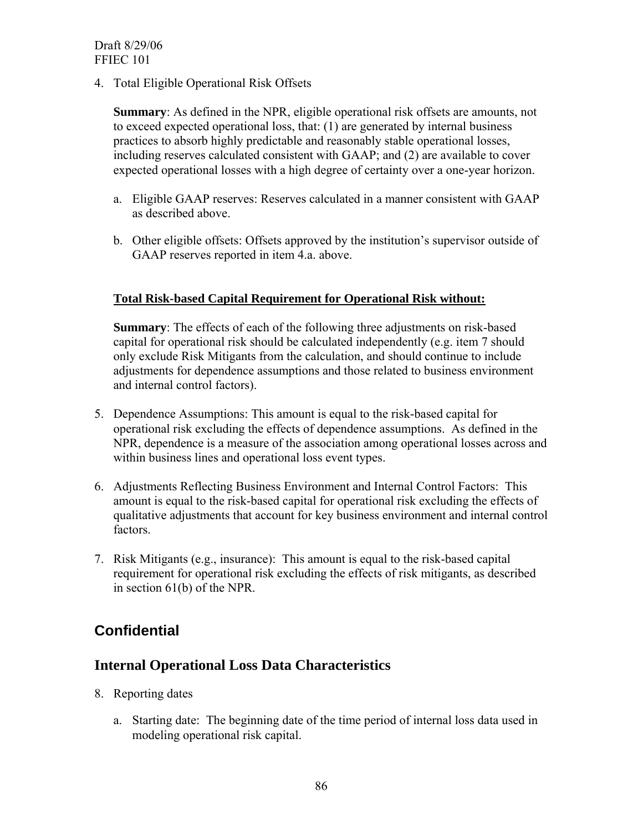4. Total Eligible Operational Risk Offsets

**Summary**: As defined in the NPR, eligible operational risk offsets are amounts, not to exceed expected operational loss, that: (1) are generated by internal business practices to absorb highly predictable and reasonably stable operational losses, including reserves calculated consistent with GAAP; and (2) are available to cover expected operational losses with a high degree of certainty over a one-year horizon.

- a. Eligible GAAP reserves: Reserves calculated in a manner consistent with GAAP as described above.
- b. Other eligible offsets: Offsets approved by the institution's supervisor outside of GAAP reserves reported in item 4.a. above.

#### **Total Risk-based Capital Requirement for Operational Risk without:**

**Summary**: The effects of each of the following three adjustments on risk-based capital for operational risk should be calculated independently (e.g. item 7 should only exclude Risk Mitigants from the calculation, and should continue to include adjustments for dependence assumptions and those related to business environment and internal control factors).

- 5. Dependence Assumptions: This amount is equal to the risk-based capital for operational risk excluding the effects of dependence assumptions. As defined in the NPR, dependence is a measure of the association among operational losses across and within business lines and operational loss event types.
- 6. Adjustments Reflecting Business Environment and Internal Control Factors: This amount is equal to the risk-based capital for operational risk excluding the effects of qualitative adjustments that account for key business environment and internal control factors.
- 7. Risk Mitigants (e.g., insurance): This amount is equal to the risk-based capital requirement for operational risk excluding the effects of risk mitigants, as described in section 61(b) of the NPR.

# **Confidential**

### **Internal Operational Loss Data Characteristics**

- 8. Reporting dates
	- a. Starting date: The beginning date of the time period of internal loss data used in modeling operational risk capital.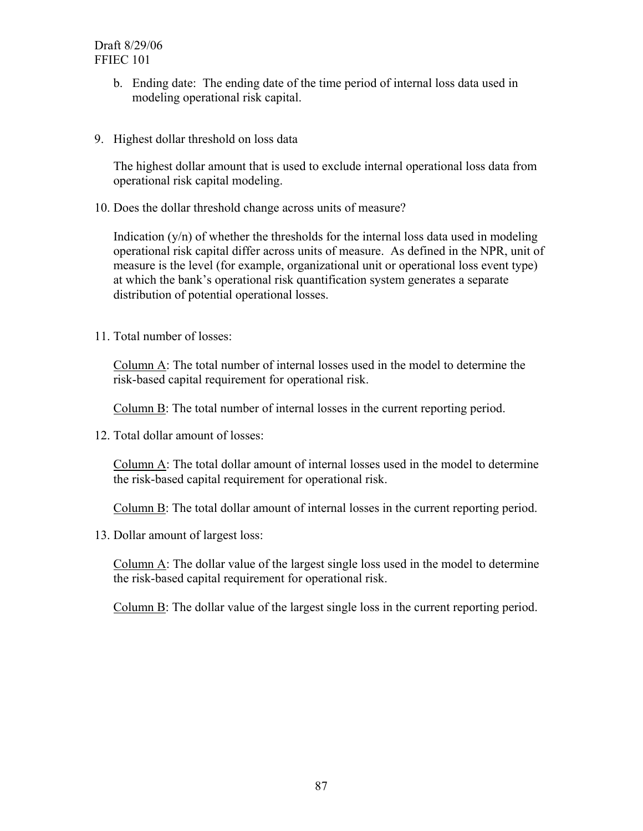- b. Ending date: The ending date of the time period of internal loss data used in modeling operational risk capital.
- 9. Highest dollar threshold on loss data

The highest dollar amount that is used to exclude internal operational loss data from operational risk capital modeling.

10. Does the dollar threshold change across units of measure?

Indication  $(y/n)$  of whether the thresholds for the internal loss data used in modeling operational risk capital differ across units of measure. As defined in the NPR, unit of measure is the level (for example, organizational unit or operational loss event type) at which the bank's operational risk quantification system generates a separate distribution of potential operational losses.

11. Total number of losses:

Column A: The total number of internal losses used in the model to determine the risk-based capital requirement for operational risk.

Column B: The total number of internal losses in the current reporting period.

12. Total dollar amount of losses:

Column A: The total dollar amount of internal losses used in the model to determine the risk-based capital requirement for operational risk.

Column B: The total dollar amount of internal losses in the current reporting period.

13. Dollar amount of largest loss:

Column A: The dollar value of the largest single loss used in the model to determine the risk-based capital requirement for operational risk.

Column B: The dollar value of the largest single loss in the current reporting period.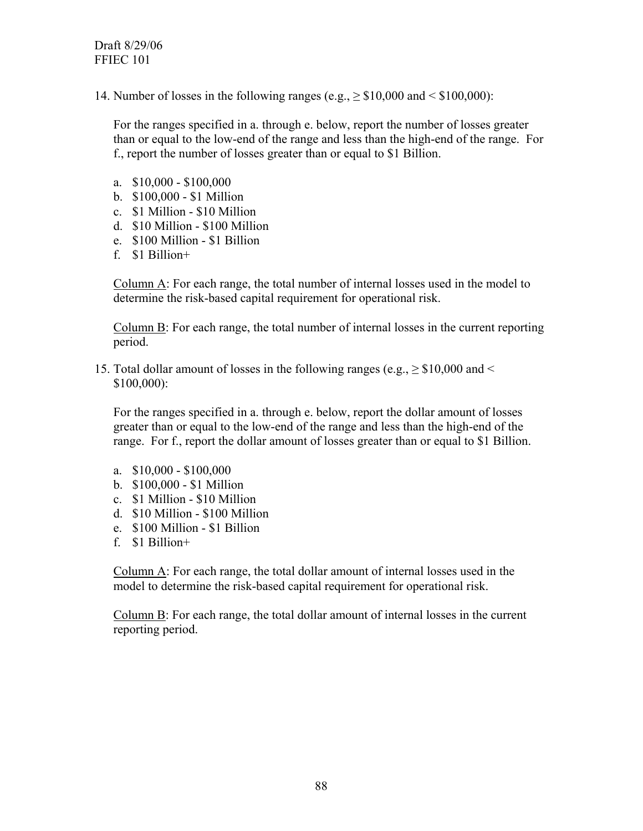14. Number of losses in the following ranges (e.g.,  $\geq$  \$10,000 and < \$100,000):

For the ranges specified in a. through e. below, report the number of losses greater than or equal to the low-end of the range and less than the high-end of the range. For f., report the number of losses greater than or equal to \$1 Billion.

- a. \$10,000 \$100,000
- b. \$100,000 \$1 Million
- c. \$1 Million \$10 Million
- d. \$10 Million \$100 Million
- e. \$100 Million \$1 Billion
- f. \$1 Billion+

Column A: For each range, the total number of internal losses used in the model to determine the risk-based capital requirement for operational risk.

Column B: For each range, the total number of internal losses in the current reporting period.

15. Total dollar amount of losses in the following ranges (e.g.,  $\geq$  \$10,000 and < \$100,000):

For the ranges specified in a. through e. below, report the dollar amount of losses greater than or equal to the low-end of the range and less than the high-end of the range. For f., report the dollar amount of losses greater than or equal to \$1 Billion.

- a. \$10,000 \$100,000
- b. \$100,000 \$1 Million
- c. \$1 Million \$10 Million
- d. \$10 Million \$100 Million
- e. \$100 Million \$1 Billion
- f. \$1 Billion+

Column A: For each range, the total dollar amount of internal losses used in the model to determine the risk-based capital requirement for operational risk.

Column B: For each range, the total dollar amount of internal losses in the current reporting period.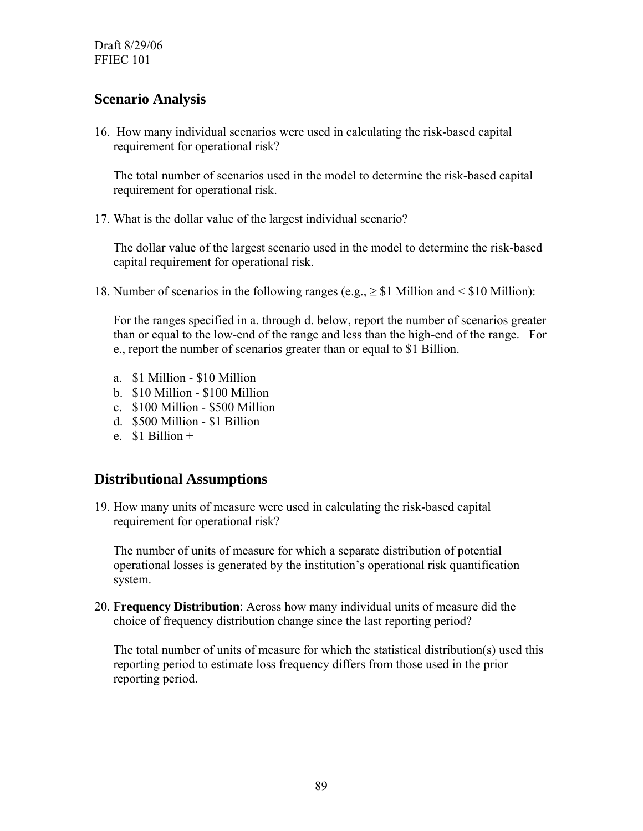Draft 8/29/06 FFIEC 101

### **Scenario Analysis**

16. How many individual scenarios were used in calculating the risk-based capital requirement for operational risk?

The total number of scenarios used in the model to determine the risk-based capital requirement for operational risk.

17. What is the dollar value of the largest individual scenario?

The dollar value of the largest scenario used in the model to determine the risk-based capital requirement for operational risk.

18. Number of scenarios in the following ranges (e.g., ≥ \$1 Million and < \$10 Million):

For the ranges specified in a. through d. below, report the number of scenarios greater than or equal to the low-end of the range and less than the high-end of the range. For e., report the number of scenarios greater than or equal to \$1 Billion.

- a. \$1 Million \$10 Million
- b. \$10 Million \$100 Million
- c. \$100 Million \$500 Million
- d. \$500 Million \$1 Billion
- $e$  \$1 Billion +

### **Distributional Assumptions**

19. How many units of measure were used in calculating the risk-based capital requirement for operational risk?

The number of units of measure for which a separate distribution of potential operational losses is generated by the institution's operational risk quantification system.

20. **Frequency Distribution**: Across how many individual units of measure did the choice of frequency distribution change since the last reporting period?

The total number of units of measure for which the statistical distribution(s) used this reporting period to estimate loss frequency differs from those used in the prior reporting period.